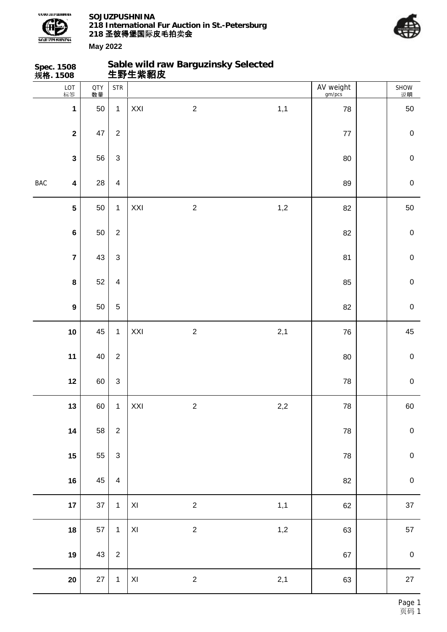

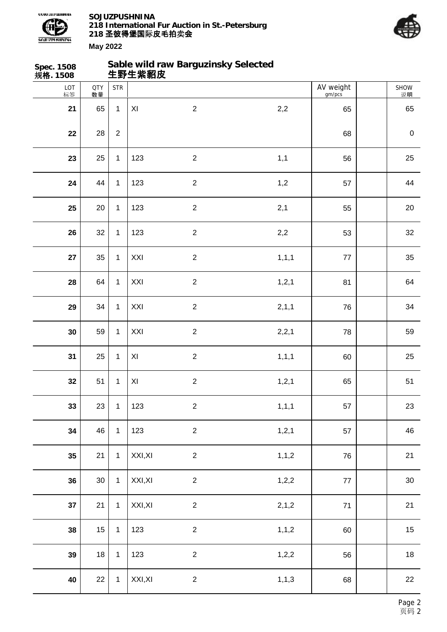



| Spec. 1508<br>规格. 1508 |                  |              | 生野生紫貂皮         | Sable wild raw Barguzinsky Selected |         |                     |                  |
|------------------------|------------------|--------------|----------------|-------------------------------------|---------|---------------------|------------------|
| LOT<br>标签              | <b>QTY</b><br>数量 | <b>STR</b>   |                |                                     |         | AV weight<br>gm/pcs | SHOW<br>说明       |
| 21                     | 65               | $\mathbf{1}$ | XI             | $\overline{2}$                      | 2,2     | 65                  | 65               |
| 22                     | 28               | $\sqrt{2}$   |                |                                     |         | 68                  | $\boldsymbol{0}$ |
| 23                     | 25               | $\mathbf{1}$ | 123            | $\sqrt{2}$                          | 1,1     | 56                  | 25               |
| 24                     | 44               | $\mathbf{1}$ | 123            | $\sqrt{2}$                          | 1,2     | 57                  | 44               |
| 25                     | $20\,$           | $\mathbf{1}$ | 123            | $\overline{2}$                      | 2,1     | 55                  | 20               |
| 26                     | 32               | $\mathbf{1}$ | 123            | $\overline{2}$                      | 2,2     | 53                  | 32               |
| 27                     | 35               | $\mathbf{1}$ | XXI            | $\boldsymbol{2}$                    | 1, 1, 1 | 77                  | 35               |
| 28                     | 64               | $\mathbf 1$  | XXI            | $\sqrt{2}$                          | 1, 2, 1 | 81                  | 64               |
| 29                     | 34               | $\mathbf 1$  | XXI            | $\overline{2}$                      | 2, 1, 1 | 76                  | 34               |
| 30                     | 59               | $\mathbf{1}$ | XXI            | $\overline{2}$                      | 2,2,1   | 78                  | 59               |
| 31                     | 25               | $\mathbf{1}$ | XI             | $\boldsymbol{2}$                    | 1, 1, 1 | 60                  | 25               |
| 32                     | 51               | 1            | $\pmb{\times}$ | $\sqrt{2}$                          | 1, 2, 1 | 65                  | 51               |
| 33                     | 23               | $\mathbf{1}$ | 123            | $\overline{2}$                      | 1, 1, 1 | 57                  | 23               |
| 34                     | 46               | $\mathbf{1}$ | 123            | $\overline{2}$                      | 1, 2, 1 | 57                  | 46               |
| 35                     | 21               | $\mathbf{1}$ | XXI, XI        | $\overline{2}$                      | 1, 1, 2 | 76                  | 21               |
| 36                     | $30\,$           | $\mathbf{1}$ | XXI, XI        | $\overline{2}$                      | 1, 2, 2 | $77$                | 30               |
| 37                     | 21               | $\mathbf{1}$ | XXI, XI        | $\sqrt{2}$                          | 2,1,2   | $71$                | 21               |
| 38                     | 15               | $\mathbf{1}$ | 123            | $\overline{c}$                      | 1, 1, 2 | 60                  | 15               |
| 39                     | 18               | $\mathbf 1$  | 123            | $\sqrt{2}$                          | 1,2,2   | 56                  | 18               |
| 40                     | 22               | $\mathbf{1}$ | XXI, XI        | $\overline{2}$                      | 1, 1, 3 | 68                  | 22               |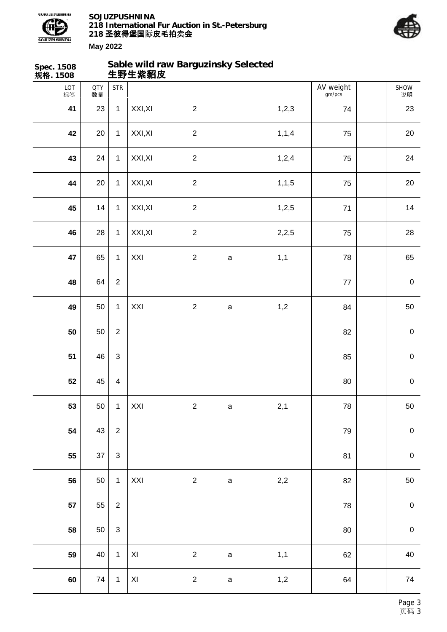



| Spec. 1508<br>规格. 1508 |                  |                         | 生野生紫貂皮                  | Sable wild raw Barguzinsky Selected |              |         |                     |             |
|------------------------|------------------|-------------------------|-------------------------|-------------------------------------|--------------|---------|---------------------|-------------|
| LOT<br>标签              | <b>QTY</b><br>数量 | <b>STR</b>              |                         |                                     |              |         | AV weight<br>gm/pcs | SHOW<br>说明  |
| 41                     | 23               | $\mathbf{1}$            | XXI, XI                 | $\overline{2}$                      |              | 1, 2, 3 | 74                  | 23          |
| 42                     | 20               | $\mathbf{1}$            | XXI, XI                 | $\sqrt{2}$                          |              | 1, 1, 4 | 75                  | 20          |
| 43                     | 24               | $\mathbf{1}$            | XXI, XI                 | $\sqrt{2}$                          |              | 1,2,4   | 75                  | 24          |
| 44                     | 20               | $\mathbf 1$             | XXI, XI                 | $\overline{2}$                      |              | 1, 1, 5 | 75                  | $20\,$      |
| 45                     | 14               | $\mathbf{1}$            | XXI, XI                 | $\overline{c}$                      |              | 1,2,5   | $71$                | 14          |
| 46                     | 28               | $\mathbf{1}$            | XXI, XI                 | $\sqrt{2}$                          |              | 2,2,5   | 75                  | 28          |
| 47                     | 65               | $\mathbf{1}$            | XXI                     | $\sqrt{2}$                          | $\mathsf a$  | 1,1     | 78                  | 65          |
| 48                     | 64               | $\sqrt{2}$              |                         |                                     |              |         | $77\,$              | $\pmb{0}$   |
| 49                     | 50               | $\mathbf{1}$            | XXI                     | $\overline{2}$                      | $\mathsf a$  | 1,2     | 84                  | 50          |
| 50                     | 50               | $\overline{2}$          |                         |                                     |              |         | 82                  | $\mathbf 0$ |
| 51                     | 46               | $\mathfrak{Z}$          |                         |                                     |              |         | 85                  | $\pmb{0}$   |
| 52                     | 45               | $\overline{\mathbf{4}}$ |                         |                                     |              |         | 80                  | $\pmb{0}$   |
| 53                     | 50               | $\mathbf{1}$            | XXI                     | $\sqrt{2}$                          | $\mathsf a$  | 2,1     | ${\bf 78}$          | 50          |
| 54                     | 43               | $\overline{2}$          |                         |                                     |              |         | 79                  | $\pmb{0}$   |
| 55                     | 37               | $\mathbf{3}$            |                         |                                     |              |         | 81                  | $\mathbf 0$ |
| 56                     | 50               | $\mathbf{1}$            | XXI                     | $\overline{c}$                      | $\mathsf{a}$ | $2,\!2$ | 82                  | 50          |
| 57                     | 55               | $\overline{2}$          |                         |                                     |              |         | ${\bf 78}$          | $\mathbf 0$ |
| 58                     | 50               | $\mathfrak{S}$          |                         |                                     |              |         | $80\,$              | $\pmb{0}$   |
| 59                     | $40\,$           | $\mathbf{1}$            | XI                      | $\overline{2}$                      | $\mathsf a$  | 1,1     | 62                  | $40\,$      |
| 60                     | ${\bf 74}$       | $\mathbf{1}$            | $\mathsf{X} \mathsf{I}$ | $\overline{c}$                      | $\mathsf a$  | $1,2$   | 64                  | 74          |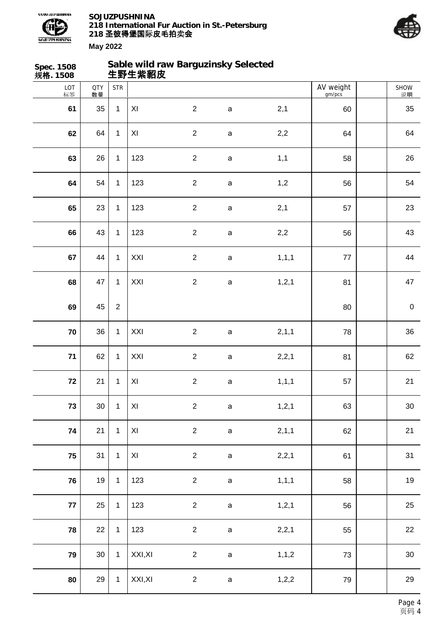



| Spec. 1508<br>规 <b>格</b> . 1508 |                  |                | 生野生紫貂皮              | Sable wild raw Barguzinsky Selected |             |         |                     |                   |
|---------------------------------|------------------|----------------|---------------------|-------------------------------------|-------------|---------|---------------------|-------------------|
| LOT<br>标签                       | <b>QTY</b><br>数量 | <b>STR</b>     |                     |                                     |             |         | AV weight<br>gm/pcs | <b>SHOW</b><br>说明 |
| 61                              | 35               | $\mathbf{1}$   | XI                  | $\overline{2}$                      | $\mathsf a$ | 2,1     | 60                  | 35                |
| 62                              | 64               | $\mathbf{1}$   | $\pmb{\times}$      | $\overline{2}$                      | $\mathsf a$ | 2,2     | 64                  | 64                |
| 63                              | 26               | $\mathbf{1}$   | 123                 | $\sqrt{2}$                          | $\mathsf a$ | 1,1     | 58                  | 26                |
| 64                              | 54               | $\mathbf{1}$   | 123                 | $\overline{2}$                      | $\mathsf a$ | 1,2     | 56                  | 54                |
| 65                              | 23               | $\mathbf{1}$   | 123                 | $\overline{2}$                      | $\mathsf a$ | 2,1     | 57                  | 23                |
| 66                              | 43               | $\mathbf{1}$   | 123                 | $\overline{2}$                      | $\mathsf a$ | $2,2$   | 56                  | 43                |
| 67                              | 44               | $\mathbf{1}$   | XXI                 | $\sqrt{2}$                          | $\mathsf a$ | 1, 1, 1 | $77\,$              | 44                |
| 68                              | 47               | $\mathbf{1}$   | XXI                 | $\overline{2}$                      | $\mathsf a$ | 1, 2, 1 | 81                  | 47                |
| 69                              | 45               | $\overline{2}$ |                     |                                     |             |         | 80                  | $\pmb{0}$         |
| 70                              | 36               | $\mathbf{1}$   | XXI                 | $\overline{2}$                      | $\mathsf a$ | 2, 1, 1 | 78                  | 36                |
| $71$                            | 62               | $\mathbf{1}$   | XXI                 | $\sqrt{2}$                          | $\mathsf a$ | 2,2,1   | 81                  | 62                |
| $\bf 72$                        | 21               | $\mathbf{1}$   | $\pmb{\times}$      | $\sqrt{2}$                          | a           | 1, 1, 1 | 57                  | 21                |
| 73                              | 30               | $\mathbf{1}$   | $\pmb{\mathsf{XI}}$ | $\overline{2}$                      | $\mathsf a$ | 1, 2, 1 | 63                  | $30\,$            |
| 74                              | 21               | $\mathbf{1}$   | $\pmb{\times}$      | $\overline{2}$                      | $\mathsf a$ | 2,1,1   | 62                  | 21                |
| 75                              | 31               | $\mathbf{1}$   | $\pmb{\times}$      | $\overline{2}$                      | $\mathsf a$ | 2,2,1   | 61                  | 31                |
| 76                              | 19               | $\mathbf{1}$   | 123                 | $\overline{2}$                      | $\mathsf a$ | 1, 1, 1 | 58                  | 19                |
| $77$                            | 25               | $\mathbf{1}$   | 123                 | $\sqrt{2}$                          | $\mathsf a$ | 1, 2, 1 | 56                  | 25                |
| 78                              | 22               | $\mathbf{1}$   | 123                 | $\overline{2}$                      | $\mathsf a$ | 2,2,1   | 55                  | 22                |
| 79                              | $30\,$           | $\mathbf{1}$   | XXI, XI             | $\overline{2}$                      | $\mathsf a$ | 1, 1, 2 | 73                  | $30\,$            |
| 80                              | 29               | $\mathbf{1}$   | XXI, XI             | $\overline{2}$                      | $\mathsf a$ | 1, 2, 2 | 79                  | 29                |
|                                 |                  |                |                     |                                     |             |         |                     |                   |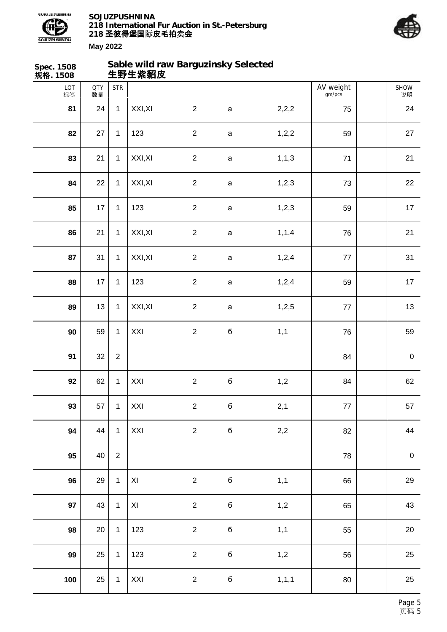



| Spec. 1508<br>规格. 1508 |                  |                | Sable wild raw Barguzinsky Selected<br>生野生紫貂皮 |                |             |         |                     |                  |
|------------------------|------------------|----------------|-----------------------------------------------|----------------|-------------|---------|---------------------|------------------|
| LOT<br>标签              | <b>QTY</b><br>数量 | <b>STR</b>     |                                               |                |             |         | AV weight<br>gm/pcs | SHOW<br>说明       |
| 81                     | 24               | $\mathbf{1}$   | XXI, XI                                       | $\overline{2}$ | $\mathsf a$ | 2,2,2   | 75                  | 24               |
| 82                     | 27               | $\mathbf{1}$   | 123                                           | $\overline{2}$ | $\mathsf a$ | 1,2,2   | 59                  | 27               |
| 83                     | 21               | $\mathbf{1}$   | XXI, XI                                       | $\sqrt{2}$     | $\mathsf a$ | 1, 1, 3 | 71                  | 21               |
| 84                     | 22               | $\mathbf{1}$   | XXI, XI                                       | $\overline{2}$ | $\mathsf a$ | 1, 2, 3 | 73                  | 22               |
| 85                     | 17               | $\mathbf{1}$   | 123                                           | $\overline{2}$ | $\mathsf a$ | 1,2,3   | 59                  | 17               |
| 86                     | 21               | $\mathbf{1}$   | XXI, XI                                       | $\overline{2}$ | $\mathsf a$ | 1, 1, 4 | 76                  | 21               |
| 87                     | 31               | $\mathbf{1}$   | XXI, XI                                       | $\sqrt{2}$     | $\mathsf a$ | 1,2,4   | 77                  | 31               |
| 88                     | 17               | $\mathbf{1}$   | 123                                           | $\overline{2}$ | $\mathsf a$ | 1,2,4   | 59                  | $17$             |
| 89                     | 13               | $\mathbf{1}$   | XXI, XI                                       | $\overline{2}$ | $\mathsf a$ | 1,2,5   | $77\,$              | 13               |
| 90                     | 59               | $\mathbf{1}$   | XXI                                           | $\overline{2}$ | б           | 1,1     | 76                  | 59               |
| 91                     | 32               | $\sqrt{2}$     |                                               |                |             |         | 84                  | $\pmb{0}$        |
| 92                     | 62               | $\mathbf{1}$   | XXI                                           | $\sqrt{2}$     | б           | 1,2     | 84                  | 62               |
| 93                     | 57               | $\mathbf{1}$   | XXI                                           | $\overline{2}$ | $\mathbf 6$ | 2,1     | $77\,$              | 57               |
| 94                     | 44               | $\mathbf{1}$   | XXI                                           | $\overline{2}$ | б           | 2,2     | 82                  | 44               |
| 95                     | 40               | $\overline{2}$ |                                               |                |             |         | 78                  | $\boldsymbol{0}$ |
| 96                     | 29               | $\mathbf{1}$   | $\mathsf{XI}$                                 | $\overline{2}$ | $\mathbf 6$ | 1,1     | 66                  | 29               |
| 97                     | 43               | $\mathbf{1}$   | XI                                            | $\overline{2}$ | $\mathbf 6$ | 1,2     | 65                  | 43               |
| 98                     | $20\,$           | $\mathbf{1}$   | 123                                           | $\overline{2}$ | б           | 1,1     | 55                  | $20\,$           |
| 99                     | 25               | $\mathbf{1}$   | 123                                           | $\overline{2}$ | $\mathbf 6$ | 1,2     | 56                  | 25               |
| 100                    | 25               | $\mathbf 1$    | XXI                                           | $\overline{2}$ | $\mathbf 6$ | 1, 1, 1 | 80                  | 25               |
|                        |                  |                |                                               |                |             |         |                     |                  |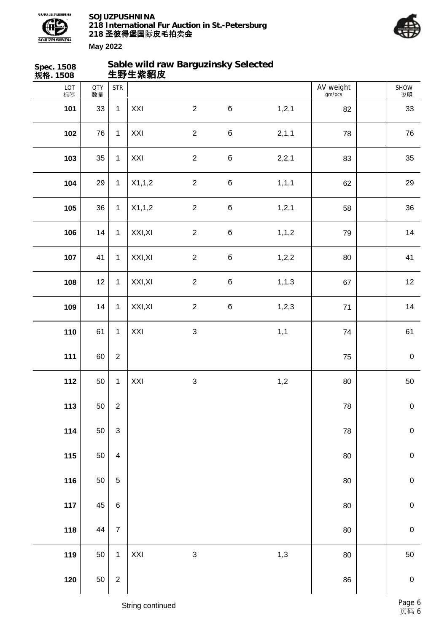



| <b>Spec. 1508</b><br>规格. 1508 |                  |                         | 生野生紫貂皮  | Sable wild raw Barguzinsky Selected |             |         |                     |             |
|-------------------------------|------------------|-------------------------|---------|-------------------------------------|-------------|---------|---------------------|-------------|
| $LOT$ 标签                      | <b>QTY</b><br>数量 | <b>STR</b>              |         |                                     |             |         | AV weight<br>gm/pcs | SHOW<br>说明  |
| 101                           | 33               | $\mathbf{1}$            | XXI     | $\overline{2}$                      | $\mathbf 6$ | 1, 2, 1 | 82                  | 33          |
| 102                           | 76               | $\mathbf{1}$            | XXI     | $\overline{2}$                      | $\mathbf 6$ | 2,1,1   | 78                  | 76          |
| 103                           | 35               | $\mathbf{1}$            | XXI     | $\overline{2}$                      | $\bf 6$     | 2,2,1   | 83                  | 35          |
| 104                           | 29               | $\mathbf{1}$            | X1,1,2  | $\overline{2}$                      | $\mathbf 6$ | 1, 1, 1 | 62                  | 29          |
| 105                           | 36               | $\mathbf{1}$            | X1,1,2  | $\overline{2}$                      | $\mathbf 6$ | 1, 2, 1 | 58                  | 36          |
| 106                           | 14               | $\mathbf{1}$            | XXI, XI | $\overline{2}$                      | $\mathbf 6$ | 1, 1, 2 | 79                  | 14          |
| 107                           | 41               | $\mathbf{1}$            | XXI, XI | $\overline{2}$                      | $\mathbf 6$ | 1,2,2   | 80                  | 41          |
| 108                           | 12               | $\mathbf{1}$            | XXI, XI | $\overline{2}$                      | $\mathbf 6$ | 1, 1, 3 | 67                  | 12          |
| 109                           | 14               | $\mathbf{1}$            | XXI, XI | $\overline{2}$                      | б           | 1,2,3   | 71                  | 14          |
| 110                           | 61               | $\mathbf{1}$            | XXI     | $\mathfrak{S}$                      |             | 1,1     | 74                  | 61          |
| 111                           | 60               | $\overline{c}$          |         |                                     |             |         | 75                  | $\mathbf 0$ |
| 112                           | 50               | $\mathbf{1}$            | XXI     | $\sqrt{3}$                          |             | 1,2     | 80                  | 50          |
| 113                           | 50               | $\overline{c}$          |         |                                     |             |         | 78                  | $\pmb{0}$   |
| 114                           | 50               | $\mathsf 3$             |         |                                     |             |         | 78                  | $\pmb{0}$   |
| 115                           | 50               | $\overline{\mathbf{4}}$ |         |                                     |             |         | 80                  | $\pmb{0}$   |
| 116                           | 50               | 5                       |         |                                     |             |         | 80                  | $\pmb{0}$   |
| 117                           | 45               | $\,6\,$                 |         |                                     |             |         | 80                  | $\pmb{0}$   |
| 118                           | 44               | $\overline{7}$          |         |                                     |             |         | 80                  | $\pmb{0}$   |
| 119                           | 50               | $\mathbf{1}$            | XXI     | 3                                   |             | 1,3     | 80                  | 50          |
| 120                           | 50               | $\mathbf 2$             |         |                                     |             |         | 86                  | $\pmb{0}$   |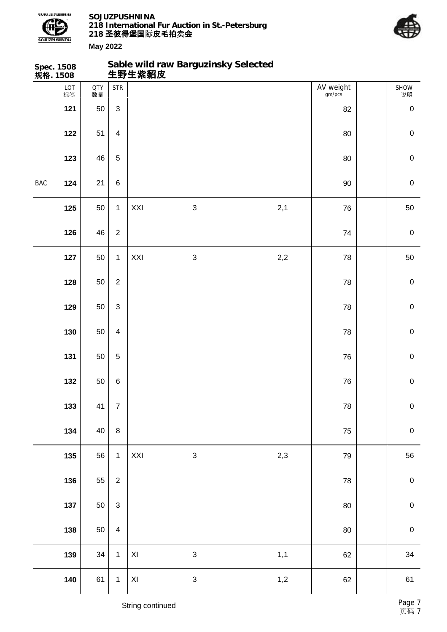



| 规格. 1508 | Spec. 1508 |                  |                         |               | Sable wild raw Barguzinsky Selected<br>生野生紫貂皮 |       |                     |                     |
|----------|------------|------------------|-------------------------|---------------|-----------------------------------------------|-------|---------------------|---------------------|
|          | LOT<br>标签  | <b>QTY</b><br>数量 | <b>STR</b>              |               |                                               |       | AV weight<br>gm/pcs | SHOW<br>说明          |
|          | 121        | 50               | $\mathfrak{S}$          |               |                                               |       | 82                  | $\pmb{0}$           |
|          | 122        | 51               | $\overline{\mathbf{4}}$ |               |                                               |       | $80\,$              | $\pmb{0}$           |
|          | 123        | 46               | $\mathbf 5$             |               |                                               |       | $80\,$              | $\pmb{0}$           |
| BAC      | 124        | 21               | $\,6$                   |               |                                               |       | $90\,$              | $\pmb{0}$           |
|          | 125        | 50               | $\mathbf{1}$            | XXI           | $\mathbf{3}$                                  | 2,1   | 76                  | 50                  |
|          | 126        | 46               | $\sqrt{2}$              |               |                                               |       | 74                  | $\pmb{0}$           |
|          | 127        | 50               | $\mathbf 1$             | XXI           | $\sqrt{3}$                                    | 2,2   | 78                  | 50                  |
|          | 128        | 50               | $\overline{2}$          |               |                                               |       | 78                  | $\mathbf 0$         |
|          | 129        | 50               | $\mathsf 3$             |               |                                               |       | 78                  | $\mathsf{O}\xspace$ |
|          | 130        | 50               | $\overline{\mathbf{4}}$ |               |                                               |       | 78                  | $\mathbf 0$         |
|          | 131        | 50               | $\mathbf 5$             |               |                                               |       | 76                  | $\mathbf 0$         |
|          | 132        | 50               | $\,6$                   |               |                                               |       | ${\bf 76}$          | $\pmb{0}$           |
|          | 133        | 41               | $\overline{7}$          |               |                                               |       | ${\bf 78}$          | ${\bf 0}$           |
|          | 134        | 40               | $\, 8$                  |               |                                               |       | 75                  | $\pmb{0}$           |
|          | 135        | 56               | $\mathbf{1}$            | XXI           | $\sqrt{3}$                                    | 2,3   | 79                  | 56                  |
|          | 136        | 55               | $\overline{c}$          |               |                                               |       | ${\bf 78}$          | $\pmb{0}$           |
|          | 137        | 50               | $\mathsf 3$             |               |                                               |       | $80\,$              | $\pmb{0}$           |
|          | 138        | 50               | $\overline{\mathbf{4}}$ |               |                                               |       | 80                  | $\pmb{0}$           |
|          | 139        | $34\,$           | $\mathbf 1$             | $\mathsf{XI}$ | $\sqrt{3}$                                    | 1,1   | 62                  | 34                  |
|          | 140        | 61               | $\mathbf 1$             | $\mathsf{XI}$ | $\sqrt{3}$                                    | $1,2$ | 62                  | 61                  |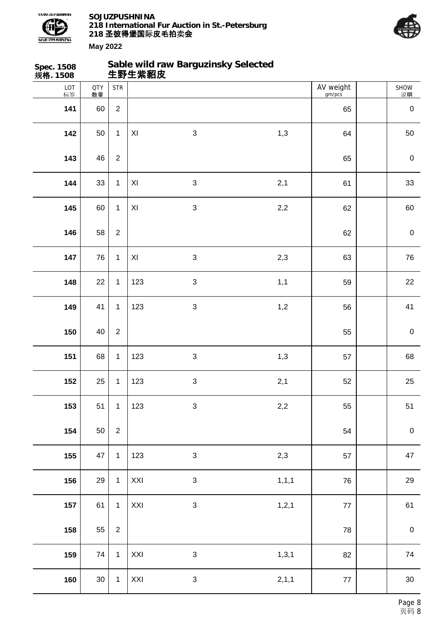



| Spec. 1508<br>规 <b>格</b> . 1508 |                  |                |                         | Sable wild raw Barguzinsky Selected<br>生野生紫貂皮 |         |                     |                  |
|---------------------------------|------------------|----------------|-------------------------|-----------------------------------------------|---------|---------------------|------------------|
| LOT<br>标签                       | <b>QTY</b><br>数量 | <b>STR</b>     |                         |                                               |         | AV weight<br>gm/pcs | SHOW<br>说明       |
| 141                             | 60               | $\overline{2}$ |                         |                                               |         | 65                  | $\pmb{0}$        |
| 142                             | 50               | $\mathbf{1}$   | $\pmb{\times}$          | $\mathbf{3}$                                  | 1,3     | 64                  | 50               |
| 143                             | 46               | $\overline{2}$ |                         |                                               |         | 65                  | $\boldsymbol{0}$ |
| 144                             | 33               | $\mathbf 1$    | $\pmb{\times}$          | $\sqrt{3}$                                    | 2,1     | 61                  | 33               |
| 145                             | 60               | $\mathbf{1}$   | XI                      | $\mathbf{3}$                                  | 2,2     | 62                  | 60               |
| 146                             | 58               | $\overline{2}$ |                         |                                               |         | 62                  | $\mathbf 0$      |
| 147                             | 76               | $\mathbf{1}$   | $\mathsf{X} \mathsf{I}$ | $\mathbf{3}$                                  | 2,3     | 63                  | 76               |
| 148                             | 22               | $\mathbf 1$    | 123                     | $\sqrt{3}$                                    | 1,1     | 59                  | 22               |
| 149                             | 41               | $\mathbf{1}$   | 123                     | $\mathbf{3}$                                  | 1,2     | 56                  | 41               |
| 150                             | 40               | $\overline{2}$ |                         |                                               |         | 55                  | $\mathbf 0$      |
| 151                             | 68               | $\mathbf 1$    | 123                     | $\sqrt{3}$                                    | 1,3     | 57                  | 68               |
| 152                             | 25               | $\mathbf{1}$   | 123                     | $\sqrt{3}$                                    | 2,1     | 52                  | 25               |
| 153                             | 51               | $\mathbf{1}$   | 123                     | $\mathbf{3}$                                  | 2,2     | 55                  | 51               |
| 154                             | 50               | $\sqrt{2}$     |                         |                                               |         | 54                  | $\boldsymbol{0}$ |
| 155                             | 47               | $\mathbf{1}$   | 123                     | $\sqrt{3}$                                    | 2,3     | 57                  | 47               |
| 156                             | 29               | $\mathbf{1}$   | XXI                     | $\mathbf{3}$                                  | 1, 1, 1 | 76                  | 29               |
| 157                             | 61               | $\mathbf{1}$   | XXI                     | $\mathbf{3}$                                  | 1, 2, 1 | $77$                | 61               |
| 158                             | 55               | $\overline{2}$ |                         |                                               |         | 78                  | $\pmb{0}$        |
| 159                             | 74               | $\mathbf{1}$   | XXI                     | $\sqrt{3}$                                    | 1, 3, 1 | 82                  | 74               |
| 160                             | $30\,$           | $\mathbf{1}$   | XXI                     | $\mathbf{3}$                                  | 2, 1, 1 | $77 \,$             | 30               |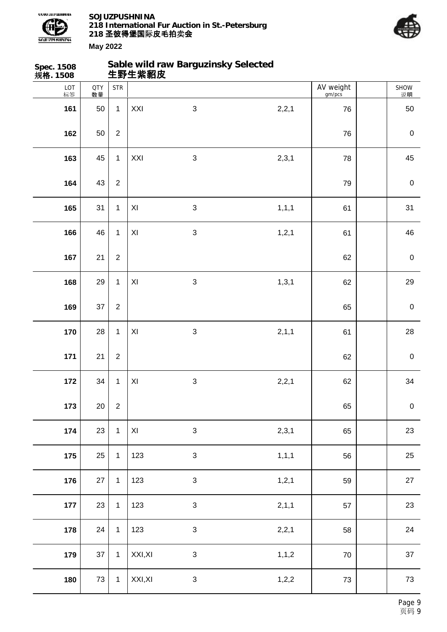



SHOW 说明

**177** 23 1 123 3 2,1,1 57 23

**178** 24 1 123 3 2,2,1 58 24

**179** 37 1 XXI,XI 3 1,1,2 70 37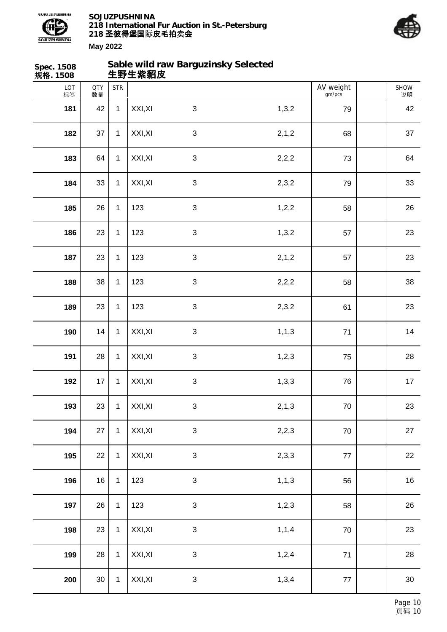



| Spec. 1508<br>规格. 1508 |                  |              | 生野生紫貂皮  | Sable wild raw Barguzinsky Selected |         |                     |            |
|------------------------|------------------|--------------|---------|-------------------------------------|---------|---------------------|------------|
| LOT<br>标签              | <b>QTY</b><br>数量 | <b>STR</b>   |         |                                     |         | AV weight<br>gm/pcs | SHOW<br>说明 |
| 181                    | 42               | $\mathbf{1}$ | XXI, XI | $\mathfrak{S}$                      | 1,3,2   | 79                  | 42         |
| 182                    | 37               | $\mathbf{1}$ | XXI, XI | $\sqrt{3}$                          | 2, 1, 2 | 68                  | 37         |
| 183                    | 64               | $\mathbf{1}$ | XXI, XI | $\mathbf{3}$                        | 2,2,2   | 73                  | 64         |
| 184                    | 33               | $\mathbf{1}$ | XXI, XI | $\sqrt{3}$                          | 2,3,2   | 79                  | 33         |
| 185                    | 26               | $\mathbf{1}$ | 123     | $\mathfrak{S}$                      | 1,2,2   | 58                  | 26         |
| 186                    | 23               | $\mathbf{1}$ | 123     | 3                                   | 1,3,2   | 57                  | 23         |
| 187                    | 23               | $\mathbf{1}$ | 123     | $\mathfrak{S}$                      | 2,1,2   | 57                  | 23         |
| 188                    | 38               | $\mathbf{1}$ | 123     | $\sqrt{3}$                          | 2,2,2   | 58                  | 38         |
| 189                    | 23               | $\mathbf{1}$ | 123     | $\mathbf{3}$                        | 2,3,2   | 61                  | 23         |
| 190                    | 14               | $\mathbf{1}$ | XXI, XI | $\sqrt{3}$                          | 1, 1, 3 | 71                  | 14         |
| 191                    | 28               | $\mathbf{1}$ | XXI, XI | $\sqrt{3}$                          | 1,2,3   | 75                  | 28         |
| 192                    | 17               | $\mathbf{1}$ | XXI, XI | $\sqrt{3}$                          | 1,3,3   | 76                  | 17         |
| 193                    | 23               | $\mathbf{1}$ | XXI, XI | $\sqrt{3}$                          | 2, 1, 3 | $70\,$              | 23         |
| 194                    | 27               | $\mathbf{1}$ | XXI, XI | $\sqrt{3}$                          | 2,2,3   | 70                  | 27         |
| 195                    | 22               | $\mathbf{1}$ | XXI, XI | $\sqrt{3}$                          | 2,3,3   | $77 \,$             | 22         |
| 196                    | 16               | $\mathbf{1}$ | 123     | $\sqrt{3}$                          | 1, 1, 3 | 56                  | 16         |
| 197                    | 26               | $\mathbf{1}$ | 123     | $\sqrt{3}$                          | 1,2,3   | 58                  | 26         |
| 198                    | 23               | $\mathbf{1}$ | XXI, XI | $\sqrt{3}$                          | 1, 1, 4 | $70\,$              | 23         |
| 199                    | 28               | $\mathbf{1}$ | XXI, XI | $\sqrt{3}$                          | 1,2,4   | $71$                | 28         |
| 200                    | $30\,$           | $\mathbf{1}$ | XXI, XI | 3                                   | 1,3,4   | 77                  | $30\,$     |
|                        |                  |              |         |                                     |         |                     |            |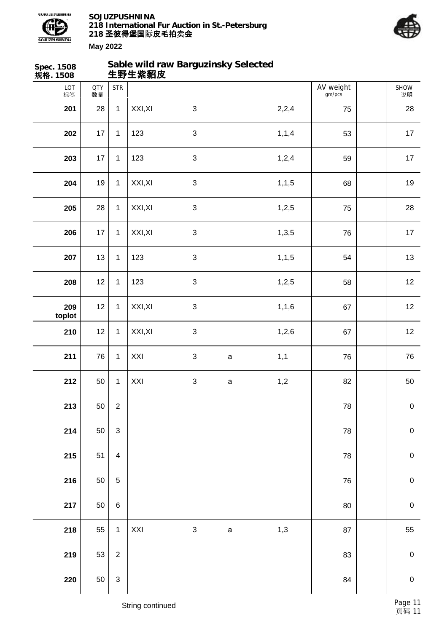



| Spec. 1508<br>规 <b>格</b> . 1508 |                  |                           | 生野生紫貂皮  | Sable wild raw Barguzinsky Selected |              |         |                     |             |
|---------------------------------|------------------|---------------------------|---------|-------------------------------------|--------------|---------|---------------------|-------------|
| LOT<br>标签                       | <b>QTY</b><br>数量 | <b>STR</b>                |         |                                     |              |         | AV weight<br>gm/pcs | SHOW<br>说明  |
| 201                             | 28               | $\mathbf{1}$              | XXI, XI | $\sqrt{3}$                          |              | 2,2,4   | 75                  | 28          |
| 202                             | 17               | $\mathbf{1}$              | 123     | $\sqrt{3}$                          |              | 1, 1, 4 | 53                  | 17          |
| 203                             | 17               | $\mathbf{1}$              | 123     | $\sqrt{3}$                          |              | 1,2,4   | 59                  | 17          |
| 204                             | 19               | $\mathbf{1}$              | XXI, XI | $\mathbf{3}$                        |              | 1, 1, 5 | 68                  | 19          |
| 205                             | 28               | $\mathbf{1}$              | XXI, XI | $\mathbf{3}$                        |              | 1,2,5   | 75                  | 28          |
| 206                             | 17               | $\mathbf{1}$              | XXI, XI | $\sqrt{3}$                          |              | 1,3,5   | 76                  | 17          |
| 207                             | 13               | $\mathbf{1}$              | 123     | $\sqrt{3}$                          |              | 1, 1, 5 | 54                  | 13          |
| 208                             | 12               | $\mathbf{1}$              | 123     | $\ensuremath{\mathsf{3}}$           |              | 1,2,5   | 58                  | 12          |
| 209<br>toplot                   | 12               | $\mathbf{1}$              | XXI, XI | $\mathbf{3}$                        |              | 1, 1, 6 | 67                  | 12          |
| 210                             | 12               | $\mathbf{1}$              | XXI, XI | $\sqrt{3}$                          |              | 1,2,6   | 67                  | 12          |
| 211                             | 76               | $\mathbf{1}$              | XXI     | $\ensuremath{\mathsf{3}}$           | $\mathsf{a}$ | 1,1     | 76                  | 76          |
| 212                             | 50               | $\mathbf{1}$              | XXI     | $\ensuremath{\mathsf{3}}$           | a            | 1,2     | 82                  | $50\,$      |
| 213                             | 50               | $\overline{2}$            |         |                                     |              |         | 78                  | $\pmb{0}$   |
| 214                             | 50               | $\sqrt{3}$                |         |                                     |              |         | 78                  | $\pmb{0}$   |
| 215                             | 51               | $\overline{\mathbf{4}}$   |         |                                     |              |         | 78                  | $\mathbf 0$ |
| 216                             | 50               | $\mathbf 5$               |         |                                     |              |         | 76                  | $\pmb{0}$   |
| 217                             | 50               | $\,6$                     |         |                                     |              |         | 80                  | $\mathbf 0$ |
| 218                             | 55               | $\mathbf{1}$              | XXI     | $\ensuremath{\mathsf{3}}$           | $\mathsf a$  | 1,3     | 87                  | 55          |
| 219                             | 53               | $\overline{2}$            |         |                                     |              |         | 83                  | $\mathbf 0$ |
| 220                             | 50               | $\ensuremath{\mathsf{3}}$ |         |                                     |              |         | 84                  | $\pmb{0}$   |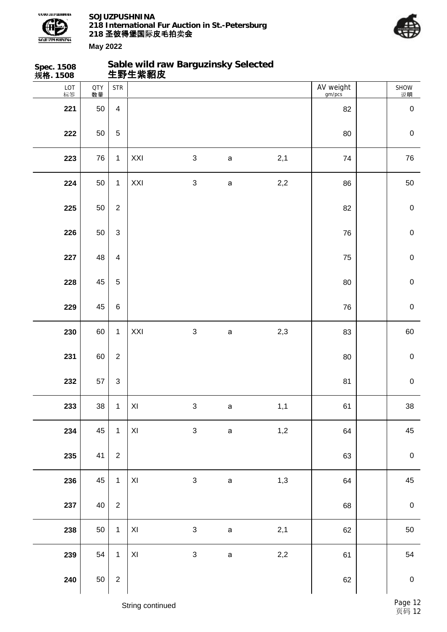



| <b>Spec. 1508</b><br>规格. 1508 |                  |                           | Sable wild raw Barguzinsky Selected<br>生野生紫貂皮 |                           |             |     |                     |             |
|-------------------------------|------------------|---------------------------|-----------------------------------------------|---------------------------|-------------|-----|---------------------|-------------|
| LOT<br>标签                     | <b>QTY</b><br>数量 | <b>STR</b>                |                                               |                           |             |     | AV weight<br>gm/pcs | SHOW<br>说明  |
| 221                           | 50               | $\overline{4}$            |                                               |                           |             |     | 82                  | $\mathbf 0$ |
| 222                           | 50               | $\mathbf 5$               |                                               |                           |             |     | 80                  | $\mathbf 0$ |
| 223                           | 76               | $\mathbf{1}$              | XXI                                           | $\sqrt{3}$                | $\mathsf a$ | 2,1 | 74                  | 76          |
| 224                           | 50               | $\mathbf{1}$              | XXI                                           | $\sqrt{3}$                | $\mathsf a$ | 2,2 | 86                  | 50          |
| 225                           | 50               | $\overline{2}$            |                                               |                           |             |     | 82                  | $\mathbf 0$ |
| 226                           | 50               | $\mathfrak{S}$            |                                               |                           |             |     | 76                  | $\pmb{0}$   |
| 227                           | 48               | $\overline{\mathbf{4}}$   |                                               |                           |             |     | 75                  | $\mathbf 0$ |
| 228                           | 45               | $\mathbf 5$               |                                               |                           |             |     | 80                  | $\mathbf 0$ |
| 229                           | 45               | $\,6$                     |                                               |                           |             |     | 76                  | $\mathbf 0$ |
| 230                           | 60               | $\mathbf{1}$              | XXI                                           | $\sqrt{3}$                | $\mathsf a$ | 2,3 | 83                  | 60          |
| 231                           | 60               | $\overline{2}$            |                                               |                           |             |     | 80                  | $\mathbf 0$ |
| 232                           | 57               | $\ensuremath{\mathsf{3}}$ |                                               |                           |             |     | 81                  | $\pmb{0}$   |
| 233                           | 38               | $\mathbf{1}$              | $\pmb{\mathsf{XI}}$                           | $\ensuremath{\mathsf{3}}$ | $\mathsf a$ | 1,1 | 61                  | 38          |
| 234                           | 45               | $\mathbf{1}$              | $\mathsf{XI}$                                 | $\ensuremath{\mathsf{3}}$ | $\mathsf a$ | 1,2 | 64                  | 45          |
| 235                           | 41               | $\overline{2}$            |                                               |                           |             |     | 63                  | $\pmb{0}$   |
| 236                           | 45               | $\mathbf{1}$              | $\pmb{\times}$                                | $\mathfrak{S}$            | $\mathsf a$ | 1,3 | 64                  | 45          |
| 237                           | 40               | $\overline{c}$            |                                               |                           |             |     | 68                  | $\pmb{0}$   |
| 238                           | 50               | $\mathbf{1}$              | $\pmb{\mathsf{XI}}$                           | $\mathfrak{S}$            | $\mathsf a$ | 2,1 | 62                  | 50          |
| 239                           | 54               | $\mathbf{1}$              | $\pmb{\mathsf{XI}}$                           | $\mathfrak{S}$            | $\mathsf a$ | 2,2 | 61                  | 54          |
| 240                           | 50               | $\overline{c}$            |                                               |                           |             |     | 62                  | $\pmb{0}$   |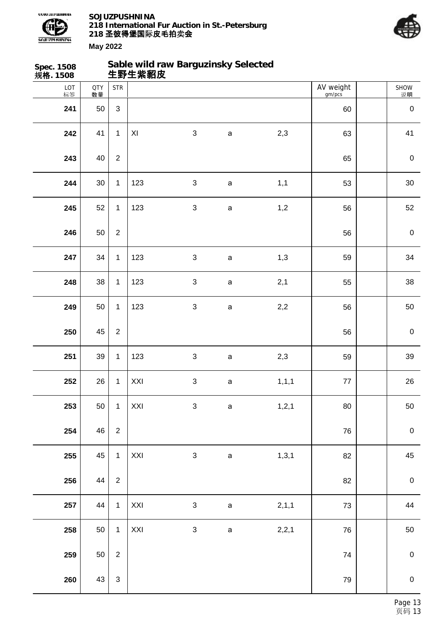



| Spec. 1508<br>规格. 1508 |                  |                | 生野生紫貂皮         | Sable wild raw Barguzinsky Selected |              |         |                     |             |
|------------------------|------------------|----------------|----------------|-------------------------------------|--------------|---------|---------------------|-------------|
| LOT<br>标签              | <b>QTY</b><br>数量 | <b>STR</b>     |                |                                     |              |         | AV weight<br>gm/pcs | SHOW<br>说明  |
| 241                    | 50               | 3              |                |                                     |              |         | 60                  | $\pmb{0}$   |
| 242                    | 41               | $\mathbf{1}$   | XI             | $\sqrt{3}$                          | $\mathsf a$  | 2,3     | 63                  | 41          |
| 243                    | 40               | $\overline{2}$ |                |                                     |              |         | 65                  | $\pmb{0}$   |
| 244                    | $30\,$           | $\mathbf{1}$   | 123            | $\mathfrak{S}$                      | $\mathsf{a}$ | 1,1     | 53                  | $30\,$      |
| 245                    | 52               | $\mathbf{1}$   | 123            | $\mathfrak{S}$                      | $\mathsf a$  | 1,2     | 56                  | 52          |
| 246                    | 50               | $\overline{2}$ |                |                                     |              |         | 56                  | $\pmb{0}$   |
| 247                    | 34               | $\mathbf{1}$   | 123            | $\mathfrak{S}$                      | $\mathsf a$  | 1,3     | 59                  | 34          |
| 248                    | 38               | $\mathbf{1}$   | 123            | $\mathfrak{S}$                      | $\mathsf a$  | 2,1     | 55                  | 38          |
| 249                    | 50               | $\mathbf{1}$   | 123            | $\mathfrak{S}$                      | $\mathsf a$  | 2,2     | 56                  | 50          |
| 250                    | 45               | $\overline{2}$ |                |                                     |              |         | 56                  | $\pmb{0}$   |
| 251                    | 39               | $\mathbf{1}$   | 123            | $\mathbf{3}$                        | $\mathsf a$  | 2,3     | 59                  | 39          |
| 252                    | 26               | $\mathbf{1}$   | XXI            | $\ensuremath{\mathsf{3}}$           | $\mathsf a$  | 1, 1, 1 | $77 \,$             | 26          |
| 253                    | 50               | $\mathbf{1}$   | $\mathsf{XXI}$ | $\sqrt{3}$                          | $\mathsf a$  | 1, 2, 1 | $80\,$              | 50          |
| 254                    | 46               | $\sqrt{2}$     |                |                                     |              |         | 76                  | $\pmb{0}$   |
| 255                    | 45               | $\mathbf{1}$   | $\mathsf{XXI}$ | $\sqrt{3}$                          | $\mathsf a$  | 1,3,1   | 82                  | 45          |
| 256                    | 44               | $\sqrt{2}$     |                |                                     |              |         | 82                  | $\mathbf 0$ |
| 257                    | 44               | $\mathbf 1$    | $\mathsf{XXI}$ | $\ensuremath{\mathsf{3}}$           | $\mathsf a$  | 2,1,1   | 73                  | 44          |
| 258                    | 50               | $\mathbf{1}$   | $\mathsf{XXI}$ | $\mathfrak{S}$                      | $\mathsf a$  | 2,2,1   | 76                  | 50          |
| 259                    | 50               | $\sqrt{2}$     |                |                                     |              |         | 74                  | $\pmb{0}$   |
| 260                    | 43               | $\sqrt{3}$     |                |                                     |              |         | 79                  | $\mathbf 0$ |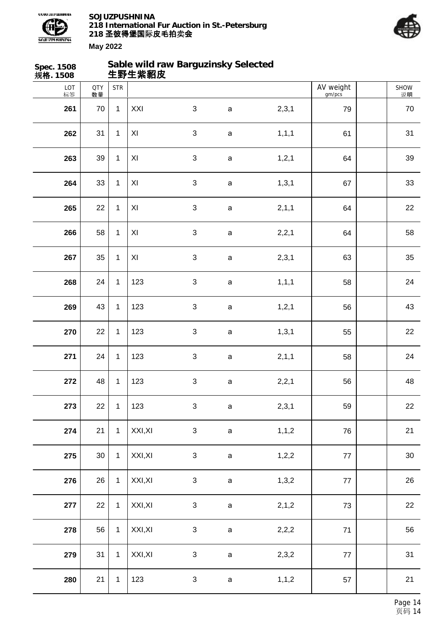



| Spec. 1508<br>规格. 1508 |                  |              | 生野生紫貂皮         | Sable wild raw Barguzinsky Selected |              |         |                     |            |
|------------------------|------------------|--------------|----------------|-------------------------------------|--------------|---------|---------------------|------------|
| LOT<br>标签              | <b>QTY</b><br>数量 | <b>STR</b>   |                |                                     |              |         | AV weight<br>gm/pcs | SHOW<br>说明 |
| 261                    | 70               | $\mathbf{1}$ | XXI            | $\mathfrak{S}$                      | $\mathsf{a}$ | 2,3,1   | 79                  | 70         |
| 262                    | 31               | $\mathbf{1}$ | $\pmb{\times}$ | $\sqrt{3}$                          | $\mathsf a$  | 1, 1, 1 | 61                  | 31         |
| 263                    | 39               | $\mathbf{1}$ | XI             | $\sqrt{3}$                          | $\mathsf a$  | 1, 2, 1 | 64                  | 39         |
| 264                    | 33               | $\mathbf{1}$ | XI             | $\sqrt{3}$                          | $\mathsf a$  | 1, 3, 1 | 67                  | 33         |
| 265                    | 22               | $\mathbf{1}$ | XI             | $\mathfrak{S}$                      | $\mathsf a$  | 2, 1, 1 | 64                  | 22         |
| 266                    | 58               | $\mathbf{1}$ | XI             | $\sqrt{3}$                          | $\mathsf a$  | 2,2,1   | 64                  | 58         |
| 267                    | 35               | $\mathbf{1}$ | XI             | $\sqrt{3}$                          | $\mathsf a$  | 2,3,1   | 63                  | 35         |
| 268                    | 24               | $\mathbf{1}$ | 123            | $\mathbf{3}$                        | $\mathsf a$  | 1, 1, 1 | 58                  | 24         |
| 269                    | 43               | $\mathbf{1}$ | 123            | $\mathfrak{S}$                      | $\mathsf a$  | 1, 2, 1 | 56                  | 43         |
| 270                    | 22               | $\mathbf{1}$ | 123            | $\sqrt{3}$                          | $\mathsf a$  | 1, 3, 1 | 55                  | 22         |
| 271                    | 24               | $\mathbf{1}$ | 123            | $\sqrt{3}$                          | $\mathsf a$  | 2,1,1   | 58                  | 24         |
| 272                    | 48               | $\mathbf 1$  | 123            | $\ensuremath{\mathsf{3}}$           | a            | 2,2,1   | 56                  | 48         |
| 273                    | 22               | $\mathbf{1}$ | 123            | $\mathfrak{S}$                      | $\mathsf a$  | 2,3,1   | 59                  | 22         |
| 274                    | 21               | $\mathbf{1}$ | XXI, XI        | $\mathfrak{S}$                      | $\mathsf a$  | 1, 1, 2 | 76                  | 21         |
| 275                    | $30\,$           | $\mathbf{1}$ | XXI, XI        | $\ensuremath{\mathsf{3}}$           | $\mathsf a$  | 1,2,2   | 77                  | $30\,$     |
| 276                    | 26               | $\mathbf{1}$ | XXI, XI        | $\ensuremath{\mathsf{3}}$           | $\mathsf a$  | 1,3,2   | 77                  | 26         |
| 277                    | 22               | $\mathbf{1}$ | XXI, XI        | $\ensuremath{\mathsf{3}}$           | $\mathsf a$  | 2, 1, 2 | 73                  | 22         |
| 278                    | 56               | $\mathbf{1}$ | XXI, XI        | $\sqrt{3}$                          | $\mathsf a$  | 2,2,2   | $71$                | 56         |
| 279                    | 31               | $\mathbf{1}$ | XXI, XI        | $\sqrt{3}$                          | $\mathsf a$  | 2,3,2   | 77                  | 31         |
| 280                    | 21               | $\mathbf{1}$ | 123            | $\ensuremath{\mathsf{3}}$           | $\mathsf a$  | 1, 1, 2 | 57                  | 21         |
|                        |                  |              |                |                                     |              |         |                     |            |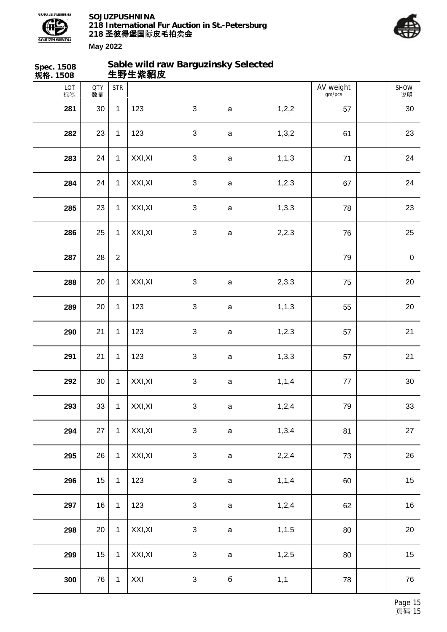



| Spec. 1508<br>规格. 1508 |                  |                  | 生野生紫貂皮  | Sable wild raw Barguzinsky Selected |              |         |                     |            |
|------------------------|------------------|------------------|---------|-------------------------------------|--------------|---------|---------------------|------------|
| LOT<br>标签              | <b>QTY</b><br>数量 | <b>STR</b>       |         |                                     |              |         | AV weight<br>gm/pcs | SHOW<br>说明 |
| 281                    | 30               | $\mathbf{1}$     | 123     | $\mathfrak{S}$                      | $\mathbf a$  | 1,2,2   | 57                  | 30         |
| 282                    | 23               | $\mathbf{1}$     | 123     | $\sqrt{3}$                          | $\mathsf a$  | 1,3,2   | 61                  | 23         |
| 283                    | 24               | $\mathbf{1}$     | XXI, XI | $\sqrt{3}$                          | $\mathsf a$  | 1, 1, 3 | $71$                | 24         |
| 284                    | 24               | $\mathbf{1}$     | XXI, XI | $\sqrt{3}$                          | $\mathsf a$  | 1,2,3   | 67                  | 24         |
| 285                    | 23               | $\mathbf{1}$     | XXI, XI | $\mathfrak{S}$                      | $\mathsf a$  | 1,3,3   | 78                  | 23         |
| 286                    | 25               | $\mathbf{1}$     | XXI, XI | $\sqrt{3}$                          | $\mathsf a$  | 2,2,3   | 76                  | 25         |
| 287                    | 28               | $\boldsymbol{2}$ |         |                                     |              |         | 79                  | $\pmb{0}$  |
| 288                    | 20               | $\mathbf{1}$     | XXI, XI | $\sqrt{3}$                          | $\mathsf a$  | 2,3,3   | 75                  | 20         |
| 289                    | 20               | $\mathbf{1}$     | 123     | $\mathfrak{S}$                      | $\mathsf{a}$ | 1, 1, 3 | 55                  | 20         |
| 290                    | 21               | $\mathbf{1}$     | 123     | $\sqrt{3}$                          | $\mathsf a$  | 1,2,3   | 57                  | 21         |
| 291                    | 21               | $\mathbf{1}$     | 123     | $\sqrt{3}$                          | $\mathsf a$  | 1,3,3   | 57                  | 21         |
| 292                    | $30\,$           | $\mathbf 1$      | XXI, XI | $\ensuremath{\mathsf{3}}$           | $\mathsf a$  | 1, 1, 4 | 77                  | $30\,$     |
| 293                    | 33               | $\mathbf{1}$     | XXI, XI | $\mathfrak{S}$                      | $\mathsf a$  | 1,2,4   | 79                  | 33         |
| 294                    | 27               | $\mathbf{1}$     | XXI, XI | $\mathfrak{S}$                      | $\mathsf a$  | 1,3,4   | 81                  | 27         |
| 295                    | 26               | $\mathbf{1}$     | XXI, XI | $\mathfrak{S}$                      | $\mathsf a$  | 2,2,4   | 73                  | 26         |
| 296                    | 15               | $\mathbf{1}$     | 123     | $\ensuremath{\mathsf{3}}$           | $\mathsf a$  | 1, 1, 4 | 60                  | 15         |
| 297                    | 16               | $\mathbf{1}$     | 123     | $\sqrt{3}$                          | $\mathsf a$  | 1,2,4   | 62                  | 16         |
| 298                    | 20               | $\mathbf{1}$     | XXI, XI | $\sqrt{3}$                          | $\mathsf a$  | 1, 1, 5 | 80                  | $20\,$     |
| 299                    | 15               | $\mathbf{1}$     | XXI, XI | $\sqrt{3}$                          | $\mathsf a$  | 1,2,5   | 80                  | 15         |
| 300                    | 76               | $\mathbf{1}$     | XXI     | $\sqrt{3}$                          | б            | 1,1     | 78                  | 76         |
|                        |                  |                  |         |                                     |              |         |                     |            |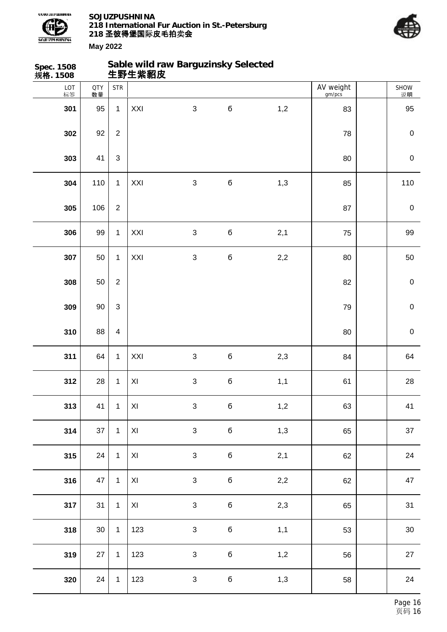



| Spec. 1508<br>规格. 1508 |                  |                         | 生野生紫貂皮                  | Sable wild raw Barguzinsky Selected |             |     |                     |                  |
|------------------------|------------------|-------------------------|-------------------------|-------------------------------------|-------------|-----|---------------------|------------------|
| LOT<br>标签              | <b>QTY</b><br>数量 | <b>STR</b>              |                         |                                     |             |     | AV weight<br>gm/pcs | SHOW<br>说明       |
| 301                    | 95               | $\mathbf{1}$            | XXI                     | $\mathfrak{S}$                      | б           | 1,2 | 83                  | 95               |
| 302                    | 92               | $\overline{2}$          |                         |                                     |             |     | 78                  | $\mathbf 0$      |
| 303                    | 41               | $\mathfrak{S}$          |                         |                                     |             |     | 80                  | $\mathbf 0$      |
| 304                    | 110              | $\mathbf{1}$            | XXI                     | $\sqrt{3}$                          | б           | 1,3 | 85                  | 110              |
| 305                    | 106              | $\sqrt{2}$              |                         |                                     |             |     | 87                  | $\boldsymbol{0}$ |
| 306                    | 99               | $\mathbf{1}$            | XXI                     | $\mathbf{3}$                        | б           | 2,1 | 75                  | 99               |
| 307                    | 50               | $\mathbf{1}$            | XXI                     | $\ensuremath{\mathsf{3}}$           | б           | 2,2 | 80                  | 50               |
| 308                    | 50               | $\overline{2}$          |                         |                                     |             |     | 82                  | $\mathbf 0$      |
| 309                    | 90               | $\mathbf{3}$            |                         |                                     |             |     | 79                  | $\mathbf 0$      |
| 310                    | 88               | $\overline{\mathbf{4}}$ |                         |                                     |             |     | 80                  | $\mathbf 0$      |
| 311                    | 64               | $\mathbf{1}$            | XXI                     | $\ensuremath{\mathsf{3}}$           | $\mathbf 6$ | 2,3 | 84                  | 64               |
| 312                    | 28               | $\mathbf{1}$            | $\pmb{\times}$          | $\sqrt{3}$                          | б           | 1,1 | 61                  | 28               |
| 313                    | 41               | $\mathbf{1}$            | $\mathsf{X} \mathsf{I}$ | $\sqrt{3}$                          | $\mathbf 6$ | 1,2 | 63                  | 41               |
| 314                    | 37               | $\mathbf{1}$            | XI                      | $\mathfrak{S}$                      | б           | 1,3 | 65                  | 37               |
| 315                    | 24               | $\mathbf{1}$            | XI                      | $\mathbf{3}$                        | б           | 2,1 | 62                  | 24               |
| 316                    | 47               | $\mathbf{1}$            | $\mathsf{XI}$           | $\mathbf{3}$                        | $\mathbf 6$ | 2,2 | 62                  | 47               |
| 317                    | 31               | $\mathbf{1}$            | XI                      | $\mathbf{3}$                        | $\mathbf 6$ | 2,3 | 65                  | 31               |
| 318                    | $30\,$           | $\mathbf{1}$            | 123                     | $\sqrt{3}$                          | б           | 1,1 | 53                  | $30\,$           |
| 319                    | 27               | $\mathbf{1}$            | 123                     | $\mathbf{3}$                        | б           | 1,2 | 56                  | 27               |
| 320                    | 24               | $\mathbf{1}$            | 123                     | $\mathfrak{S}$                      | $\mathbf 6$ | 1,3 | 58                  | 24               |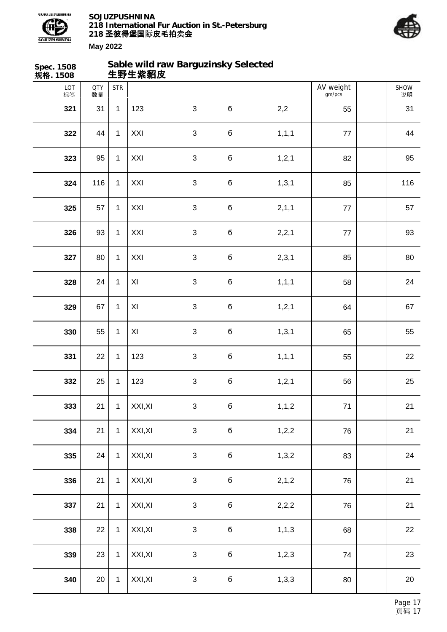



| Spec. 1508<br>规格. 1508 |                  |              | 生野生紫貂皮  | Sable wild raw Barguzinsky Selected |             |         |                     |            |
|------------------------|------------------|--------------|---------|-------------------------------------|-------------|---------|---------------------|------------|
| LOT<br>标签              | <b>QTY</b><br>数量 | <b>STR</b>   |         |                                     |             |         | AV weight<br>gm/pcs | SHOW<br>说明 |
| 321                    | 31               | $\mathbf{1}$ | 123     | $\mathfrak{S}$                      | $\mathbf 6$ | 2,2     | 55                  | 31         |
| 322                    | 44               | $\mathbf{1}$ | XXI     | $\sqrt{3}$                          | б           | 1, 1, 1 | 77                  | 44         |
| 323                    | 95               | $\mathbf{1}$ | XXI     | $\mathbf{3}$                        | б           | 1, 2, 1 | 82                  | 95         |
| 324                    | 116              | $\mathbf{1}$ | XXI     | $\sqrt{3}$                          | б           | 1, 3, 1 | 85                  | 116        |
| 325                    | 57               | $\mathbf{1}$ | XXI     | $\mathfrak{S}$                      | б           | 2, 1, 1 | $77 \,$             | 57         |
| 326                    | 93               | $\mathbf{1}$ | XXI     | $\sqrt{3}$                          | б           | 2,2,1   | 77                  | 93         |
| 327                    | 80               | $\mathbf{1}$ | XXI     | $\sqrt{3}$                          | б           | 2,3,1   | 85                  | 80         |
| 328                    | 24               | $\mathbf{1}$ | XI      | $\mathfrak{S}$                      | б           | 1, 1, 1 | 58                  | 24         |
| 329                    | 67               | $\mathbf{1}$ | XI      | $\mathbf{3}$                        | б           | 1, 2, 1 | 64                  | 67         |
| 330                    | 55               | $\mathbf{1}$ | XI      | $\sqrt{3}$                          | б           | 1, 3, 1 | 65                  | 55         |
| 331                    | 22               | $\mathbf{1}$ | 123     | $\sqrt{3}$                          | б           | 1, 1, 1 | 55                  | 22         |
| 332                    | 25               | $\mathbf 1$  | 123     | $\ensuremath{\mathsf{3}}$           | б           | 1, 2, 1 | 56                  | 25         |
| 333                    | 21               | $\mathbf{1}$ | XXI, XI | $\mathfrak{S}$                      | $\mathbf 6$ | 1, 1, 2 | $71$                | 21         |
| 334                    | 21               | $\mathbf{1}$ | XXI, XI | $\mathfrak{S}$                      | б           | 1,2,2   | 76                  | 21         |
| 335                    | 24               | $\mathbf{1}$ | XXI, XI | $\mathfrak{S}$                      | б           | 1,3,2   | 83                  | 24         |
| 336                    | 21               | $\mathbf{1}$ | XXI, XI | $\sqrt{3}$                          | $\mathbf 6$ | 2, 1, 2 | 76                  | 21         |
| 337                    | 21               | $\mathbf 1$  | XXI, XI | $\ensuremath{\mathsf{3}}$           | б           | 2,2,2   | 76                  | 21         |
| 338                    | 22               | $\mathbf{1}$ | XXI, XI | $\sqrt{3}$                          | б           | 1, 1, 3 | 68                  | 22         |
| 339                    | 23               | $\mathbf{1}$ | XXI, XI | $\ensuremath{\mathsf{3}}$           | б           | 1,2,3   | 74                  | 23         |
| 340                    | 20               | $\mathbf{1}$ | XXI, XI | $\sqrt{3}$                          | $\mathbf 6$ | 1,3,3   | 80                  | 20         |
|                        |                  |              |         |                                     |             |         |                     |            |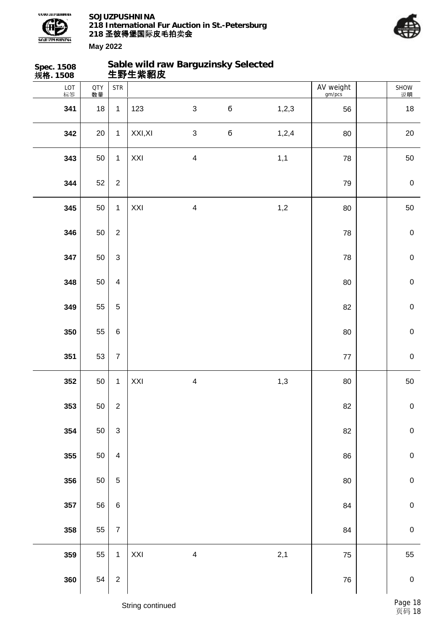

**Sable wild raw Barguzinsky Selected**



| Spec. 1508<br>规 <b>格</b> . 1508 |                  |                           |         | Sable wild raw Barguzinsky Selected<br>生野生紫貂皮 |   |       |                     |             |
|---------------------------------|------------------|---------------------------|---------|-----------------------------------------------|---|-------|---------------------|-------------|
| LOT<br>标签                       | <b>QTY</b><br>数量 | <b>STR</b>                |         |                                               |   |       | AV weight<br>gm/pcs | SHOW<br>说明  |
| 341                             | 18               | $\mathbf{1}$              | 123     | $\mathfrak{S}$                                | б | 1,2,3 | 56                  | 18          |
| 342                             | 20               | $\mathbf{1}$              | XXI, XI | $\mathfrak{S}$                                | б | 1,2,4 | 80                  | 20          |
| 343                             | 50               | $\mathbf{1}$              | XXI     | $\overline{\mathbf{4}}$                       |   | 1,1   | 78                  | 50          |
| 344                             | 52               | $\overline{2}$            |         |                                               |   |       | 79                  | $\pmb{0}$   |
| 345                             | 50               | $\mathbf{1}$              | XXI     | $\overline{\mathbf{4}}$                       |   | 1,2   | 80                  | 50          |
| 346                             | 50               | $\overline{2}$            |         |                                               |   |       | 78                  | $\pmb{0}$   |
| 347                             | 50               | $\mathfrak{S}$            |         |                                               |   |       | 78                  | $\pmb{0}$   |
| 348                             | 50               | $\overline{4}$            |         |                                               |   |       | 80                  | $\mathbf 0$ |
| 349                             | 55               | $\sqrt{5}$                |         |                                               |   |       | 82                  | $\pmb{0}$   |
| 350                             | 55               | $\,6\,$                   |         |                                               |   |       | 80                  | $\pmb{0}$   |
| 351                             | 53               | $\boldsymbol{7}$          |         |                                               |   |       | $77\,$              | $\pmb{0}$   |
| 352                             | 50               | $\mathbf{1}$              | XXI     | $\overline{\mathbf{4}}$                       |   | 1,3   | 80                  | 50          |
| 353                             | 50               | $\overline{c}$            |         |                                               |   |       | 82                  | $\mathbf 0$ |
| 354                             | 50               | $\ensuremath{\mathsf{3}}$ |         |                                               |   |       | 82                  | $\mathbf 0$ |
| 355                             | 50               | $\overline{4}$            |         |                                               |   |       | 86                  | $\pmb{0}$   |
| 356                             | 50               | $\sqrt{5}$                |         |                                               |   |       | $80\,$              | $\pmb{0}$   |
| 357                             | 56               | $\,6\,$                   |         |                                               |   |       | 84                  | $\pmb{0}$   |
| 358                             | 55               | $\boldsymbol{7}$          |         |                                               |   |       | 84                  | $\mathbf 0$ |
| 359                             | 55               | $\mathbf{1}$              | XXI     | $\overline{\mathbf{4}}$                       |   | 2,1   | 75                  | 55          |
| 360                             | 54               | $\overline{c}$            |         |                                               |   |       | 76                  | $\mathbf 0$ |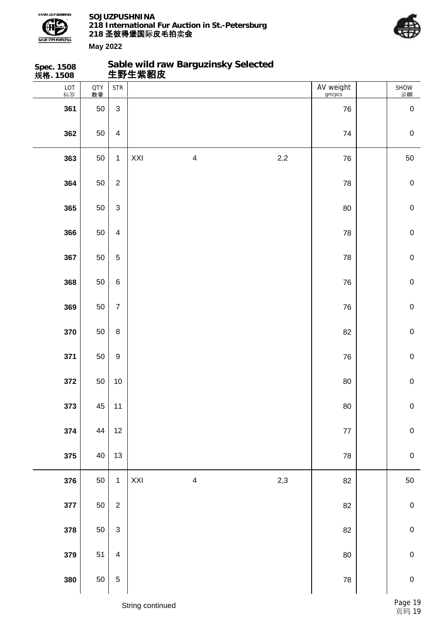

**Sable wild raw Barguzinsky Selected**



| Spec. 1508<br>规 <b>格</b> . 1508 |                  |                  |     | Sable wild raw Barguzinsky Selected<br>生野生紫貂皮 |     |                     |                       |
|---------------------------------|------------------|------------------|-----|-----------------------------------------------|-----|---------------------|-----------------------|
| LOT<br>标签                       | <b>QTY</b><br>数量 | <b>STR</b>       |     |                                               |     | AV weight<br>gm/pcs | SHOW<br><sub>说明</sub> |
| 361                             | 50               | $\mathbf{3}$     |     |                                               |     | 76                  | $\pmb{0}$             |
| 362                             | 50               | $\overline{4}$   |     |                                               |     | 74                  | $\pmb{0}$             |
| 363                             | 50               | $\mathbf{1}$     | XXI | $\overline{\mathbf{4}}$                       | 2,2 | 76                  | 50                    |
| 364                             | 50               | $\overline{2}$   |     |                                               |     | 78                  | $\pmb{0}$             |
| 365                             | 50               | $\mathbf{3}$     |     |                                               |     | 80                  | $\pmb{0}$             |
| 366                             | 50               | $\overline{4}$   |     |                                               |     | 78                  | ${\bf 0}$             |
| 367                             | 50               | $\sqrt{5}$       |     |                                               |     | 78                  | $\pmb{0}$             |
| 368                             | 50               | $\,6\,$          |     |                                               |     | 76                  | $\mathbf 0$           |
| 369                             | 50               | $\overline{7}$   |     |                                               |     | 76                  | $\pmb{0}$             |
| 370                             | 50               | $\bf 8$          |     |                                               |     | 82                  | ${\bf 0}$             |
| 371                             | 50               | $\boldsymbol{9}$ |     |                                               |     | 76                  | $\pmb{0}$             |
| 372                             | 50               | $10$             |     |                                               |     | 80                  | ${\bf 0}$             |
| 373                             | 45               | 11               |     |                                               |     | $80\,$              | $\pmb{0}$             |
| 374                             | 44               | $12$             |     |                                               |     | $77\,$              | $\mathbf 0$           |
| 375                             | 40               | 13               |     |                                               |     | ${\bf 78}$          | $\mathbf 0$           |
| 376                             | 50               | $\mathbf{1}$     | XXI | $\overline{\mathbf{4}}$                       | 2,3 | 82                  | $50\,$                |
| 377                             | 50               | $\overline{c}$   |     |                                               |     | 82                  | $\pmb{0}$             |
| 378                             | 50               | $\mathbf{3}$     |     |                                               |     | 82                  | ${\bf 0}$             |
| 379                             | 51               | $\overline{4}$   |     |                                               |     | 80                  | $\mathbf 0$           |
| 380                             | 50               | $\sqrt{5}$       |     |                                               |     | ${\bf 78}$          | ${\bf 0}$             |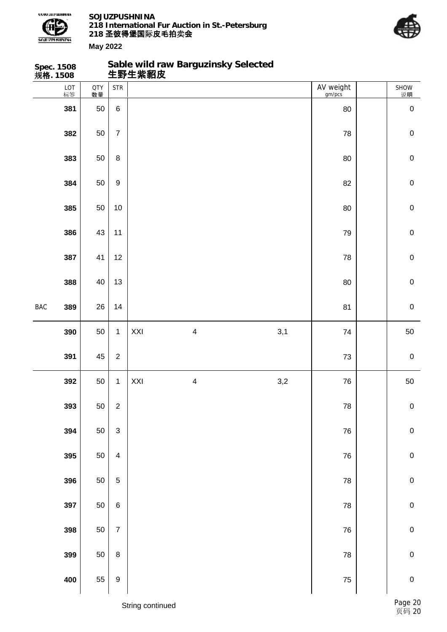

**Sable wild raw Barguzinsky Selected**



|            | Spec. 1508<br>规 <b>格</b> . 1508 |                  |                           |     | Sable wild raw Barguzinsky Selected<br>生野生紫貂皮 |     |                     |              |
|------------|---------------------------------|------------------|---------------------------|-----|-----------------------------------------------|-----|---------------------|--------------|
|            | LOT<br>标签                       | <b>QTY</b><br>数量 | <b>STR</b>                |     |                                               |     | AV weight<br>gm/pcs | SHOW<br>说明   |
|            | 381                             | 50               | $\,6$                     |     |                                               |     | 80                  | $\pmb{0}$    |
|            | 382                             | 50               | $\overline{7}$            |     |                                               |     | 78                  | $\mathbf 0$  |
|            | 383                             | 50               | $\bf 8$                   |     |                                               |     | 80                  | $\mathbf 0$  |
|            | 384                             | 50               | $\boldsymbol{9}$          |     |                                               |     | 82                  | $\mathbf 0$  |
|            | 385                             | 50               | $10$                      |     |                                               |     | 80                  | $\mathbf 0$  |
|            | 386                             | 43               | 11                        |     |                                               |     | 79                  | $\mathbf 0$  |
|            | 387                             | 41               | 12                        |     |                                               |     | 78                  | $\mathbf 0$  |
|            | 388                             | 40               | 13                        |     |                                               |     | 80                  | $\mathbf 0$  |
| <b>BAC</b> | 389                             | 26               | 14                        |     |                                               |     | 81                  | $\mathbf 0$  |
|            | 390                             | 50               | $\mathbf{1}$              | XXI | $\overline{\mathbf{4}}$                       | 3,1 | 74                  | 50           |
|            | 391                             | 45               | $\overline{2}$            |     |                                               |     | 73                  | $\pmb{0}$    |
|            | 392                             | 50               | $\mathbf{1}$              | XXI | $\overline{\mathbf{4}}$                       | 3,2 | 76                  | 50           |
|            | 393                             | 50               | $\mathbf 2$               |     |                                               |     | ${\bf 78}$          | $\pmb{0}$    |
|            | 394                             | 50               | $\ensuremath{\mathsf{3}}$ |     |                                               |     | ${\bf 76}$          | $\pmb{0}$    |
|            | 395                             | 50               | $\overline{\mathbf{4}}$   |     |                                               |     | 76                  | $\pmb{0}$    |
|            | 396                             | 50               | $\sqrt{5}$                |     |                                               |     | 78                  | $\mathbf 0$  |
|            | 397                             | 50               | $\,6\,$                   |     |                                               |     | ${\bf 78}$          | $\pmb{0}$    |
|            | 398                             | 50               | $\overline{7}$            |     |                                               |     | ${\bf 76}$          | $\mathbf{0}$ |
|            | 399                             | 50               | 8                         |     |                                               |     | 78                  | $\pmb{0}$    |
|            | 400                             | 55               | 9                         |     |                                               |     | ${\bf 75}$          | $\mathbf 0$  |
|            |                                 |                  |                           |     |                                               |     |                     |              |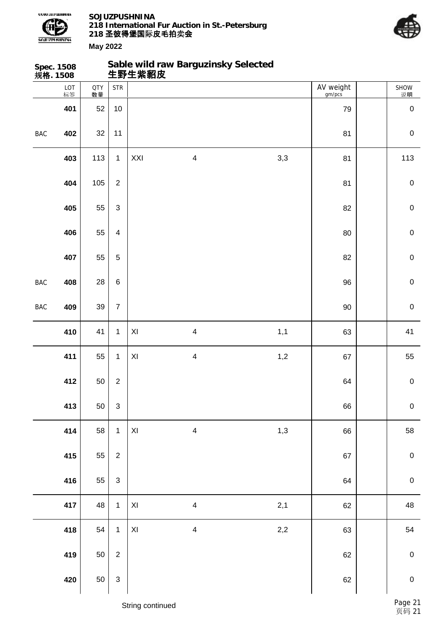



| 规格. 1508 | <b>Spec. 1508</b> |                  |                           | 生野生紫貂皮                  |                         | Sable wild raw Barguzinsky Selected |                     |             |
|----------|-------------------|------------------|---------------------------|-------------------------|-------------------------|-------------------------------------|---------------------|-------------|
|          | LOT<br>标签         | <b>QTY</b><br>数量 | <b>STR</b>                |                         |                         |                                     | AV weight<br>gm/pcs | SHOW<br>说明  |
|          | 401               | 52               | $10$                      |                         |                         |                                     | 79                  | $\mathbf 0$ |
| BAC      | 402               | $32\,$           | 11                        |                         |                         |                                     | 81                  | $\mathbf 0$ |
|          | 403               | 113              | $\mathbf{1}$              | XXI                     | $\overline{\mathbf{4}}$ | 3,3                                 | 81                  | 113         |
|          | 404               | 105              | $\boldsymbol{2}$          |                         |                         |                                     | 81                  | $\mathbf 0$ |
|          | 405               | 55               | $\mathsf 3$               |                         |                         |                                     | 82                  | $\mathsf 0$ |
|          | 406               | 55               | $\overline{\mathbf{4}}$   |                         |                         |                                     | 80                  | $\pmb{0}$   |
|          | 407               | 55               | $\mathbf 5$               |                         |                         |                                     | 82                  | $\mathbf 0$ |
| BAC      | 408               | 28               | $\,6\,$                   |                         |                         |                                     | 96                  | $\mathbf 0$ |
| BAC      | 409               | 39               | $\overline{7}$            |                         |                         |                                     | $90\,$              | $\mathbf 0$ |
|          | 410               | 41               | $\mathbf{1}$              | XI                      | $\overline{\mathbf{4}}$ | 1,1                                 | 63                  | 41          |
|          | 411               | 55               | $\mathbf{1}$              | XI                      | $\overline{\mathbf{4}}$ | 1,2                                 | 67                  | 55          |
|          | 412               | 50               | $\sqrt{2}$                |                         |                         |                                     | 64                  | $\pmb{0}$   |
|          | 413               | 50               | $\sqrt{3}$                |                         |                         |                                     | 66                  | $\pmb{0}$   |
|          | 414               | 58               | $\mathbf{1}$              | $\mathsf{XI}$           | $\overline{\mathbf{4}}$ | 1,3                                 | 66                  | 58          |
|          | 415               | 55               | $\sqrt{2}$                |                         |                         |                                     | 67                  | $\pmb{0}$   |
|          | 416               | 55               | $\ensuremath{\mathsf{3}}$ |                         |                         |                                     | 64                  | $\mathbf 0$ |
|          | 417               | 48               | $\mathbf{1}$              | $\mathsf{X} \mathsf{I}$ | $\overline{\mathbf{4}}$ | 2,1                                 | 62                  | 48          |
|          | 418               | 54               | $\mathbf{1}$              | $\mathsf{XI}$           | $\overline{\mathbf{4}}$ | $2,2$                               | 63                  | 54          |
|          | 419               | 50               | $\sqrt{2}$                |                         |                         |                                     | 62                  | $\pmb{0}$   |
|          | 420               | 50               | $\mathsf 3$               |                         |                         |                                     | 62                  | $\mathbf 0$ |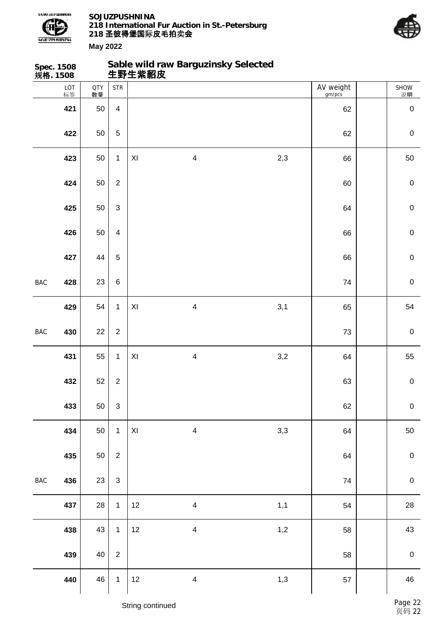

**Sable wild raw Barguzinsky Selected**



| Spec. 1508<br>规 <b>格</b> . 1508 |           |                  |                |                         | Sable wild raw Barguzinsky Selected<br>生野生紫貂皮 |     |                     |                  |
|---------------------------------|-----------|------------------|----------------|-------------------------|-----------------------------------------------|-----|---------------------|------------------|
|                                 | LOT<br>标签 | <b>QTY</b><br>数量 | <b>STR</b>     |                         |                                               |     | AV weight<br>gm/pcs | SHOW<br>说明       |
|                                 | 421       | 50               | $\overline{4}$ |                         |                                               |     | 62                  | $\mathbf 0$      |
|                                 | 422       | 50               | 5              |                         |                                               |     | 62                  | $\mathbf 0$      |
|                                 | 423       | 50               | $\mathbf{1}$   | $\mathsf{XI}$           | $\overline{\mathbf{4}}$                       | 2,3 | 66                  | 50               |
|                                 | 424       | 50               | $\overline{2}$ |                         |                                               |     | 60                  | $\mathbf 0$      |
|                                 | 425       | 50               | 3              |                         |                                               |     | 64                  | $\mathbf 0$      |
|                                 | 426       | 50               | $\overline{4}$ |                         |                                               |     | 66                  | $\pmb{0}$        |
|                                 | 427       | 44               | 5              |                         |                                               |     | 66                  | $\mathbf 0$      |
| <b>BAC</b>                      | 428       | 23               | $\,6\,$        |                         |                                               |     | 74                  | $\mathbf 0$      |
|                                 | 429       | 54               | $\mathbf{1}$   | $\mathsf{XI}$           | $\overline{\mathbf{4}}$                       | 3,1 | 65                  | 54               |
| BAC                             | 430       | 22               | $\overline{2}$ |                         |                                               |     | 73                  | $\mathbf 0$      |
|                                 | 431       | 55               | $\mathbf{1}$   | XI                      | $\overline{\mathbf{4}}$                       | 3,2 | 64                  | 55               |
|                                 | 432       | 52               | $\overline{2}$ |                         |                                               |     | 63                  | $\mathbf 0$      |
|                                 | 433       | 50               | 3              |                         |                                               |     | 62                  | $\mathbf 0$      |
|                                 | 434       | 50               | $\mathbf{1}$   | $\mathsf{X} \mathsf{I}$ | $\overline{\mathbf{4}}$                       | 3,3 | 64                  | 50               |
|                                 | 435       | 50               | $\overline{2}$ |                         |                                               |     | 64                  | $\pmb{0}$        |
| BAC                             | 436       | 23               | 3              |                         |                                               |     | 74                  | $\pmb{0}$        |
|                                 | 437       | 28               | $\mathbf{1}$   | 12                      | $\overline{\mathbf{4}}$                       | 1,1 | 54                  | 28               |
|                                 | 438       | 43               | $\mathbf{1}$   | 12                      | $\overline{\mathbf{4}}$                       | 1,2 | 58                  | 43               |
|                                 | 439       | 40               | $\overline{2}$ |                         |                                               |     | 58                  | $\boldsymbol{0}$ |
|                                 | 440       | 46               | $\mathbf{1}$   | $12\,$                  | $\overline{\mathbf{4}}$                       | 1,3 | 57                  | 46               |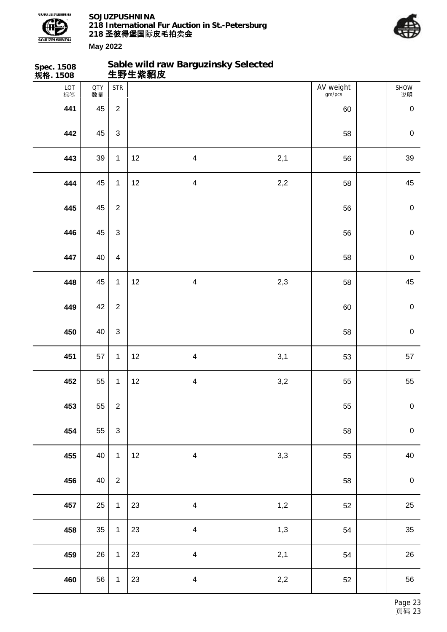



| Spec. 1508<br>规格. 1508 |                  |                |    | Sable wild raw Barguzinsky Selected<br>生野生紫貂皮 |     |                     |                  |
|------------------------|------------------|----------------|----|-----------------------------------------------|-----|---------------------|------------------|
| LOT<br>标签              | <b>QTY</b><br>数量 | <b>STR</b>     |    |                                               |     | AV weight<br>gm/pcs | SHOW<br>说明       |
| 441                    | 45               | $\overline{2}$ |    |                                               |     | 60                  | $\pmb{0}$        |
| 442                    | 45               | $\mathfrak{S}$ |    |                                               |     | 58                  | $\pmb{0}$        |
| 443                    | 39               | $\mathbf{1}$   | 12 | $\overline{4}$                                | 2,1 | 56                  | 39               |
| 444                    | 45               | $\mathbf{1}$   | 12 | $\overline{\mathbf{4}}$                       | 2,2 | 58                  | 45               |
| 445                    | 45               | $\overline{2}$ |    |                                               |     | 56                  | $\mathbf 0$      |
| 446                    | 45               | $\mathfrak{S}$ |    |                                               |     | 56                  | $\pmb{0}$        |
| 447                    | 40               | $\overline{4}$ |    |                                               |     | 58                  | $\mathsf 0$      |
| 448                    | 45               | $\mathbf{1}$   | 12 | $\overline{\mathbf{4}}$                       | 2,3 | 58                  | 45               |
| 449                    | 42               | $\sqrt{2}$     |    |                                               |     | 60                  | $\mathbf 0$      |
| 450                    | 40               | $\mathfrak{S}$ |    |                                               |     | 58                  | $\mathbf 0$      |
| 451                    | 57               | $\mathbf{1}$   | 12 | $\overline{4}$                                | 3,1 | 53                  | 57               |
| 452                    | 55               | $\mathbf{1}$   | 12 | $\overline{\mathbf{4}}$                       | 3,2 | 55                  | 55               |
| 453                    | 55               | $\overline{2}$ |    |                                               |     | 55                  | ${\bf 0}$        |
| 454                    | 55               | $\mathfrak{S}$ |    |                                               |     | 58                  | $\pmb{0}$        |
| 455                    | 40               | $\mathbf{1}$   | 12 | $\overline{4}$                                | 3,3 | 55                  | 40               |
| 456                    | 40               | $\overline{2}$ |    |                                               |     | 58                  | $\boldsymbol{0}$ |
| 457                    | 25               | $\mathbf{1}$   | 23 | $\overline{4}$                                | 1,2 | 52                  | 25               |
| 458                    | 35               | $\mathbf{1}$   | 23 | $\overline{4}$                                | 1,3 | 54                  | 35               |
| 459                    | 26               | $\mathbf{1}$   | 23 | $\overline{4}$                                | 2,1 | 54                  | 26               |
| 460                    | 56               | $\mathbf{1}$   | 23 | $\overline{\mathbf{4}}$                       | 2,2 | 52                  | 56               |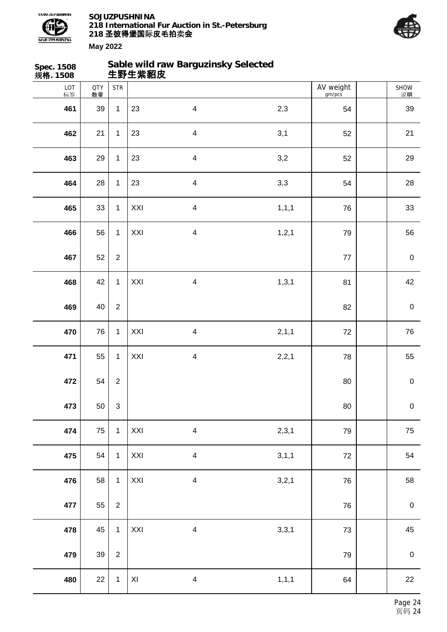



| Spec. 1508<br>规格. 1508 |                  |                           | 生野生紫貂皮                  | Sable wild raw Barguzinsky Selected |         |                     |             |
|------------------------|------------------|---------------------------|-------------------------|-------------------------------------|---------|---------------------|-------------|
| LOT<br>标签              | <b>QTY</b><br>数量 | <b>STR</b>                |                         |                                     |         | AV weight<br>gm/pcs | SHOW<br>说明  |
| 461                    | 39               | $\mathbf{1}$              | 23                      | $\overline{\mathbf{4}}$             | 2,3     | 54                  | 39          |
| 462                    | 21               | $\mathbf{1}$              | 23                      | $\overline{\mathbf{4}}$             | 3,1     | 52                  | 21          |
| 463                    | 29               | $\mathbf{1}$              | 23                      | $\overline{\mathbf{4}}$             | 3,2     | 52                  | 29          |
| 464                    | 28               | $\mathbf{1}$              | 23                      | $\overline{\mathbf{4}}$             | 3,3     | 54                  | 28          |
| 465                    | 33               | $\mathbf{1}$              | XXI                     | $\overline{\mathbf{4}}$             | 1, 1, 1 | 76                  | 33          |
| 466                    | 56               | $\mathbf{1}$              | XXI                     | $\overline{\mathbf{4}}$             | 1, 2, 1 | 79                  | 56          |
| 467                    | 52               | $\boldsymbol{2}$          |                         |                                     |         | 77                  | $\pmb{0}$   |
| 468                    | 42               | $\mathbf{1}$              | XXI                     | $\overline{\mathbf{4}}$             | 1, 3, 1 | 81                  | 42          |
| 469                    | 40               | $\overline{2}$            |                         |                                     |         | 82                  | $\pmb{0}$   |
| 470                    | 76               | $\mathbf{1}$              | XXI                     | $\overline{\mathbf{4}}$             | 2, 1, 1 | 72                  | 76          |
| 471                    | 55               | $\mathbf{1}$              | XXI                     | $\overline{\mathbf{4}}$             | 2,2,1   | 78                  | 55          |
| 472                    | 54               | $\boldsymbol{2}$          |                         |                                     |         | $80\,$              | $\pmb{0}$   |
| 473                    | 50               | $\ensuremath{\mathsf{3}}$ |                         |                                     |         | 80                  | $\mathbf 0$ |
| 474                    | 75               | $\mathbf{1}$              | XXI                     | $\overline{\mathbf{4}}$             | 2,3,1   | 79                  | 75          |
| 475                    | 54               | $\mathbf{1}$              | XXI                     | $\overline{\mathbf{4}}$             | 3,1,1   | 72                  | 54          |
| 476                    | 58               | $\mathbf{1}$              | XXI                     | $\overline{\mathbf{4}}$             | 3,2,1   | 76                  | 58          |
| 477                    | 55               | $\overline{2}$            |                         |                                     |         | 76                  | $\mathbf 0$ |
| 478                    | 45               | $\mathbf{1}$              | XXI                     | $\overline{\mathbf{4}}$             | 3,3,1   | 73                  | 45          |
| 479                    | 39               | $\overline{2}$            |                         |                                     |         | 79                  | $\mathbf 0$ |
| 480                    | 22               | $\mathbf{1}$              | $\mathsf{X} \mathsf{I}$ | $\overline{\mathbf{4}}$             | 1, 1, 1 | 64                  | 22          |
|                        |                  |                           |                         |                                     |         |                     |             |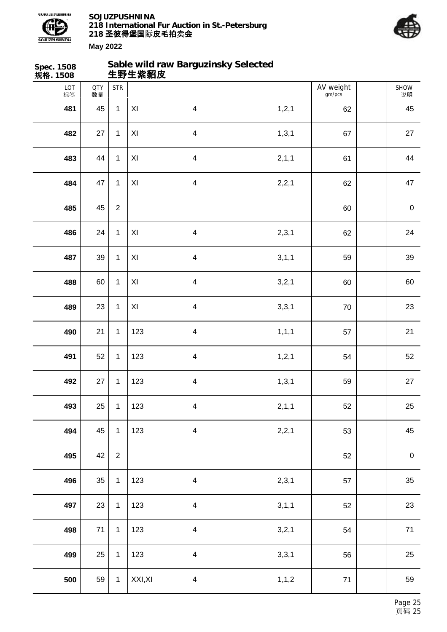



| <b>Spec. 1508</b><br>规格. 1508 |                  |                  | 生野生紫貂皮                  | Sable wild raw Barguzinsky Selected |         |                     |                  |
|-------------------------------|------------------|------------------|-------------------------|-------------------------------------|---------|---------------------|------------------|
| $LOT$ 标签                      | <b>QTY</b><br>数量 | <b>STR</b>       |                         |                                     |         | AV weight<br>gm/pcs | SHOW<br>说明       |
| 481                           | 45               | $\mathbf{1}$     | XI                      | $\overline{\mathbf{4}}$             | 1, 2, 1 | 62                  | 45               |
| 482                           | 27               | $\mathbf 1$      | XI                      | $\overline{\mathbf{4}}$             | 1, 3, 1 | 67                  | 27               |
| 483                           | 44               | $\mathbf{1}$     | $\mathsf{X} \mathsf{I}$ | $\overline{\mathbf{4}}$             | 2, 1, 1 | 61                  | 44               |
| 484                           | 47               | $\mathbf 1$      | XI                      | $\overline{\mathbf{4}}$             | 2,2,1   | 62                  | 47               |
| 485                           | 45               | $\overline{c}$   |                         |                                     |         | 60                  | $\pmb{0}$        |
| 486                           | 24               | $\mathbf 1$      | XI                      | $\overline{\mathbf{4}}$             | 2,3,1   | 62                  | 24               |
| 487                           | 39               | $\mathbf 1$      | $\mathsf{XI}$           | $\overline{\mathbf{4}}$             | 3, 1, 1 | 59                  | 39               |
| 488                           | 60               | 1                | $\mathsf{X} \mathsf{I}$ | $\overline{\mathbf{4}}$             | 3,2,1   | 60                  | 60               |
| 489                           | 23               | $\mathbf 1$      | $\mathsf{X} \mathsf{I}$ | $\overline{\mathbf{4}}$             | 3,3,1   | $70\,$              | 23               |
| 490                           | 21               | $\mathbf 1$      | 123                     | $\overline{\mathbf{4}}$             | 1, 1, 1 | 57                  | 21               |
| 491                           | 52               | $\mathbf 1$      | 123                     | $\overline{\mathbf{4}}$             | 1, 2, 1 | 54                  | 52               |
| 492                           | 27               | 1                | 123                     | $\overline{\mathbf{4}}$             | 1, 3, 1 | 59                  | 27               |
| 493                           | 25               | $\mathbf 1$      | 123                     | $\overline{\mathbf{4}}$             | 2, 1, 1 | 52                  | 25               |
| 494                           | 45               | 1                | 123                     | $\overline{\mathbf{4}}$             | 2,2,1   | 53                  | 45               |
| 495                           | 42               | $\boldsymbol{2}$ |                         |                                     |         | 52                  | $\boldsymbol{0}$ |
| 496                           | 35               | 1                | 123                     | $\overline{\mathbf{4}}$             | 2,3,1   | 57                  | 35               |
| 497                           | 23               | $\mathbf 1$      | 123                     | $\overline{\mathbf{4}}$             | 3, 1, 1 | 52                  | 23               |
| 498                           | $71$             | $\mathbf 1$      | 123                     | $\overline{\mathbf{4}}$             | 3,2,1   | 54                  | $71$             |
| 499                           | 25               | $\mathbf 1$      | 123                     | $\overline{\mathbf{4}}$             | 3,3,1   | 56                  | 25               |
| 500                           | 59               | $\mathbf{1}$     | XXI, XI                 | $\overline{\mathbf{4}}$             | 1, 1, 2 | 71                  | 59               |
|                               |                  |                  |                         |                                     |         |                     |                  |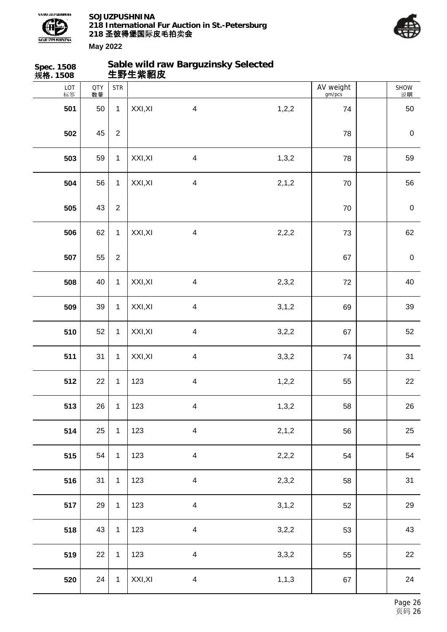



SHOW 说明

**Spec. 1508 规格. 1508 Sable wild raw Barguzinsky Selected 生野生紫貂皮** LOT 标签 QTY 数量 STR | AV weight gm/pcs **501** 50 1 XXI,XI 4 1,2,2 74 50

 45 2 78 0 59 1 XXI,XI 4 1,3,2 78 59 56 1 XXI,XI 4 2,1,2 70 56 43 | 2 | **1.43 | 2 | 2.5 | 2.5 | 2.5 | 2.5 | 2.5 | 2.5 | 2.6 | 2.6 | 2.6 | 2.6 | 2.6 | 2.6 | 2.6 | 2.6 | 2.6 | 2.6 | 2.6 | 2.6 | 2.6 | 2.6 | 2.6 | 2.6 | 2.6 | 2.6 | 2.6 | 2.6 | 2.6 | 2.6 | 2.6 | 2.6 | 2.6 | 2.6 | 2.6**  62 1 XXI,XI 4 2,2,2 1 73 62 55 2 67 0 40 1 XXI,XI 4 2,3,2 72 40 39 1 XXI,XI 4 3,1,2 69 39 52 1 XXI,XI 4 3,2,2 67 52 52 31 1 XXI,XI 4 3,3,2 74 31 22 1 123 4 1,2,2 55 22 26 1 123 4 1,3,2 58 58 26

 25 1 123 4 2,1,2 56 56 25 54 1 123 4 2,2,2 54 54 31 1 123 4 2,3,2 58 31 29 1 123 4 3,1,2 52 52 29 43 | 1 | 123 4 3,2,2 | 53 | 43 22 1 | 123 4 3,3,2 | 55 | 22 24 1 XXI,XI 4 1,1,3 67 24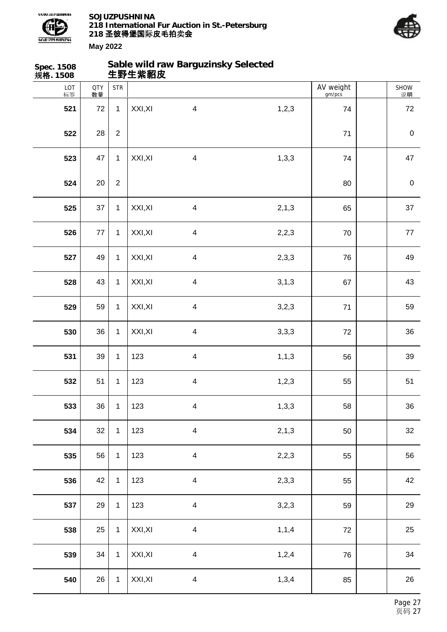



| Spec. 1508<br>规格. 1508 |                  |                  | 生野生紫貂皮  | Sable wild raw Barguzinsky Selected |         |                     |                  |
|------------------------|------------------|------------------|---------|-------------------------------------|---------|---------------------|------------------|
| LOT<br>标签              | <b>QTY</b><br>数量 | <b>STR</b>       |         |                                     |         | AV weight<br>gm/pcs | SHOW<br>说明       |
| 521                    | 72               | $\mathbf{1}$     | XXI, XI | $\overline{\mathbf{4}}$             | 1, 2, 3 | 74                  | 72               |
| 522                    | 28               | $\boldsymbol{2}$ |         |                                     |         | $71$                | $\mathbf 0$      |
| 523                    | 47               | $\mathbf{1}$     | XXI, XI | $\overline{\mathbf{4}}$             | 1,3,3   | 74                  | 47               |
| 524                    | 20               | $\overline{2}$   |         |                                     |         | 80                  | $\boldsymbol{0}$ |
| 525                    | 37               | $\mathbf{1}$     | XXI, XI | $\overline{\mathbf{4}}$             | 2, 1, 3 | 65                  | 37               |
| 526                    | 77               | $\mathbf{1}$     | XXI, XI | $\overline{\mathbf{4}}$             | 2,2,3   | 70                  | $77 \,$          |
| 527                    | 49               | $\mathbf{1}$     | XXI, XI | $\overline{\mathbf{4}}$             | 2,3,3   | 76                  | 49               |
| 528                    | 43               | $\mathbf{1}$     | XXI, XI | $\overline{\mathbf{4}}$             | 3, 1, 3 | 67                  | 43               |
| 529                    | 59               | $\mathbf{1}$     | XXI, XI | $\overline{\mathbf{4}}$             | 3,2,3   | 71                  | 59               |
| 530                    | 36               | $\mathbf{1}$     | XXI, XI | $\overline{\mathbf{4}}$             | 3,3,3   | 72                  | 36               |
| 531                    | 39               | $\mathbf{1}$     | 123     | $\overline{\mathbf{4}}$             | 1, 1, 3 | 56                  | 39               |
| 532                    | 51               | $\mathbf{1}$     | 123     | $\overline{\mathbf{4}}$             | 1, 2, 3 | 55                  | 51               |
| 533                    | 36               | $\mathbf{1}$     | 123     | $\overline{\mathbf{4}}$             | 1,3,3   | 58                  | 36               |
| 534                    | 32               | $\mathbf{1}$     | 123     | $\overline{\mathbf{4}}$             | 2,1,3   | 50                  | 32               |
| 535                    | 56               | $\mathbf{1}$     | 123     | $\overline{\mathbf{4}}$             | 2,2,3   | 55                  | 56               |
| 536                    | 42               | $\mathbf{1}$     | 123     | $\overline{\mathbf{4}}$             | 2,3,3   | 55                  | 42               |
| 537                    | 29               | $\mathbf{1}$     | 123     | $\overline{\mathbf{4}}$             | 3,2,3   | 59                  | 29               |
| 538                    | 25               | $\mathbf{1}$     | XXI, XI | $\overline{\mathbf{4}}$             | 1, 1, 4 | 72                  | 25               |
| 539                    | 34               | $\mathbf{1}$     | XXI, XI | $\overline{\mathbf{4}}$             | 1,2,4   | 76                  | 34               |
| 540                    | 26               | $\mathbf 1$      | XXI, XI | $\overline{\mathbf{4}}$             | 1,3,4   | 85                  | 26               |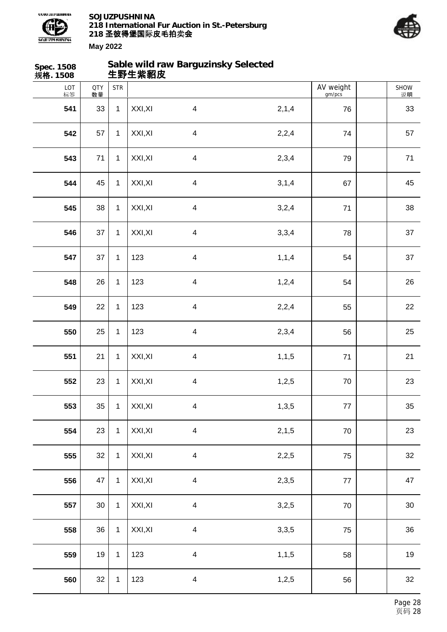



| Spec. 1508<br>规格. 1508 |                  |              | 生野生紫貂皮  | Sable wild raw Barguzinsky Selected |         |                     |            |
|------------------------|------------------|--------------|---------|-------------------------------------|---------|---------------------|------------|
| LOT<br>标签              | <b>QTY</b><br>数量 | <b>STR</b>   |         |                                     |         | AV weight<br>gm/pcs | SHOW<br>说明 |
| 541                    | 33               | $\mathbf{1}$ | XXI, XI | $\overline{4}$                      | 2,1,4   | 76                  | 33         |
| 542                    | 57               | $\mathbf{1}$ | XXI, XI | $\overline{\mathbf{4}}$             | 2,2,4   | 74                  | 57         |
| 543                    | 71               | $\mathbf{1}$ | XXI, XI | $\overline{4}$                      | 2,3,4   | 79                  | 71         |
| 544                    | 45               | $\mathbf{1}$ | XXI, XI | $\overline{\mathbf{4}}$             | 3, 1, 4 | 67                  | 45         |
| 545                    | 38               | $\mathbf{1}$ | XXI, XI | $\overline{4}$                      | 3,2,4   | 71                  | 38         |
| 546                    | 37               | $\mathbf{1}$ | XXI, XI | $\overline{\mathbf{4}}$             | 3,3,4   | 78                  | 37         |
| 547                    | 37               | $\mathbf{1}$ | 123     | $\overline{4}$                      | 1, 1, 4 | 54                  | 37         |
| 548                    | 26               | $\mathbf{1}$ | 123     | $\overline{\mathbf{4}}$             | 1,2,4   | 54                  | 26         |
| 549                    | 22               | $\mathbf{1}$ | 123     | $\overline{4}$                      | 2,2,4   | 55                  | 22         |
| 550                    | 25               | $\mathbf{1}$ | 123     | $\overline{\mathbf{4}}$             | 2,3,4   | 56                  | 25         |
| 551                    | 21               | $\mathbf{1}$ | XXI, XI | $\overline{4}$                      | 1, 1, 5 | 71                  | 21         |
| 552                    | 23               | $\mathbf{1}$ | XXI, XI | 4                                   | 1,2,5   | 70                  | 23         |
| 553                    | 35               | $\mathbf{1}$ | XXI, XI | $\overline{4}$                      | 1,3,5   | $77$                | 35         |
| 554                    | 23               | $\mathbf{1}$ | XXI, XI | $\overline{\mathbf{4}}$             | 2, 1, 5 | 70                  | 23         |
| 555                    | 32               | $\mathbf{1}$ | XXI, XI | $\overline{\mathbf{4}}$             | 2,2,5   | 75                  | 32         |
| 556                    | 47               | $\mathbf{1}$ | XXI, XI | $\overline{\mathbf{4}}$             | 2,3,5   | $77$                | 47         |
| 557                    | $30\,$           | $\mathbf{1}$ | XXI, XI | $\overline{\mathbf{4}}$             | 3,2,5   | 70                  | $30\,$     |
| 558                    | 36               | $\mathbf{1}$ | XXI, XI | $\overline{\mathbf{4}}$             | 3,3,5   | 75                  | 36         |
| 559                    | 19               | $\mathbf{1}$ | 123     | $\overline{\mathbf{4}}$             | 1, 1, 5 | 58                  | 19         |
| 560                    | 32               | $\mathbf{1}$ | 123     | $\overline{\mathbf{4}}$             | 1,2,5   | 56                  | 32         |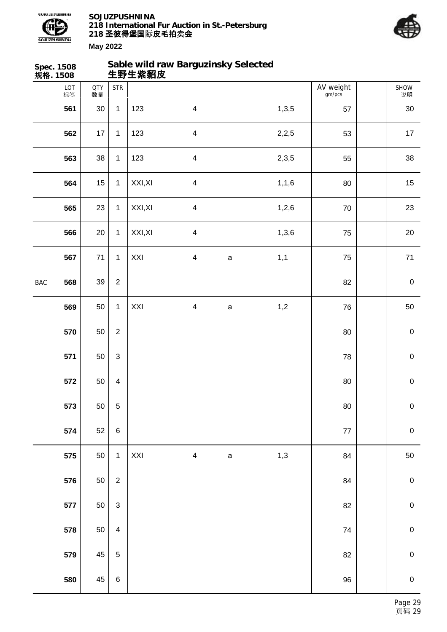



| 规格. 1508 | Spec. 1508 |                  |                           | 生野生紫貂皮  | Sable wild raw Barguzinsky Selected |             |         |                     |             |
|----------|------------|------------------|---------------------------|---------|-------------------------------------|-------------|---------|---------------------|-------------|
|          | LOT<br>标签  | <b>QTY</b><br>数量 | <b>STR</b>                |         |                                     |             |         | AV weight<br>gm/pcs | SHOW<br>说明  |
|          | 561        | 30               | $\mathbf{1}$              | 123     | $\overline{\mathbf{4}}$             |             | 1,3,5   | 57                  | $30\,$      |
|          | 562        | 17               | $\mathbf{1}$              | 123     | $\overline{\mathbf{4}}$             |             | 2,2,5   | 53                  | $17$        |
|          | 563        | 38               | $\mathbf{1}$              | 123     | $\overline{\mathbf{4}}$             |             | 2,3,5   | 55                  | 38          |
|          | 564        | 15               | $\mathbf{1}$              | XXI, XI | $\overline{\mathbf{4}}$             |             | 1, 1, 6 | 80                  | 15          |
|          | 565        | 23               | $\mathbf{1}$              | XXI, XI | $\overline{\mathbf{4}}$             |             | 1,2,6   | $70\,$              | 23          |
|          | 566        | 20               | $\mathbf{1}$              | XXI, XI | $\overline{\mathbf{4}}$             |             | 1,3,6   | 75                  | 20          |
|          | 567        | 71               | $\mathbf{1}$              | XXI     | $\overline{\mathbf{4}}$             | $\mathsf a$ | 1,1     | 75                  | $71$        |
| BAC      | 568        | 39               | $\sqrt{2}$                |         |                                     |             |         | 82                  | $\pmb{0}$   |
|          | 569        | 50               | $\mathbf{1}$              | XXI     | $\overline{\mathbf{4}}$             | $\mathsf a$ | 1,2     | 76                  | 50          |
|          | 570        | 50               | $\overline{2}$            |         |                                     |             |         | 80                  | $\pmb{0}$   |
|          | 571        | 50               | $\ensuremath{\mathsf{3}}$ |         |                                     |             |         | 78                  | $\mathbf 0$ |
|          | 572        | 50               | $\overline{\mathbf{4}}$   |         |                                     |             |         | $80\,$              | $\pmb{0}$   |
|          | 573        | 50               | 5                         |         |                                     |             |         | $80\,$              | $\pmb{0}$   |
|          | 574        | 52               | $\,6$                     |         |                                     |             |         | $77 \,$             | $\pmb{0}$   |
|          | 575        | 50               | $\mathbf{1}$              | XXI     | $\overline{\mathbf{4}}$             | $\mathsf a$ | 1,3     | 84                  | 50          |
|          | 576        | 50               | $\overline{c}$            |         |                                     |             |         | 84                  | $\mathbf 0$ |
|          | 577        | 50               | $\mathfrak{S}$            |         |                                     |             |         | 82                  | $\mathbf 0$ |
|          | 578        | 50               | $\overline{\mathbf{4}}$   |         |                                     |             |         | 74                  | $\pmb{0}$   |
|          | 579        | 45               | $\mathbf 5$               |         |                                     |             |         | 82                  | $\mathbf 0$ |
|          | 580        | 45               | $\,6\,$                   |         |                                     |             |         | $96\,$              | $\pmb{0}$   |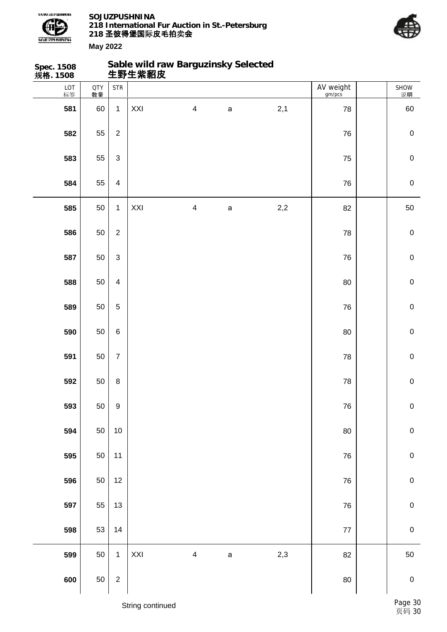



| <b>Spec. 1508</b><br>规格. 1508 |                  |                           |     |                         | Sable wild raw Barguzinsky Selected<br>生野生紫貂皮 |       |                     |             |
|-------------------------------|------------------|---------------------------|-----|-------------------------|-----------------------------------------------|-------|---------------------|-------------|
| LOT<br>标签                     | <b>QTY</b><br>数量 | <b>STR</b>                |     |                         |                                               |       | AV weight<br>gm/pcs | SHOW<br>说明  |
| 581                           | 60               | $\mathbf{1}$              | XXI | $\overline{\mathbf{4}}$ | $\mathsf a$                                   | 2,1   | 78                  | 60          |
| 582                           | 55               | $\overline{2}$            |     |                         |                                               |       | 76                  | $\pmb{0}$   |
| 583                           | 55               | $\ensuremath{\mathsf{3}}$ |     |                         |                                               |       | 75                  | $\pmb{0}$   |
| 584                           | 55               | $\overline{\mathbf{4}}$   |     |                         |                                               |       | 76                  | $\pmb{0}$   |
| 585                           | 50               | $\mathbf{1}$              | XXI | $\overline{\mathbf{4}}$ | $\mathsf{a}$                                  | $2,2$ | 82                  | 50          |
| 586                           | 50               | $\overline{2}$            |     |                         |                                               |       | 78                  | $\pmb{0}$   |
| 587                           | 50               | $\ensuremath{\mathsf{3}}$ |     |                         |                                               |       | 76                  | $\pmb{0}$   |
| 588                           | 50               | $\overline{\mathbf{4}}$   |     |                         |                                               |       | 80                  | $\pmb{0}$   |
| 589                           | 50               | $\overline{5}$            |     |                         |                                               |       | 76                  | $\pmb{0}$   |
| 590                           | 50               | $\,6$                     |     |                         |                                               |       | 80                  | $\pmb{0}$   |
| 591                           | 50               | $\boldsymbol{7}$          |     |                         |                                               |       | 78                  | $\mathbf 0$ |
| 592                           | 50               | $\bf 8$                   |     |                         |                                               |       | 78                  | $\pmb{0}$   |
| 593                           | 50               | $\boldsymbol{9}$          |     |                         |                                               |       | ${\bf 76}$          | $\pmb{0}$   |
| 594                           | 50               | 10                        |     |                         |                                               |       | 80                  | $\pmb{0}$   |
| 595                           | 50               | 11                        |     |                         |                                               |       | 76                  | $\mathbf 0$ |
| 596                           | 50               | 12                        |     |                         |                                               |       | ${\bf 76}$          | $\mathbf 0$ |
| 597                           | 55               | 13                        |     |                         |                                               |       | ${\bf 76}$          | ${\bf 0}$   |
| 598                           | 53               | 14                        |     |                         |                                               |       | $77 \,$             | $\pmb{0}$   |
| 599                           | 50               | $\mathbf{1}$              | XXI | $\overline{\mathbf{4}}$ | $\mathsf a$                                   | 2,3   | 82                  | 50          |
| 600                           | 50               | $\overline{2}$            |     |                         |                                               |       | $80\,$              | $\mathbf 0$ |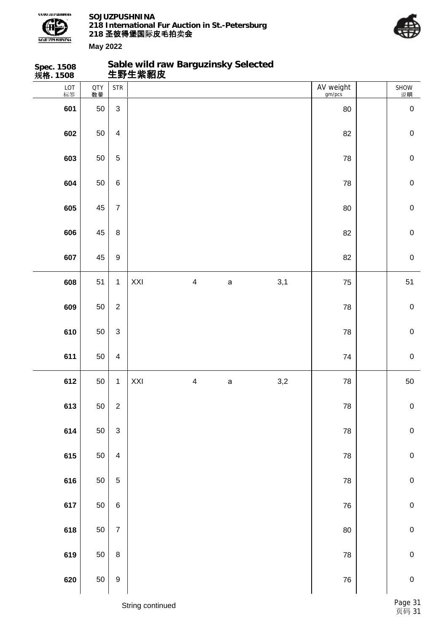

**Sable wild raw Barguzinsky Selected**



| Spec. 1508<br>规 <b>格</b> . 1508 |                  |                           |     |                         | Sable wild raw Barguzinsky Selected<br>生野生紫貂皮 |     |                     |             |
|---------------------------------|------------------|---------------------------|-----|-------------------------|-----------------------------------------------|-----|---------------------|-------------|
| LOT<br>标签                       | <b>QTY</b><br>数量 | <b>STR</b>                |     |                         |                                               |     | AV weight<br>gm/pcs | SHOW<br>说明  |
| 601                             | 50               | $\mathfrak{S}$            |     |                         |                                               |     | 80                  | $\pmb{0}$   |
| 602                             | 50               | $\overline{\mathbf{4}}$   |     |                         |                                               |     | 82                  | $\pmb{0}$   |
| 603                             | 50               | 5                         |     |                         |                                               |     | 78                  | $\mathbf 0$ |
| 604                             | 50               | $\,6\,$                   |     |                         |                                               |     | 78                  | $\pmb{0}$   |
| 605                             | 45               | $\overline{7}$            |     |                         |                                               |     | 80                  | $\mathbf 0$ |
| 606                             | 45               | $\bf 8$                   |     |                         |                                               |     | 82                  | $\mathbf 0$ |
| 607                             | 45               | $\boldsymbol{9}$          |     |                         |                                               |     | 82                  | $\pmb{0}$   |
| 608                             | 51               | $\mathbf{1}$              | XXI | $\overline{\mathbf{4}}$ | $\mathsf a$                                   | 3,1 | 75                  | 51          |
| 609                             | 50               | $\overline{2}$            |     |                         |                                               |     | 78                  | $\pmb{0}$   |
| 610                             | 50               | 3                         |     |                         |                                               |     | 78                  | $\pmb{0}$   |
| 611                             | 50               | $\overline{4}$            |     |                         |                                               |     | 74                  | $\pmb{0}$   |
| 612                             | 50               | $\mathbf{1}$              | XXI | $\overline{\mathbf{4}}$ | $\mathsf a$                                   | 3,2 | 78                  | 50          |
| 613                             | 50               | $\mathbf 2$               |     |                         |                                               |     | 78                  | $\pmb{0}$   |
| 614                             | 50               | $\ensuremath{\mathsf{3}}$ |     |                         |                                               |     | ${\bf 78}$          | $\pmb{0}$   |
| 615                             | 50               | $\overline{\mathbf{4}}$   |     |                         |                                               |     | 78                  | $\pmb{0}$   |
| 616                             | 50               | $\sqrt{5}$                |     |                         |                                               |     | ${\bf 78}$          | $\pmb{0}$   |
| 617                             | 50               | $\,6\,$                   |     |                         |                                               |     | 76                  | $\pmb{0}$   |
| 618                             | 50               | $\overline{7}$            |     |                         |                                               |     | 80                  | $\pmb{0}$   |
| 619                             | 50               | $\bf 8$                   |     |                         |                                               |     | 78                  | $\pmb{0}$   |
| 620                             | 50               | $\boldsymbol{9}$          |     |                         |                                               |     | 76                  | ${\bf 0}$   |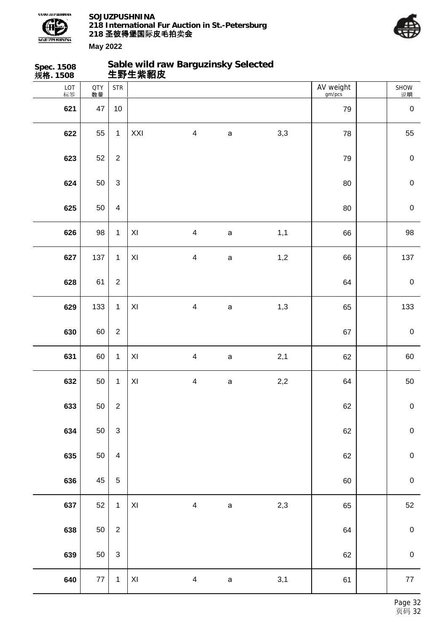



| Spec. 1508<br>规 <b>格</b> . 1508 |                  |                  |                         |                         |              | Sable wild raw Barguzinsky Selected<br>生野生紫貂皮 |                     |                  |
|---------------------------------|------------------|------------------|-------------------------|-------------------------|--------------|-----------------------------------------------|---------------------|------------------|
| LOT<br>标签                       | <b>QTY</b><br>数量 | <b>STR</b>       |                         |                         |              |                                               | AV weight<br>gm/pcs | SHOW<br>逆明       |
| 621                             | 47               | $10$             |                         |                         |              |                                               | 79                  | $\boldsymbol{0}$ |
| 622                             | 55               | $\mathbf{1}$     | XXI                     | $\overline{\mathbf{4}}$ | $\mathsf a$  | 3,3                                           | 78                  | 55               |
| 623                             | 52               | $\sqrt{2}$       |                         |                         |              |                                               | 79                  | $\boldsymbol{0}$ |
| 624                             | 50               | $\mathfrak{S}$   |                         |                         |              |                                               | 80                  | $\mathbf 0$      |
| 625                             | 50               | $\overline{4}$   |                         |                         |              |                                               | 80                  | $\boldsymbol{0}$ |
| 626                             | 98               | $\mathbf{1}$     | $\mathsf{X} \mathsf{I}$ | $\overline{\mathbf{4}}$ | $\mathsf{a}$ | 1,1                                           | 66                  | 98               |
| 627                             | 137              | $\mathbf{1}$     | XI                      | $\overline{\mathbf{4}}$ | $\mathsf{a}$ | 1,2                                           | 66                  | 137              |
| 628                             | 61               | $\boldsymbol{2}$ |                         |                         |              |                                               | 64                  | $\boldsymbol{0}$ |
| 629                             | 133              | $\mathbf{1}$     | $\mathsf{X} \mathsf{I}$ | $\overline{\mathbf{4}}$ | $\mathsf{a}$ | 1,3                                           | 65                  | 133              |
| 630                             | 60               | $\overline{2}$   |                         |                         |              |                                               | 67                  | $\boldsymbol{0}$ |
| 631                             | 60               | $\mathbf{1}$     | $\pmb{\times}$          | $\overline{\mathbf{4}}$ | $\mathsf{a}$ | 2,1                                           | 62                  | 60               |
| 632                             | 50               | $\mathbf{1}$     | $\pmb{\times}$          | $\overline{\mathbf{4}}$ | $\mathsf{a}$ | 2,2                                           | 64                  | 50               |
| 633                             | 50               | $\sqrt{2}$       |                         |                         |              |                                               | 62                  | $\pmb{0}$        |
| 634                             | 50               | $\mathbf{3}$     |                         |                         |              |                                               | 62                  | $\pmb{0}$        |
| 635                             | 50               | $\overline{4}$   |                         |                         |              |                                               | 62                  | $\pmb{0}$        |
| 636                             | 45               | $\mathbf 5$      |                         |                         |              |                                               | 60                  | $\pmb{0}$        |
| 637                             | 52               | $\mathbf{1}$     | $\mathsf{X} \mathsf{I}$ | $\overline{4}$          | $\mathsf a$  | 2,3                                           | 65                  | $52\,$           |
| 638                             | 50               | $\overline{2}$   |                         |                         |              |                                               | 64                  | $\pmb{0}$        |
| 639                             | 50               | $\mathbf{3}$     |                         |                         |              |                                               | 62                  | $\pmb{0}$        |
| 640                             | 77               | $\mathbf{1}$     | $\mathsf{XI}$           | $\overline{\mathbf{4}}$ | $\mathsf a$  | 3,1                                           | 61                  | $77\,$           |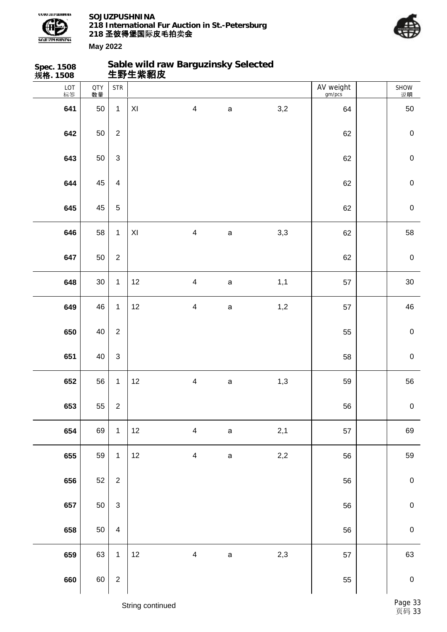



| Spec. 1508<br>规格. 1508 |                  |                           | 生野生紫貂皮                  | Sable wild raw Barguzinsky Selected |              |         |                     |             |
|------------------------|------------------|---------------------------|-------------------------|-------------------------------------|--------------|---------|---------------------|-------------|
| LOT<br>标签              | <b>QTY</b><br>数量 | <b>STR</b>                |                         |                                     |              |         | AV weight<br>gm/pcs | SHOW<br>说明  |
| 641                    | 50               | $\mathbf{1}$              | $\mathsf{X} \mathsf{I}$ | $\overline{\mathbf{4}}$             | $\mathsf{a}$ | 3,2     | 64                  | 50          |
| 642                    | 50               | $\overline{2}$            |                         |                                     |              |         | 62                  | $\pmb{0}$   |
| 643                    | 50               | $\ensuremath{\mathsf{3}}$ |                         |                                     |              |         | 62                  | $\mathbf 0$ |
| 644                    | 45               | $\overline{4}$            |                         |                                     |              |         | 62                  | $\mathbf 0$ |
| 645                    | 45               | $\overline{5}$            |                         |                                     |              |         | 62                  | $\mathbf 0$ |
| 646                    | 58               | $\mathbf{1}$              | $\pmb{\mathsf{X}}$      | $\overline{\mathbf{4}}$             | a            | 3,3     | 62                  | 58          |
| 647                    | 50               | $\overline{2}$            |                         |                                     |              |         | 62                  | $\mathbf 0$ |
| 648                    | $30\,$           | $\mathbf{1}$              | 12                      | $\overline{\mathbf{4}}$             | $\mathsf a$  | 1,1     | 57                  | $30\,$      |
| 649                    | 46               | $\mathbf{1}$              | 12                      | $\overline{\mathbf{4}}$             | $\mathsf{a}$ | 1,2     | 57                  | 46          |
| 650                    | 40               | $\overline{2}$            |                         |                                     |              |         | 55                  | $\mathbf 0$ |
| 651                    | 40               | $\ensuremath{\mathsf{3}}$ |                         |                                     |              |         | 58                  | $\mathbf 0$ |
| 652                    | 56               | $\mathbf{1}$              | 12                      | $\overline{\mathbf{4}}$             | $\mathsf{a}$ | 1,3     | 59                  | 56          |
| 653                    | 55               | $\overline{2}$            |                         |                                     |              |         | 56                  | $\mathbf 0$ |
| 654                    | 69               | $\mathbf{1}$              | 12                      | $\overline{\mathbf{4}}$             | $\mathsf a$  | 2,1     | 57                  | 69          |
| 655                    | 59               | $\mathbf 1$               | 12                      | $\overline{\mathbf{4}}$             | $\mathsf a$  | $2,\!2$ | 56                  | 59          |
| 656                    | 52               | $\overline{2}$            |                         |                                     |              |         | 56                  | $\pmb{0}$   |
| 657                    | 50               | $\mathfrak{Z}$            |                         |                                     |              |         | 56                  | $\pmb{0}$   |
| 658                    | 50               | $\overline{4}$            |                         |                                     |              |         | 56                  | $\mathbf 0$ |
| 659                    | 63               | $\mathbf{1}$              | 12                      | $\overline{\mathbf{4}}$             | $\mathsf a$  | 2,3     | 57                  | 63          |
| 660                    | 60               | $\mathbf 2$               |                         |                                     |              |         | 55                  | $\pmb{0}$   |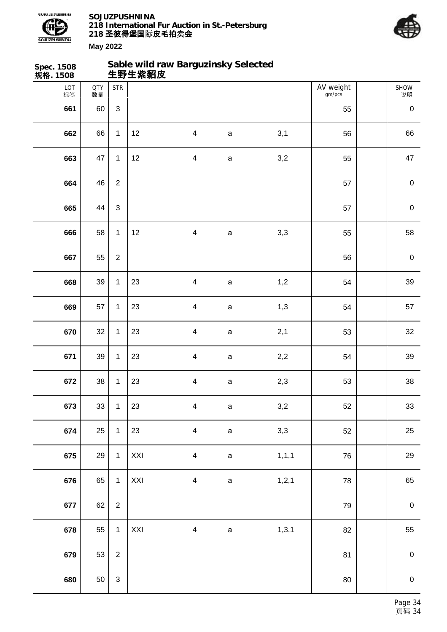



| Spec. 1508<br>规格. 1508 |                  |                | 生野生紫貂皮 | Sable wild raw Barguzinsky Selected |             |         |                     |             |
|------------------------|------------------|----------------|--------|-------------------------------------|-------------|---------|---------------------|-------------|
| LOT<br>标签              | <b>QTY</b><br>数量 | <b>STR</b>     |        |                                     |             |         | AV weight<br>gm/pcs | SHOW<br>说明  |
| 661                    | 60               | $\mathfrak{S}$ |        |                                     |             |         | 55                  | $\pmb{0}$   |
| 662                    | 66               | $\mathbf{1}$   | 12     | $\overline{\mathbf{4}}$             | $\mathsf a$ | 3,1     | 56                  | 66          |
| 663                    | 47               | $\mathbf{1}$   | 12     | $\overline{\mathbf{4}}$             | $\mathsf a$ | 3,2     | 55                  | 47          |
| 664                    | 46               | $\overline{2}$ |        |                                     |             |         | 57                  | $\pmb{0}$   |
| 665                    | 44               | $\mathsf 3$    |        |                                     |             |         | 57                  | $\mathbf 0$ |
| 666                    | 58               | $\mathbf{1}$   | 12     | $\overline{\mathbf{4}}$             | $\mathsf a$ | 3,3     | 55                  | 58          |
| 667                    | 55               | $\mathbf{2}$   |        |                                     |             |         | 56                  | $\pmb{0}$   |
| 668                    | 39               | $\mathbf 1$    | 23     | $\overline{4}$                      | $\mathsf a$ | 1,2     | 54                  | 39          |
| 669                    | 57               | $\mathbf{1}$   | 23     | $\overline{\mathbf{4}}$             | $\mathsf a$ | 1,3     | 54                  | 57          |
| 670                    | 32               | $\mathbf{1}$   | 23     | $\overline{\mathbf{4}}$             | $\mathsf a$ | 2,1     | 53                  | 32          |
| 671                    | 39               | $\mathbf{1}$   | 23     | $\overline{\mathbf{4}}$             | $\mathsf a$ | 2,2     | 54                  | 39          |
| 672                    | 38               | $\mathbf 1$    | 23     | $\overline{\mathbf{4}}$             | $\mathsf a$ | 2,3     | 53                  | $38\,$      |
| 673                    | 33               | $\mathbf{1}$   | 23     | $\overline{\mathbf{4}}$             | $\mathsf a$ | 3,2     | 52                  | 33          |
| 674                    | 25               | $\mathbf{1}$   | 23     | $\overline{\mathbf{4}}$             | $\mathsf a$ | 3,3     | 52                  | 25          |
| 675                    | 29               | $\mathbf{1}$   | XXI    | $\overline{\mathbf{4}}$             | $\mathsf a$ | 1, 1, 1 | 76                  | 29          |
| 676                    | 65               | $\mathbf{1}$   | XXI    | $\overline{\mathbf{4}}$             | $\mathsf a$ | 1, 2, 1 | 78                  | 65          |
| 677                    | 62               | $\overline{c}$ |        |                                     |             |         | 79                  | $\pmb{0}$   |
| 678                    | 55               | $\mathbf{1}$   | XXI    | $\overline{\mathbf{4}}$             | $\mathsf a$ | 1, 3, 1 | 82                  | 55          |
| 679                    | 53               | $\overline{c}$ |        |                                     |             |         | 81                  | $\pmb{0}$   |
| 680                    | 50               | $\mathsf 3$    |        |                                     |             |         | $80\,$              | $\pmb{0}$   |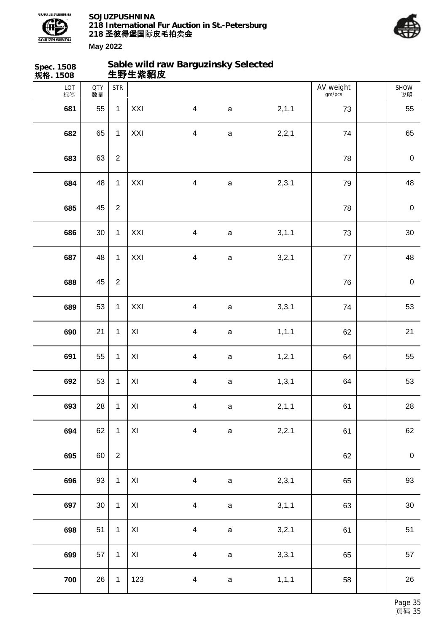



| Spec. 1508<br>规格. 1508 |                  |                | 生野生紫貂皮                  | Sable wild raw Barguzinsky Selected |              |         |                     |             |
|------------------------|------------------|----------------|-------------------------|-------------------------------------|--------------|---------|---------------------|-------------|
| LOT<br>标签              | <b>QTY</b><br>数量 | <b>STR</b>     |                         |                                     |              |         | AV weight<br>gm/pcs | SHOW<br>说明  |
| 681                    | 55               | $\mathbf{1}$   | XXI                     | $\overline{4}$                      | $\mathsf a$  | 2,1,1   | 73                  | 55          |
| 682                    | 65               | $\mathbf{1}$   | XXI                     | $\overline{\mathbf{4}}$             | $\mathsf a$  | 2,2,1   | 74                  | 65          |
| 683                    | 63               | $\overline{2}$ |                         |                                     |              |         | 78                  | $\pmb{0}$   |
| 684                    | 48               | $\mathbf{1}$   | XXI                     | $\overline{\mathbf{4}}$             | $\mathsf a$  | 2,3,1   | 79                  | 48          |
| 685                    | 45               | $\overline{2}$ |                         |                                     |              |         | 78                  | $\pmb{0}$   |
| 686                    | 30               | $\mathbf{1}$   | XXI                     | $\overline{\mathbf{4}}$             | $\mathsf{a}$ | 3, 1, 1 | 73                  | $30\,$      |
| 687                    | 48               | $\mathbf{1}$   | XXI                     | $\overline{\mathbf{4}}$             | $\mathsf a$  | 3,2,1   | 77                  | 48          |
| 688                    | 45               | $\overline{2}$ |                         |                                     |              |         | 76                  | $\pmb{0}$   |
| 689                    | 53               | $\mathbf{1}$   | XXI                     | $\overline{4}$                      | $\mathsf a$  | 3,3,1   | 74                  | 53          |
| 690                    | 21               | $\mathbf{1}$   | $\pmb{\mathsf{X}}$      | $\overline{\mathbf{4}}$             | $\mathsf{a}$ | 1, 1, 1 | 62                  | 21          |
| 691                    | 55               | $\mathbf{1}$   | XI                      | $\overline{\mathbf{4}}$             | $\mathsf a$  | 1, 2, 1 | 64                  | 55          |
| 692                    | 53               | $\mathbf 1$    | $\pmb{\times}$          | $\overline{\mathbf{4}}$             | $\mathsf a$  | 1, 3, 1 | 64                  | 53          |
| 693                    | 28               | $\mathbf{1}$   | $\pmb{\mathsf{X}}$      | $\overline{4}$                      | $\mathsf a$  | 2, 1, 1 | 61                  | 28          |
| 694                    | 62               | $\mathbf{1}$   | $\mathsf{X} \mathsf{I}$ | $\overline{\mathbf{4}}$             | $\mathsf a$  | 2,2,1   | 61                  | 62          |
| 695                    | 60               | $\sqrt{2}$     |                         |                                     |              |         | 62                  | $\mathbf 0$ |
| 696                    | 93               | $\mathbf{1}$   | $\pmb{\mathsf{XI}}$     | $\overline{\mathbf{4}}$             | $\mathsf a$  | 2,3,1   | 65                  | 93          |
| 697                    | $30\,$           | $\mathbf{1}$   | $\mathsf{X} \mathsf{I}$ | $\overline{\mathbf{4}}$             | $\mathsf a$  | 3,1,1   | 63                  | $30\,$      |
| 698                    | 51               | $\mathbf{1}$   | $\pmb{\mathsf{XI}}$     | $\overline{\mathbf{4}}$             | $\mathsf a$  | 3,2,1   | 61                  | 51          |
| 699                    | 57               | $\mathbf{1}$   | XI                      | $\overline{\mathbf{4}}$             | $\mathsf{a}$ | 3,3,1   | 65                  | 57          |
| 700                    | 26               | $\mathbf{1}$   | 123                     | $\overline{\mathbf{4}}$             | $\mathsf a$  | 1, 1, 1 | 58                  | 26          |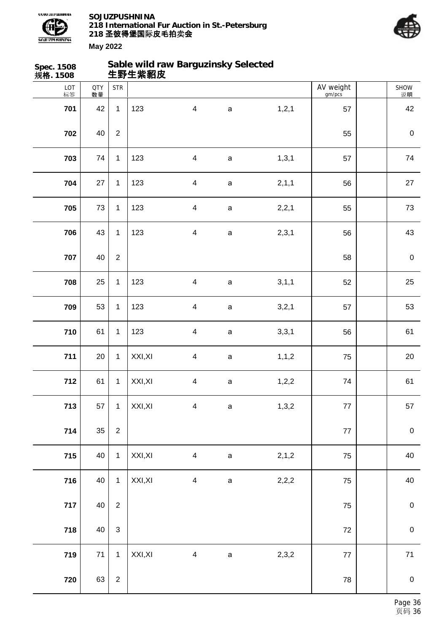

SOJUZPUSHNINA<br>218 International Fur Auction in St.-Petersburg<br>218 **圣彼得堡国**际皮毛拍卖会



| Spec. 1508<br>规 <b>格</b> . 1508 |                  |                  | 生野生紫貂皮  | Sable wild raw Barguzinsky Selected |             |         |                     |             |
|---------------------------------|------------------|------------------|---------|-------------------------------------|-------------|---------|---------------------|-------------|
| LOT<br>标签                       | <b>QTY</b><br>数量 | <b>STR</b>       |         |                                     |             |         | AV weight<br>gm/pcs | SHOW<br>说明  |
| 701                             | 42               | $\mathbf{1}$     | 123     | $\overline{\mathbf{4}}$             | $\mathsf a$ | 1, 2, 1 | 57                  | 42          |
| 702                             | 40               | $\overline{2}$   |         |                                     |             |         | 55                  | $\mathbf 0$ |
| 703                             | 74               | $\mathbf{1}$     | 123     | $\overline{\mathbf{4}}$             | $\mathsf a$ | 1, 3, 1 | 57                  | 74          |
| 704                             | 27               | $\mathbf{1}$     | 123     | $\overline{\mathbf{4}}$             | $\mathsf a$ | 2, 1, 1 | 56                  | 27          |
| 705                             | 73               | $\mathbf{1}$     | 123     | $\overline{\mathbf{4}}$             | $\mathsf a$ | 2,2,1   | 55                  | 73          |
| 706                             | 43               | $\mathbf{1}$     | 123     | $\overline{\mathbf{4}}$             | $\mathsf a$ | 2,3,1   | 56                  | 43          |
| 707                             | 40               | $\overline{2}$   |         |                                     |             |         | 58                  | $\mathbf 0$ |
| 708                             | 25               | $\mathbf{1}$     | 123     | $\overline{\mathbf{4}}$             | $\mathsf a$ | 3, 1, 1 | 52                  | 25          |
| 709                             | 53               | $\mathbf{1}$     | 123     | $\overline{\mathbf{4}}$             | $\mathsf a$ | 3,2,1   | 57                  | 53          |
| 710                             | 61               | $\mathbf{1}$     | 123     | $\overline{\mathbf{4}}$             | $\mathsf a$ | 3,3,1   | 56                  | 61          |
| 711                             | 20               | $\mathbf{1}$     | XXI, XI | $\overline{\mathbf{4}}$             | $\mathsf a$ | 1, 1, 2 | 75                  | 20          |
| 712                             | 61               | $\mathbf{1}$     | XXI, XI | $\overline{\mathbf{4}}$             | $\mathsf a$ | 1,2,2   | 74                  | 61          |
| 713                             | 57               | $\mathbf{1}$     | XXI, XI | $\overline{\mathbf{4}}$             | $\mathsf a$ | 1,3,2   | 77                  | 57          |
| 714                             | 35               | $\boldsymbol{2}$ |         |                                     |             |         | $77$                | $\pmb{0}$   |
| 715                             | 40               | $\mathbf{1}$     | XXI, XI | $\overline{\mathbf{4}}$             | $\mathsf a$ | 2,1,2   | 75                  | 40          |
| 716                             | 40               | $\mathbf{1}$     | XXI, XI | $\overline{\mathbf{4}}$             | $\mathsf a$ | 2,2,2   | 75                  | 40          |
| 717                             | 40               | $\sqrt{2}$       |         |                                     |             |         | 75                  | $\pmb{0}$   |
| 718                             | 40               | $\mathsf 3$      |         |                                     |             |         | 72                  | $\pmb{0}$   |
| 719                             | 71               | $\mathbf{1}$     | XXI, XI | $\overline{\mathbf{4}}$             | $\mathsf a$ | 2,3,2   | 77                  | $71$        |
| 720                             | 63               | $\boldsymbol{2}$ |         |                                     |             |         | 78                  | $\mathbf 0$ |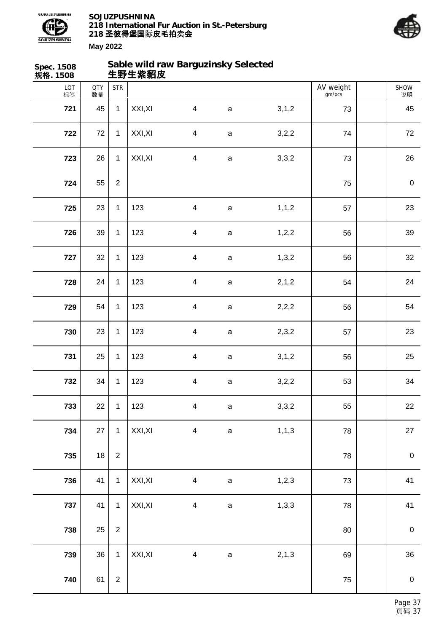



| Spec. 1508<br>规格. 1508 |                  |                  | 生野生紫貂皮  | Sable wild raw Barguzinsky Selected |              |         |                     |                  |
|------------------------|------------------|------------------|---------|-------------------------------------|--------------|---------|---------------------|------------------|
| LOT<br>标签              | <b>QTY</b><br>数量 | <b>STR</b>       |         |                                     |              |         | AV weight<br>gm/pcs | SHOW<br>说明       |
| 721                    | 45               | $\mathbf{1}$     | XXI, XI | $\overline{4}$                      | $\mathsf{a}$ | 3, 1, 2 | 73                  | 45               |
| 722                    | 72               | $\mathbf{1}$     | XXI, XI | $\overline{4}$                      | $\mathsf{a}$ | 3,2,2   | 74                  | 72               |
| 723                    | 26               | $\mathbf{1}$     | XXI, XI | $\overline{\mathbf{4}}$             | $\mathsf a$  | 3,3,2   | 73                  | 26               |
| 724                    | 55               | $\boldsymbol{2}$ |         |                                     |              |         | 75                  | $\boldsymbol{0}$ |
| 725                    | 23               | $\mathbf{1}$     | 123     | $\overline{4}$                      | $\mathsf a$  | 1, 1, 2 | 57                  | 23               |
| 726                    | 39               | $\mathbf{1}$     | 123     | $\overline{\mathbf{4}}$             | $\mathsf a$  | 1,2,2   | 56                  | 39               |
| 727                    | 32               | $\mathbf{1}$     | 123     | $\overline{\mathbf{4}}$             | $\mathsf a$  | 1,3,2   | 56                  | 32               |
| 728                    | 24               | $\mathbf{1}$     | 123     | $\overline{\mathbf{4}}$             | $\mathsf a$  | 2,1,2   | 54                  | 24               |
| 729                    | 54               | $\mathbf{1}$     | 123     | $\overline{\mathbf{4}}$             | $\mathsf a$  | 2,2,2   | 56                  | 54               |
| 730                    | 23               | $\mathbf{1}$     | 123     | $\overline{\mathbf{4}}$             | $\mathsf a$  | 2,3,2   | 57                  | 23               |
| 731                    | 25               | $\mathbf{1}$     | 123     | $\overline{\mathbf{4}}$             | $\mathsf a$  | 3, 1, 2 | 56                  | 25               |
| 732                    | 34               | $\mathbf{1}$     | 123     | $\overline{\mathbf{4}}$             | $\mathsf a$  | 3,2,2   | 53                  | 34               |
| 733                    | 22               | $\mathbf{1}$     | 123     | $\overline{4}$                      | $\mathsf a$  | 3,3,2   | 55                  | 22               |
| 734                    | 27               | $\mathbf{1}$     | XXI, XI | $\overline{\mathbf{4}}$             | $\mathsf a$  | 1, 1, 3 | 78                  | 27               |
| 735                    | $18\,$           | $\overline{2}$   |         |                                     |              |         | 78                  | $\boldsymbol{0}$ |
| 736                    | 41               | $\mathbf{1}$     | XXI, XI | $\overline{4}$                      | $\mathsf a$  | 1, 2, 3 | 73                  | 41               |
| 737                    | 41               | $\mathbf{1}$     | XXI, XI | $\overline{\mathbf{4}}$             | $\mathsf a$  | 1,3,3   | 78                  | 41               |
| 738                    | 25               | $\overline{2}$   |         |                                     |              |         | 80                  | $\boldsymbol{0}$ |
| 739                    | 36               | $\mathbf{1}$     | XXI, XI | $\overline{\mathbf{4}}$             | $\mathsf a$  | 2, 1, 3 | 69                  | 36               |
| 740                    | 61               | $\overline{2}$   |         |                                     |              |         | 75                  | $\mathbf 0$      |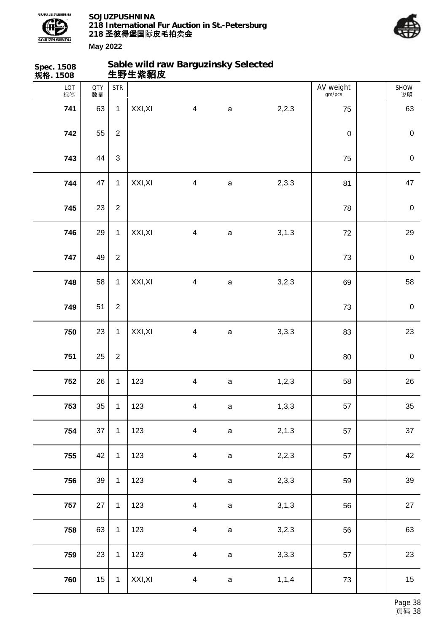



| Spec. 1508<br>规格. 1508 |                  |                | 生野生紫貂皮  | Sable wild raw Barguzinsky Selected |              |         |                     |            |
|------------------------|------------------|----------------|---------|-------------------------------------|--------------|---------|---------------------|------------|
| LOT<br>标签              | <b>QTY</b><br>数量 | <b>STR</b>     |         |                                     |              |         | AV weight<br>gm/pcs | SHOW<br>说明 |
| 741                    | 63               | $\mathbf{1}$   | XXI, XI | $\overline{\mathbf{4}}$             | $\mathsf a$  | 2,2,3   | 75                  | 63         |
| 742                    | 55               | $\overline{2}$ |         |                                     |              |         | $\mathbf 0$         | $\pmb{0}$  |
| 743                    | 44               | $\sqrt{3}$     |         |                                     |              |         | 75                  | $\pmb{0}$  |
| 744                    | 47               | $\mathbf{1}$   | XXI, XI | $\overline{\mathbf{4}}$             | $\mathsf a$  | 2,3,3   | 81                  | 47         |
| 745                    | 23               | $\overline{2}$ |         |                                     |              |         | 78                  | $\pmb{0}$  |
| 746                    | 29               | $\mathbf{1}$   | XXI, XI | $\overline{\mathbf{4}}$             | a            | 3, 1, 3 | 72                  | 29         |
| 747                    | 49               | $\sqrt{2}$     |         |                                     |              |         | 73                  | $\pmb{0}$  |
| 748                    | 58               | $\mathbf{1}$   | XXI, XI | $\overline{\mathbf{4}}$             | $\mathsf a$  | 3,2,3   | 69                  | 58         |
| 749                    | 51               | $\sqrt{2}$     |         |                                     |              |         | 73                  | $\pmb{0}$  |
| 750                    | 23               | $\mathbf{1}$   | XXI, XI | $\overline{\mathbf{4}}$             | a            | 3,3,3   | 83                  | 23         |
| 751                    | 25               | $\sqrt{2}$     |         |                                     |              |         | 80                  | $\pmb{0}$  |
| 752                    | 26               | $\mathbf{1}$   | 123     | $\overline{\mathbf{4}}$             | $\mathsf{a}$ | 1,2,3   | 58                  | 26         |
| 753                    | 35               | $\mathbf{1}$   | 123     | $\overline{4}$                      | $\mathsf{a}$ | 1,3,3   | 57                  | 35         |
| 754                    | 37               | $\mathbf{1}$   | 123     | $\overline{\mathbf{4}}$             | $\mathsf a$  | 2, 1, 3 | 57                  | 37         |
| 755                    | 42               | $\mathbf{1}$   | 123     | $\overline{\mathbf{4}}$             | $\mathsf a$  | 2,2,3   | 57                  | 42         |
| 756                    | 39               | $\mathbf{1}$   | 123     | $\overline{\mathbf{4}}$             | $\mathsf a$  | 2,3,3   | 59                  | 39         |
| 757                    | 27               | $\mathbf{1}$   | 123     | $\overline{\mathbf{4}}$             | $\mathsf a$  | 3, 1, 3 | 56                  | 27         |
| 758                    | 63               | $\mathbf{1}$   | 123     | $\overline{\mathbf{4}}$             | $\mathsf a$  | 3,2,3   | 56                  | 63         |
| 759                    | 23               | $\mathbf 1$    | 123     | $\overline{\mathbf{4}}$             | $\mathsf a$  | 3,3,3   | 57                  | 23         |
| 760                    | 15               | $\mathbf 1$    | XXI, XI | $\overline{\mathbf{4}}$             | $\mathsf a$  | 1, 1, 4 | 73                  | 15         |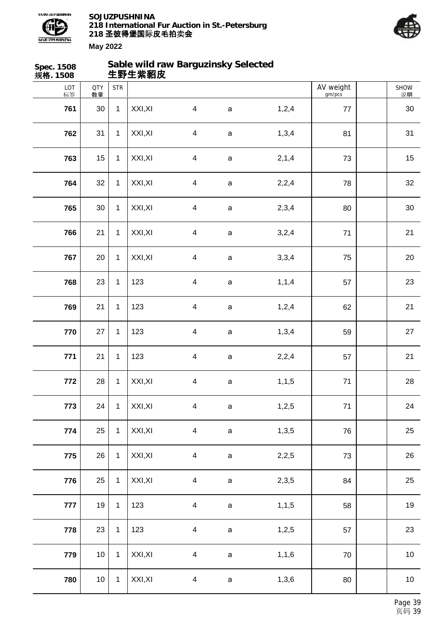



| Spec. 1508<br>规格. 1508 |                  |              | 生野生紫貂皮  | Sable wild raw Barguzinsky Selected |             |         |                     |            |
|------------------------|------------------|--------------|---------|-------------------------------------|-------------|---------|---------------------|------------|
| LOT<br>标签              | <b>QTY</b><br>数量 | <b>STR</b>   |         |                                     |             |         | AV weight<br>gm/pcs | SHOW<br>说明 |
| 761                    | 30               | $\mathbf{1}$ | XXI, XI | $\overline{4}$                      | $\mathbf a$ | 1,2,4   | $77 \,$             | 30         |
| 762                    | 31               | $\mathbf{1}$ | XXI, XI | $\overline{\mathbf{4}}$             | $\mathsf a$ | 1,3,4   | 81                  | 31         |
| 763                    | 15               | $\mathbf{1}$ | XXI, XI | $\overline{4}$                      | $\mathsf a$ | 2, 1, 4 | 73                  | 15         |
| 764                    | 32               | $\mathbf{1}$ | XXI, XI | $\overline{\mathcal{A}}$            | a           | 2,2,4   | 78                  | 32         |
| 765                    | 30               | $\mathbf{1}$ | XXI, XI | $\overline{4}$                      | $\mathsf a$ | 2,3,4   | 80                  | 30         |
| 766                    | 21               | $\mathbf{1}$ | XXI, XI | $\overline{\mathbf{4}}$             | $\mathsf a$ | 3,2,4   | 71                  | 21         |
| 767                    | 20               | $\mathbf{1}$ | XXI, XI | $\overline{4}$                      | $\mathsf a$ | 3,3,4   | 75                  | 20         |
| 768                    | 23               | $\mathbf{1}$ | 123     | $\overline{\mathbf{4}}$             | $\mathsf a$ | 1, 1, 4 | 57                  | 23         |
| 769                    | 21               | $\mathbf{1}$ | 123     | $\overline{4}$                      | $\mathsf a$ | 1,2,4   | 62                  | 21         |
| 770                    | 27               | $\mathbf{1}$ | 123     | $\overline{\mathbf{4}}$             | $\mathsf a$ | 1,3,4   | 59                  | 27         |
| 771                    | 21               | $\mathbf{1}$ | 123     | $\overline{\mathbf{4}}$             | $\mathsf a$ | 2,2,4   | 57                  | 21         |
| 772                    | 28               | $\mathbf 1$  | XXI, XI | $\overline{\mathcal{A}}$            | $\mathsf a$ | 1, 1, 5 | $71$                | 28         |
| 773                    | 24               | $\mathbf{1}$ | XXI, XI | $\overline{4}$                      | $\mathsf a$ | 1,2,5   | $71$                | 24         |
| 774                    | 25               | $\mathbf{1}$ | XXI, XI | $\overline{\mathbf{4}}$             | $\mathsf a$ | 1,3,5   | 76                  | 25         |
| 775                    | 26               | $\mathbf{1}$ | XXI, XI | $\overline{\mathbf{4}}$             | $\mathsf a$ | 2,2,5   | 73                  | 26         |
| 776                    | 25               | $\mathbf{1}$ | XXI, XI | $\overline{\mathbf{4}}$             | $\mathsf a$ | 2,3,5   | 84                  | 25         |
| 777                    | 19               | $\mathbf 1$  | 123     | $\overline{\mathbf{4}}$             | $\mathsf a$ | 1, 1, 5 | 58                  | 19         |
| 778                    | 23               | $\mathbf{1}$ | 123     | $\overline{\mathbf{4}}$             | $\mathsf a$ | 1,2,5   | 57                  | 23         |
| 779                    | 10               | $\mathbf{1}$ | XXI, XI | $\overline{\mathbf{4}}$             | $\mathsf a$ | 1,1,6   | 70                  | $10$       |
| 780                    | 10               | $\mathbf{1}$ | XXI, XI | $\overline{\mathcal{A}}$            | $\mathsf a$ | 1,3,6   | 80                  | $10$       |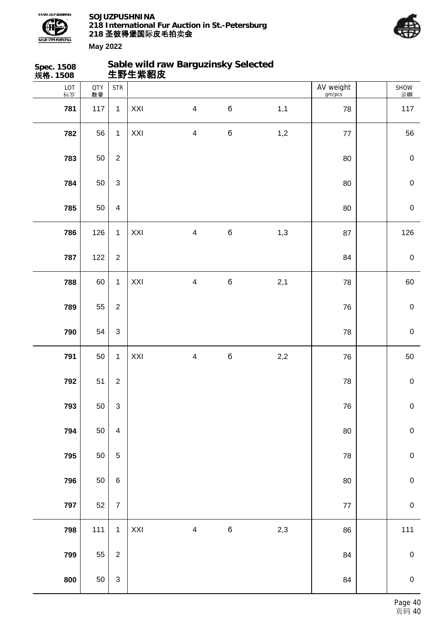



| Spec. 1508<br>规 <b>格</b> . 1508 |                  |                         |     | Sable wild raw Barguzinsky Selected<br>生野生紫貂皮 |             |       |                     |                  |
|---------------------------------|------------------|-------------------------|-----|-----------------------------------------------|-------------|-------|---------------------|------------------|
| LOT<br>标签                       | <b>QTY</b><br>数量 | <b>STR</b>              |     |                                               |             |       | AV weight<br>gm/pcs | SHOW<br>说明       |
| 781                             | 117              | $\mathbf{1}$            | XXI | $\overline{\mathbf{4}}$                       | б           | 1,1   | 78                  | 117              |
| 782                             | 56               | $\mathbf{1}$            | XXI | $\overline{\mathbf{4}}$                       | $\mathbf 6$ | 1,2   | $77$                | 56               |
| 783                             | 50               | $\boldsymbol{2}$        |     |                                               |             |       | 80                  | $\mathbf 0$      |
| 784                             | 50               | $\mathfrak{S}$          |     |                                               |             |       | 80                  | $\pmb{0}$        |
| 785                             | 50               | $\overline{\mathbf{4}}$ |     |                                               |             |       | 80                  | $\mathbf 0$      |
| 786                             | 126              | $\mathbf{1}$            | XXI | $\overline{\mathbf{4}}$                       | $\mathbf 6$ | 1,3   | 87                  | 126              |
| 787                             | 122              | $\overline{2}$          |     |                                               |             |       | 84                  | $\boldsymbol{0}$ |
| 788                             | 60               | $\mathbf{1}$            | XXI | $\overline{\mathbf{4}}$                       | $\mathbf 6$ | 2,1   | 78                  | 60               |
| 789                             | 55               | $\overline{2}$          |     |                                               |             |       | 76                  | $\mathbf 0$      |
| 790                             | 54               | $\mathfrak{S}$          |     |                                               |             |       | 78                  | $\mathbf 0$      |
| 791                             | 50               | $\mathbf{1}$            | XXI | $\overline{\mathbf{4}}$                       | $\mathbf 6$ | $2,2$ | 76                  | 50               |
| 792                             | 51               | $\overline{c}$          |     |                                               |             |       | 78                  | $\pmb{0}$        |
| 793                             | 50               | $\mathfrak{S}$          |     |                                               |             |       | ${\bf 76}$          | $\pmb{0}$        |
| 794                             | 50               | $\overline{4}$          |     |                                               |             |       | $80\,$              | $\pmb{0}$        |
| 795                             | 50               | $\overline{5}$          |     |                                               |             |       | 78                  | $\mathbf 0$      |
| 796                             | 50               | $\,6\,$                 |     |                                               |             |       | $80\,$              | $\mathbf 0$      |
| 797                             | 52               | $\overline{7}$          |     |                                               |             |       | $77\,$              | $\pmb{0}$        |
| 798                             | $111$            | $\overline{1}$          | XXI | $\overline{\mathbf{4}}$                       | $\bf 6$     | 2,3   | 86                  | $111$            |
| 799                             | 55               | $\overline{2}$          |     |                                               |             |       | 84                  | $\pmb{0}$        |
| 800                             | 50               | $\mathbf{3}$            |     |                                               |             |       | 84                  | $\mathbf 0$      |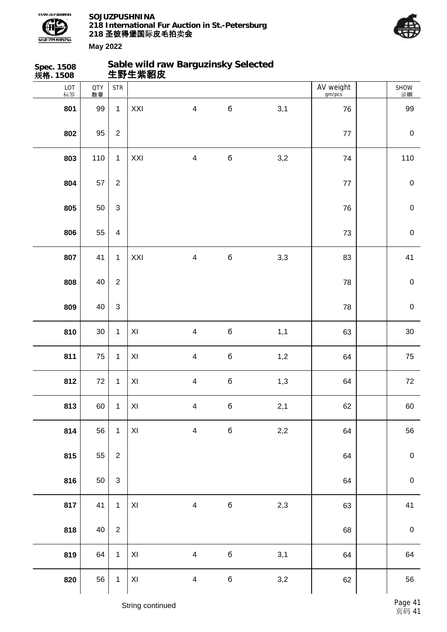



| Spec. 1508<br>规格. 1508 |                  |                | Sable wild raw Barguzinsky Selected<br>生野生紫貂皮 |                         |             |              |                     |             |
|------------------------|------------------|----------------|-----------------------------------------------|-------------------------|-------------|--------------|---------------------|-------------|
| LOT<br>标签              | <b>QTY</b><br>数量 | <b>STR</b>     |                                               |                         |             |              | AV weight<br>gm/pcs | SHOW<br>说明  |
| 801                    | 99               | $\mathbf{1}$   | XXI                                           | $\overline{4}$          | $\mathbf 6$ | 3,1          | 76                  | 99          |
| 802                    | 95               | $\overline{2}$ |                                               |                         |             |              | $77$                | $\pmb{0}$   |
| 803                    | 110              | $\mathbf{1}$   | XXI                                           | $\overline{4}$          | $\mathbf 6$ | 3,2          | 74                  | 110         |
| 804                    | 57               | $\overline{2}$ |                                               |                         |             |              | 77                  | $\pmb{0}$   |
| 805                    | 50               | $\mathfrak{S}$ |                                               |                         |             |              | 76                  | $\mathbf 0$ |
| 806                    | 55               | $\overline{4}$ |                                               |                         |             |              | 73                  | $\mathbf 0$ |
| 807                    | 41               | $\mathbf{1}$   | XXI                                           | $\overline{4}$          | $\mathbf 6$ | 3,3          | 83                  | 41          |
| 808                    | 40               | $\overline{2}$ |                                               |                         |             |              | 78                  | $\pmb{0}$   |
| 809                    | 40               | $\mathfrak{S}$ |                                               |                         |             |              | 78                  | $\mathbf 0$ |
| 810                    | $30\,$           | $\mathbf{1}$   | $\pmb{\mathsf{X}}$                            | $\overline{\mathbf{4}}$ | $\mathbf 6$ | 1,1          | 63                  | $30\,$      |
| 811                    | 75               | $\mathbf{1}$   | XI                                            | $\overline{\mathbf{4}}$ | $\mathbf 6$ | 1,2          | 64                  | 75          |
| 812                    | $72\,$           | $\mathbf 1$    | $\mathsf{XI}$                                 | $\overline{\mathbf{4}}$ | б           | 1,3          | 64                  | $72\,$      |
| 813                    | 60               | $\mathbf{1}$   | $\pmb{\times}$                                | $\overline{\mathbf{4}}$ | $\mathbf 6$ | 2,1          | 62                  | $60\,$      |
| 814                    | 56               | $\mathbf{1}$   | $\mathsf{XI}$                                 | $\overline{\mathbf{4}}$ | $\bf 6$     | $2,\!2$      | 64                  | 56          |
| 815                    | 55               | $\overline{2}$ |                                               |                         |             |              | 64                  | $\mathbf 0$ |
| 816                    | 50               | $\mathbf{3}$   |                                               |                         |             |              | 64                  | $\mathbf 0$ |
| 817                    | 41               | $\mathbf{1}$   | $\mathsf{X} \mathsf{I}$                       | $\overline{4}$          | $\mathbf 6$ | 2,3          | 63                  | 41          |
| 818                    | 40               | $\overline{2}$ |                                               |                         |             |              | 68                  | ${\bf 0}$   |
| 819                    | 64               | $\mathbf{1}$   | $\mathsf{X} \mathsf{I}$                       | $\overline{\mathbf{4}}$ | $\mathbf 6$ | 3,1          | 64                  | 64          |
| 820                    | 56               | $\mathbf{1}$   | $\mathsf{X} \mathsf{I}$                       | $\overline{\mathbf{4}}$ | $\mathbf 6$ | $_{\rm 3,2}$ | 62                  | 56          |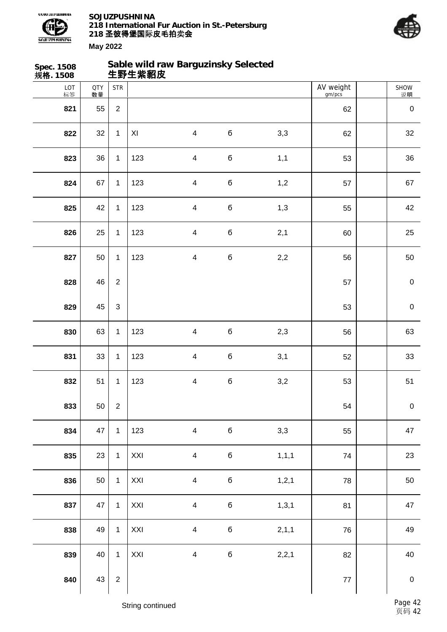



| Spec. 1508<br>规格. 1508 |                  |                | 生野生紫貂皮         | Sable wild raw Barguzinsky Selected |             |         |                     |             |
|------------------------|------------------|----------------|----------------|-------------------------------------|-------------|---------|---------------------|-------------|
| LOT<br>标签              | <b>QTY</b><br>数量 | <b>STR</b>     |                |                                     |             |         | AV weight<br>gm/pcs | SHOW<br>说明  |
| 821                    | 55               | $\overline{2}$ |                |                                     |             |         | 62                  | $\pmb{0}$   |
| 822                    | 32               | $\mathbf{1}$   | $\pmb{\times}$ | $\overline{\mathbf{4}}$             | $\mathbf 6$ | 3,3     | 62                  | 32          |
| 823                    | 36               | $\mathbf{1}$   | 123            | $\overline{\mathcal{A}}$            | б           | 1,1     | 53                  | 36          |
| 824                    | 67               | $\mathbf{1}$   | 123            | $\overline{\mathbf{4}}$             | б           | 1,2     | 57                  | 67          |
| 825                    | 42               | $\mathbf{1}$   | 123            | $\overline{\mathbf{4}}$             | $\mathbf 6$ | 1,3     | 55                  | 42          |
| 826                    | 25               | $\mathbf{1}$   | 123            | $\overline{\mathbf{4}}$             | б           | 2,1     | 60                  | 25          |
| 827                    | 50               | $\mathbf{1}$   | 123            | $\overline{\mathbf{4}}$             | б           | 2,2     | 56                  | 50          |
| 828                    | 46               | $\overline{2}$ |                |                                     |             |         | 57                  | $\pmb{0}$   |
| 829                    | 45               | $\mathfrak{S}$ |                |                                     |             |         | 53                  | $\pmb{0}$   |
| 830                    | 63               | $\mathbf{1}$   | 123            | $\overline{\mathbf{4}}$             | $\mathbf 6$ | 2,3     | 56                  | 63          |
| 831                    | 33               | $\mathbf{1}$   | 123            | $\overline{\mathbf{4}}$             | $\mathbf 6$ | 3,1     | 52                  | 33          |
| 832                    | 51               | 1              | 123            | $\overline{\mathcal{A}}$            | б           | 3,2     | 53                  | 51          |
| 833                    | 50               | $\overline{2}$ |                |                                     |             |         | 54                  | $\pmb{0}$   |
| 834                    | 47               | $\mathbf{1}$   | 123            | $\overline{\mathbf{4}}$             | б           | 3,3     | 55                  | 47          |
| 835                    | 23               | $\mathbf{1}$   | XXI            | $\overline{4}$                      | б           | 1, 1, 1 | 74                  | 23          |
| 836                    | 50               | $\mathbf{1}$   | XXI            | $\overline{\mathbf{4}}$             | $\bf 6$     | 1, 2, 1 | 78                  | 50          |
| 837                    | 47               | $\mathbf{1}$   | XXI            | $\overline{\mathbf{4}}$             | б           | 1, 3, 1 | 81                  | 47          |
| 838                    | 49               | $\mathbf{1}$   | XXI            | $\overline{\mathbf{4}}$             | $\bf 6$     | 2, 1, 1 | 76                  | 49          |
| 839                    | 40               | $\mathbf{1}$   | XXI            | $\overline{\mathbf{4}}$             | $\bf 6$     | 2,2,1   | 82                  | 40          |
| 840                    | 43               | $\overline{2}$ |                |                                     |             |         | $77\,$              | $\mathbf 0$ |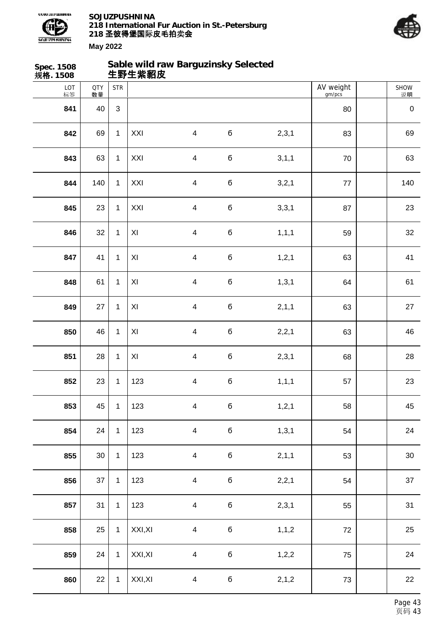



| Spec. 1508<br>规格. 1508 |                  |              | 生野生紫貂皮              | Sable wild raw Barguzinsky Selected |             |         |                     |            |
|------------------------|------------------|--------------|---------------------|-------------------------------------|-------------|---------|---------------------|------------|
| LOT<br>标签              | <b>QTY</b><br>数量 | <b>STR</b>   |                     |                                     |             |         | AV weight<br>gm/pcs | SHOW<br>说明 |
| 841                    | 40               | 3            |                     |                                     |             |         | 80                  | $\pmb{0}$  |
| 842                    | 69               | $\mathbf{1}$ | XXI                 | $\overline{\mathbf{4}}$             | $\mathbf 6$ | 2,3,1   | 83                  | 69         |
| 843                    | 63               | $\mathbf{1}$ | XXI                 | $\overline{\mathbf{4}}$             | $\bf 6$     | 3, 1, 1 | $70\,$              | 63         |
| 844                    | 140              | $\mathbf{1}$ | XXI                 | $\overline{\mathbf{4}}$             | $\bf 6$     | 3,2,1   | $77\,$              | 140        |
| 845                    | 23               | $\mathbf{1}$ | XXI                 | $\overline{\mathbf{4}}$             | $\bf 6$     | 3,3,1   | 87                  | 23         |
| 846                    | 32               | $\mathbf{1}$ | XI                  | $\overline{\mathbf{4}}$             | $\bf 6$     | 1, 1, 1 | 59                  | 32         |
| 847                    | 41               | $\mathbf{1}$ | $\pmb{\mathsf{XI}}$ | $\overline{\mathbf{4}}$             | $\bf 6$     | 1, 2, 1 | 63                  | 41         |
| 848                    | 61               | $\mathbf{1}$ | XI                  | $\overline{\mathbf{4}}$             | $\bf 6$     | 1, 3, 1 | 64                  | 61         |
| 849                    | 27               | $\mathbf{1}$ | XI                  | $\overline{\mathbf{4}}$             | $\bf 6$     | 2, 1, 1 | 63                  | 27         |
| 850                    | 46               | $\mathbf{1}$ | XI                  | $\overline{\mathbf{4}}$             | $\bf 6$     | 2,2,1   | 63                  | 46         |
| 851                    | 28               | $\mathbf{1}$ | $\pmb{\mathsf{XI}}$ | $\overline{\mathbf{4}}$             | $\bf 6$     | 2,3,1   | 68                  | 28         |
| 852                    | 23               | $\mathbf{1}$ | 123                 | $\overline{\mathbf{4}}$             | $\mathbf 6$ | 1, 1, 1 | 57                  | 23         |
| 853                    | 45               | $\mathbf{1}$ | 123                 | $\overline{\mathbf{4}}$             | $\mathbf 6$ | 1, 2, 1 | 58                  | 45         |
| 854                    | 24               | $\mathbf{1}$ | 123                 | $\overline{\mathbf{4}}$             | б           | 1, 3, 1 | 54                  | 24         |
| 855                    | $30\,$           | $\mathbf{1}$ | 123                 | $\overline{4}$                      | $\mathbf 6$ | 2, 1, 1 | 53                  | $30\,$     |
| 856                    | 37               | $\mathbf{1}$ | 123                 | $\overline{\mathbf{4}}$             | $\mathbf 6$ | 2,2,1   | 54                  | 37         |
| 857                    | 31               | $\mathbf{1}$ | 123                 | $\overline{\mathbf{4}}$             | $\mathbf 6$ | 2,3,1   | 55                  | 31         |
| 858                    | 25               | $\mathbf{1}$ | XXI, XI             | $\overline{\mathbf{4}}$             | б           | 1, 1, 2 | 72                  | 25         |
| 859                    | 24               | $\mathbf{1}$ | XXI, XI             | $\overline{\mathbf{4}}$             | $\mathbf 6$ | 1,2,2   | 75                  | 24         |
| 860                    | 22               | $\mathbf{1}$ | XXI, XI             | $\overline{\mathbf{4}}$             | $\mathbf 6$ | 2, 1, 2 | 73                  | 22         |
|                        |                  |              |                     |                                     |             |         |                     |            |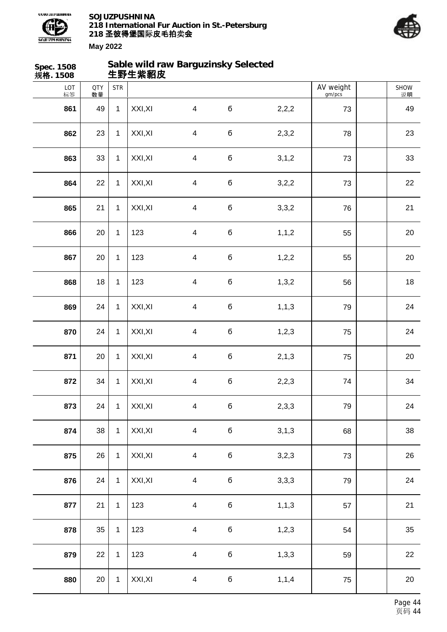



| Spec. 1508<br>规格. 1508 |                  |              | 生野生紫貂皮  | Sable wild raw Barguzinsky Selected |             |         |                     |            |
|------------------------|------------------|--------------|---------|-------------------------------------|-------------|---------|---------------------|------------|
| LOT<br>标签              | <b>QTY</b><br>数量 | <b>STR</b>   |         |                                     |             |         | AV weight<br>gm/pcs | SHOW<br>说明 |
| 861                    | 49               | $\mathbf{1}$ | XXI, XI | $\overline{4}$                      | б           | 2,2,2   | 73                  | 49         |
| 862                    | 23               | $\mathbf{1}$ | XXI, XI | $\overline{4}$                      | $\mathbf 6$ | 2,3,2   | 78                  | 23         |
| 863                    | 33               | $\mathbf{1}$ | XXI, XI | $\overline{4}$                      | б           | 3, 1, 2 | 73                  | 33         |
| 864                    | 22               | $\mathbf{1}$ | XXI, XI | $\overline{4}$                      | б           | 3,2,2   | 73                  | 22         |
| 865                    | 21               | $\mathbf{1}$ | XXI, XI | $\overline{4}$                      | б           | 3,3,2   | 76                  | 21         |
| 866                    | 20               | $\mathbf{1}$ | 123     | $\overline{4}$                      | б           | 1, 1, 2 | 55                  | 20         |
| 867                    | 20               | $\mathbf{1}$ | 123     | $\overline{4}$                      | б           | 1,2,2   | 55                  | 20         |
| 868                    | 18               | $\mathbf{1}$ | 123     | $\overline{4}$                      | б           | 1,3,2   | 56                  | 18         |
| 869                    | 24               | $\mathbf{1}$ | XXI, XI | $\overline{4}$                      | б           | 1, 1, 3 | 79                  | 24         |
| 870                    | 24               | $\mathbf{1}$ | XXI, XI | $\overline{4}$                      | б           | 1,2,3   | 75                  | 24         |
| 871                    | 20               | $\mathbf{1}$ | XXI, XI | $\overline{4}$                      | б           | 2, 1, 3 | 75                  | 20         |
| 872                    | 34               | $\mathbf{1}$ | XXI, XI | $\overline{4}$                      | б           | 2,2,3   | 74                  | 34         |
| 873                    | 24               | $\mathbf{1}$ | XXI, XI | $\overline{4}$                      | $\mathbf 6$ | 2,3,3   | 79                  | 24         |
| 874                    | 38               | $\mathbf{1}$ | XXI, XI | $\overline{4}$                      | б           | 3,1,3   | 68                  | 38         |
| 875                    | 26               | $\mathbf{1}$ | XXI, XI | $\overline{4}$                      | $\bf 6$     | 3,2,3   | 73                  | 26         |
| 876                    | 24               | $\mathbf{1}$ | XXI, XI | $\overline{4}$                      | $\bf 6$     | 3,3,3   | 79                  | 24         |
| 877                    | 21               | $\mathbf{1}$ | 123     | $\overline{4}$                      | $\bf 6$     | 1, 1, 3 | 57                  | 21         |
| 878                    | 35               | $\mathbf{1}$ | 123     | $\overline{4}$                      | б           | 1,2,3   | 54                  | $35\,$     |
| 879                    | 22               | $\mathbf{1}$ | 123     | $\overline{4}$                      | $\bf 6$     | 1,3,3   | 59                  | 22         |
| 880                    | 20               | $\mathbf{1}$ | XXI, XI | $\overline{4}$                      | $\mathbf 6$ | 1, 1, 4 | 75                  | 20         |
|                        |                  |              |         |                                     |             |         |                     |            |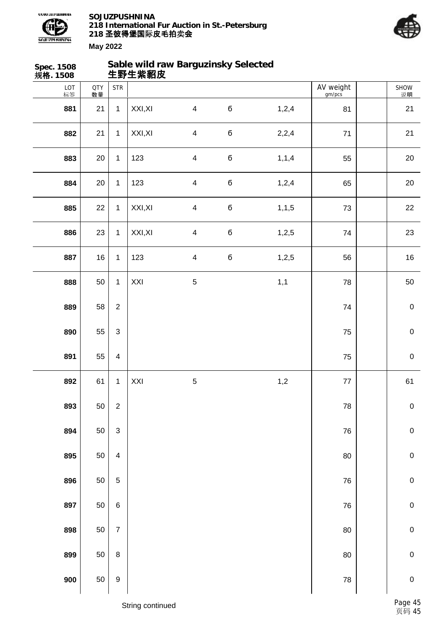



| Spec. 1508<br>规格. 1508 |                  |                           | Sable wild raw Barguzinsky Selected<br>生野生紫貂皮 |                |             |         |                     |             |
|------------------------|------------------|---------------------------|-----------------------------------------------|----------------|-------------|---------|---------------------|-------------|
| LOT<br>标签              | <b>QTY</b><br>数量 | <b>STR</b>                |                                               |                |             |         | AV weight<br>gm/pcs | SHOW<br>说明  |
| 881                    | 21               | $\mathbf{1}$              | XXI, XI                                       | $\overline{4}$ | $\mathbf 6$ | 1,2,4   | 81                  | 21          |
| 882                    | 21               | $\mathbf{1}$              | XXI, XI                                       | $\overline{4}$ | б           | 2,2,4   | 71                  | 21          |
| 883                    | 20               | $\mathbf{1}$              | 123                                           | $\overline{4}$ | б           | 1, 1, 4 | 55                  | 20          |
| 884                    | 20               | $\mathbf 1$               | 123                                           | $\overline{4}$ | б           | 1,2,4   | 65                  | 20          |
| 885                    | 22               | $\mathbf{1}$              | XXI, XI                                       | $\overline{4}$ | б           | 1, 1, 5 | 73                  | 22          |
| 886                    | 23               | $\mathbf{1}$              | XXI, XI                                       | $\overline{4}$ | б           | 1,2,5   | 74                  | 23          |
| 887                    | 16               | $\mathbf{1}$              | 123                                           | $\overline{4}$ | б           | 1,2,5   | 56                  | 16          |
| 888                    | 50               | $\mathbf 1$               | XXI                                           | $\sqrt{5}$     |             | 1,1     | 78                  | $50\,$      |
| 889                    | 58               | $\overline{2}$            |                                               |                |             |         | 74                  | $\mathbf 0$ |
| 890                    | 55               | $\mathfrak{S}$            |                                               |                |             |         | 75                  | $\mathbf 0$ |
| 891                    | 55               | $\overline{\mathbf{4}}$   |                                               |                |             |         | 75                  | $\mathbf 0$ |
| 892                    | 61               | $\mathbf 1$               | XXI                                           | $\sqrt{5}$     |             | 1,2     | $77\,$              | 61          |
| 893                    | 50               | $\sqrt{2}$                |                                               |                |             |         | 78                  | $\pmb{0}$   |
| 894                    | 50               | $\ensuremath{\mathsf{3}}$ |                                               |                |             |         | 76                  | $\pmb{0}$   |
| 895                    | 50               | $\overline{\mathbf{4}}$   |                                               |                |             |         | 80                  | $\mathbf 0$ |
| 896                    | 50               | $\sqrt{5}$                |                                               |                |             |         | 76                  | $\pmb{0}$   |
| 897                    | 50               | $\,6$                     |                                               |                |             |         | ${\bf 76}$          | $\pmb{0}$   |
| 898                    | 50               | $\overline{7}$            |                                               |                |             |         | 80                  | $\pmb{0}$   |
| 899                    | 50               | $\bf 8$                   |                                               |                |             |         | 80                  | $\mathbf 0$ |
| 900                    | 50               | $\boldsymbol{9}$          |                                               |                |             |         | 78                  | $\mathbf 0$ |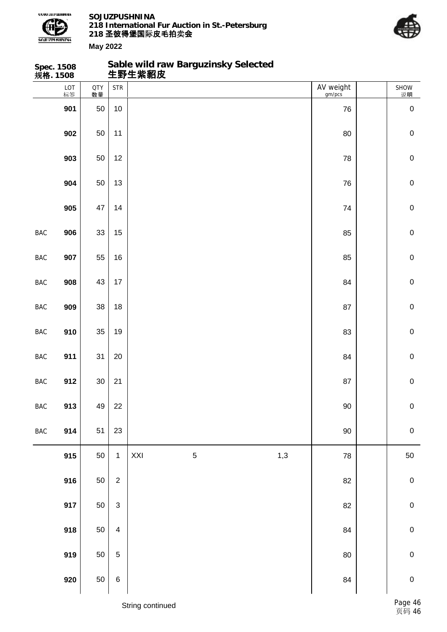

**Sable wild raw Barguzinsky Selected**



**May 2022**

|                | Spec. 1508<br>规 <b>格</b> . 1508 |           |                           |     | Sable wild raw Barguzinsky Selected<br>生野生紫貂皮 |     |                     |                  |
|----------------|---------------------------------|-----------|---------------------------|-----|-----------------------------------------------|-----|---------------------|------------------|
|                | LOT<br>标签                       | QTY<br>数量 | <b>STR</b>                |     |                                               |     | AV weight<br>gm/pcs | SHOW<br>说明       |
|                | 901                             | 50        | 10                        |     |                                               |     | 76                  | $\boldsymbol{0}$ |
|                | 902                             | 50        | 11                        |     |                                               |     | 80                  | $\pmb{0}$        |
|                | 903                             | 50        | 12                        |     |                                               |     | 78                  | $\pmb{0}$        |
|                | 904                             | 50        | 13                        |     |                                               |     | 76                  | $\pmb{0}$        |
|                | 905                             | 47        | 14                        |     |                                               |     | 74                  | $\mathbf 0$      |
| <b>BAC</b>     | 906                             | 33        | 15                        |     |                                               |     | 85                  | $\mathbf 0$      |
| <b>BAC</b>     | 907                             | 55        | 16                        |     |                                               |     | 85                  | $\pmb{0}$        |
| BAC            | 908                             | 43        | 17                        |     |                                               |     | 84                  | $\pmb{0}$        |
| <b>BAC</b>     | 909                             | 38        | 18                        |     |                                               |     | 87                  | $\pmb{0}$        |
| <b>BAC</b>     | 910                             | 35        | 19                        |     |                                               |     | 83                  | $\mathbf 0$      |
| BAC            | 911                             | 31        | 20                        |     |                                               |     | 84                  | $\pmb{0}$        |
| <b>BAC</b>     | 912                             | $30\,$    | 21                        |     |                                               |     | 87                  | $\pmb{0}$        |
| $_{\rm BAC}$   | 913                             | 49        | 22                        |     |                                               |     | $90\,$              | ${\bf 0}$        |
| $\mathsf{BAC}$ | 914                             | 51        | 23                        |     |                                               |     | $90\,$              | $\pmb{0}$        |
|                | 915                             | 50        | $\mathbf{1}$              | XXI | $\mathbf 5$                                   | 1,3 | ${\bf 78}$          | 50               |
|                | 916                             | 50        | $\overline{2}$            |     |                                               |     | 82                  | $\pmb{0}$        |
|                | 917                             | 50        | $\ensuremath{\mathsf{3}}$ |     |                                               |     | 82                  | $\pmb{0}$        |
|                | 918                             | 50        | $\overline{\mathbf{4}}$   |     |                                               |     | 84                  | $\pmb{0}$        |
|                | 919                             | 50        | $\mathbf 5$               |     |                                               |     | 80                  | $\pmb{0}$        |
|                | 920                             | 50        | $\,6$                     |     |                                               |     | 84                  | $\pmb{0}$        |

String continued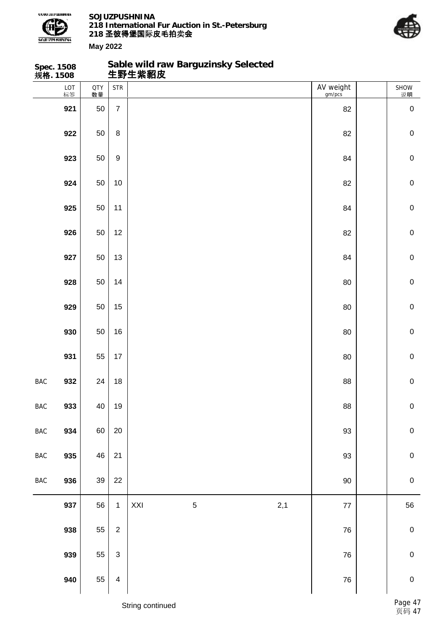

**Spec. 1508**

**SOJUZPUSHNINA 218 International Fur Auction in St.-Petersburg 218 圣彼得堡国际 卖 皮毛拍 会**

**Sable wild raw Barguzinsky Selected**



| 规格. 1508       |           |                  |                         | 生野生紫貂皮 |             |     |                     |                |
|----------------|-----------|------------------|-------------------------|--------|-------------|-----|---------------------|----------------|
|                | LOT<br>标签 | <b>QTY</b><br>数量 | <b>STR</b>              |        |             |     | AV weight<br>gm/pcs | SHOW<br>说明     |
|                | 921       | 50               | $\overline{7}$          |        |             |     | 82                  | $\pmb{0}$      |
|                | 922       | $50\,$           | 8                       |        |             |     | 82                  | $\pmb{0}$      |
|                | 923       | 50               | $\boldsymbol{9}$        |        |             |     | 84                  | $\pmb{0}$      |
|                | 924       | 50               | $10$                    |        |             |     | 82                  | $\pmb{0}$      |
|                | 925       | 50               | 11                      |        |             |     | 84                  | $\pmb{0}$      |
|                | 926       | 50               | 12                      |        |             |     | 82                  | $\pmb{0}$      |
|                | 927       | 50               | 13                      |        |             |     | 84                  | $\pmb{0}$      |
|                | 928       | 50               | 14                      |        |             |     | 80                  | $\pmb{0}$      |
|                | 929       | 50               | 15                      |        |             |     | 80                  | $\pmb{0}$      |
|                | 930       | 50               | 16                      |        |             |     | 80                  | $\pmb{0}$      |
|                | 931       | 55               | 17                      |        |             |     | 80                  | $\pmb{0}$      |
| BAC            | 932       | 24               | 18                      |        |             |     | 88                  | $\pmb{0}$      |
| $_{\rm BAC}$   | 933       | 40               | $19$                    |        |             |     | ${\bf 88}$          | $\overline{0}$ |
| $\mathsf{BAC}$ | 934       | 60               | $20\,$                  |        |             |     | 93                  | $\mathbf 0$    |
| $_{\rm BAC}$   | 935       | 46               | 21                      |        |             |     | 93                  | ${\bf 0}$      |
| $_{\rm BAC}$   | 936       | 39               | 22                      |        |             |     | $90\,$              | ${\bf 0}$      |
|                | 937       | 56               | $\mathbf 1$             | XXI    | $\,$ 5 $\,$ | 2,1 | $77\,$              | 56             |
|                | 938       | 55               | $\mathbf 2$             |        |             |     | ${\bf 76}$          | $\pmb{0}$      |
|                | 939       | 55               | $\mathsf 3$             |        |             |     | ${\bf 76}$          | ${\bf 0}$      |
|                | 940       | 55               | $\overline{\mathbf{4}}$ |        |             |     | ${\bf 76}$          | $\pmb{0}$      |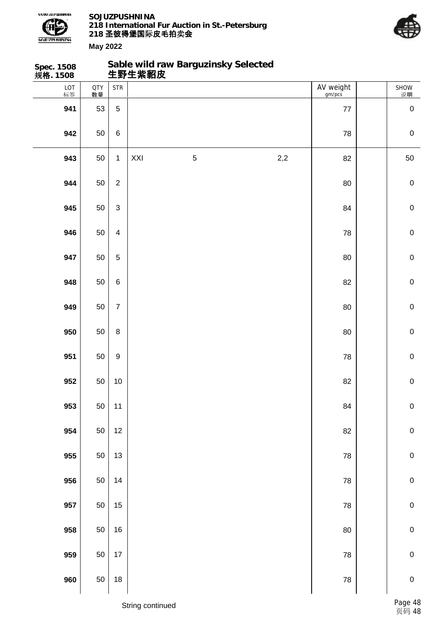

**Sable wild raw Barguzinsky Selected**



| Spec. 1508<br>规 <b>格</b> . 1508 |                  |                  |     | Sable wild raw Barguzinsky Selected<br>生野生紫貂皮 |     |                     |             |
|---------------------------------|------------------|------------------|-----|-----------------------------------------------|-----|---------------------|-------------|
| LOT<br>标签                       | <b>QTY</b><br>数量 | <b>STR</b>       |     |                                               |     | AV weight<br>gm/pcs | SHOW<br>说明  |
| 941                             | 53               | $\overline{5}$   |     |                                               |     | 77                  | $\mathbf 0$ |
| 942                             | 50               | $\,6\,$          |     |                                               |     | 78                  | $\mathbf 0$ |
| 943                             | 50               | $\mathbf{1}$     | XXI | $\mathbf 5$                                   | 2,2 | 82                  | 50          |
| 944                             | 50               | $\overline{2}$   |     |                                               |     | 80                  | $\mathbf 0$ |
| 945                             | 50               | $\mathfrak{S}$   |     |                                               |     | 84                  | $\mathbf 0$ |
| 946                             | 50               | $\overline{4}$   |     |                                               |     | 78                  | $\mathbf 0$ |
| 947                             | 50               | $\overline{5}$   |     |                                               |     | 80                  | $\mathbf 0$ |
| 948                             | 50               | $\,6\,$          |     |                                               |     | 82                  | $\mathbf 0$ |
| 949                             | 50               | $\overline{7}$   |     |                                               |     | 80                  | $\mathbf 0$ |
| 950                             | 50               | $\bf 8$          |     |                                               |     | 80                  | $\mathbf 0$ |
| 951                             | 50               | $\boldsymbol{9}$ |     |                                               |     | 78                  | $\mathbf 0$ |
| 952                             | 50               | $10\,$           |     |                                               |     | 82                  | $\mathbf 0$ |
| 953                             | 50               | 11               |     |                                               |     | 84                  | $\pmb{0}$   |
| 954                             | 50               | $12$             |     |                                               |     | 82                  | $\mathbf 0$ |
| 955                             | $50\,$           | 13               |     |                                               |     | 78                  | $\pmb{0}$   |
| 956                             | 50               | 14               |     |                                               |     | ${\bf 78}$          | $\mathbf 0$ |
| 957                             | 50               | $15\,$           |     |                                               |     | 78                  | $\mathbf 0$ |
| 958                             | 50               | $16\,$           |     |                                               |     | $80\,$              | $\pmb{0}$   |
| 959                             | 50               | 17               |     |                                               |     | 78                  | $\pmb{0}$   |
| 960                             | $50\,$           | $18\,$           |     |                                               |     | ${\bf 78}$          | $\pmb{0}$   |
|                                 |                  |                  |     |                                               |     |                     |             |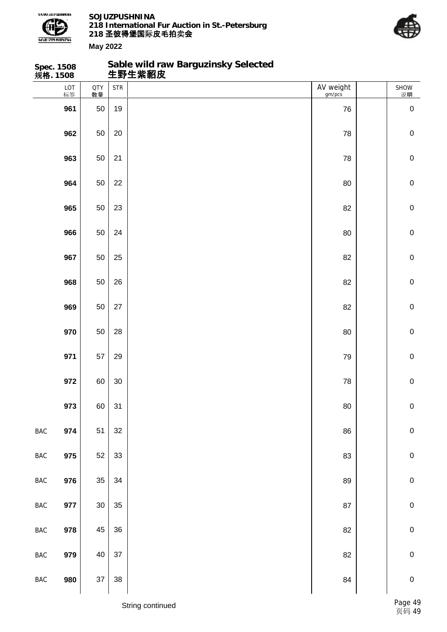

**Sable wild raw Barguzinsky Selected**



| Spec. 1508<br>规 <b>格</b> . 1508 |           |                  |            | Sable wild raw Barguzinsky Selected<br>生野生紫貂皮 |                     |             |
|---------------------------------|-----------|------------------|------------|-----------------------------------------------|---------------------|-------------|
|                                 | LOT<br>标签 | <b>QTY</b><br>数量 | <b>STR</b> |                                               | AV weight<br>gm/pcs | SHOW<br>说明  |
|                                 | 961       | 50               | 19         |                                               | 76                  | $\mathbf 0$ |
|                                 | 962       | 50               | 20         |                                               | 78                  | $\pmb{0}$   |
|                                 | 963       | 50               | 21         |                                               | 78                  | $\pmb{0}$   |
|                                 | 964       | 50               | 22         |                                               | 80                  | $\pmb{0}$   |
|                                 | 965       | 50               | 23         |                                               | 82                  | $\pmb{0}$   |
|                                 | 966       | 50               | 24         |                                               | 80                  | $\mathbf 0$ |
|                                 | 967       | 50               | 25         |                                               | 82                  | $\mathbf 0$ |
|                                 | 968       | 50               | 26         |                                               | 82                  | $\pmb{0}$   |
|                                 | 969       | 50               | 27         |                                               | 82                  | $\pmb{0}$   |
|                                 | 970       | 50               | 28         |                                               | 80                  | $\mathbf 0$ |
|                                 | 971       | 57               | 29         |                                               | 79                  | $\mathbf 0$ |
|                                 | 972       | 60               | $30\,$     |                                               | 78                  | $\pmb{0}$   |
|                                 | 973       | 60               | 31         |                                               | 80                  | $\pmb{0}$   |
| $_{\rm BAC}$                    | 974       | 51               | 32         |                                               | 86                  | $\pmb{0}$   |
| $_{\rm BAC}$                    | 975       | 52               | 33         |                                               | 83                  | $\pmb{0}$   |
| BAC                             | 976       | 35               | 34         |                                               | 89                  | $\pmb{0}$   |
| $\mathsf{BAC}$                  | 977       | $30\,$           | 35         |                                               | 87                  | $\pmb{0}$   |
| $_{\rm BAC}$                    | 978       | 45               | 36         |                                               | 82                  | $\pmb{0}$   |
| $_{\rm BAC}$                    | 979       | 40               | 37         |                                               | 82                  | $\pmb{0}$   |
| $_{\rm BAC}$                    | 980       | $37\,$           | 38         |                                               | 84                  | $\pmb{0}$   |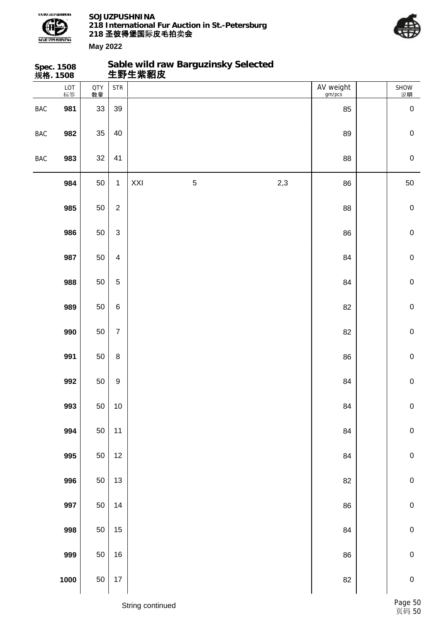



**May 2022**

| 规格. 1508   | Spec. 1508 |                  |                  | 生野生紫貂皮 | Sable wild raw Barguzinsky Selected |     |                     |             |
|------------|------------|------------------|------------------|--------|-------------------------------------|-----|---------------------|-------------|
|            | LOT<br>标签  | <b>QTY</b><br>数量 | <b>STR</b>       |        |                                     |     | AV weight<br>gm/pcs | SHOW<br>说明  |
| <b>BAC</b> | 981        | 33               | 39               |        |                                     |     | 85                  | $\pmb{0}$   |
| <b>BAC</b> | 982        | 35               | 40               |        |                                     |     | 89                  | $\pmb{0}$   |
| BAC        | 983        | 32               | 41               |        |                                     |     | 88                  | $\mathbf 0$ |
|            | 984        | 50               | $\mathbf 1$      | XXI    | $\mathbf 5$                         | 2,3 | 86                  | 50          |
|            | 985        | 50               | $\overline{2}$   |        |                                     |     | 88                  | $\mathbf 0$ |
|            | 986        | 50               | $\sqrt{3}$       |        |                                     |     | 86                  | $\pmb{0}$   |
|            | 987        | 50               | $\overline{4}$   |        |                                     |     | 84                  | $\mathbf 0$ |
|            | 988        | 50               | $\mathbf 5$      |        |                                     |     | 84                  | $\mathbf 0$ |
|            | 989        | 50               | $\,6$            |        |                                     |     | 82                  | $\mathbf 0$ |
|            | 990        | 50               | $\overline{7}$   |        |                                     |     | 82                  | $\mathbf 0$ |
|            | 991        | 50               | $\, 8$           |        |                                     |     | 86                  | $\mathbf 0$ |
|            | 992        | 50               | $\boldsymbol{9}$ |        |                                     |     | 84                  | $\mathbf 0$ |
|            | 993        | 50               | $10$             |        |                                     |     | 84                  | ${\bf 0}$   |
|            | 994        | 50               | 11               |        |                                     |     | 84                  | ${\bf 0}$   |
|            | 995        | 50               | $12$             |        |                                     |     | 84                  | $\mathbf 0$ |
|            | 996        | 50               | 13               |        |                                     |     | 82                  | ${\bf 0}$   |
|            | 997        | 50               | 14               |        |                                     |     | 86                  | ${\bf 0}$   |
|            | 998        | 50               | 15               |        |                                     |     | 84                  | ${\bf 0}$   |
|            | 999        | 50               | 16               |        |                                     |     | 86                  | $\mathbf 0$ |
|            | 1000       | 50               | $17$             |        |                                     |     | 82                  | $\mathbf 0$ |

String continued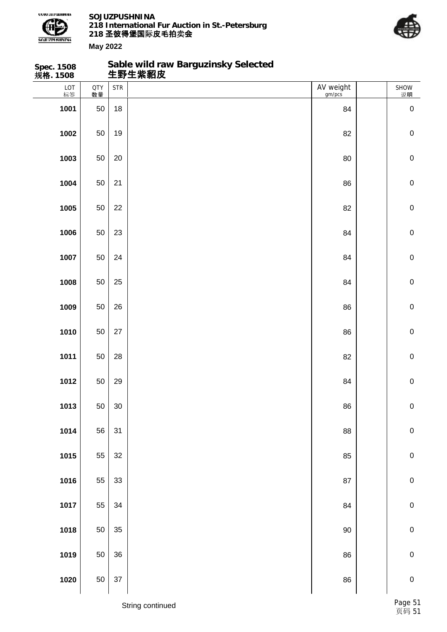

**Sable wild raw Barguzinsky Selected**



| Spec. 1508<br>规 <b>格</b> . 1508 |                  |            | Sable wild raw Barguzinsky Selected<br>生野生紫貂皮 |                     |             |
|---------------------------------|------------------|------------|-----------------------------------------------|---------------------|-------------|
| LOT<br>标签                       | <b>QTY</b><br>数量 | <b>STR</b> |                                               | AV weight<br>gm/pcs | SHOW<br>说明  |
| 1001                            | 50               | 18         |                                               | 84                  | $\pmb{0}$   |
| 1002                            | 50               | 19         |                                               | 82                  | $\pmb{0}$   |
| 1003                            | 50               | 20         |                                               | 80                  | $\mathbf 0$ |
| 1004                            | 50               | 21         |                                               | 86                  | $\pmb{0}$   |
| 1005                            | 50               | 22         |                                               | 82                  | $\mathbf 0$ |
| 1006                            | 50               | 23         |                                               | 84                  | $\mathbf 0$ |
| 1007                            | 50               | 24         |                                               | 84                  | $\mathbf 0$ |
| 1008                            | 50               | 25         |                                               | 84                  | $\pmb{0}$   |
| 1009                            | 50               | 26         |                                               | 86                  | $\pmb{0}$   |
| 1010                            | 50               | 27         |                                               | 86                  | $\mathbf 0$ |
| 1011                            | 50               | 28         |                                               | 82                  | $\mathbf 0$ |
| 1012                            | 50               | 29         |                                               | 84                  | $\pmb{0}$   |
| 1013                            | 50               | $30\,$     |                                               | 86                  | $\pmb{0}$   |
| 1014                            | 56               | 31         |                                               | 88                  | $\pmb{0}$   |
| 1015                            | 55               | 32         |                                               | 85                  | $\pmb{0}$   |
| 1016                            | 55               | 33         |                                               | 87                  | ${\bf 0}$   |
| 1017                            | 55               | 34         |                                               | 84                  | $\pmb{0}$   |
| 1018                            | 50               | 35         |                                               | $90\,$              | $\pmb{0}$   |
| 1019                            | 50               | 36         |                                               | 86                  | $\pmb{0}$   |
| 1020                            | $50\,$           | $37\,$     |                                               | 86                  | ${\bf 0}$   |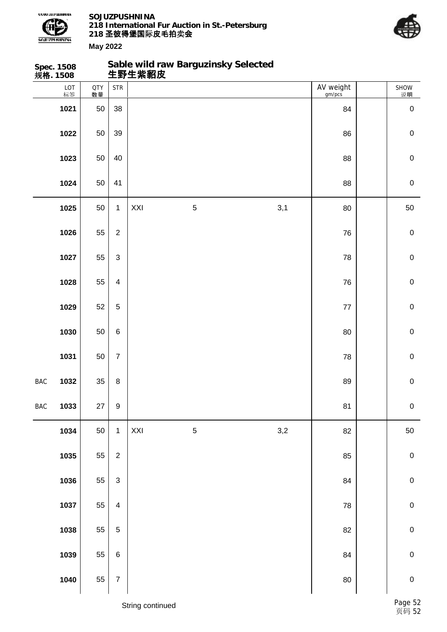

**Sable wild raw Barguzinsky Selected**



|            | Spec. 1508<br>规 <b>格</b> . 1508 |                  |                           |     | Sable wild raw Barguzinsky Selected<br>生野生紫貂皮 |     |                     |             |
|------------|---------------------------------|------------------|---------------------------|-----|-----------------------------------------------|-----|---------------------|-------------|
|            | LOT<br>标签                       | <b>QTY</b><br>数量 | <b>STR</b>                |     |                                               |     | AV weight<br>gm/pcs | SHOW<br>说明  |
|            | 1021                            | 50               | 38                        |     |                                               |     | 84                  | $\pmb{0}$   |
|            | 1022                            | 50               | 39                        |     |                                               |     | 86                  | $\mathbf 0$ |
|            | 1023                            | 50               | 40                        |     |                                               |     | 88                  | $\pmb{0}$   |
|            | 1024                            | 50               | 41                        |     |                                               |     | 88                  | $\mathbf 0$ |
|            | 1025                            | 50               | $\mathbf{1}$              | XXI | $\sqrt{5}$                                    | 3,1 | 80                  | 50          |
|            | 1026                            | 55               | $\overline{2}$            |     |                                               |     | 76                  | $\mathbf 0$ |
|            | 1027                            | 55               | $\mathfrak{S}$            |     |                                               |     | 78                  | $\pmb{0}$   |
|            | 1028                            | 55               | $\overline{4}$            |     |                                               |     | 76                  | $\pmb{0}$   |
|            | 1029                            | 52               | $\sqrt{5}$                |     |                                               |     | $77 \,$             | $\mathbf 0$ |
|            | 1030                            | 50               | $\,6$                     |     |                                               |     | 80                  | $\mathbf 0$ |
|            | 1031                            | 50               | $\overline{7}$            |     |                                               |     | 78                  | $\pmb{0}$   |
| BAC        | 1032                            | 35               | $\bf 8$                   |     |                                               |     | 89                  | $\mathbf 0$ |
| <b>BAC</b> | 1033                            | 27               | $\boldsymbol{9}$          |     |                                               |     | 81                  | $\pmb{0}$   |
|            | 1034                            | 50               | $\mathbf{1}$              | XXI | $\sqrt{5}$                                    | 3,2 | 82                  | $50\,$      |
|            | 1035                            | 55               | $\overline{2}$            |     |                                               |     | 85                  | $\pmb{0}$   |
|            | 1036                            | 55               | $\ensuremath{\mathsf{3}}$ |     |                                               |     | 84                  | $\pmb{0}$   |
|            | 1037                            | 55               | $\overline{4}$            |     |                                               |     | 78                  | $\pmb{0}$   |
|            | 1038                            | 55               | $\mathbf 5$               |     |                                               |     | 82                  | $\pmb{0}$   |
|            | 1039                            | 55               | $\,6\,$                   |     |                                               |     | 84                  | $\pmb{0}$   |
|            | 1040                            | 55               | $\boldsymbol{7}$          |     |                                               |     | $80\,$              | $\pmb{0}$   |
|            |                                 |                  |                           |     |                                               |     |                     |             |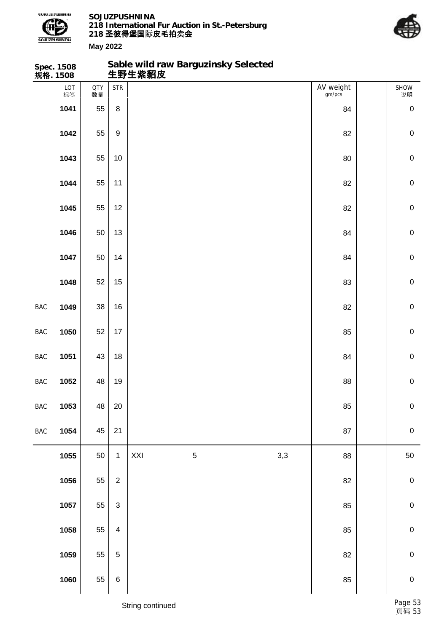

**Sable wild raw Barguzinsky Selected**



**May 2022**

|            | Spec. 1508<br>规 <b>格</b> . 1508 |                  |                           |     | Sable wild raw Barguzinsky Selected<br>生野生紫貂皮 |     |                     |             |
|------------|---------------------------------|------------------|---------------------------|-----|-----------------------------------------------|-----|---------------------|-------------|
|            | LOT<br>标签                       | <b>QTY</b><br>数量 | <b>STR</b>                |     |                                               |     | AV weight<br>gm/pcs | SHOW<br>说明  |
|            | 1041                            | 55               | $\bf 8$                   |     |                                               |     | 84                  | $\pmb{0}$   |
|            | 1042                            | 55               | $\boldsymbol{9}$          |     |                                               |     | 82                  | $\mathbf 0$ |
|            | 1043                            | 55               | $10$                      |     |                                               |     | 80                  | $\pmb{0}$   |
|            | 1044                            | 55               | 11                        |     |                                               |     | 82                  | $\pmb{0}$   |
|            | 1045                            | 55               | 12                        |     |                                               |     | 82                  | $\mathbf 0$ |
|            | 1046                            | 50               | 13                        |     |                                               |     | 84                  | $\mathbf 0$ |
|            | 1047                            | 50               | 14                        |     |                                               |     | 84                  | $\pmb{0}$   |
|            | 1048                            | 52               | 15                        |     |                                               |     | 83                  | $\pmb{0}$   |
| BAC        | 1049                            | 38               | 16                        |     |                                               |     | 82                  | $\mathbf 0$ |
| BAC        | 1050                            | 52               | $17$                      |     |                                               |     | 85                  | $\mathbf 0$ |
| <b>BAC</b> | 1051                            | 43               | 18                        |     |                                               |     | 84                  | $\pmb{0}$   |
| BAC        | 1052                            | 48               | 19                        |     |                                               |     | 88                  | $\pmb{0}$   |
| <b>BAC</b> | 1053                            | 48               | 20                        |     |                                               |     | 85                  | ${\bf 0}$   |
| BAC        | 1054                            | 45               | 21                        |     |                                               |     | 87                  | $\pmb{0}$   |
|            | 1055                            | 50               | $\mathbf{1}$              | XXI | $\,$ 5 $\,$                                   | 3,3 | 88                  | $50\,$      |
|            | 1056                            | 55               | $\overline{c}$            |     |                                               |     | 82                  | $\pmb{0}$   |
|            | 1057                            | 55               | $\ensuremath{\mathsf{3}}$ |     |                                               |     | 85                  | $\pmb{0}$   |
|            | 1058                            | 55               | $\overline{\mathbf{4}}$   |     |                                               |     | 85                  | $\pmb{0}$   |
|            | 1059                            | 55               | $\sqrt{5}$                |     |                                               |     | 82                  | $\pmb{0}$   |
|            | 1060                            | 55               | $\,6$                     |     |                                               |     | 85                  | $\pmb{0}$   |
|            |                                 |                  |                           |     |                                               |     |                     |             |

String continued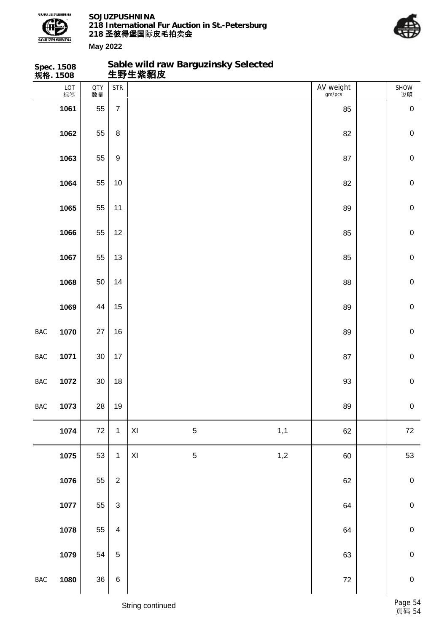

**Sable wild raw Barguzinsky Selected**



**May 2022**

|            | Spec. 1508<br>规 <b>格</b> . 1508 |                  |                           | 生野生紫貂皮         | Sable wild raw Barguzinsky Selected |     |                     |             |
|------------|---------------------------------|------------------|---------------------------|----------------|-------------------------------------|-----|---------------------|-------------|
|            | LOT<br>标签                       | <b>QTY</b><br>数量 | <b>STR</b>                |                |                                     |     | AV weight<br>gm/pcs | SHOW<br>说明  |
|            | 1061                            | 55               | $\overline{7}$            |                |                                     |     | 85                  | $\mathbf 0$ |
|            | 1062                            | 55               | 8                         |                |                                     |     | 82                  | $\mathbf 0$ |
|            | 1063                            | 55               | $\boldsymbol{9}$          |                |                                     |     | 87                  | $\mathbf 0$ |
|            | 1064                            | 55               | 10                        |                |                                     |     | 82                  | $\mathbf 0$ |
|            | 1065                            | 55               | 11                        |                |                                     |     | 89                  | $\mathbf 0$ |
|            | 1066                            | 55               | 12                        |                |                                     |     | 85                  | $\mathbf 0$ |
|            | 1067                            | 55               | 13                        |                |                                     |     | 85                  | $\mathbf 0$ |
|            | 1068                            | 50               | 14                        |                |                                     |     | 88                  | $\mathbf 0$ |
|            | 1069                            | 44               | 15                        |                |                                     |     | 89                  | $\mathbf 0$ |
| <b>BAC</b> | 1070                            | 27               | 16                        |                |                                     |     | 89                  | $\mathbf 0$ |
| <b>BAC</b> | 1071                            | 30               | 17                        |                |                                     |     | 87                  | $\mathbf 0$ |
| <b>BAC</b> | 1072                            | $30\,$           | 18                        |                |                                     |     | 93                  | $\mathbf 0$ |
| <b>BAC</b> | 1073                            | 28               | 19                        |                |                                     |     | 89                  | $\pmb{0}$   |
|            | 1074                            | $72\,$           | $\mathbf{1}$              | $\mathsf{XI}$  | $\mathbf 5$                         | 1,1 | 62                  | 72          |
|            | 1075                            | 53               | $\mathbf{1}$              | $\pmb{\times}$ | $\mathbf 5$                         | 1,2 | 60                  | 53          |
|            | 1076                            | 55               | $\overline{2}$            |                |                                     |     | 62                  | $\pmb{0}$   |
|            | 1077                            | 55               | $\ensuremath{\mathsf{3}}$ |                |                                     |     | 64                  | $\mathbf 0$ |
|            | 1078                            | 55               | $\overline{\mathbf{4}}$   |                |                                     |     | 64                  | $\pmb{0}$   |
|            | 1079                            | 54               | 5                         |                |                                     |     | 63                  | $\mathbf 0$ |
| <b>BAC</b> | 1080                            | 36               | $\,6$                     |                |                                     |     | $72\,$              | $\mathbf 0$ |
|            |                                 |                  |                           |                |                                     |     |                     |             |

String continued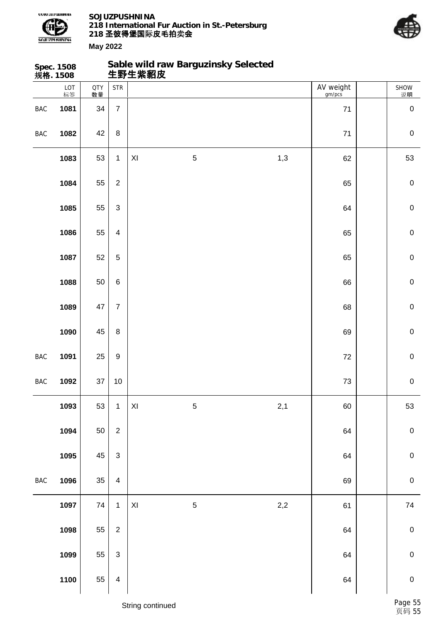



|                | <b>Spec. 1508</b><br>规格. 1508 |                  |                         |                |             | Sable wild raw Barguzinsky Selected<br>生野生紫貂皮 |                     |             |
|----------------|-------------------------------|------------------|-------------------------|----------------|-------------|-----------------------------------------------|---------------------|-------------|
|                | LOT<br>标签                     | <b>QTY</b><br>数量 | <b>STR</b>              |                |             |                                               | AV weight<br>gm/pcs | SHOW<br>说明  |
| BAC            | 1081                          | 34               | $\overline{7}$          |                |             |                                               | $71$                | $\mathbf 0$ |
| BAC            | 1082                          | 42               | $\, 8$                  |                |             |                                               | $71$                | $\mathbf 0$ |
|                | 1083                          | 53               | $\mathbf{1}$            | XI             | $\mathbf 5$ | 1,3                                           | 62                  | 53          |
|                | 1084                          | 55               | $\sqrt{2}$              |                |             |                                               | 65                  | $\mathbf 0$ |
|                | 1085                          | 55               | $\mathfrak{S}$          |                |             |                                               | 64                  | $\mathbf 0$ |
|                | 1086                          | 55               | $\overline{\mathbf{4}}$ |                |             |                                               | 65                  | $\mathbf 0$ |
|                | 1087                          | 52               | $\mathbf 5$             |                |             |                                               | 65                  | $\mathbf 0$ |
|                | 1088                          | 50               | $\,6$                   |                |             |                                               | 66                  | $\pmb{0}$   |
|                | 1089                          | 47               | $\overline{7}$          |                |             |                                               | 68                  | $\mathbf 0$ |
|                | 1090                          | 45               | $\, 8$                  |                |             |                                               | 69                  | $\mathbf 0$ |
| BAC            | 1091                          | 25               | $\boldsymbol{9}$        |                |             |                                               | 72                  | $\mathbf 0$ |
| BAC            | 1092                          | 37               | $10$                    |                |             |                                               | $73\,$              | $\mathbf 0$ |
|                | 1093                          | 53               | $\mathbf{1}$            | XI             | $\sqrt{5}$  | 2,1                                           | 60                  | 53          |
|                | 1094                          | 50               | $\boldsymbol{2}$        |                |             |                                               | 64                  | $\pmb{0}$   |
|                | 1095                          | 45               | $\mathbf{3}$            |                |             |                                               | 64                  | $\mathbf 0$ |
| $\mathsf{BAC}$ | 1096                          | 35               | $\overline{\mathbf{4}}$ |                |             |                                               | 69                  | $\mathbf 0$ |
|                | 1097                          | 74               | $\mathbf{1}$            | $\pmb{\times}$ | $\mathbf 5$ | $2,\!2$                                       | 61                  | 74          |
|                | 1098                          | 55               | $\boldsymbol{2}$        |                |             |                                               | 64                  | $\pmb{0}$   |
|                | 1099                          | 55               | $\mathbf{3}$            |                |             |                                               | 64                  | $\mathbf 0$ |
|                | 1100                          | 55               | $\overline{\mathbf{4}}$ |                |             |                                               | 64                  | $\mathbf 0$ |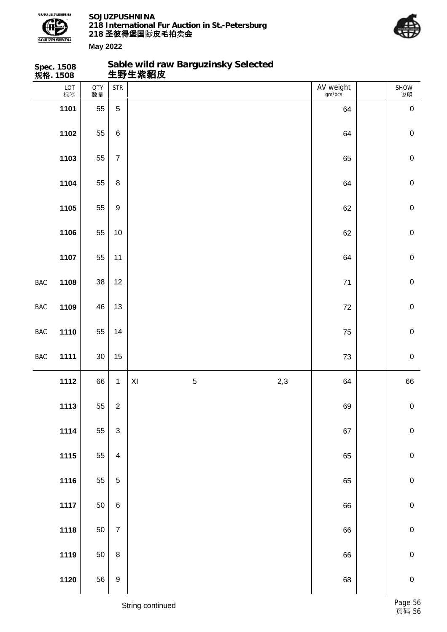

**Sable wild raw Barguzinsky Selected**



| AV weight<br>gm/pcs<br>LOT<br><b>STR</b><br>QTY<br>数量<br>标签<br>$\overline{5}$<br>1101<br>55<br>64<br>55<br>1102<br>$\,6$<br>64<br>55<br>1103<br>$\overline{7}$<br>65<br>55<br>1104<br>$\bf 8$<br>64<br>55<br>1105<br>$\boldsymbol{9}$<br>62<br>55<br>1106<br>$10$<br>62<br>55<br>1107<br>11<br>64<br>38<br>1108<br>12<br>BAC<br>71<br>46<br>13<br>1109<br>72<br>BAC<br>55<br>1110<br>14<br>75<br>BAC<br>$30\,$<br>15<br>1111<br>73<br><b>BAC</b><br>5<br>2,3<br>66<br>$\pmb{\mathsf{XI}}$<br>1112<br>$\mathbf{1}$<br>64<br>55<br>1113<br>$\overline{c}$<br>69<br>1114<br>55<br>$\ensuremath{\mathsf{3}}$<br>67<br>1115<br>55<br>$\overline{\mathbf{4}}$<br>65 | Spec. 1508<br>规 <b>格</b> . 1508 |                   | Sable wild raw Barguzinsky Selected<br>生野生紫貂皮 |    |             |
|---------------------------------------------------------------------------------------------------------------------------------------------------------------------------------------------------------------------------------------------------------------------------------------------------------------------------------------------------------------------------------------------------------------------------------------------------------------------------------------------------------------------------------------------------------------------------------------------------------------------------------------------------------------|---------------------------------|-------------------|-----------------------------------------------|----|-------------|
|                                                                                                                                                                                                                                                                                                                                                                                                                                                                                                                                                                                                                                                               |                                 |                   |                                               |    | SHOW<br>说明  |
|                                                                                                                                                                                                                                                                                                                                                                                                                                                                                                                                                                                                                                                               |                                 |                   |                                               |    | $\mathbf 0$ |
|                                                                                                                                                                                                                                                                                                                                                                                                                                                                                                                                                                                                                                                               |                                 |                   |                                               |    | $\mathbf 0$ |
|                                                                                                                                                                                                                                                                                                                                                                                                                                                                                                                                                                                                                                                               |                                 |                   |                                               |    | $\mathbf 0$ |
|                                                                                                                                                                                                                                                                                                                                                                                                                                                                                                                                                                                                                                                               |                                 |                   |                                               |    | $\mathbf 0$ |
|                                                                                                                                                                                                                                                                                                                                                                                                                                                                                                                                                                                                                                                               |                                 |                   |                                               |    | $\mathbf 0$ |
|                                                                                                                                                                                                                                                                                                                                                                                                                                                                                                                                                                                                                                                               |                                 |                   |                                               |    | $\mathbf 0$ |
|                                                                                                                                                                                                                                                                                                                                                                                                                                                                                                                                                                                                                                                               |                                 |                   |                                               |    | $\mathbf 0$ |
|                                                                                                                                                                                                                                                                                                                                                                                                                                                                                                                                                                                                                                                               |                                 |                   |                                               |    | $\mathbf 0$ |
|                                                                                                                                                                                                                                                                                                                                                                                                                                                                                                                                                                                                                                                               |                                 |                   |                                               |    | $\mathbf 0$ |
|                                                                                                                                                                                                                                                                                                                                                                                                                                                                                                                                                                                                                                                               |                                 |                   |                                               |    | $\mathbf 0$ |
|                                                                                                                                                                                                                                                                                                                                                                                                                                                                                                                                                                                                                                                               |                                 |                   |                                               |    | $\mathbf 0$ |
|                                                                                                                                                                                                                                                                                                                                                                                                                                                                                                                                                                                                                                                               |                                 |                   |                                               |    | 66          |
|                                                                                                                                                                                                                                                                                                                                                                                                                                                                                                                                                                                                                                                               |                                 |                   |                                               |    | $\pmb{0}$   |
|                                                                                                                                                                                                                                                                                                                                                                                                                                                                                                                                                                                                                                                               |                                 |                   |                                               |    | $\pmb{0}$   |
|                                                                                                                                                                                                                                                                                                                                                                                                                                                                                                                                                                                                                                                               |                                 |                   |                                               |    | $\pmb{0}$   |
|                                                                                                                                                                                                                                                                                                                                                                                                                                                                                                                                                                                                                                                               | 1116                            | 55<br>$\mathbf 5$ |                                               | 65 | $\pmb{0}$   |
| 50<br>1117<br>$\,6\,$<br>66                                                                                                                                                                                                                                                                                                                                                                                                                                                                                                                                                                                                                                   |                                 |                   |                                               |    | $\pmb{0}$   |
| 1118<br>50<br>$\overline{7}$<br>66                                                                                                                                                                                                                                                                                                                                                                                                                                                                                                                                                                                                                            |                                 |                   |                                               |    | $\mathbf 0$ |
| 1119<br>$50\,$<br>$\bf 8$<br>66                                                                                                                                                                                                                                                                                                                                                                                                                                                                                                                                                                                                                               |                                 |                   |                                               |    | $\pmb{0}$   |
| 56<br>1120<br>$\boldsymbol{9}$<br>68                                                                                                                                                                                                                                                                                                                                                                                                                                                                                                                                                                                                                          |                                 |                   |                                               |    | $\pmb{0}$   |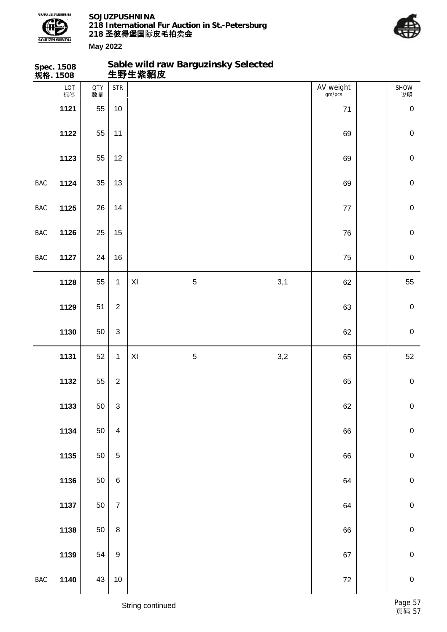

**Sable wild raw Barguzinsky Selected**



| LOT<br>AV weight<br><b>STR</b><br>QTY<br>数量<br>SHOW<br>标签<br>gm/pcs<br>说明<br>1121<br>55<br>10<br>71<br>$\pmb{0}$<br>55<br>1122<br>$\mathbf 0$<br>11<br>69<br>55<br>1123<br>12<br>$\pmb{0}$<br>69<br>35<br>1124<br>$\pmb{0}$<br><b>BAC</b><br>13<br>69<br>26<br>1125<br>$\boldsymbol{0}$<br>14<br><b>BAC</b><br>$77$<br>25<br>$\mathbf 0$<br>1126<br>15<br>76<br><b>BAC</b><br>24<br>16<br>$\pmb{0}$<br>1127<br>BAC<br>75<br>55<br>$\mathbf 5$<br>3,1<br>55<br>1128<br>$\mathbf{1}$<br>XI<br>62<br>1129<br>51<br>$\overline{2}$<br>$\mathbf 0$<br>63<br>1130<br>50<br>$\mathfrak{S}$<br>$\mathbf 0$<br>62<br>52<br>$\,$ 5 $\,$<br>3,2<br>1131<br>$\mathbf{1}$<br>XI<br>65<br>55<br>$\overline{2}$<br>1132<br>$\pmb{0}$<br>65<br>50<br>1133<br>$\mathfrak{S}$<br>62<br>$\pmb{0}$<br>1134<br>50<br>$\pmb{0}$<br>66<br>$\overline{\mathbf{4}}$<br>1135<br>50<br>$\pmb{0}$<br>$\mathbf 5$<br>66<br>$\pmb{0}$<br>1136<br>50<br>$\,6$<br>64<br>50<br>1137<br>$\pmb{0}$<br>$\overline{7}$<br>64<br>50<br>$\pmb{0}$<br>1138<br>$\bf 8$<br>66<br>1139<br>54<br>$\pmb{0}$<br>$\boldsymbol{9}$<br>67<br>1140<br>43<br>$\pmb{0}$<br>$\bf 72$<br><b>BAC</b><br>$10$ | Spec. 1508<br>规 <b>格</b> . 1508 |  | Sable wild raw Barguzinsky Selected<br>生野生紫貂皮 |  |  |    |
|-------------------------------------------------------------------------------------------------------------------------------------------------------------------------------------------------------------------------------------------------------------------------------------------------------------------------------------------------------------------------------------------------------------------------------------------------------------------------------------------------------------------------------------------------------------------------------------------------------------------------------------------------------------------------------------------------------------------------------------------------------------------------------------------------------------------------------------------------------------------------------------------------------------------------------------------------------------------------------------------------------------------------------------------------------------------------------------------------------------------------------------------------------|---------------------------------|--|-----------------------------------------------|--|--|----|
|                                                                                                                                                                                                                                                                                                                                                                                                                                                                                                                                                                                                                                                                                                                                                                                                                                                                                                                                                                                                                                                                                                                                                       |                                 |  |                                               |  |  |    |
|                                                                                                                                                                                                                                                                                                                                                                                                                                                                                                                                                                                                                                                                                                                                                                                                                                                                                                                                                                                                                                                                                                                                                       |                                 |  |                                               |  |  |    |
|                                                                                                                                                                                                                                                                                                                                                                                                                                                                                                                                                                                                                                                                                                                                                                                                                                                                                                                                                                                                                                                                                                                                                       |                                 |  |                                               |  |  |    |
|                                                                                                                                                                                                                                                                                                                                                                                                                                                                                                                                                                                                                                                                                                                                                                                                                                                                                                                                                                                                                                                                                                                                                       |                                 |  |                                               |  |  |    |
|                                                                                                                                                                                                                                                                                                                                                                                                                                                                                                                                                                                                                                                                                                                                                                                                                                                                                                                                                                                                                                                                                                                                                       |                                 |  |                                               |  |  |    |
|                                                                                                                                                                                                                                                                                                                                                                                                                                                                                                                                                                                                                                                                                                                                                                                                                                                                                                                                                                                                                                                                                                                                                       |                                 |  |                                               |  |  |    |
|                                                                                                                                                                                                                                                                                                                                                                                                                                                                                                                                                                                                                                                                                                                                                                                                                                                                                                                                                                                                                                                                                                                                                       |                                 |  |                                               |  |  |    |
|                                                                                                                                                                                                                                                                                                                                                                                                                                                                                                                                                                                                                                                                                                                                                                                                                                                                                                                                                                                                                                                                                                                                                       |                                 |  |                                               |  |  |    |
|                                                                                                                                                                                                                                                                                                                                                                                                                                                                                                                                                                                                                                                                                                                                                                                                                                                                                                                                                                                                                                                                                                                                                       |                                 |  |                                               |  |  |    |
|                                                                                                                                                                                                                                                                                                                                                                                                                                                                                                                                                                                                                                                                                                                                                                                                                                                                                                                                                                                                                                                                                                                                                       |                                 |  |                                               |  |  |    |
|                                                                                                                                                                                                                                                                                                                                                                                                                                                                                                                                                                                                                                                                                                                                                                                                                                                                                                                                                                                                                                                                                                                                                       |                                 |  |                                               |  |  |    |
|                                                                                                                                                                                                                                                                                                                                                                                                                                                                                                                                                                                                                                                                                                                                                                                                                                                                                                                                                                                                                                                                                                                                                       |                                 |  |                                               |  |  | 52 |
|                                                                                                                                                                                                                                                                                                                                                                                                                                                                                                                                                                                                                                                                                                                                                                                                                                                                                                                                                                                                                                                                                                                                                       |                                 |  |                                               |  |  |    |
|                                                                                                                                                                                                                                                                                                                                                                                                                                                                                                                                                                                                                                                                                                                                                                                                                                                                                                                                                                                                                                                                                                                                                       |                                 |  |                                               |  |  |    |
|                                                                                                                                                                                                                                                                                                                                                                                                                                                                                                                                                                                                                                                                                                                                                                                                                                                                                                                                                                                                                                                                                                                                                       |                                 |  |                                               |  |  |    |
|                                                                                                                                                                                                                                                                                                                                                                                                                                                                                                                                                                                                                                                                                                                                                                                                                                                                                                                                                                                                                                                                                                                                                       |                                 |  |                                               |  |  |    |
|                                                                                                                                                                                                                                                                                                                                                                                                                                                                                                                                                                                                                                                                                                                                                                                                                                                                                                                                                                                                                                                                                                                                                       |                                 |  |                                               |  |  |    |
|                                                                                                                                                                                                                                                                                                                                                                                                                                                                                                                                                                                                                                                                                                                                                                                                                                                                                                                                                                                                                                                                                                                                                       |                                 |  |                                               |  |  |    |
|                                                                                                                                                                                                                                                                                                                                                                                                                                                                                                                                                                                                                                                                                                                                                                                                                                                                                                                                                                                                                                                                                                                                                       |                                 |  |                                               |  |  |    |
|                                                                                                                                                                                                                                                                                                                                                                                                                                                                                                                                                                                                                                                                                                                                                                                                                                                                                                                                                                                                                                                                                                                                                       |                                 |  |                                               |  |  |    |
|                                                                                                                                                                                                                                                                                                                                                                                                                                                                                                                                                                                                                                                                                                                                                                                                                                                                                                                                                                                                                                                                                                                                                       |                                 |  |                                               |  |  |    |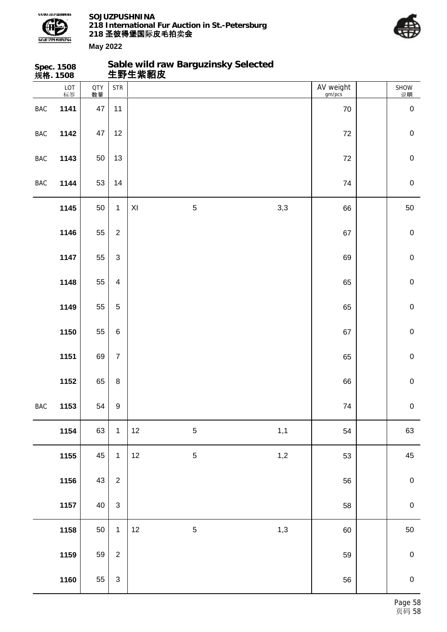



|            | Spec. 1508<br>规格. 1508 |                  |                         |      | Sable wild raw Barguzinsky Selected<br>生野生紫貂皮 |     |                     |             |
|------------|------------------------|------------------|-------------------------|------|-----------------------------------------------|-----|---------------------|-------------|
|            | $LOT$ 标签               | <b>QTY</b><br>数量 | <b>STR</b>              |      |                                               |     | AV weight<br>gm/pcs | SHOW<br>说明  |
| BAC        | 1141                   | $47\,$           | 11                      |      |                                               |     | 70                  | $\mathbf 0$ |
| BAC        | 1142                   | 47               | 12                      |      |                                               |     | 72                  | $\pmb{0}$   |
| BAC        | 1143                   | 50               | 13                      |      |                                               |     | $72\,$              | $\pmb{0}$   |
| BAC        | 1144                   | 53               | 14                      |      |                                               |     | 74                  | $\pmb{0}$   |
|            | 1145                   | 50               | $\mathbf{1}$            | XI   | $\mathbf 5$                                   | 3,3 | 66                  | 50          |
|            | 1146                   | 55               | $\overline{2}$          |      |                                               |     | 67                  | $\pmb{0}$   |
|            | 1147                   | 55               | $\mathfrak{Z}$          |      |                                               |     | 69                  | $\pmb{0}$   |
|            | 1148                   | 55               | $\overline{\mathbf{4}}$ |      |                                               |     | 65                  | $\pmb{0}$   |
|            | 1149                   | 55               | $\sqrt{5}$              |      |                                               |     | 65                  | $\mathbf 0$ |
|            | 1150                   | 55               | $\,6\,$                 |      |                                               |     | 67                  | $\pmb{0}$   |
|            | 1151                   | 69               | $\boldsymbol{7}$        |      |                                               |     | 65                  | $\pmb{0}$   |
|            | 1152                   | 65               | $\,8\,$                 |      |                                               |     | 66                  | $\pmb{0}$   |
| <b>BAC</b> | 1153                   | 54               | $\boldsymbol{9}$        |      |                                               |     | 74                  | $\pmb{0}$   |
|            | 1154                   | 63               | $\mathbf{1}$            | 12   | $\mathbf 5$                                   | 1,1 | 54                  | 63          |
|            | 1155                   | 45               | $\mathbf{1}$            | 12   | $\sqrt{5}$                                    | 1,2 | 53                  | 45          |
|            | 1156                   | 43               | $\overline{2}$          |      |                                               |     | 56                  | $\pmb{0}$   |
|            | 1157                   | 40               | $\sqrt{3}$              |      |                                               |     | 58                  | $\pmb{0}$   |
|            | 1158                   | 50               | $\mathbf{1}$            | $12$ | $\sqrt{5}$                                    | 1,3 | 60                  | 50          |
|            | 1159                   | 59               | $\overline{2}$          |      |                                               |     | 59                  | $\pmb{0}$   |
|            | 1160                   | 55               | $\mathsf 3$             |      |                                               |     | 56                  | $\pmb{0}$   |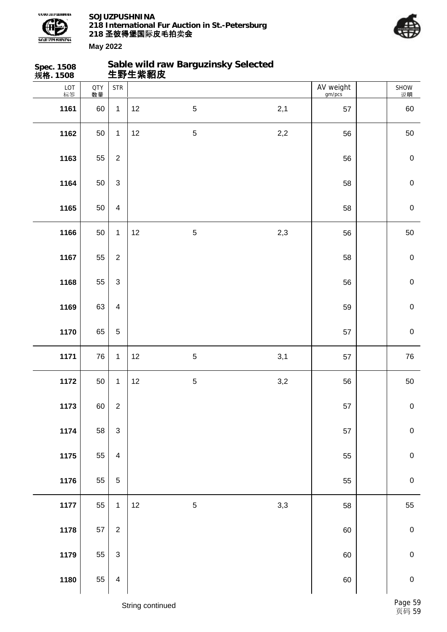



| Spec. 1508<br>规 <b>格</b> . 1508 |                  |                                    | 生野生紫貂皮 |                | Sable wild raw Barguzinsky Selected |                     |             |
|---------------------------------|------------------|------------------------------------|--------|----------------|-------------------------------------|---------------------|-------------|
| LOT<br>标签                       | <b>QTY</b><br>数量 | $\ensuremath{\mathsf{STR}}\xspace$ |        |                |                                     | AV weight<br>gm/pcs | SHOW<br>说明  |
| 1161                            | 60               | $\mathbf{1}$                       | 12     | $\overline{5}$ | 2,1                                 | 57                  | 60          |
| 1162                            | 50               | $\mathbf{1}$                       | 12     | $\sqrt{5}$     | 2,2                                 | 56                  | 50          |
| 1163                            | 55               | $\overline{2}$                     |        |                |                                     | 56                  | $\pmb{0}$   |
| 1164                            | 50               | $\mathfrak{S}$                     |        |                |                                     | 58                  | $\pmb{0}$   |
| 1165                            | 50               | $\overline{4}$                     |        |                |                                     | 58                  | $\mathbf 0$ |
| 1166                            | 50               | $\mathbf{1}$                       | 12     | $\sqrt{5}$     | 2,3                                 | 56                  | 50          |
| 1167                            | 55               | $\overline{2}$                     |        |                |                                     | 58                  | $\mathbf 0$ |
| 1168                            | 55               | $\mathfrak{S}$                     |        |                |                                     | 56                  | $\mathbf 0$ |
| 1169                            | 63               | $\overline{4}$                     |        |                |                                     | 59                  | $\mathbf 0$ |
| 1170                            | 65               | $\overline{5}$                     |        |                |                                     | 57                  | $\mathbf 0$ |
| 1171                            | 76               | $\mathbf{1}$                       | 12     | $\sqrt{5}$     | 3,1                                 | 57                  | 76          |
| 1172                            | 50               | $\mathbf{1}$                       | 12     | $\mathbf 5$    | 3,2                                 | 56                  | $50\,$      |
| 1173                            | 60               | $\sqrt{2}$                         |        |                |                                     | 57                  | $\pmb{0}$   |
| 1174                            | 58               | $\ensuremath{\mathsf{3}}$          |        |                |                                     | 57                  | $\pmb{0}$   |
| 1175                            | 55               | $\overline{\mathbf{4}}$            |        |                |                                     | 55                  | ${\bf 0}$   |
| 1176                            | 55               | $\sqrt{5}$                         |        |                |                                     | 55                  | $\mathbf 0$ |
| 1177                            | 55               | $\mathbf{1}$                       | 12     | $\sqrt{5}$     | 3,3                                 | 58                  | 55          |
| 1178                            | 57               | $\overline{2}$                     |        |                |                                     | 60                  | $\pmb{0}$   |
| 1179                            | 55               | $\sqrt{3}$                         |        |                |                                     | 60                  | ${\bf 0}$   |
| 1180                            | 55               | $\overline{\mathbf{4}}$            |        |                |                                     | 60                  | $\mathbf 0$ |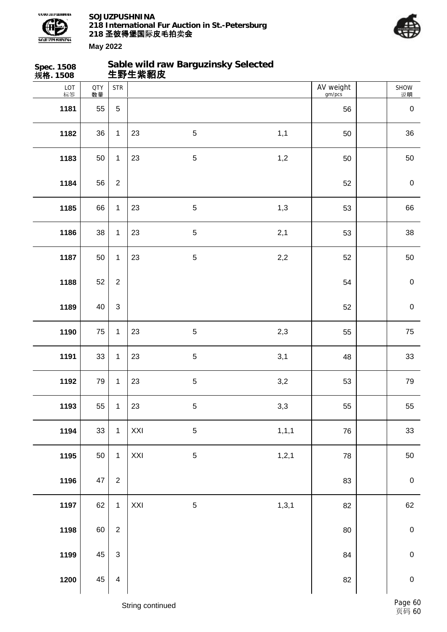



SHOW

AV weight

**Spec. 1508 规格. 1508 Sable wild raw Barguzinsky Selected 生野生紫貂皮** LOT 标签  $QTY$   $STR$ 数量

| 标签   | 数量     |                         |                  |             |         | gm/pcs | 说明          |
|------|--------|-------------------------|------------------|-------------|---------|--------|-------------|
| 1181 | 55     | 5                       |                  |             |         | 56     | $\pmb{0}$   |
| 1182 | 36     | $\mathbf 1$             | 23               | $\sqrt{5}$  | 1,1     | 50     | $36\,$      |
| 1183 | 50     | $\mathbf{1}$            | 23               | $\mathbf 5$ | 1,2     | 50     | 50          |
| 1184 | 56     | $\overline{2}$          |                  |             |         | 52     | $\mathbf 0$ |
| 1185 | 66     | $\mathbf{1}$            | 23               | $\,$ 5 $\,$ | 1,3     | 53     | 66          |
| 1186 | 38     | $\mathbf{1}$            | 23               | $\,$ 5 $\,$ | 2,1     | 53     | 38          |
| 1187 | 50     | $\mathbf{1}$            | 23               | $\mathbf 5$ | $2,2$   | 52     | 50          |
| 1188 | 52     | $\overline{2}$          |                  |             |         | 54     | $\mathbf 0$ |
| 1189 | 40     | $\sqrt{3}$              |                  |             |         | 52     | $\mathbf 0$ |
| 1190 | 75     | $\mathbf{1}$            | 23               | $\sqrt{5}$  | 2,3     | 55     | ${\bf 75}$  |
| 1191 | 33     | $\mathbf{1}$            | 23               | $\mathbf 5$ | 3,1     | 48     | $33\,$      |
| 1192 | 79     | $\mathbf{1}$            | 23               | $\sqrt{5}$  | 3,2     | 53     | 79          |
| 1193 | 55     | $\mathbf{1}$            | 23               | $\,$ 5 $\,$ | 3,3     | 55     | 55          |
| 1194 | $33\,$ | $\mathbf{1}$            | XXI              | $\sqrt{5}$  | 1, 1, 1 | 76     | $33\,$      |
| 1195 | 50     | $\mathbf{1}$            | XXI              | $\mathbf 5$ | 1, 2, 1 | 78     | 50          |
| 1196 | $47\,$ | $\overline{2}$          |                  |             |         | 83     | $\pmb{0}$   |
| 1197 | 62     | $\mathbf{1}$            | XXI              | $\mathbf 5$ | 1, 3, 1 | 82     | 62          |
| 1198 | 60     | $\boldsymbol{2}$        |                  |             |         | $80\,$ | $\mathbf 0$ |
| 1199 | 45     | $\mathfrak{S}$          |                  |             |         | 84     | $\mathbf 0$ |
| 1200 | 45     | $\overline{\mathbf{4}}$ |                  |             |         | 82     | $\mathbf 0$ |
|      |        |                         | String continued |             |         |        | Page 60     |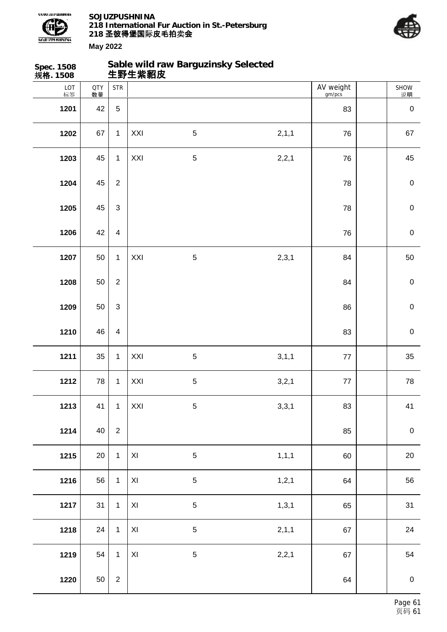

**Sable wild raw Barguzinsky Selected**



| Spec. 1508<br>规 <b>格</b> . 1508 |                  |                         | 生野生紫貂皮         | Sable wild raw Barguzinsky Selected |         |                     |             |
|---------------------------------|------------------|-------------------------|----------------|-------------------------------------|---------|---------------------|-------------|
| LOT<br>标签                       | <b>QTY</b><br>数量 | <b>STR</b>              |                |                                     |         | AV weight<br>gm/pcs | SHOW<br>说明  |
| 1201                            | 42               | $5\,$                   |                |                                     |         | 83                  | $\pmb{0}$   |
| 1202                            | 67               | $\mathbf{1}$            | XXI            | $\sqrt{5}$                          | 2,1,1   | 76                  | 67          |
| 1203                            | 45               | $\mathbf{1}$            | XXI            | $\sqrt{5}$                          | 2,2,1   | 76                  | 45          |
| 1204                            | 45               | $\overline{2}$          |                |                                     |         | 78                  | $\pmb{0}$   |
| 1205                            | 45               | 3                       |                |                                     |         | 78                  | $\pmb{0}$   |
| 1206                            | 42               | $\overline{\mathbf{4}}$ |                |                                     |         | 76                  | $\pmb{0}$   |
| 1207                            | 50               | $\mathbf{1}$            | XXI            | $\mathbf 5$                         | 2,3,1   | 84                  | 50          |
| 1208                            | 50               | $\overline{2}$          |                |                                     |         | 84                  | $\mathbf 0$ |
| 1209                            | 50               | 3                       |                |                                     |         | 86                  | $\mathbf 0$ |
| 1210                            | 46               | $\overline{4}$          |                |                                     |         | 83                  | $\pmb{0}$   |
| 1211                            | 35               | $\mathbf{1}$            | XXI            | $\sqrt{5}$                          | 3,1,1   | 77                  | 35          |
| 1212                            | 78               | $\mathbf{1}$            | XXI            | $\sqrt{5}$                          | 3,2,1   | $77\,$              | 78          |
| 1213                            | 41               | $\mathbf{1}$            | XXI            | $\,$ 5 $\,$                         | 3,3,1   | 83                  | 41          |
| 1214                            | 40               | $\overline{c}$          |                |                                     |         | 85                  | $\mathbf 0$ |
| 1215                            | 20               | $\mathbf{1}$            | $\pmb{\times}$ | $\mathbf 5$                         | 1, 1, 1 | 60                  | $20\,$      |
| 1216                            | 56               | $\mathbf{1}$            | $\pmb{\times}$ | $\mathbf 5$                         | 1, 2, 1 | 64                  | 56          |
| 1217                            | 31               | $\mathbf{1}$            | $\pmb{\times}$ | $\mathbf 5$                         | 1, 3, 1 | 65                  | 31          |
| 1218                            | 24               | $\mathbf{1}$            | $\pmb{\times}$ | 5                                   | 2, 1, 1 | 67                  | 24          |
| 1219                            | 54               | $\mathbf{1}$            | XI             | 5                                   | 2,2,1   | 67                  | 54          |
| 1220                            | 50               | $\overline{2}$          |                |                                     |         | 64                  | $\pmb{0}$   |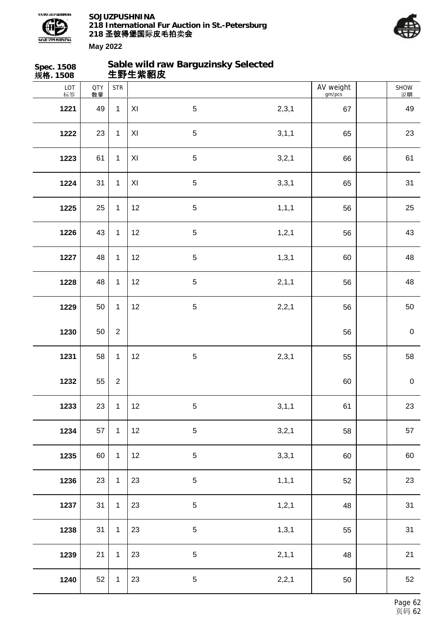



| Spec. 1508<br>规格. 1508 |                  |                  | 生野生紫貂皮              | Sable wild raw Barguzinsky Selected |         |                     |             |
|------------------------|------------------|------------------|---------------------|-------------------------------------|---------|---------------------|-------------|
| LOT<br>标签              | <b>QTY</b><br>数量 | <b>STR</b>       |                     |                                     |         | AV weight<br>gm/pcs | SHOW<br>说明  |
| 1221                   | 49               | $\mathbf{1}$     | XI                  | $\overline{5}$                      | 2,3,1   | 67                  | 49          |
| 1222                   | 23               | $\mathbf 1$      | XI                  | $\sqrt{5}$                          | 3, 1, 1 | 65                  | 23          |
| 1223                   | 61               | $\mathbf 1$      | $\pmb{\mathsf{XI}}$ | 5                                   | 3,2,1   | 66                  | 61          |
| 1224                   | 31               | $\mathbf 1$      | XI                  | $\sqrt{5}$                          | 3,3,1   | 65                  | 31          |
| 1225                   | 25               | $\mathbf 1$      | 12                  | $\sqrt{5}$                          | 1, 1, 1 | 56                  | 25          |
| 1226                   | 43               | $\mathbf 1$      | 12                  | $\sqrt{5}$                          | 1, 2, 1 | 56                  | 43          |
| 1227                   | 48               | $\mathbf 1$      | 12                  | 5                                   | 1, 3, 1 | 60                  | 48          |
| 1228                   | 48               | $\mathbf 1$      | 12                  | $\sqrt{5}$                          | 2, 1, 1 | 56                  | 48          |
| 1229                   | 50               | $\mathbf 1$      | 12                  | 5                                   | 2,2,1   | 56                  | 50          |
| 1230                   | 50               | $\overline{c}$   |                     |                                     |         | 56                  | $\mathbf 0$ |
| 1231                   | 58               | $\mathbf 1$      | 12                  | 5                                   | 2,3,1   | 55                  | 58          |
| 1232                   | 55               | $\boldsymbol{2}$ |                     |                                     |         | 60                  | $\pmb{0}$   |
| 1233                   | 23               | $\mathbf 1$      | 12                  | $\sqrt{5}$                          | 3,1,1   | 61                  | 23          |
| 1234                   | 57               | $\mathbf 1$      | 12                  | $\sqrt{5}$                          | 3,2,1   | 58                  | 57          |
| 1235                   | 60               | $\mathbf 1$      | 12                  | $\overline{5}$                      | 3,3,1   | 60                  | 60          |
| 1236                   | 23               | $\mathbf 1$      | 23                  | $\mathbf 5$                         | 1, 1, 1 | 52                  | 23          |
| 1237                   | 31               | $\mathbf 1$      | 23                  | $\sqrt{5}$                          | 1, 2, 1 | 48                  | 31          |
| 1238                   | 31               | $\mathbf{1}$     | 23                  | $\mathbf 5$                         | 1, 3, 1 | 55                  | 31          |
| 1239                   | 21               | $\mathbf 1$      | 23                  | $\sqrt{5}$                          | 2, 1, 1 | 48                  | 21          |
| 1240                   | 52               | $\mathbf{1}$     | 23                  | $\mathbf 5$                         | 2,2,1   | 50                  | 52          |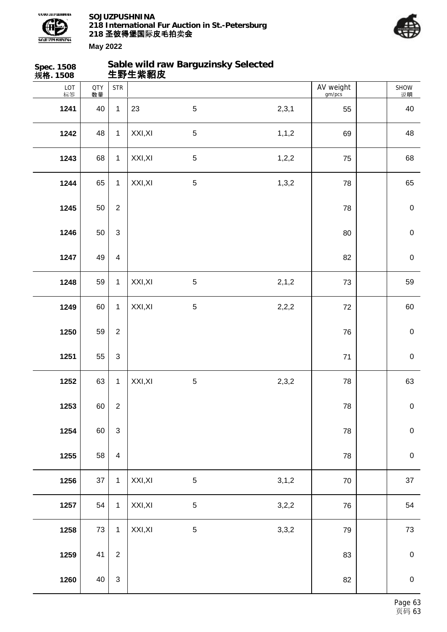

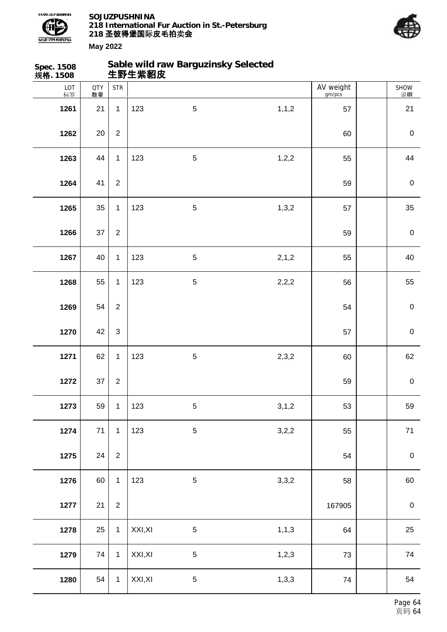

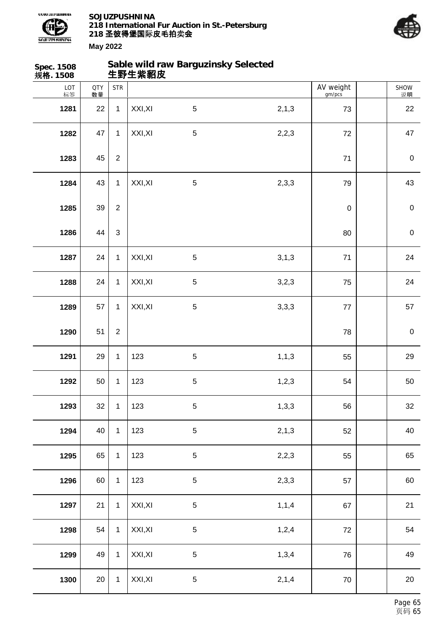



SHOW

AV weight  $\vert$ 

**May 2022 Spec. 1508 规格. 1508 Sable wild raw Barguzinsky Selected 生野生紫貂皮** LOT 标签  $QTY$   $STR$ 数量

| 标签   | 数量 |                |         |                |         | gm/pcs           | 说明          |
|------|----|----------------|---------|----------------|---------|------------------|-------------|
| 1281 | 22 | $\mathbf 1$    | XXI, XI | $\sqrt{5}$     | 2, 1, 3 | 73               | 22          |
| 1282 | 47 | $\mathbf 1$    | XXI, XI | $\overline{5}$ | 2,2,3   | 72               | 47          |
| 1283 | 45 | $\overline{2}$ |         |                |         | $71$             | $\mathbf 0$ |
| 1284 | 43 | $\mathbf 1$    | XXI, XI | $\mathbf 5$    | 2,3,3   | 79               | 43          |
| 1285 | 39 | $\sqrt{2}$     |         |                |         | $\boldsymbol{0}$ | $\mathbf 0$ |
| 1286 | 44 | $\mathfrak{S}$ |         |                |         | 80               | $\mathbf 0$ |
| 1287 | 24 | $\mathbf 1$    | XXI, XI | $\sqrt{5}$     | 3,1,3   | 71               | 24          |
| 1288 | 24 | $\mathbf 1$    | XXI, XI | $\sqrt{5}$     | 3,2,3   | 75               | 24          |
| 1289 | 57 | $\mathbf 1$    | XXI, XI | 5              | 3,3,3   | 77               | 57          |
| 1290 | 51 | $\sqrt{2}$     |         |                |         | 78               | $\mathbf 0$ |
| 1291 | 29 | $\mathbf 1$    | 123     | $\overline{5}$ | 1, 1, 3 | 55               | 29          |
| 1292 | 50 | $\mathbf 1$    | 123     | $\sqrt{5}$     | 1, 2, 3 | 54               | 50          |
| 1293 | 32 | $\mathbf 1$    | 123     | 5              | 1, 3, 3 | 56               | 32          |
| 1294 | 40 | $\mathbf{1}$   | 123     | 5              | 2,1,3   | 52               | 40          |
| 1295 | 65 | $\mathbf 1$    | 123     | $\overline{5}$ | 2,2,3   | 55               | 65          |
| 1296 | 60 | $\mathbf 1$    | 123     | $\overline{5}$ | 2,3,3   | 57               | 60          |
| 1297 | 21 | $\mathbf 1$    | XXI, XI | $\overline{5}$ | 1, 1, 4 | 67               | 21          |
| 1298 | 54 | $\mathbf{1}$   | XXI, XI | $\sqrt{5}$     | 1,2,4   | 72               | 54          |
| 1299 | 49 | $\mathbf 1$    | XXI, XI | 5              | 1,3,4   | 76               | 49          |
| 1300 | 20 | $\mathbf 1$    | XXI, XI | $5\,$          | 2,1,4   | 70               | $20\,$      |
|      |    |                |         |                |         |                  |             |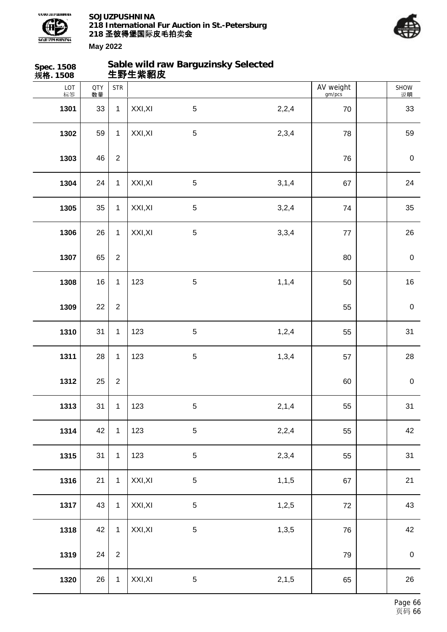



| Spec. 1508<br>规格. 1508 |                  |                  | 生野生紫貂皮  | Sable wild raw Barguzinsky Selected |         |                     |                  |
|------------------------|------------------|------------------|---------|-------------------------------------|---------|---------------------|------------------|
| LOT<br>标签              | <b>QTY</b><br>数量 | <b>STR</b>       |         |                                     |         | AV weight<br>gm/pcs | SHOW<br>说明       |
| 1301                   | 33               | $\mathbf{1}$     | XXI, XI | $\sqrt{5}$                          | 2,2,4   | 70                  | 33               |
| 1302                   | 59               | $\mathbf{1}$     | XXI, XI | $\sqrt{5}$                          | 2,3,4   | 78                  | 59               |
| 1303                   | 46               | $\boldsymbol{2}$ |         |                                     |         | 76                  | $\pmb{0}$        |
| 1304                   | 24               | $\mathbf{1}$     | XXI, XI | 5                                   | 3,1,4   | 67                  | 24               |
| 1305                   | 35               | $\mathbf{1}$     | XXI, XI | 5                                   | 3,2,4   | 74                  | 35               |
| 1306                   | 26               | $\mathbf{1}$     | XXI, XI | $\sqrt{5}$                          | 3,3,4   | $77 \,$             | 26               |
| 1307                   | 65               | $\overline{2}$   |         |                                     |         | 80                  | $\pmb{0}$        |
| 1308                   | 16               | $\mathbf{1}$     | 123     | $\mathbf 5$                         | 1, 1, 4 | 50                  | 16               |
| 1309                   | 22               | $\overline{2}$   |         |                                     |         | 55                  | $\boldsymbol{0}$ |
| 1310                   | 31               | $\mathbf{1}$     | 123     | $\sqrt{5}$                          | 1,2,4   | 55                  | 31               |
| 1311                   | 28               | $\mathbf{1}$     | 123     | 5                                   | 1,3,4   | 57                  | 28               |
| 1312                   | 25               | $\boldsymbol{2}$ |         |                                     |         | 60                  | $\pmb{0}$        |
| 1313                   | 31               | $\mathbf{1}$     | 123     | $\sqrt{5}$                          | 2,1,4   | 55                  | 31               |
| 1314                   | 42               | $\mathbf{1}$     | 123     | 5                                   | 2,2,4   | 55                  | 42               |
| 1315                   | 31               | $\mathbf{1}$     | 123     | 5                                   | 2,3,4   | 55                  | 31               |
| 1316                   | 21               | $\mathbf{1}$     | XXI, XI | $\sqrt{5}$                          | 1, 1, 5 | 67                  | 21               |
| 1317                   | 43               | $\mathbf{1}$     | XXI, XI | $\mathbf 5$                         | 1,2,5   | $72\,$              | 43               |
| 1318                   | 42               | $\mathbf 1$      | XXI, XI | $\mathbf 5$                         | 1,3,5   | 76                  | 42               |
| 1319                   | 24               | $\boldsymbol{2}$ |         |                                     |         | 79                  | $\boldsymbol{0}$ |
| 1320                   | 26               | $\mathbf{1}$     | XXI, XI | $\sqrt{5}$                          | 2, 1, 5 | 65                  | 26               |
|                        |                  |                  |         |                                     |         |                     |                  |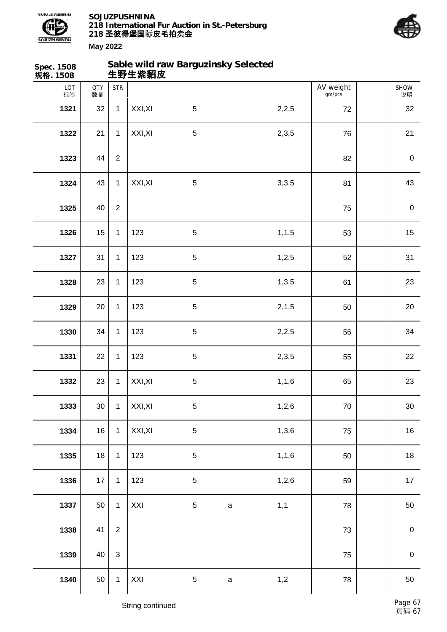



| Spec. 1508<br>规格. 1508 |                  |                           | 生野生紫貂皮  | Sable wild raw Barguzinsky Selected |             |         |                     |             |
|------------------------|------------------|---------------------------|---------|-------------------------------------|-------------|---------|---------------------|-------------|
| LOT<br>标签              | <b>QTY</b><br>数量 | <b>STR</b>                |         |                                     |             |         | AV weight<br>gm/pcs | SHOW<br>说明  |
| 1321                   | 32               | $\mathbf{1}$              | XXI, XI | $5\phantom{.0}$                     |             | 2,2,5   | 72                  | 32          |
| 1322                   | 21               | 1                         | XXI, XI | $\sqrt{5}$                          |             | 2,3,5   | 76                  | 21          |
| 1323                   | 44               | $\overline{2}$            |         |                                     |             |         | 82                  | $\pmb{0}$   |
| 1324                   | 43               | $\mathbf{1}$              | XXI, XI | $\sqrt{5}$                          |             | 3,3,5   | 81                  | 43          |
| 1325                   | 40               | $\overline{2}$            |         |                                     |             |         | 75                  | $\pmb{0}$   |
| 1326                   | 15               | 1                         | 123     | $\sqrt{5}$                          |             | 1, 1, 5 | 53                  | 15          |
| 1327                   | 31               | $\mathbf{1}$              | 123     | $\sqrt{5}$                          |             | 1,2,5   | 52                  | 31          |
| 1328                   | 23               | $\mathbf{1}$              | 123     | $\sqrt{5}$                          |             | 1,3,5   | 61                  | 23          |
| 1329                   | 20               | $\mathbf{1}$              | 123     | $5\phantom{.0}$                     |             | 2, 1, 5 | 50                  | 20          |
| 1330                   | 34               | $\mathbf{1}$              | 123     | $\sqrt{5}$                          |             | 2,2,5   | 56                  | 34          |
| 1331                   | 22               | $\mathbf{1}$              | 123     | $5\,$                               |             | 2,3,5   | 55                  | 22          |
| 1332                   | 23               | $\mathbf 1$               | XXI, XI | 5                                   |             | 1, 1, 6 | 65                  | 23          |
| 1333                   | 30 <sub>o</sub>  | $\mathbf{1}$              | XXI, XI | $\,$ 5 $\,$                         |             | 1,2,6   | $70\,$              | $30\,$      |
| 1334                   | 16               | $\mathbf{1}$              | XXI, XI | $\sqrt{5}$                          |             | 1,3,6   | 75                  | $16$        |
| 1335                   | 18               | $\mathbf{1}$              | 123     | $\sqrt{5}$                          |             | 1,1,6   | 50                  | 18          |
| 1336                   | 17               | $\mathbf{1}$              | 123     | $\sqrt{5}$                          |             | 1,2,6   | 59                  | $17$        |
| 1337                   | 50               | $\mathbf{1}$              | XXI     | $\sqrt{5}$                          | $\mathsf a$ | 1,1     | 78                  | $50\,$      |
| 1338                   | 41               | $\overline{2}$            |         |                                     |             |         | 73                  | $\pmb{0}$   |
| 1339                   | 40               | $\ensuremath{\mathsf{3}}$ |         |                                     |             |         | 75                  | $\mathbf 0$ |
| 1340                   | 50               | $\mathbf{1}$              | XXI     | $\sqrt{5}$                          | $\mathsf a$ | 1,2     | 78                  | 50          |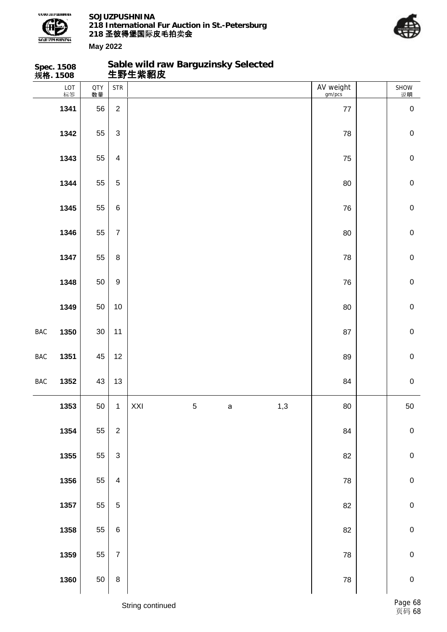

**Spec. 1508**

**SOJUZPUSHNINA 218 International Fur Auction in St.-Petersburg 218 圣彼得堡国际 卖 皮毛拍 会**

**Sable wild raw Barguzinsky Selected**



|     | 规格. 1508  |                  |                           | 生野生紫貂皮 |             |              |     |                     |             |
|-----|-----------|------------------|---------------------------|--------|-------------|--------------|-----|---------------------|-------------|
|     | LOT<br>标签 | <b>QTY</b><br>数量 | <b>STR</b>                |        |             |              |     | AV weight<br>gm/pcs | SHOW<br>说明  |
|     | 1341      | 56               | $\overline{c}$            |        |             |              |     | 77                  | $\pmb{0}$   |
|     | 1342      | 55               | $\ensuremath{\mathsf{3}}$ |        |             |              |     | 78                  | $\mathbf 0$ |
|     | 1343      | 55               | $\overline{\mathbf{4}}$   |        |             |              |     | 75                  | $\mathbf 0$ |
|     | 1344      | 55               | $\,$ 5 $\,$               |        |             |              |     | 80                  | $\mathbf 0$ |
|     | 1345      | 55               | 6                         |        |             |              |     | 76                  | $\mathbf 0$ |
|     | 1346      | 55               | $\overline{7}$            |        |             |              |     | 80                  | $\mathbf 0$ |
|     | 1347      | 55               | 8                         |        |             |              |     | 78                  | $\mathbf 0$ |
|     | 1348      | 50               | $\boldsymbol{9}$          |        |             |              |     | 76                  | $\mathbf 0$ |
|     | 1349      | 50               | $10$                      |        |             |              |     | 80                  | $\mathbf 0$ |
| BAC | 1350      | $30\,$           | 11                        |        |             |              |     | 87                  | $\mathbf 0$ |
| BAC | 1351      | 45               | 12                        |        |             |              |     | 89                  | $\mathbf 0$ |
| BAC | 1352      | 43               | 13                        |        |             |              |     | 84                  | $\mathbf 0$ |
|     | 1353      | 50               | $\mathbf{1}$              | XXI    | $\,$ 5 $\,$ | $\mathsf{a}$ | 1,3 | $80\,$              | 50          |
|     | 1354      | 55               | $\boldsymbol{2}$          |        |             |              |     | 84                  | $\mathbf 0$ |
|     | 1355      | 55               | $\ensuremath{\mathsf{3}}$ |        |             |              |     | 82                  | $\pmb{0}$   |
|     | 1356      | 55               | $\overline{\mathbf{4}}$   |        |             |              |     | 78                  | $\mathbf 0$ |
|     | 1357      | 55               | $\sqrt{5}$                |        |             |              |     | 82                  | $\pmb{0}$   |
|     | 1358      | 55               | $\,6$                     |        |             |              |     | 82                  | $\mathbf 0$ |
|     | 1359      | 55               | $\overline{7}$            |        |             |              |     | ${\bf 78}$          | $\pmb{0}$   |
|     | 1360      | 50               | 8                         |        |             |              |     | ${\bf 78}$          | $\mathbf 0$ |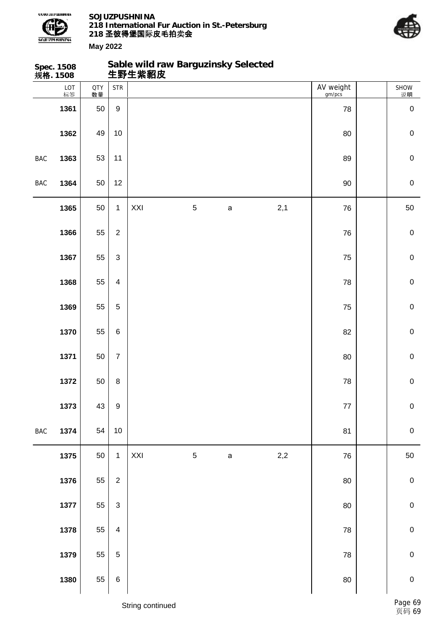



| Sable wild raw Barguzinsky Selected<br>生野生紫貂皮<br>Spec. 1508<br>规格. 1508 |           |                  |                                    |     |             |              |       |                     |             |
|-------------------------------------------------------------------------|-----------|------------------|------------------------------------|-----|-------------|--------------|-------|---------------------|-------------|
|                                                                         | LOT<br>标签 | <b>QTY</b><br>数量 | $\ensuremath{\mathsf{STR}}\xspace$ |     |             |              |       | AV weight<br>gm/pcs | SHOW<br>说明  |
|                                                                         | 1361      | 50               | $\boldsymbol{9}$                   |     |             |              |       | 78                  | $\pmb{0}$   |
|                                                                         | 1362      | 49               | $10$                               |     |             |              |       | 80                  | $\pmb{0}$   |
| BAC                                                                     | 1363      | 53               | 11                                 |     |             |              |       | 89                  | $\mathbf 0$ |
| BAC                                                                     | 1364      | 50               | 12                                 |     |             |              |       | $90\,$              | $\pmb{0}$   |
|                                                                         | 1365      | 50               | $\mathbf{1}$                       | XXI | $\mathbf 5$ | a            | 2,1   | 76                  | 50          |
|                                                                         | 1366      | 55               | $\overline{2}$                     |     |             |              |       | 76                  | $\pmb{0}$   |
|                                                                         | 1367      | 55               | $\ensuremath{\mathsf{3}}$          |     |             |              |       | 75                  | $\mathbf 0$ |
|                                                                         | 1368      | 55               | $\overline{4}$                     |     |             |              |       | 78                  | $\pmb{0}$   |
|                                                                         | 1369      | 55               | $\overline{5}$                     |     |             |              |       | 75                  | $\mathbf 0$ |
|                                                                         | 1370      | 55               | $\,6\,$                            |     |             |              |       | 82                  | $\pmb{0}$   |
|                                                                         | 1371      | 50               | $\boldsymbol{7}$                   |     |             |              |       | $80\,$              | $\mathbf 0$ |
|                                                                         | 1372      | 50               | $\,8\,$                            |     |             |              |       | 78                  | $\pmb{0}$   |
|                                                                         | 1373      | 43               | $\boldsymbol{9}$                   |     |             |              |       | 77                  | $\pmb{0}$   |
| BAC                                                                     | 1374      | 54               | $10$                               |     |             |              |       | 81                  | $\pmb{0}$   |
|                                                                         | 1375      | 50               | $\mathbf{1}$                       | XXI | $\mathbf 5$ | $\mathsf{a}$ | $2,2$ | 76                  | 50          |
|                                                                         | 1376      | 55               | $\overline{2}$                     |     |             |              |       | 80                  | $\pmb{0}$   |
|                                                                         | 1377      | 55               | $\sqrt{3}$                         |     |             |              |       | 80                  | $\mathbf 0$ |
|                                                                         | 1378      | 55               | $\overline{\mathbf{4}}$            |     |             |              |       | 78                  | ${\bf 0}$   |
|                                                                         | 1379      | 55               | $\overline{5}$                     |     |             |              |       | 78                  | $\mathbf 0$ |
|                                                                         | 1380      | 55               | $\,6$                              |     |             |              |       | 80                  | $\mathbf 0$ |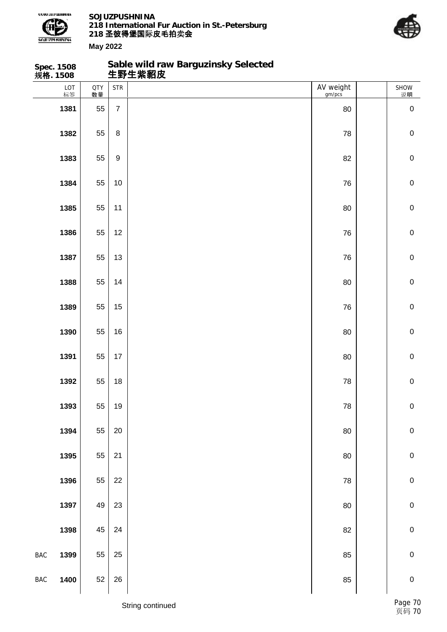

**Sable wild raw Barguzinsky Selected**



|                | Spec. 1508<br>规 <b>格</b> . 1508 |           |                  | Sable wild raw Barguzinsky Selected<br>生野生紫貂皮 |                     |             |
|----------------|---------------------------------|-----------|------------------|-----------------------------------------------|---------------------|-------------|
|                | LOT<br>标签                       | QTY<br>数量 | <b>STR</b>       |                                               | AV weight<br>gm/pcs | SHOW<br>说明  |
|                | 1381                            | 55        | $\overline{7}$   |                                               | 80                  | $\pmb{0}$   |
|                | 1382                            | 55        | $\bf 8$          |                                               | 78                  | $\mathbf 0$ |
|                | 1383                            | 55        | $\boldsymbol{9}$ |                                               | 82                  | $\pmb{0}$   |
|                | 1384                            | 55        | 10               |                                               | 76                  | $\pmb{0}$   |
|                | 1385                            | 55        | 11               |                                               | 80                  | $\mathbf 0$ |
|                | 1386                            | 55        | 12               |                                               | 76                  | $\mathbf 0$ |
|                | 1387                            | 55        | 13               |                                               | 76                  | $\pmb{0}$   |
|                | 1388                            | 55        | 14               |                                               | 80                  | $\pmb{0}$   |
|                | 1389                            | 55        | 15               |                                               | 76                  | $\mathbf 0$ |
|                | 1390                            | 55        | 16               |                                               | 80                  | $\mathbf 0$ |
|                | 1391                            | 55        | 17               |                                               | 80                  | $\pmb{0}$   |
|                | 1392                            | 55        | 18               |                                               | ${\bf 78}$          | $\pmb{0}$   |
|                | 1393                            | 55        | $19$             |                                               | 78                  | ${\bf 0}$   |
|                | 1394                            | 55        | $20\,$           |                                               | $80\,$              | $\mathbf 0$ |
|                | 1395                            | 55        | 21               |                                               | $80\,$              | $\pmb{0}$   |
|                | 1396                            | 55        | 22               |                                               | 78                  | $\mathbf 0$ |
|                | 1397                            | 49        | 23               |                                               | 80                  | $\mathbf 0$ |
|                | 1398                            | 45        | 24               |                                               | 82                  | $\mathbf 0$ |
| $\mathsf{BAC}$ | 1399                            | 55        | 25               |                                               | 85                  | $\pmb{0}$   |
| $_{\rm BAC}$   | 1400                            | 52        | 26               |                                               | 85                  | $\pmb{0}$   |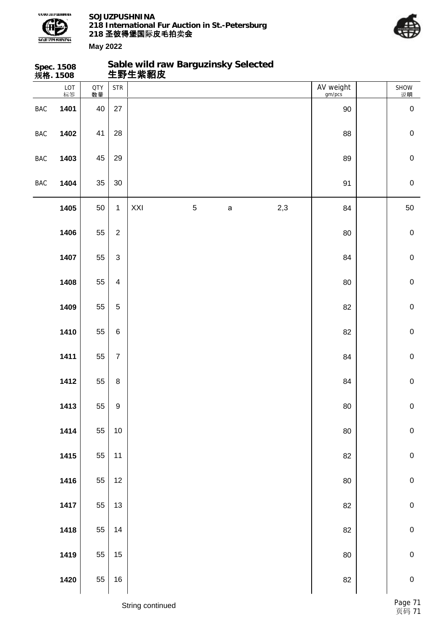



|            | Spec. 1508<br>规格. 1508 |                  |                                    | Sable wild raw Barguzinsky Selected<br>生野生紫貂皮 |   |              |     |                     |             |
|------------|------------------------|------------------|------------------------------------|-----------------------------------------------|---|--------------|-----|---------------------|-------------|
|            | LOT<br>标签              | <b>QTY</b><br>数量 | $\ensuremath{\mathsf{STR}}\xspace$ |                                               |   |              |     | AV weight<br>gm/pcs | SHOW<br>说明  |
| <b>BAC</b> | 1401                   | 40               | 27                                 |                                               |   |              |     | $90\,$              | $\pmb{0}$   |
| <b>BAC</b> | 1402                   | 41               | 28                                 |                                               |   |              |     | 88                  | $\pmb{0}$   |
| <b>BAC</b> | 1403                   | 45               | 29                                 |                                               |   |              |     | 89                  | $\mathbf 0$ |
| <b>BAC</b> | 1404                   | 35               | $30\,$                             |                                               |   |              |     | 91                  | $\mathbf 0$ |
|            | 1405                   | 50               | $\mathbf{1}$                       | XXI                                           | 5 | $\mathsf{a}$ | 2,3 | 84                  | 50          |
|            | 1406                   | 55               | $\overline{2}$                     |                                               |   |              |     | 80                  | $\mathbf 0$ |
|            | 1407                   | 55               | $\mathsf 3$                        |                                               |   |              |     | 84                  | $\mathbf 0$ |
|            | 1408                   | 55               | $\overline{\mathbf{4}}$            |                                               |   |              |     | 80                  | $\mathbf 0$ |
|            | 1409                   | 55               | $\overline{5}$                     |                                               |   |              |     | 82                  | $\mathbf 0$ |
|            | 1410                   | 55               | 6                                  |                                               |   |              |     | 82                  | $\pmb{0}$   |
|            | 1411                   | 55               | $\boldsymbol{7}$                   |                                               |   |              |     | 84                  | $\mathbf 0$ |
|            | 1412                   | 55               | $\bf 8$                            |                                               |   |              |     | 84                  | $\mathbf 0$ |
|            | 1413                   | 55               | $\boldsymbol{9}$                   |                                               |   |              |     | 80                  | $\pmb{0}$   |
|            | 1414                   | 55               | 10                                 |                                               |   |              |     | 80                  | $\mathbf 0$ |
|            | 1415                   | 55               | 11                                 |                                               |   |              |     | 82                  | $\mathbf 0$ |
|            | 1416                   | 55               | 12                                 |                                               |   |              |     | $80\,$              | $\mathbf 0$ |
|            | 1417                   | 55               | 13                                 |                                               |   |              |     | 82                  | $\mathbf 0$ |
|            | 1418                   | 55               | 14                                 |                                               |   |              |     | 82                  | $\mathbf 0$ |
|            | 1419                   | 55               | 15                                 |                                               |   |              |     | 80                  | $\mathbf 0$ |
|            | 1420                   | 55               | $16\,$                             |                                               |   |              |     | 82                  | $\pmb{0}$   |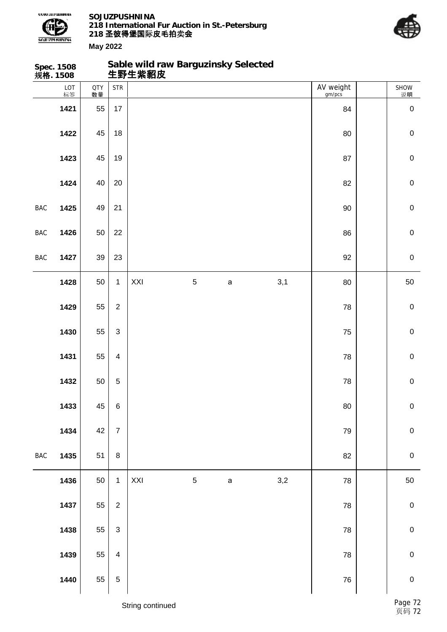

**Sable wild raw Barguzinsky Selected**



|            | Spec. 1508<br>规 <b>格</b> . 1508 |                  |                         |                  | Sable wild raw Barguzinsky Selected<br>生野生紫貂皮 |             |              |                     |             |
|------------|---------------------------------|------------------|-------------------------|------------------|-----------------------------------------------|-------------|--------------|---------------------|-------------|
|            | LOT<br>标签                       | <b>QTY</b><br>数量 | <b>STR</b>              |                  |                                               |             |              | AV weight<br>gm/pcs | SHOW<br>说明  |
|            | 1421                            | 55               | 17                      |                  |                                               |             |              | 84                  | $\mathbf 0$ |
|            | 1422                            | 45               | 18                      |                  |                                               |             |              | 80                  | $\pmb{0}$   |
|            | 1423                            | 45               | 19                      |                  |                                               |             |              | 87                  | $\pmb{0}$   |
|            | 1424                            | 40               | 20                      |                  |                                               |             |              | 82                  | $\pmb{0}$   |
| <b>BAC</b> | 1425                            | 49               | 21                      |                  |                                               |             |              | 90                  | $\pmb{0}$   |
| BAC        | 1426                            | 50               | 22                      |                  |                                               |             |              | 86                  | $\pmb{0}$   |
| BAC        | 1427                            | 39               | 23                      |                  |                                               |             |              | 92                  | $\pmb{0}$   |
|            | 1428                            | 50               | $\mathbf{1}$            | XXI              | $\mathbf 5$                                   | $\mathsf a$ | 3,1          | 80                  | 50          |
|            | 1429                            | 55               | $\overline{2}$          |                  |                                               |             |              | 78                  | $\pmb{0}$   |
|            | 1430                            | 55               | $\mathfrak{S}$          |                  |                                               |             |              | 75                  | $\pmb{0}$   |
|            | 1431                            | 55               | $\overline{4}$          |                  |                                               |             |              | 78                  | $\pmb{0}$   |
|            | 1432                            | 50               | $\overline{5}$          |                  |                                               |             |              | 78                  | $\mathbf 0$ |
|            | 1433                            | 45               | $\,6$                   |                  |                                               |             |              | 80                  | $\pmb{0}$   |
|            | 1434                            | 42               | $\overline{7}$          |                  |                                               |             |              | 79                  | $\pmb{0}$   |
| <b>BAC</b> | 1435                            | 51               | $\bf 8$                 |                  |                                               |             |              | 82                  | $\pmb{0}$   |
|            | 1436                            | 50               | $\mathbf{1}$            | XXI              | $\mathbf 5$                                   | $\mathsf a$ | $_{\rm 3,2}$ | 78                  | 50          |
|            | 1437                            | 55               | $\mathbf 2$             |                  |                                               |             |              | 78                  | $\pmb{0}$   |
|            | 1438                            | 55               | $\sqrt{3}$              |                  |                                               |             |              | 78                  | ${\bf 0}$   |
|            | 1439                            | 55               | $\overline{\mathbf{4}}$ |                  |                                               |             |              | 78                  | $\mathbf 0$ |
|            | 1440                            | 55               | $\mathbf 5$             |                  |                                               |             |              | ${\bf 76}$          | ${\bf 0}$   |
|            |                                 |                  |                         | String continued |                                               |             |              |                     | Page 72     |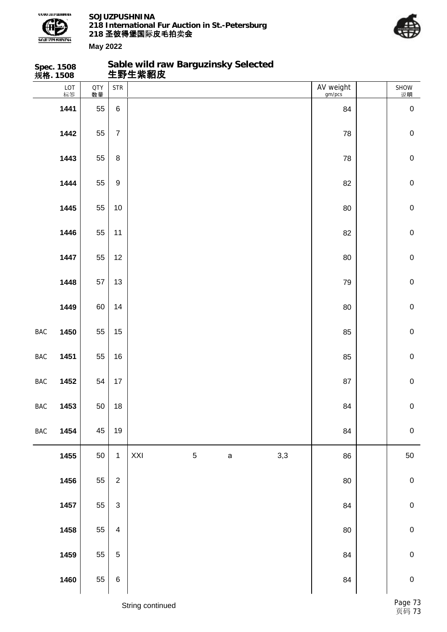

**Sable wild raw Barguzinsky Selected**



**May 2022**

|                | Spec. 1508<br>规 <b>格</b> . 1508 |                  |                           | Sable wild raw Barguzinsky Selected<br>生野生紫貂皮 |             |             |     |                     |             |
|----------------|---------------------------------|------------------|---------------------------|-----------------------------------------------|-------------|-------------|-----|---------------------|-------------|
|                | LOT<br>标签                       | <b>QTY</b><br>数量 | <b>STR</b>                |                                               |             |             |     | AV weight<br>gm/pcs | SHOW<br>说明  |
|                | 1441                            | 55               | $\,6\,$                   |                                               |             |             |     | 84                  | $\pmb{0}$   |
|                | 1442                            | 55               | $\overline{7}$            |                                               |             |             |     | 78                  | $\mathbf 0$ |
|                | 1443                            | 55               | $\bf 8$                   |                                               |             |             |     | 78                  | $\pmb{0}$   |
|                | 1444                            | 55               | $\boldsymbol{9}$          |                                               |             |             |     | 82                  | $\mathbf 0$ |
|                | 1445                            | 55               | $10$                      |                                               |             |             |     | 80                  | $\mathbf 0$ |
|                | 1446                            | 55               | 11                        |                                               |             |             |     | 82                  | $\mathbf 0$ |
|                | 1447                            | 55               | 12                        |                                               |             |             |     | 80                  | $\pmb{0}$   |
|                | 1448                            | 57               | 13                        |                                               |             |             |     | 79                  | $\mathbf 0$ |
|                | 1449                            | 60               | 14                        |                                               |             |             |     | 80                  | $\mathbf 0$ |
| BAC            | 1450                            | 55               | 15                        |                                               |             |             |     | 85                  | $\mathbf 0$ |
| BAC            | 1451                            | 55               | 16                        |                                               |             |             |     | 85                  | $\mathbf 0$ |
| $\mathsf{BAC}$ | 1452                            | 54               | $17$                      |                                               |             |             |     | 87                  | $\mathbf 0$ |
| <b>BAC</b>     | 1453                            | 50               | $18$                      |                                               |             |             |     | 84                  | ${\bf 0}$   |
| $\mathsf{BAC}$ | 1454                            | 45               | 19                        |                                               |             |             |     | 84                  | $\mathbf 0$ |
|                | 1455                            | 50               | $\mathbf{1}$              | XXI                                           | $\,$ 5 $\,$ | $\mathsf a$ | 3,3 | 86                  | $50\,$      |
|                | 1456                            | 55               | $\mathbf{2}$              |                                               |             |             |     | 80                  | $\pmb{0}$   |
|                | 1457                            | 55               | $\ensuremath{\mathsf{3}}$ |                                               |             |             |     | 84                  | $\pmb{0}$   |
|                | 1458                            | 55               | $\overline{\mathbf{4}}$   |                                               |             |             |     | 80                  | $\pmb{0}$   |
|                | 1459                            | 55               | $\sqrt{5}$                |                                               |             |             |     | 84                  | $\pmb{0}$   |
|                | 1460                            | 55               | $\,6$                     |                                               |             |             |     | 84                  | $\mathbf 0$ |

String continued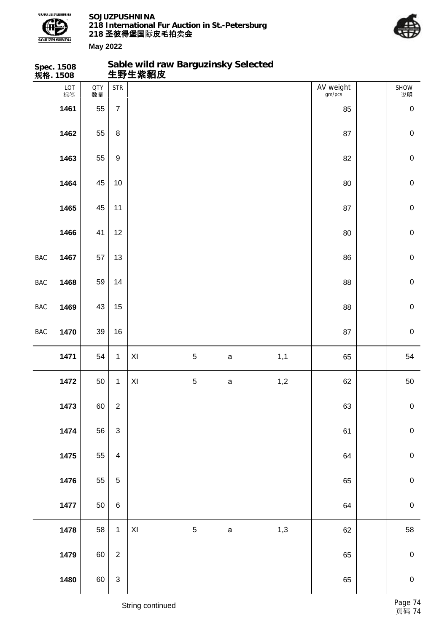

**Sable wild raw Barguzinsky Selected**



|                | Spec. 1508<br>规 <b>格</b> . 1508 |                  |                           | Sable wild raw Barguzinsky Selected<br>生野生紫貂皮 |             |             |     |                     |             |
|----------------|---------------------------------|------------------|---------------------------|-----------------------------------------------|-------------|-------------|-----|---------------------|-------------|
|                | LOT<br>标签                       | <b>QTY</b><br>数量 | <b>STR</b>                |                                               |             |             |     | AV weight<br>gm/pcs | SHOW<br>说明  |
|                | 1461                            | 55               | $\overline{7}$            |                                               |             |             |     | 85                  | $\mathbf 0$ |
|                | 1462                            | 55               | 8                         |                                               |             |             |     | 87                  | $\mathbf 0$ |
|                | 1463                            | 55               | $\boldsymbol{9}$          |                                               |             |             |     | 82                  | $\pmb{0}$   |
|                | 1464                            | 45               | 10                        |                                               |             |             |     | 80                  | $\pmb{0}$   |
|                | 1465                            | 45               | 11                        |                                               |             |             |     | 87                  | $\pmb{0}$   |
|                | 1466                            | 41               | 12                        |                                               |             |             |     | 80                  | $\mathsf 0$ |
| BAC            | 1467                            | 57               | 13                        |                                               |             |             |     | 86                  | $\pmb{0}$   |
| BAC            | 1468                            | 59               | 14                        |                                               |             |             |     | 88                  | $\mathbf 0$ |
| $\mathsf{BAC}$ | 1469                            | 43               | 15                        |                                               |             |             |     | 88                  | $\pmb{0}$   |
| BAC            | 1470                            | 39               | 16                        |                                               |             |             |     | 87                  | $\pmb{0}$   |
|                | 1471                            | 54               | $\mathbf{1}$              | $\mathsf{XI}$                                 | $\sqrt{5}$  | $\mathsf a$ | 1,1 | 65                  | 54          |
|                | 1472                            | 50               | $\mathbf 1$               | XI                                            | $\mathbf 5$ | $\mathsf a$ | 1,2 | 62                  | 50          |
|                | 1473                            | 60               | $\boldsymbol{2}$          |                                               |             |             |     | 63                  | $\pmb{0}$   |
|                | 1474                            | 56               | $\ensuremath{\mathsf{3}}$ |                                               |             |             |     | 61                  | $\pmb{0}$   |
|                | 1475                            | 55               | $\overline{\mathbf{4}}$   |                                               |             |             |     | 64                  | $\pmb{0}$   |
|                | 1476                            | 55               | $\sqrt{5}$                |                                               |             |             |     | 65                  | ${\bf 0}$   |
|                | 1477                            | 50               | $\,6\,$                   |                                               |             |             |     | 64                  | $\pmb{0}$   |
|                | 1478                            | 58               | $\mathbf{1}$              | $\pmb{\times}$                                | $\mathbf 5$ | $\mathsf a$ | 1,3 | 62                  | 58          |
|                | 1479                            | 60               | $\overline{2}$            |                                               |             |             |     | 65                  | $\pmb{0}$   |
|                | 1480                            | 60               | $\ensuremath{\mathsf{3}}$ |                                               |             |             |     | 65                  | $\pmb{0}$   |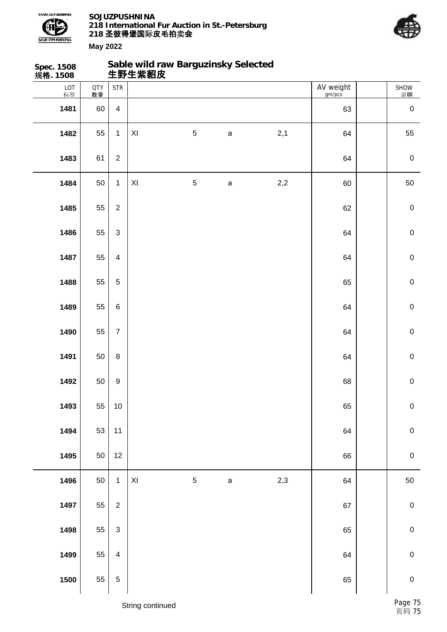



**Spec. 1508 规格. 1508 Sable wild raw Barguzinsky Selected 生野生紫貂皮** LOT 标签 QTY 数量 SHOW 说明 STR | AV weight gm/pcs 60 4 63 0 55 1 XI 5 а 2,1 64 55 61 | 2 | CONSERVERSION CONTROL CONTROL CONTROL CONTROL CONTROL CONTROL CONTROL CONTROL CONTROL CONTROL CONTROL CONTROL CONTROL CONTROL CONTROL CONTROL CONTROL CONTROL CONTROL CONTROL CONTROL CONTROL CONTROL CONTROL 50 1 XI 5 а 2,2 60 50 55 2 62 0 | 55 | 3 | 64 | 0 55 4 64 0 | 55 | 5 | 5 55 6 64 0 55 7 64 0 | 50 | 8 | 64 | 0 50 9 68 0 55 10 65 0 | 53 | 11 | CONSERVENT | 1494 | CONSERVENT | 1494 | O 50 12 66 0 50 1 XI 5 a 2,3 64 50 55 2 67 0 55 3 65 0 | 55 | 4 | C 55 5 65 0

## String continued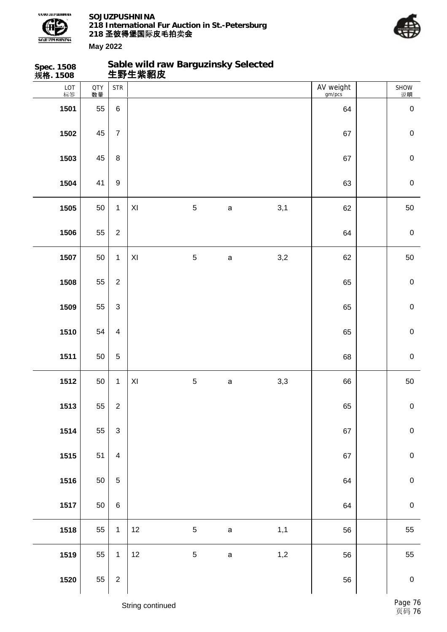



| Spec. 1508<br>规格. 1508 |                  |                             | Sable wild raw Barguzinsky Selected<br>生野生紫貂皮 |                |              |       |                     |                  |
|------------------------|------------------|-----------------------------|-----------------------------------------------|----------------|--------------|-------|---------------------|------------------|
| LOT<br>标签              | <b>QTY</b><br>数量 | $\ensuremath{\mathsf{STR}}$ |                                               |                |              |       | AV weight<br>gm/pcs | SHOW<br>说明       |
| 1501                   | 55               | $\,6\,$                     |                                               |                |              |       | 64                  | $\pmb{0}$        |
| 1502                   | 45               | $\overline{7}$              |                                               |                |              |       | 67                  | $\mathbf 0$      |
| 1503                   | 45               | $\bf 8$                     |                                               |                |              |       | 67                  | $\pmb{0}$        |
| 1504                   | 41               | $\boldsymbol{9}$            |                                               |                |              |       | 63                  | $\pmb{0}$        |
| 1505                   | 50               | $\mathbf 1$                 | XI                                            | $\overline{5}$ | $\mathsf{a}$ | 3,1   | 62                  | 50               |
| 1506                   | 55               | $\overline{2}$              |                                               |                |              |       | 64                  | $\mathbf 0$      |
| 1507                   | 50               | $\mathbf{1}$                | XI                                            | $\mathbf 5$    | $\mathsf{a}$ | 3,2   | 62                  | 50               |
| 1508                   | 55               | $\overline{2}$              |                                               |                |              |       | 65                  | $\pmb{0}$        |
| 1509                   | 55               | 3                           |                                               |                |              |       | 65                  | $\mathbf 0$      |
| 1510                   | 54               | $\overline{4}$              |                                               |                |              |       | 65                  | $\mathbf 0$      |
| 1511                   | 50               | $\,$ 5 $\,$                 |                                               |                |              |       | 68                  | $\mathbf 0$      |
| 1512                   | 50               | $\mathbf{1}$                | XI                                            | $\mathbf 5$    | $\mathsf{a}$ | $3,3$ | 66                  | 50               |
| 1513                   | 55               | $\overline{2}$              |                                               |                |              |       | 65                  | $\pmb{0}$        |
| 1514                   | 55               | $\ensuremath{\mathsf{3}}$   |                                               |                |              |       | 67                  | $\pmb{0}$        |
| 1515                   | 51               | $\overline{4}$              |                                               |                |              |       | 67                  | $\mathbf 0$      |
| 1516                   | 50               | $\sqrt{5}$                  |                                               |                |              |       | 64                  | $\mathbf 0$      |
| 1517                   | 50               | $\,6\,$                     |                                               |                |              |       | 64                  | $\mathbf 0$      |
| 1518                   | 55               | $\mathbf{1}$                | 12                                            | $\sqrt{5}$     | $\mathsf a$  | 1,1   | 56                  | 55               |
| 1519                   | 55               | $\mathbf{1}$                | 12                                            | 5              | $\mathsf a$  | 1,2   | 56                  | 55               |
| 1520                   | 55               | $\sqrt{2}$                  |                                               |                |              |       | 56                  | $\boldsymbol{0}$ |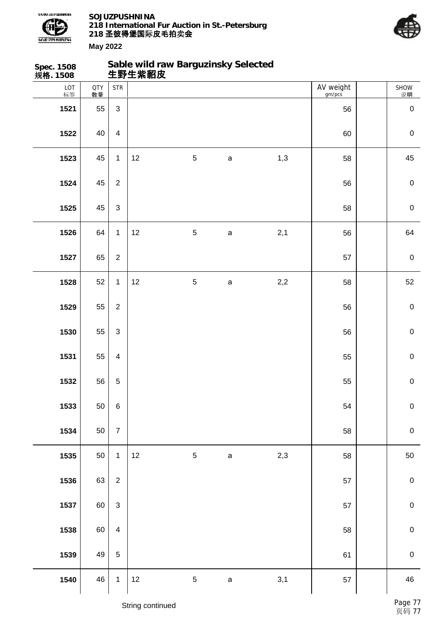



| Spec. 1508<br>规格. 1508 |                  |                                    |      | Sable wild raw Barguzinsky Selected<br>生野生紫貂皮 |             |     |                     |             |
|------------------------|------------------|------------------------------------|------|-----------------------------------------------|-------------|-----|---------------------|-------------|
| LOT<br>标签              | <b>QTY</b><br>数量 | $\ensuremath{\mathsf{STR}}\xspace$ |      |                                               |             |     | AV weight<br>gm/pcs | SHOW<br>说明  |
| 1521                   | 55               | $\mathbf{3}$                       |      |                                               |             |     | 56                  | $\pmb{0}$   |
| 1522                   | 40               | $\overline{\mathbf{4}}$            |      |                                               |             |     | 60                  | $\mathbf 0$ |
| 1523                   | 45               | $\mathbf{1}$                       | 12   | $\sqrt{5}$                                    | $\mathsf a$ | 1,3 | 58                  | 45          |
| 1524                   | 45               | $\overline{2}$                     |      |                                               |             |     | 56                  | $\mathbf 0$ |
| 1525                   | 45               | $\mathbf{3}$                       |      |                                               |             |     | 58                  | $\mathbf 0$ |
| 1526                   | 64               | $\mathbf{1}$                       | 12   | $\sqrt{5}$                                    | $\mathsf a$ | 2,1 | 56                  | 64          |
| 1527                   | 65               | $\overline{2}$                     |      |                                               |             |     | 57                  | $\mathbf 0$ |
| 1528                   | 52               | $\mathbf{1}$                       | 12   | $\mathbf 5$                                   | $\mathsf a$ | 2,2 | 58                  | 52          |
| 1529                   | 55               | $\overline{2}$                     |      |                                               |             |     | 56                  | $\mathbf 0$ |
| 1530                   | 55               | $\mathfrak{S}$                     |      |                                               |             |     | 56                  | $\mathbf 0$ |
| 1531                   | 55               | $\overline{4}$                     |      |                                               |             |     | 55                  | $\mathbf 0$ |
| 1532                   | 56               | $\sqrt{5}$                         |      |                                               |             |     | 55                  | $\pmb{0}$   |
| 1533                   | 50               | $\,6\,$                            |      |                                               |             |     | 54                  | $\mathbf 0$ |
| 1534                   | 50               | $\overline{7}$                     |      |                                               |             |     | 58                  | $\mathbf 0$ |
| 1535                   | 50               | $\mathbf{1}$                       | $12$ | $\sqrt{5}$                                    | $\mathsf a$ | 2,3 | 58                  | 50          |
| 1536                   | 63               | $\overline{2}$                     |      |                                               |             |     | 57                  | $\pmb{0}$   |
| 1537                   | 60               | $\mathfrak{S}$                     |      |                                               |             |     | 57                  | $\pmb{0}$   |
| 1538                   | 60               | $\overline{4}$                     |      |                                               |             |     | 58                  | $\pmb{0}$   |
| 1539                   | 49               | $\sqrt{5}$                         |      |                                               |             |     | 61                  | $\pmb{0}$   |
| 1540                   | 46               | $\mathbf{1}$                       | 12   | $\,$ 5 $\,$                                   | $\mathsf a$ | 3,1 | 57                  | 46          |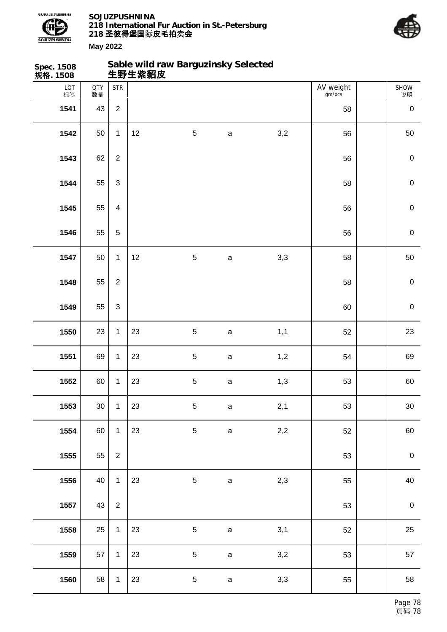

**Spec. 1508**

**SOJUZPUSHNINA 218 International Fur Auction in St.-Petersburg 218 圣彼得堡国际 卖 皮毛拍 会 May 2022**

**Sable wild raw Barguzinsky Selected**



SHOW 说明

**1560** 58 1 23 5 а 3,3 55 58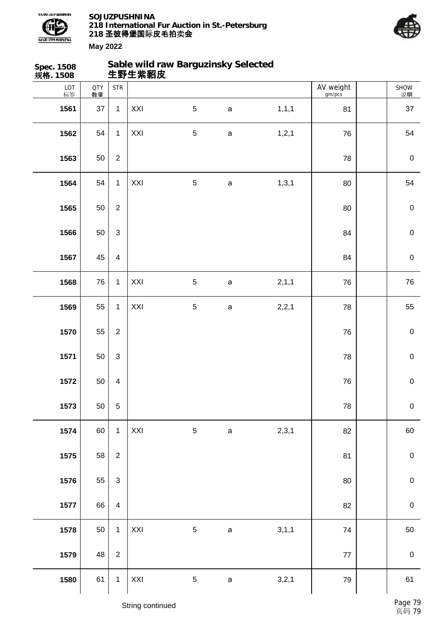



**May 2022 Spec. 1508 规格. 1508 生野生紫貂皮**

| Sable wild raw Barguzinsky Selected |  |
|-------------------------------------|--|
|                                     |  |

| 724H. 1900 |                  |                                    |     |                |             |         |                     |             |
|------------|------------------|------------------------------------|-----|----------------|-------------|---------|---------------------|-------------|
| LOT<br>标签  | <b>QTY</b><br>数量 | $\ensuremath{\mathsf{STR}}\xspace$ |     |                |             |         | AV weight<br>gm/pcs | SHOW<br>说明  |
| 1561       | 37               | $\mathbf{1}$                       | XXI | $\overline{5}$ | $\mathsf a$ | 1, 1, 1 | 81                  | 37          |
| 1562       | 54               | $\mathbf{1}$                       | XXI | $\sqrt{5}$     | $\mathsf a$ | 1, 2, 1 | 76                  | 54          |
| 1563       | 50               | $\sqrt{2}$                         |     |                |             |         | 78                  | $\pmb{0}$   |
| 1564       | 54               | $\mathbf{1}$                       | XXI | $\sqrt{5}$     | $\mathsf a$ | 1, 3, 1 | 80                  | 54          |
| 1565       | 50               | $\overline{2}$                     |     |                |             |         | 80                  | $\mathbf 0$ |
| 1566       | 50               | $\mathsf 3$                        |     |                |             |         | 84                  | $\mathbf 0$ |
| 1567       | 45               | $\overline{\mathbf{4}}$            |     |                |             |         | 84                  | $\pmb{0}$   |
| 1568       | ${\bf 76}$       | $\mathbf{1}$                       | XXI | $\sqrt{5}$     | $\mathsf a$ | 2,1,1   | 76                  | ${\bf 76}$  |
| 1569       | 55               | $\mathbf{1}$                       | XXI | $\sqrt{5}$     | $\mathsf a$ | 2,2,1   | 78                  | 55          |
| 1570       | 55               | $\overline{2}$                     |     |                |             |         | 76                  | $\pmb{0}$   |
| 1571       | 50               | $\mathsf 3$                        |     |                |             |         | 78                  | $\pmb{0}$   |
| 1572       | 50               | $\overline{\mathbf{4}}$            |     |                |             |         | 76                  | $\mathbf 0$ |
| 1573       | 50               | $\overline{5}$                     |     |                |             |         | ${\bf 78}$          | $\pmb{0}$   |
| 1574       | 60               | $\mathbf{1}$                       | XXI | $\sqrt{5}$     | $\mathsf a$ | 2,3,1   | 82                  | 60          |
| 1575       | 58               | $\overline{c}$                     |     |                |             |         | 81                  | $\pmb{0}$   |
| 1576       | 55               | $\ensuremath{\mathsf{3}}$          |     |                |             |         | 80                  | $\pmb{0}$   |
| 1577       | 66               | $\overline{\mathbf{4}}$            |     |                |             |         | 82                  | $\pmb{0}$   |
| 1578       | 50               | $\mathbf{1}$                       | XXI | $\sqrt{5}$     | $\mathsf a$ | 3, 1, 1 | 74                  | $50\,$      |
| 1579       | 48               | $\overline{c}$                     |     |                |             |         | $77\,$              | $\pmb{0}$   |
| 1580       | 61               | $\mathbf 1$                        | XXI | $\,$ 5 $\,$    | $\mathsf a$ | 3,2,1   | 79                  | 61          |
|            |                  |                                    |     |                |             |         |                     |             |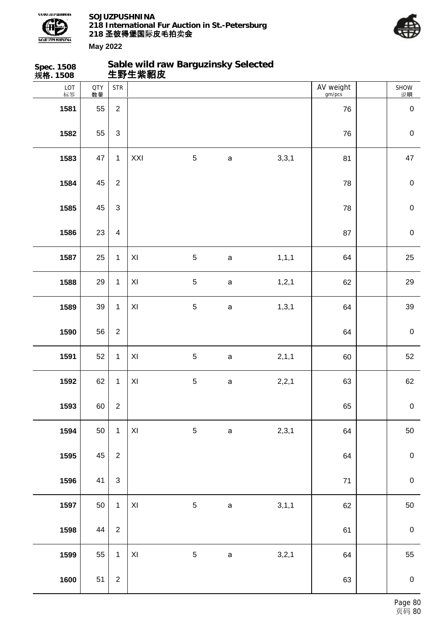



| <b>Spec. 1508</b><br>规格. 1508 |                  |                           | Sable wild raw Barguzinsky Selected<br>生野生紫貂皮 |             |              |         |                     |             |
|-------------------------------|------------------|---------------------------|-----------------------------------------------|-------------|--------------|---------|---------------------|-------------|
| LOT<br>标签                     | <b>QTY</b><br>数量 | <b>STR</b>                |                                               |             |              |         | AV weight<br>gm/pcs | SHOW<br>说明  |
| 1581                          | 55               | $\overline{2}$            |                                               |             |              |         | 76                  | $\mathbf 0$ |
| 1582                          | 55               | $\ensuremath{\mathsf{3}}$ |                                               |             |              |         | 76                  | $\mathbf 0$ |
| 1583                          | 47               | $\mathbf{1}$              | XXI                                           | $\mathbf 5$ | $\mathsf a$  | 3,3,1   | 81                  | 47          |
| 1584                          | 45               | $\overline{2}$            |                                               |             |              |         | 78                  | $\mathbf 0$ |
| 1585                          | 45               | $\mathfrak{S}$            |                                               |             |              |         | 78                  | $\mathbf 0$ |
| 1586                          | 23               | $\overline{\mathbf{4}}$   |                                               |             |              |         | 87                  | $\mathbf 0$ |
| 1587                          | 25               | $\mathbf{1}$              | $\mathsf{X} \mathsf{I}$                       | $\mathbf 5$ | $\mathsf a$  | 1, 1, 1 | 64                  | 25          |
| 1588                          | 29               | $\mathbf{1}$              | $\pmb{\mathsf{XI}}$                           | $\mathbf 5$ | $\mathsf a$  | 1, 2, 1 | 62                  | 29          |
| 1589                          | 39               | $\mathbf{1}$              | $\mathsf{X} \mathsf{I}$                       | $\mathbf 5$ | $\mathsf a$  | 1, 3, 1 | 64                  | 39          |
| 1590                          | 56               | $\overline{2}$            |                                               |             |              |         | 64                  | $\mathbf 0$ |
| 1591                          | 52               | $\mathbf{1}$              | $\mathsf{X} \mathsf{I}$                       | $\mathbf 5$ | $\mathsf a$  | 2,1,1   | 60                  | 52          |
| 1592                          | 62               | $\mathbf{1}$              | XI                                            | 5           | $\mathsf{a}$ | 2,2,1   | 63                  | 62          |
| 1593                          | 60               | $\sqrt{2}$                |                                               |             |              |         | 65                  | $\mathbf 0$ |
| 1594                          | 50               | $\mathbf{1}$              | $\mathsf{XI}$                                 | 5           | $\mathsf a$  | 2,3,1   | 64                  | 50          |
| 1595                          | 45               | $\overline{2}$            |                                               |             |              |         | 64                  | $\mathbf 0$ |
| 1596                          | 41               | $\mathfrak{S}$            |                                               |             |              |         | $\bf 71$            | $\mathbf 0$ |
| 1597                          | 50               | $\mathbf{1}$              | $\pmb{\mathsf{X}}$                            | $\sqrt{5}$  | $\mathsf a$  | 3,1,1   | 62                  | 50          |
| 1598                          | 44               | $\overline{2}$            |                                               |             |              |         | 61                  | $\pmb{0}$   |
| 1599                          | 55               | $\mathbf{1}$              | XI                                            | 5           | $\mathsf a$  | 3,2,1   | 64                  | 55          |
| 1600                          | 51               | $\overline{2}$            |                                               |             |              |         | 63                  | $\mathbf 0$ |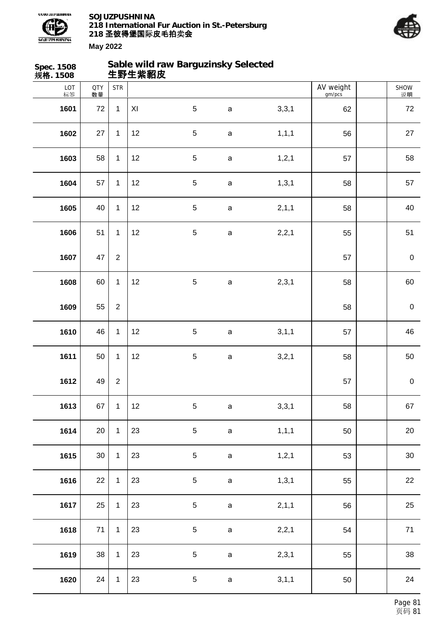



| Spec. 1508<br>规格. 1508 |                  |                  | 生野生紫貂皮 | Sable wild raw Barguzinsky Selected |              |         |                     |            |
|------------------------|------------------|------------------|--------|-------------------------------------|--------------|---------|---------------------|------------|
| LOT<br>标签              | <b>QTY</b><br>数量 | <b>STR</b>       |        |                                     |              |         | AV weight<br>gm/pcs | SHOW<br>说明 |
| 1601                   | 72               | $\mathbf{1}$     | XI     | $\sqrt{5}$                          | $\mathsf a$  | 3,3,1   | 62                  | 72         |
| 1602                   | 27               | $\mathbf{1}$     | 12     | $\sqrt{5}$                          | $\mathsf{a}$ | 1, 1, 1 | 56                  | 27         |
| 1603                   | 58               | $\mathbf{1}$     | 12     | $\sqrt{5}$                          | $\mathsf a$  | 1, 2, 1 | 57                  | 58         |
| 1604                   | 57               | $\mathbf{1}$     | 12     | $\mathbf 5$                         | $\mathsf a$  | 1, 3, 1 | 58                  | 57         |
| 1605                   | 40               | $\mathbf{1}$     | 12     | $\sqrt{5}$                          | $\mathsf a$  | 2,1,1   | 58                  | 40         |
| 1606                   | 51               | $\mathbf{1}$     | 12     | $\mathbf 5$                         | $\mathsf a$  | 2,2,1   | 55                  | 51         |
| 1607                   | 47               | $\boldsymbol{2}$ |        |                                     |              |         | 57                  | $\pmb{0}$  |
| 1608                   | 60               | $\mathbf{1}$     | 12     | $\mathbf 5$                         | $\mathsf a$  | 2,3,1   | 58                  | 60         |
| 1609                   | 55               | $\overline{2}$   |        |                                     |              |         | 58                  | $\pmb{0}$  |
| 1610                   | 46               | $\mathbf{1}$     | 12     | $\sqrt{5}$                          | $\mathsf a$  | 3, 1, 1 | 57                  | 46         |
| 1611                   | 50               | $\mathbf{1}$     | 12     | $\sqrt{5}$                          | $\mathsf a$  | 3,2,1   | 58                  | 50         |
| 1612                   | 49               | $\boldsymbol{2}$ |        |                                     |              |         | 57                  | $\pmb{0}$  |
| 1613                   | 67               | $\mathbf 1$      | 12     | $\sqrt{5}$                          | $\mathsf a$  | 3,3,1   | 58                  | 67         |
| 1614                   | 20               | $\mathbf{1}$     | 23     | $\mathbf 5$                         | $\mathsf a$  | 1, 1, 1 | 50                  | 20         |
| 1615                   | $30\,$           | $\mathbf{1}$     | 23     | $\mathbf 5$                         | $\mathsf a$  | 1, 2, 1 | 53                  | 30         |
| 1616                   | 22               | $\mathbf{1}$     | 23     | $\mathbf 5$                         | $\mathsf a$  | 1, 3, 1 | 55                  | 22         |
| 1617                   | 25               | $\mathbf{1}$     | 23     | $\mathbf 5$                         | $\mathsf a$  | 2, 1, 1 | 56                  | 25         |
| 1618                   | $71$             | $\mathbf{1}$     | 23     | $\mathbf 5$                         | $\mathsf a$  | 2,2,1   | 54                  | $71$       |
| 1619                   | 38               | $\mathbf{1}$     | 23     | $\mathbf 5$                         | $\mathsf a$  | 2,3,1   | 55                  | 38         |
| 1620                   | 24               | $\mathbf{1}$     | 23     | $\mathbf 5$                         | $\mathsf a$  | 3,1,1   | 50                  | 24         |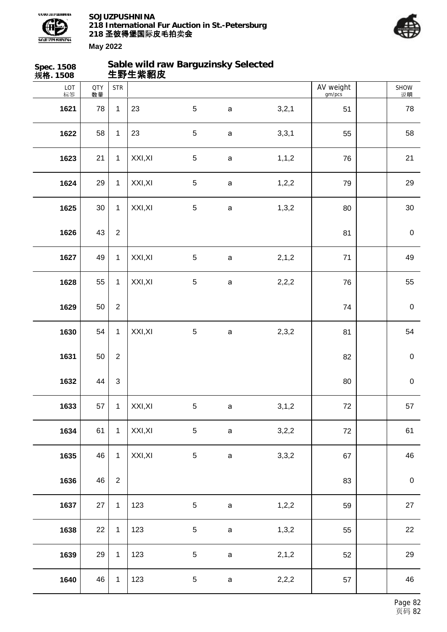



| Spec. 1508<br>规格. 1508 |                  |                  | Sable wild raw Barguzinsky Selected<br>生野生紫貂皮 |                 |              |         |                     |                   |
|------------------------|------------------|------------------|-----------------------------------------------|-----------------|--------------|---------|---------------------|-------------------|
| LOT<br>标签              | <b>QTY</b><br>数量 | <b>STR</b>       |                                               |                 |              |         | AV weight<br>gm/pcs | <b>SHOW</b><br>说明 |
| 1621                   | 78               | $\mathbf{1}$     | 23                                            | $\sqrt{5}$      | $\mathsf a$  | 3,2,1   | 51                  | 78                |
| 1622                   | 58               | $\mathbf{1}$     | 23                                            | $\sqrt{5}$      | $\mathsf{a}$ | 3,3,1   | 55                  | 58                |
| 1623                   | 21               | $\mathbf{1}$     | XXI, XI                                       | $\sqrt{5}$      | $\mathsf{a}$ | 1, 1, 2 | 76                  | 21                |
| 1624                   | 29               | $\mathbf{1}$     | XXI, XI                                       | 5               | $\mathsf{a}$ | 1, 2, 2 | 79                  | 29                |
| 1625                   | $30\,$           | $\mathbf{1}$     | XXI, XI                                       | 5               | $\mathsf a$  | 1,3,2   | 80                  | $30\,$            |
| 1626                   | 43               | $\overline{2}$   |                                               |                 |              |         | 81                  | $\pmb{0}$         |
| 1627                   | 49               | $\mathbf{1}$     | XXI, XI                                       | 5               | $\mathsf{a}$ | 2, 1, 2 | 71                  | 49                |
| 1628                   | 55               | $\mathbf{1}$     | XXI, XI                                       | 5               | a            | 2,2,2   | 76                  | 55                |
| 1629                   | 50               | $\boldsymbol{2}$ |                                               |                 |              |         | 74                  | $\pmb{0}$         |
| 1630                   | 54               | $\mathbf{1}$     | XXI, XI                                       | $\mathbf 5$     | $\mathsf{a}$ | 2,3,2   | 81                  | 54                |
| 1631                   | 50               | $\overline{2}$   |                                               |                 |              |         | 82                  | $\pmb{0}$         |
| 1632                   | 44               | $\sqrt{3}$       |                                               |                 |              |         | 80                  | $\pmb{0}$         |
| 1633                   | 57               | $\mathbf{1}$     | XXI, XI                                       | $5\phantom{.0}$ | $\mathbf a$  | 3, 1, 2 | 72                  | 57                |
| 1634                   | 61               | $\mathbf{1}$     | XXI, XI                                       | 5               | $\mathsf{a}$ | 3,2,2   | 72                  | 61                |
| 1635                   | 46               | $\mathbf{1}$     | XXI, XI                                       | 5               | $\mathsf a$  | 3,3,2   | 67                  | 46                |
| 1636                   | 46               | $\overline{2}$   |                                               |                 |              |         | 83                  | $\pmb{0}$         |
| 1637                   | 27               | $\mathbf{1}$     | 123                                           | $\,$ 5 $\,$     | $\mathsf a$  | 1,2,2   | 59                  | $27\,$            |
| 1638                   | 22               | $\mathbf{1}$     | 123                                           | $\,$ 5 $\,$     | $\mathsf a$  | 1,3,2   | 55                  | 22                |
| 1639                   | 29               | $\mathbf{1}$     | 123                                           | $\,$ 5 $\,$     | $\mathsf a$  | 2, 1, 2 | 52                  | 29                |
| 1640                   | 46               | $\mathbf{1}$     | 123                                           | $\,$ 5 $\,$     | $\mathsf a$  | 2,2,2   | 57                  | 46                |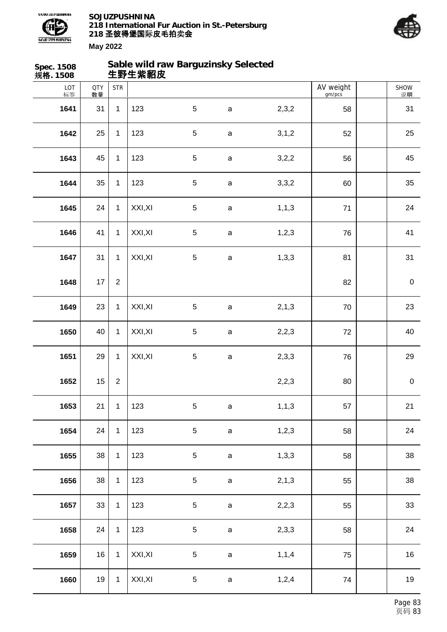



| Spec. 1508<br>规格. 1508 |                  |              | 生野生紫貂皮  | Sable wild raw Barguzinsky Selected |             |         |                     |            |
|------------------------|------------------|--------------|---------|-------------------------------------|-------------|---------|---------------------|------------|
| LOT<br>标签              | <b>QTY</b><br>数量 | <b>STR</b>   |         |                                     |             |         | AV weight<br>gm/pcs | SHOW<br>说明 |
| 1641                   | 31               | $\mathbf{1}$ | 123     | $\overline{5}$                      | $\mathsf a$ | 2,3,2   | 58                  | 31         |
| 1642                   | 25               | $\mathbf{1}$ | 123     | $\sqrt{5}$                          | $\mathsf a$ | 3, 1, 2 | 52                  | 25         |
| 1643                   | 45               | $\mathbf{1}$ | 123     | $\sqrt{5}$                          | $\mathsf a$ | 3,2,2   | 56                  | 45         |
| 1644                   | 35               | $\mathbf{1}$ | 123     | $\sqrt{5}$                          | $\mathsf a$ | 3,3,2   | 60                  | 35         |
| 1645                   | 24               | $\mathbf{1}$ | XXI, XI | $\overline{5}$                      | $\mathsf a$ | 1, 1, 3 | 71                  | 24         |
| 1646                   | 41               | $\mathbf{1}$ | XXI, XI | $\sqrt{5}$                          | $\mathsf a$ | 1, 2, 3 | 76                  | 41         |
| 1647                   | 31               | $\mathbf{1}$ | XXI, XI | $\sqrt{5}$                          | $\mathsf a$ | 1,3,3   | 81                  | 31         |
| 1648                   | 17               | $\sqrt{2}$   |         |                                     |             |         | 82                  | $\pmb{0}$  |
| 1649                   | 23               | $\mathbf{1}$ | XXI, XI | $\overline{5}$                      | $\mathsf a$ | 2, 1, 3 | 70                  | 23         |
| 1650                   | 40               | $\mathbf{1}$ | XXI, XI | $\sqrt{5}$                          | $\mathsf a$ | 2,2,3   | 72                  | 40         |
| 1651                   | 29               | $\mathbf{1}$ | XXI, XI | $\sqrt{5}$                          | $\mathsf a$ | 2,3,3   | 76                  | 29         |
| 1652                   | 15               | $\sqrt{2}$   |         |                                     |             | 2,2,3   | 80                  | $\pmb{0}$  |
| 1653                   | 21               | $\mathbf{1}$ | 123     | $\mathbf 5$                         | $\mathsf a$ | 1, 1, 3 | 57                  | 21         |
| 1654                   | 24               | $\mathbf{1}$ | 123     | $\mathbf 5$                         | $\mathsf a$ | 1,2,3   | 58                  | 24         |
| 1655                   | 38               | $\mathbf{1}$ | 123     | $\sqrt{5}$                          | $\mathsf a$ | 1,3,3   | 58                  | 38         |
| 1656                   | 38               | $\mathbf{1}$ | 123     | $\mathbf 5$                         | $\mathsf a$ | 2, 1, 3 | 55                  | 38         |
| 1657                   | 33               | $\mathbf{1}$ | 123     | $\mathbf 5$                         | $\mathsf a$ | 2,2,3   | 55                  | 33         |
| 1658                   | 24               | $\mathbf{1}$ | 123     | $\mathbf 5$                         | $\mathsf a$ | 2,3,3   | 58                  | 24         |
| 1659                   | 16               | $\mathbf{1}$ | XXI, XI | $\sqrt{5}$                          | $\mathsf a$ | 1, 1, 4 | 75                  | 16         |
| 1660                   | 19               | $\mathbf{1}$ | XXI, XI | $\mathbf 5$                         | $\mathsf a$ | 1,2,4   | 74                  | 19         |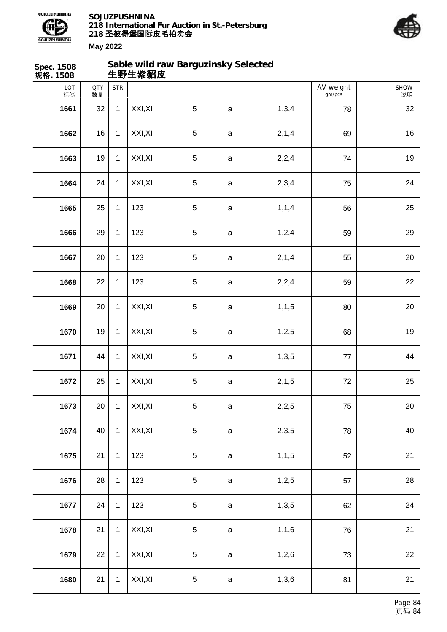



| Spec. 1508<br>规格. 1508 |                  |              | 生野生紫貂皮  | Sable wild raw Barguzinsky Selected |              |         |                     |            |
|------------------------|------------------|--------------|---------|-------------------------------------|--------------|---------|---------------------|------------|
| LOT<br>标签              | <b>QTY</b><br>数量 | <b>STR</b>   |         |                                     |              |         | AV weight<br>gm/pcs | SHOW<br>说明 |
| 1661                   | 32               | $\mathbf{1}$ | XXI, XI | $5\phantom{.0}$                     | $\mathbf a$  | 1,3,4   | 78                  | 32         |
| 1662                   | 16               | $\mathbf{1}$ | XXI, XI | $\sqrt{5}$                          | $\mathsf a$  | 2, 1, 4 | 69                  | 16         |
| 1663                   | 19               | $\mathbf{1}$ | XXI, XI | $\sqrt{5}$                          | $\mathsf a$  | 2,2,4   | 74                  | 19         |
| 1664                   | 24               | $\mathbf{1}$ | XXI, XI | $\sqrt{5}$                          | $\mathsf a$  | 2,3,4   | 75                  | 24         |
| 1665                   | 25               | $\mathbf{1}$ | 123     | $5\phantom{.0}$                     | $\mathsf a$  | 1, 1, 4 | 56                  | 25         |
| 1666                   | 29               | $\mathbf{1}$ | 123     | $\sqrt{5}$                          | $\mathsf a$  | 1,2,4   | 59                  | 29         |
| 1667                   | 20               | $\mathbf{1}$ | 123     | $\sqrt{5}$                          | $\mathsf a$  | 2, 1, 4 | 55                  | 20         |
| 1668                   | 22               | $\mathbf{1}$ | 123     | $\sqrt{5}$                          | $\mathsf a$  | 2,2,4   | 59                  | 22         |
| 1669                   | 20               | $\mathbf{1}$ | XXI, XI | $\overline{5}$                      | $\mathsf{a}$ | 1, 1, 5 | 80                  | 20         |
| 1670                   | 19               | $\mathbf{1}$ | XXI, XI | $\sqrt{5}$                          | $\mathsf a$  | 1,2,5   | 68                  | 19         |
| 1671                   | 44               | $\mathbf{1}$ | XXI, XI | $\sqrt{5}$                          | $\mathsf a$  | 1,3,5   | $77 \,$             | 44         |
| 1672                   | 25               | $\mathbf 1$  | XXI, XI | $\mathbf 5$                         | a            | 2, 1, 5 | 72                  | 25         |
| 1673                   | 20 <sup>1</sup>  | $\mathbf{1}$ | XXI, XI | $\sqrt{5}$                          | $\mathsf a$  | 2,2,5   | 75                  | $20\,$     |
| 1674                   | 40               | $\mathbf{1}$ | XXI, XI | $\sqrt{5}$                          | $\mathsf a$  | 2,3,5   | 78                  | 40         |
| 1675                   | 21               | $\mathbf{1}$ | 123     | $5\,$                               | $\mathsf a$  | 1, 1, 5 | 52                  | 21         |
| 1676                   | 28               | $\mathbf{1}$ | 123     | $\sqrt{5}$                          | $\mathsf a$  | 1,2,5   | 57                  | 28         |
| 1677                   | 24               | $\mathbf{1}$ | 123     | $\,$ 5 $\,$                         | $\mathsf a$  | 1,3,5   | 62                  | 24         |
| 1678                   | 21               | $\mathbf{1}$ | XXI, XI | $\sqrt{5}$                          | $\mathsf a$  | 1, 1, 6 | 76                  | 21         |
| 1679                   | 22               | $\mathbf{1}$ | XXI, XI | $\sqrt{5}$                          | $\mathsf a$  | 1,2,6   | 73                  | 22         |
| 1680                   | 21               | $\mathbf{1}$ | XXI, XI | $\sqrt{5}$                          | $\mathsf a$  | 1,3,6   | 81                  | 21         |
|                        |                  |              |         |                                     |              |         |                     |            |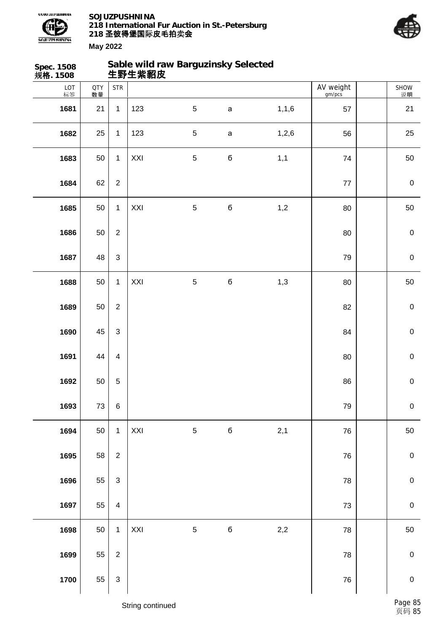



| Spec. 1508<br>规格. 1508 |                  |                                    | 生野生紫貂皮 | Sable wild raw Barguzinsky Selected |             |         |                     |                  |
|------------------------|------------------|------------------------------------|--------|-------------------------------------|-------------|---------|---------------------|------------------|
| LOT<br>标签              | <b>QTY</b><br>数量 | $\ensuremath{\mathsf{STR}}\xspace$ |        |                                     |             |         | AV weight<br>gm/pcs | SHOW<br>说明       |
| 1681                   | 21               | $\mathbf{1}$                       | 123    | $\sqrt{5}$                          | $\mathsf a$ | 1, 1, 6 | 57                  | 21               |
| 1682                   | 25               | $\mathbf{1}$                       | 123    | $\sqrt{5}$                          | $\mathsf a$ | 1,2,6   | 56                  | 25               |
| 1683                   | 50               | $\mathbf{1}$                       | XXI    | $\sqrt{5}$                          | б           | 1,1     | 74                  | 50               |
| 1684                   | 62               | $\overline{2}$                     |        |                                     |             |         | $77$                | $\pmb{0}$        |
| 1685                   | 50               | $\mathbf{1}$                       | XXI    | $\overline{5}$                      | $\mathbf 6$ | 1,2     | 80                  | 50               |
| 1686                   | 50               | $\overline{2}$                     |        |                                     |             |         | 80                  | $\pmb{0}$        |
| 1687                   | 48               | $\ensuremath{\mathsf{3}}$          |        |                                     |             |         | 79                  | $\mathbf 0$      |
| 1688                   | 50               | $\mathbf{1}$                       | XXI    | $\sqrt{5}$                          | $\mathbf 6$ | 1,3     | 80                  | 50               |
| 1689                   | 50               | $\overline{2}$                     |        |                                     |             |         | 82                  | $\mathbf 0$      |
| 1690                   | 45               | $\mathfrak{S}$                     |        |                                     |             |         | 84                  | $\mathbf 0$      |
| 1691                   | 44               | $\overline{4}$                     |        |                                     |             |         | 80                  | $\pmb{0}$        |
| 1692                   | 50               | $\mathbf 5$                        |        |                                     |             |         | 86                  | $\pmb{0}$        |
| 1693                   | $73\,$           | $\,6\,$                            |        |                                     |             |         | 79                  | $\pmb{0}$        |
| 1694                   | 50               | $\mathbf{1}$                       | XXI    | $\sqrt{5}$                          | $\mathbf 6$ | 2,1     | 76                  | $50\,$           |
| 1695                   | 58               | $\sqrt{2}$                         |        |                                     |             |         | 76                  | $\mathbf 0$      |
| 1696                   | 55               | $\mathbf{3}$                       |        |                                     |             |         | 78                  | $\pmb{0}$        |
| 1697                   | 55               | $\overline{4}$                     |        |                                     |             |         | $73\,$              | $\pmb{0}$        |
| 1698                   | 50               | $\mathbf{1}$                       | XXI    | $\sqrt{5}$                          | $\mathbf 6$ | 2,2     | 78                  | $50\,$           |
| 1699                   | 55               | $\sqrt{2}$                         |        |                                     |             |         | 78                  | $\mathbf 0$      |
| 1700                   | 55               | $\ensuremath{\mathsf{3}}$          |        |                                     |             |         | ${\bf 76}$          | $\boldsymbol{0}$ |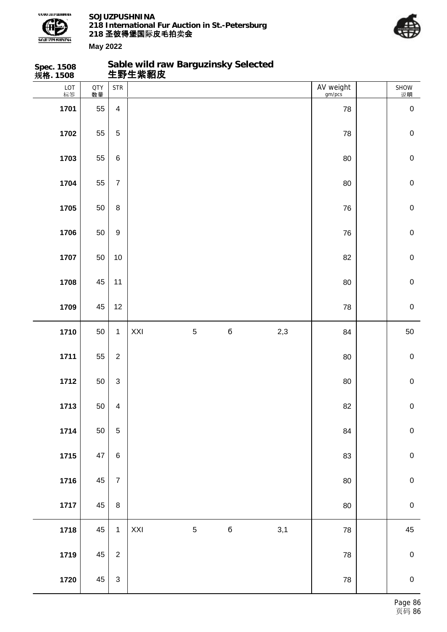

**Spec. 1508**

**SOJUZPUSHNINA 218 International Fur Auction in St.-Petersburg 218 圣彼得堡国际 卖 皮毛拍 会**

**Sable wild raw Barguzinsky Selected**



| 规格. 1508  |                  |                           | 生野生紫貂皮 |            |             |     |                     |             |
|-----------|------------------|---------------------------|--------|------------|-------------|-----|---------------------|-------------|
| LOT<br>标签 | <b>QTY</b><br>数量 | <b>STR</b>                |        |            |             |     | AV weight<br>gm/pcs | SHOW<br>说明  |
| 1701      | 55               | $\overline{\mathbf{4}}$   |        |            |             |     | 78                  | $\pmb{0}$   |
| 1702      | 55               | $\sqrt{5}$                |        |            |             |     | 78                  | $\mathbf 0$ |
| 1703      | 55               | $\,6$                     |        |            |             |     | 80                  | $\mathbf 0$ |
| 1704      | 55               | $\boldsymbol{7}$          |        |            |             |     | 80                  | $\mathbf 0$ |
| 1705      | 50               | $\bf 8$                   |        |            |             |     | 76                  | $\mathbf 0$ |
| 1706      | 50               | $\boldsymbol{9}$          |        |            |             |     | 76                  | $\mathbf 0$ |
| 1707      | 50               | $10$                      |        |            |             |     | 82                  | $\mathbf 0$ |
| 1708      | 45               | 11                        |        |            |             |     | 80                  | $\mathbf 0$ |
| 1709      | 45               | 12                        |        |            |             |     | 78                  | $\mathbf 0$ |
| 1710      | 50               | $\mathbf{1}$              | XXI    | $\sqrt{5}$ | $\mathbf 6$ | 2,3 | 84                  | 50          |
| 1711      | 55               | $\overline{2}$            |        |            |             |     | 80                  | $\pmb{0}$   |
| 1712      | 50               | $\ensuremath{\mathsf{3}}$ |        |            |             |     | 80                  | $\pmb{0}$   |
| 1713      | 50               | $\overline{4}$            |        |            |             |     | 82                  | $\mathbf 0$ |
| 1714      | 50               | $\sqrt{5}$                |        |            |             |     | 84                  | $\mathbf 0$ |
| 1715      | $47\,$           | $\,6$                     |        |            |             |     | 83                  | $\mathbf 0$ |
| 1716      | 45               | $\overline{7}$            |        |            |             |     | $80\,$              | $\pmb{0}$   |
| 1717      | 45               | $\bf 8$                   |        |            |             |     | $80\,$              | $\mathbf 0$ |
| 1718      | 45               | $\mathbf{1}$              | XXI    | $\sqrt{5}$ | $\mathbf 6$ | 3,1 | 78                  | 45          |
| 1719      | 45               | $\overline{2}$            |        |            |             |     | ${\bf 78}$          | $\pmb{0}$   |
| 1720      | $45\,$           | $\sqrt{3}$                |        |            |             |     | ${\bf 78}$          | $\mathbf 0$ |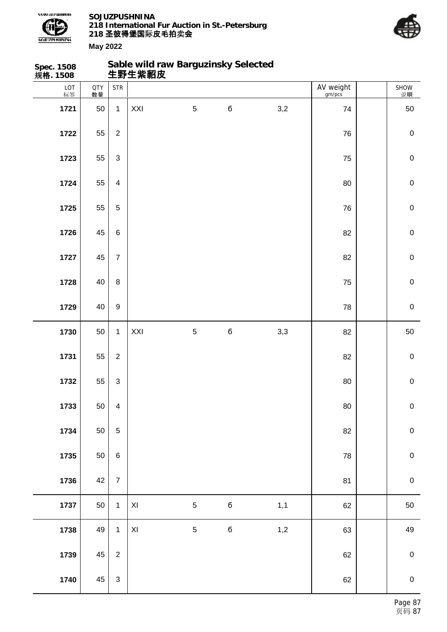

**Sable wild raw Barguzinsky Selected**



| Spec. 1508<br>规 <b>格</b> . 1508 |                  |                         | Sable wild raw Barguzinsky Selected<br>生野生紫貂皮 |                 |             |     |                     |             |
|---------------------------------|------------------|-------------------------|-----------------------------------------------|-----------------|-------------|-----|---------------------|-------------|
| LOT<br>标签                       | <b>QTY</b><br>数量 | <b>STR</b>              |                                               |                 |             |     | AV weight<br>gm/pcs | SHOW<br>说明  |
| 1721                            | 50               | $\mathbf{1}$            | XXI                                           | $\overline{5}$  | $\mathbf 6$ | 3,2 | 74                  | 50          |
| 1722                            | 55               | $\overline{2}$          |                                               |                 |             |     | 76                  | $\mathbf 0$ |
| 1723                            | 55               | 3                       |                                               |                 |             |     | 75                  | $\mathbf 0$ |
| 1724                            | 55               | $\overline{4}$          |                                               |                 |             |     | 80                  | $\mathbf 0$ |
| 1725                            | 55               | 5                       |                                               |                 |             |     | 76                  | $\pmb{0}$   |
| 1726                            | 45               | 6                       |                                               |                 |             |     | 82                  | $\mathbf 0$ |
| 1727                            | 45               | $\overline{7}$          |                                               |                 |             |     | 82                  | $\mathbf 0$ |
| 1728                            | 40               | 8                       |                                               |                 |             |     | 75                  | $\mathbf 0$ |
| 1729                            | 40               | 9                       |                                               |                 |             |     | 78                  | $\pmb{0}$   |
| 1730                            | 50               | $\mathbf{1}$            | XXI                                           | $5\phantom{.0}$ | $\mathbf 6$ | 3,3 | 82                  | 50          |
| 1731                            | 55               | $\overline{2}$          |                                               |                 |             |     | 82                  | $\pmb{0}$   |
| 1732                            | 55               | $\mathbf{3}$            |                                               |                 |             |     | 80                  | $\mathbf 0$ |
| 1733                            | 50               | $\overline{\mathbf{4}}$ |                                               |                 |             |     | 80                  | $\pmb{0}$   |
| 1734                            | 50               | $\overline{5}$          |                                               |                 |             |     | 82                  | $\mathbf 0$ |
| 1735                            | 50               | 6                       |                                               |                 |             |     | 78                  | $\pmb{0}$   |
| 1736                            | 42               | $\overline{7}$          |                                               |                 |             |     | 81                  | $\mathbf 0$ |
| 1737                            | 50               | $\mathbf{1}$            | $\mathsf{X} \mathsf{I}$                       | $\sqrt{5}$      | $\mathbf 6$ | 1,1 | 62                  | 50          |
| 1738                            | 49               | $\mathbf{1}$            | $\mathsf{X} \mathsf{I}$                       | $\overline{5}$  | $\mathbf 6$ | 1,2 | 63                  | 49          |
| 1739                            | 45               | $\overline{2}$          |                                               |                 |             |     | 62                  | $\pmb{0}$   |
| 1740                            | 45               | $\mathbf{3}$            |                                               |                 |             |     | 62                  | $\mathbf 0$ |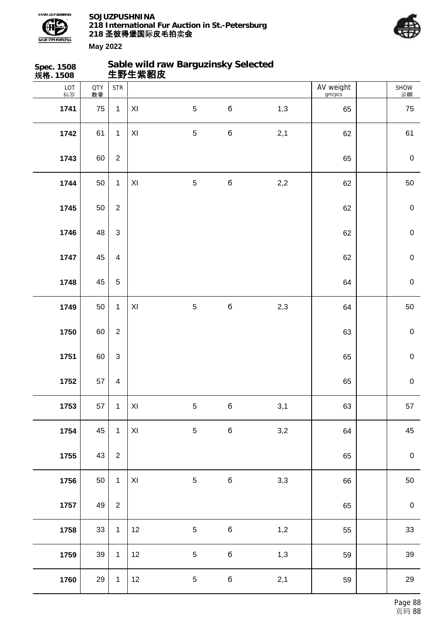



说明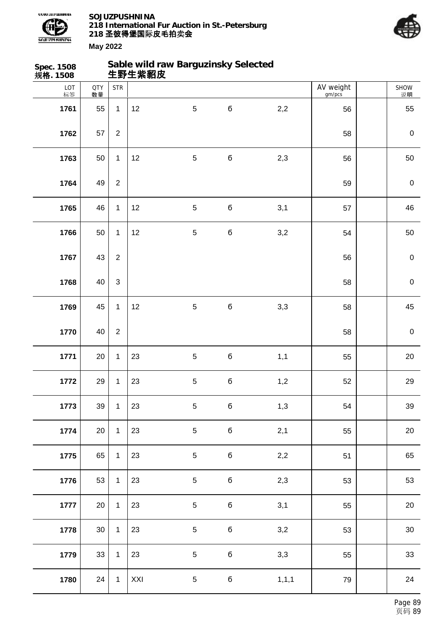



| Spec. 1508<br>规 <b>格</b> . 1508 |                  |                  |     | Sable wild raw Barguzinsky Selected<br>生野生紫貂皮 |             |         |                     |                  |
|---------------------------------|------------------|------------------|-----|-----------------------------------------------|-------------|---------|---------------------|------------------|
| LOT<br>标签                       | <b>QTY</b><br>数量 | <b>STR</b>       |     |                                               |             |         | AV weight<br>gm/pcs | SHOW<br>说明       |
| 1761                            | 55               | $\mathbf{1}$     | 12  | $\overline{5}$                                | $\mathbf 6$ | 2,2     | 56                  | 55               |
| 1762                            | 57               | $\overline{2}$   |     |                                               |             |         | 58                  | $\boldsymbol{0}$ |
| 1763                            | 50               | $\mathbf{1}$     | 12  | $\mathbf 5$                                   | $\mathbf 6$ | 2,3     | 56                  | 50               |
| 1764                            | 49               | $\boldsymbol{2}$ |     |                                               |             |         | 59                  | $\boldsymbol{0}$ |
| 1765                            | 46               | $\mathbf{1}$     | 12  | 5                                             | б           | 3,1     | 57                  | 46               |
| 1766                            | 50               | $\mathbf{1}$     | 12  | $\sqrt{5}$                                    | б           | 3,2     | 54                  | 50               |
| 1767                            | 43               | $\boldsymbol{2}$ |     |                                               |             |         | 56                  | $\mathbf 0$      |
| 1768                            | 40               | $\mathfrak{S}$   |     |                                               |             |         | 58                  | $\mathbf 0$      |
| 1769                            | 45               | $\mathbf{1}$     | 12  | 5                                             | б           | 3,3     | 58                  | 45               |
| 1770                            | 40               | $\boldsymbol{2}$ |     |                                               |             |         | 58                  | $\mathbf 0$      |
| 1771                            | 20               | $\mathbf{1}$     | 23  | $\sqrt{5}$                                    | б           | 1,1     | 55                  | 20               |
| 1772                            | 29               | $\mathbf{1}$     | 23  | $\mathbf 5$                                   | б           | 1,2     | 52                  | 29               |
| 1773                            | 39               | $\mathbf{1}$     | 23  | $\sqrt{5}$                                    | $\mathbf 6$ | 1,3     | 54                  | 39               |
| 1774                            | 20               | $\mathbf{1}$     | 23  | 5                                             | б           | 2,1     | 55                  | 20               |
| 1775                            | 65               | $\mathbf{1}$     | 23  | 5                                             | б           | 2,2     | 51                  | 65               |
| 1776                            | 53               | $\mathbf 1$      | 23  | $\overline{5}$                                | $\mathbf 6$ | 2,3     | 53                  | 53               |
| 1777                            | 20               | $\mathbf{1}$     | 23  | $\overline{5}$                                | $\mathbf 6$ | 3,1     | 55                  | 20               |
| 1778                            | $30\,$           | $\mathbf{1}$     | 23  | 5                                             | б           | 3,2     | 53                  | $30\,$           |
| 1779                            | 33               | $\mathbf{1}$     | 23  | 5                                             | б           | 3,3     | 55                  | 33               |
| 1780                            | 24               | $\mathbf{1}$     | XXI | $\,$ 5 $\,$                                   | $\mathbf 6$ | 1, 1, 1 | 79                  | 24               |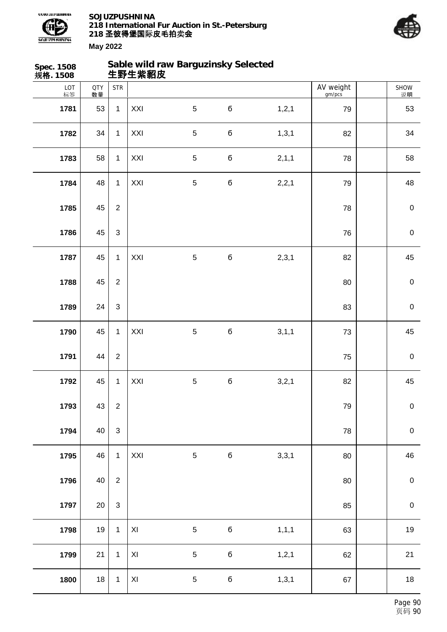



| Spec. 1508<br>规格. 1508 |                  |                | 生野生紫貂皮         | Sable wild raw Barguzinsky Selected |             |         |                     |             |
|------------------------|------------------|----------------|----------------|-------------------------------------|-------------|---------|---------------------|-------------|
| LOT<br>标签              | <b>QTY</b><br>数量 | <b>STR</b>     |                |                                     |             |         | AV weight<br>gm/pcs | SHOW<br>说明  |
| 1781                   | 53               | $\mathbf{1}$   | XXI            | $\sqrt{5}$                          | $\mathbf 6$ | 1, 2, 1 | 79                  | 53          |
| 1782                   | 34               | $\mathbf{1}$   | XXI            | $\sqrt{5}$                          | $\mathbf 6$ | 1, 3, 1 | 82                  | 34          |
| 1783                   | 58               | $\mathbf{1}$   | XXI            | $\mathbf 5$                         | $\mathbf 6$ | 2,1,1   | 78                  | 58          |
| 1784                   | 48               | $\mathbf{1}$   | XXI            | $\mathbf 5$                         | б           | 2,2,1   | 79                  | 48          |
| 1785                   | 45               | $\overline{2}$ |                |                                     |             |         | 78                  | $\pmb{0}$   |
| 1786                   | 45               | $\mathfrak{S}$ |                |                                     |             |         | 76                  | $\pmb{0}$   |
| 1787                   | 45               | $\mathbf{1}$   | XXI            | $\overline{5}$                      | $\mathbf 6$ | 2,3,1   | 82                  | 45          |
| 1788                   | 45               | $\overline{2}$ |                |                                     |             |         | 80                  | $\pmb{0}$   |
| 1789                   | 24               | $\mathfrak{S}$ |                |                                     |             |         | 83                  | $\pmb{0}$   |
| 1790                   | 45               | $\mathbf{1}$   | XXI            | $\sqrt{5}$                          | б           | 3, 1, 1 | 73                  | 45          |
| 1791                   | 44               | $\overline{2}$ |                |                                     |             |         | 75                  | $\pmb{0}$   |
| 1792                   | 45               | $\mathbf{1}$   | XXI            | $\mathbf 5$                         | б           | 3,2,1   | 82                  | 45          |
| 1793                   | 43               | $\overline{2}$ |                |                                     |             |         | 79                  | $\pmb{0}$   |
| 1794                   | 40               | $\sqrt{3}$     |                |                                     |             |         | 78                  | $\mathbf 0$ |
| 1795                   | 46               | $\mathbf{1}$   | XXI            | $\overline{5}$                      | $\mathbf 6$ | 3,3,1   | 80                  | 46          |
| 1796                   | 40               | $\overline{2}$ |                |                                     |             |         | 80                  | $\mathbf 0$ |
| 1797                   | 20               | $\sqrt{3}$     |                |                                     |             |         | 85                  | $\mathbf 0$ |
| 1798                   | 19               | $\mathbf{1}$   | $\pmb{\times}$ | $\mathbf 5$                         | $\mathbf 6$ | 1, 1, 1 | 63                  | $19$        |
| 1799                   | 21               | $\mathbf 1$    | $\pmb{\times}$ | $\mathbf 5$                         | $\mathbf 6$ | 1, 2, 1 | 62                  | 21          |
| 1800                   | 18               | $\mathbf{1}$   | $\pmb{\times}$ | $\mathbf 5$                         | $\mathbf 6$ | 1, 3, 1 | 67                  | 18          |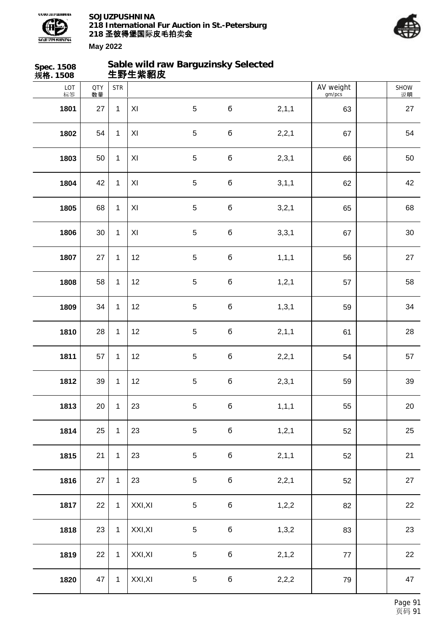



| Spec. 1508<br>规格. 1508 |                  |              | 生野生紫貂皮                  | Sable wild raw Barguzinsky Selected |             |         |                     |                   |
|------------------------|------------------|--------------|-------------------------|-------------------------------------|-------------|---------|---------------------|-------------------|
| LOT<br>标签              | <b>QTY</b><br>数量 | <b>STR</b>   |                         |                                     |             |         | AV weight<br>gm/pcs | <b>SHOW</b><br>说明 |
| 1801                   | 27               | $\mathbf 1$  | XI                      | 5                                   | б           | 2, 1, 1 | 63                  | 27                |
| 1802                   | 54               | $\mathbf{1}$ | $\mathsf{X} \mathsf{I}$ | $\sqrt{5}$                          | $\bf 6$     | 2,2,1   | 67                  | 54                |
| 1803                   | 50               | $\mathbf{1}$ | XI                      | $\sqrt{5}$                          | $\mathbf 6$ | 2,3,1   | 66                  | 50                |
| 1804                   | 42               | $\mathbf{1}$ | XI                      | $\sqrt{5}$                          | $\bf 6$     | 3, 1, 1 | 62                  | 42                |
| 1805                   | 68               | $\mathbf{1}$ | XI                      | $\overline{5}$                      | б           | 3,2,1   | 65                  | 68                |
| 1806                   | 30               | $\mathbf{1}$ | $\mathsf{X} \mathsf{I}$ | $\sqrt{5}$                          | $\mathbf 6$ | 3,3,1   | 67                  | 30                |
| 1807                   | 27               | $\mathbf{1}$ | 12                      | $\sqrt{5}$                          | б           | 1, 1, 1 | 56                  | 27                |
| 1808                   | 58               | $\mathbf{1}$ | 12                      | $\overline{5}$                      | $\bf 6$     | 1, 2, 1 | 57                  | 58                |
| 1809                   | 34               | $\mathbf{1}$ | 12                      | $\overline{5}$                      | $\mathbf 6$ | 1, 3, 1 | 59                  | 34                |
| 1810                   | 28               | $\mathbf{1}$ | 12                      | $\sqrt{5}$                          | $\mathbf 6$ | 2,1,1   | 61                  | 28                |
| 1811                   | 57               | $\mathbf{1}$ | 12                      | $\sqrt{5}$                          | $\mathbf 6$ | 2,2,1   | 54                  | 57                |
| 1812                   | 39               | 1            | 12                      | $\sqrt{5}$                          | $\mathbf 6$ | 2,3,1   | 59                  | 39                |
| 1813                   | 20               | $\mathbf{1}$ | 23                      | $\sqrt{5}$                          | $\bf 6$     | 1, 1, 1 | 55                  | 20                |
| 1814                   | 25               | $\mathbf{1}$ | 23                      | 5                                   | б           | 1, 2, 1 | 52                  | 25                |
| 1815                   | 21               | $\mathbf{1}$ | 23                      | 5                                   | $\bf 6$     | 2,1,1   | 52                  | 21                |
| 1816                   | 27               | $\mathbf{1}$ | 23                      | 5                                   | $\mathbf 6$ | 2,2,1   | 52                  | 27                |
| 1817                   | 22               | $\mathbf{1}$ | XXI, XI                 | $\mathbf 5$                         | $\mathbf 6$ | 1,2,2   | 82                  | 22                |
| 1818                   | 23               | $\mathbf{1}$ | XXI, XI                 | $\mathbf 5$                         | $\mathbf 6$ | 1,3,2   | 83                  | 23                |
| 1819                   | 22               | $\mathbf{1}$ | XXI, XI                 | $\mathbf 5$                         | $\mathbf 6$ | 2,1,2   | $77$                | 22                |
| 1820                   | 47               | $\mathbf{1}$ | XXI, XI                 | $\mathbf 5$                         | $\mathbf 6$ | 2,2,2   | 79                  | 47                |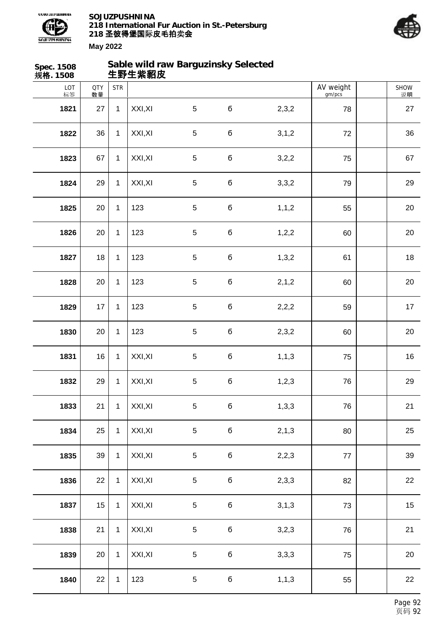



| Spec. 1508<br>规格. 1508 |                  |              | 生野生紫貂皮  | Sable wild raw Barguzinsky Selected |             |         |                     |            |
|------------------------|------------------|--------------|---------|-------------------------------------|-------------|---------|---------------------|------------|
| LOT<br>标签              | <b>QTY</b><br>数量 | <b>STR</b>   |         |                                     |             |         | AV weight<br>gm/pcs | SHOW<br>说明 |
| 1821                   | 27               | $\mathbf{1}$ | XXI, XI | $5\phantom{.0}$                     | б           | 2,3,2   | 78                  | 27         |
| 1822                   | 36               | $\mathbf{1}$ | XXI, XI | $\overline{5}$                      | б           | 3, 1, 2 | 72                  | 36         |
| 1823                   | 67               | $\mathbf{1}$ | XXI, XI | $\sqrt{5}$                          | б           | 3,2,2   | 75                  | 67         |
| 1824                   | 29               | $\mathbf{1}$ | XXI, XI | $\sqrt{5}$                          | б           | 3,3,2   | 79                  | 29         |
| 1825                   | 20               | $\mathbf{1}$ | 123     | 5                                   | б           | 1, 1, 2 | 55                  | 20         |
| 1826                   | 20               | $\mathbf{1}$ | 123     | $\overline{5}$                      | б           | 1, 2, 2 | 60                  | 20         |
| 1827                   | 18               | $\mathbf{1}$ | 123     | $\sqrt{5}$                          | б           | 1,3,2   | 61                  | 18         |
| 1828                   | 20               | $\mathbf{1}$ | 123     | $\sqrt{5}$                          | б           | 2, 1, 2 | 60                  | 20         |
| 1829                   | 17               | $\mathbf{1}$ | 123     | $\sqrt{5}$                          | б           | 2,2,2   | 59                  | 17         |
| 1830                   | 20               | $\mathbf{1}$ | 123     | $\overline{5}$                      | б           | 2,3,2   | 60                  | 20         |
| 1831                   | 16               | $\mathbf{1}$ | XXI, XI | $\sqrt{5}$                          | б           | 1, 1, 3 | 75                  | 16         |
| 1832                   | 29               | $\mathbf{1}$ | XXI, XI | $\sqrt{5}$                          | б           | 1, 2, 3 | 76                  | 29         |
| 1833                   | 21               | $\mathbf{1}$ | XXI, XI | $5\,$                               | б           | 1,3,3   | 76                  | 21         |
| 1834                   | 25               | $\mathbf{1}$ | XXI, XI | 5                                   | б           | 2, 1, 3 | 80                  | 25         |
| 1835                   | 39               | $\mathbf{1}$ | XXI, XI | $\,$ 5 $\,$                         | б           | 2,2,3   | 77                  | 39         |
| 1836                   | 22               | $\mathbf{1}$ | XXI, XI | 5                                   | $\mathbf 6$ | 2,3,3   | 82                  | 22         |
| 1837                   | 15               | $\mathbf{1}$ | XXI, XI | $\,$ 5 $\,$                         | $\mathbf 6$ | 3, 1, 3 | 73                  | 15         |
| 1838                   | 21               | $\mathbf{1}$ | XXI, XI | $\,$ 5 $\,$                         | б           | 3,2,3   | 76                  | 21         |
| 1839                   | 20               | $\mathbf{1}$ | XXI, XI | 5                                   | б           | 3,3,3   | 75                  | 20         |
| 1840                   | 22               | $\mathbf{1}$ | 123     | 5                                   | $\mathbf 6$ | 1, 1, 3 | 55                  | 22         |
|                        |                  |              |         |                                     |             |         |                     |            |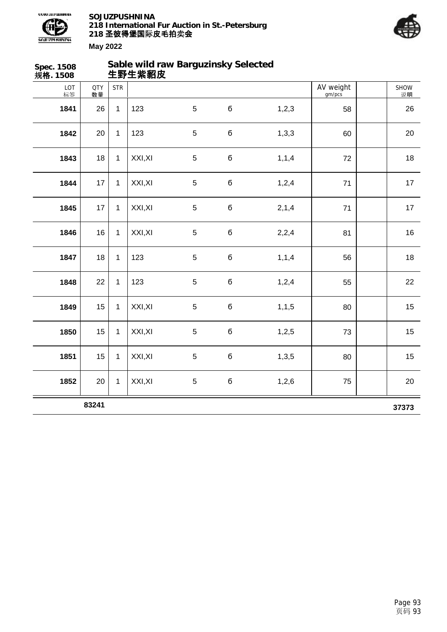



| Spec. 1508<br>规格. 1508 |                  |              | 生野生紫貂皮  | Sable wild raw Barguzinsky Selected |             |         |                     |            |
|------------------------|------------------|--------------|---------|-------------------------------------|-------------|---------|---------------------|------------|
| LOT<br>标签              | <b>QTY</b><br>数量 | <b>STR</b>   |         |                                     |             |         | AV weight<br>gm/pcs | SHOW<br>说明 |
| 1841                   | 26               | $\mathbf{1}$ | 123     | $\overline{5}$                      | б           | 1,2,3   | 58                  | 26         |
| 1842                   | 20               | $\mathbf{1}$ | 123     | $\overline{5}$                      | б           | 1,3,3   | 60                  | 20         |
| 1843                   | 18               | $\mathbf{1}$ | XXI, XI | $\overline{5}$                      | $\mathbf 6$ | 1, 1, 4 | 72                  | 18         |
| 1844                   | 17               | $\mathbf{1}$ | XXI, XI | $\sqrt{5}$                          | б           | 1,2,4   | 71                  | 17         |
| 1845                   | 17               | $\mathbf{1}$ | XXI, XI | $\overline{5}$                      | б           | 2,1,4   | 71                  | 17         |
| 1846                   | 16               | $\mathbf{1}$ | XXI, XI | $\overline{5}$                      | б           | 2,2,4   | 81                  | 16         |
| 1847                   | 18               | $\mathbf{1}$ | 123     | $\overline{5}$                      | $\mathbf 6$ | 1, 1, 4 | 56                  | 18         |
| 1848                   | 22               | $\mathbf{1}$ | 123     | $\overline{5}$                      | $\mathbf 6$ | 1,2,4   | 55                  | 22         |
| 1849                   | 15               | $\mathbf{1}$ | XXI, XI | $\sqrt{5}$                          | б           | 1, 1, 5 | 80                  | 15         |
| 1850                   | 15               | $\mathbf{1}$ | XXI, XI | $\overline{5}$                      | б           | 1,2,5   | 73                  | 15         |
| 1851                   | 15               | $\mathbf{1}$ | XXI, XI | $\overline{5}$                      | б           | 1,3,5   | 80                  | 15         |
| 1852                   | 20               | $\mathbf{1}$ | XXI, XI | $\sqrt{5}$                          | б           | 1,2,6   | 75                  | 20         |
|                        | 83241            |              |         |                                     |             |         |                     | 37373      |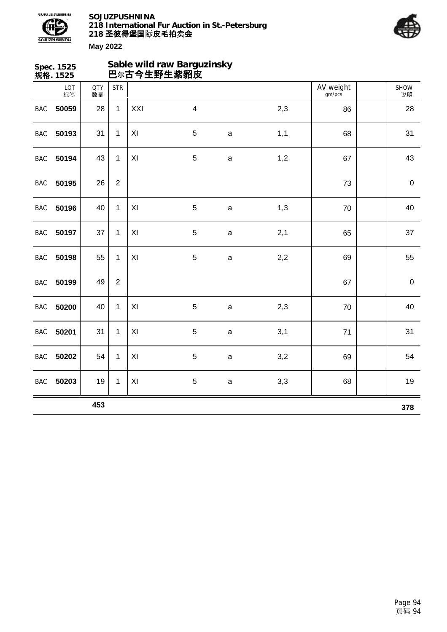



|            | Spec. 1525<br>规格. 1525 |                  |                  | 巴尔古今生野生紫貂皮 | Sable wild raw Barguzinsky |              |     |                     |                   |
|------------|------------------------|------------------|------------------|------------|----------------------------|--------------|-----|---------------------|-------------------|
|            | LOT<br>标签              | <b>QTY</b><br>数量 | <b>STR</b>       |            |                            |              |     | AV weight<br>gm/pcs | <b>SHOW</b><br>说明 |
| <b>BAC</b> | 50059                  | 28               | $\mathbf{1}$     | XXI        | $\overline{\mathbf{4}}$    |              | 2,3 | 86                  | 28                |
| <b>BAC</b> | 50193                  | 31               | 1                | XI         | 5                          | $\mathsf a$  | 1,1 | 68                  | 31                |
| <b>BAC</b> | 50194                  | 43               | $\mathbf{1}$     | XI         | 5                          | $\mathsf a$  | 1,2 | 67                  | 43                |
| <b>BAC</b> | 50195                  | 26               | $\boldsymbol{2}$ |            |                            |              |     | 73                  | $\pmb{0}$         |
| <b>BAC</b> | 50196                  | 40               | $\mathbf{1}$     | XI         | 5                          | $\mathsf{a}$ | 1,3 | 70                  | 40                |
| <b>BAC</b> | 50197                  | 37               | 1                | XI         | 5                          | $\mathsf{a}$ | 2,1 | 65                  | 37                |
| <b>BAC</b> | 50198                  | 55               | $\mathbf{1}$     | XI         | 5                          | $\mathsf{a}$ | 2,2 | 69                  | 55                |
| <b>BAC</b> | 50199                  | 49               | $\overline{2}$   |            |                            |              |     | 67                  | $\pmb{0}$         |
| BAC        | 50200                  | 40               | $\mathbf{1}$     | XI         | $\sqrt{5}$                 | $\mathsf a$  | 2,3 | 70                  | 40                |
| <b>BAC</b> | 50201                  | 31               | $\mathbf 1$      | XI         | 5                          | $\mathsf a$  | 3,1 | 71                  | 31                |
| <b>BAC</b> | 50202                  | 54               | 1                | XI         | 5                          | $\mathsf a$  | 3,2 | 69                  | 54                |
| <b>BAC</b> | 50203                  | 19               | 1                | XI         | 5                          | $\mathsf a$  | 3,3 | 68                  | 19                |
|            |                        | 453              |                  |            |                            |              |     |                     | 378               |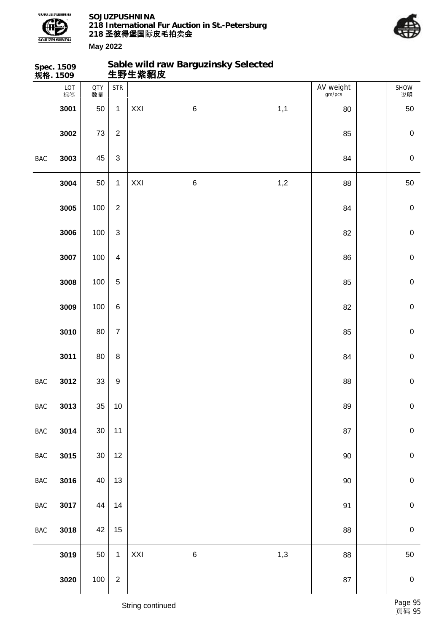

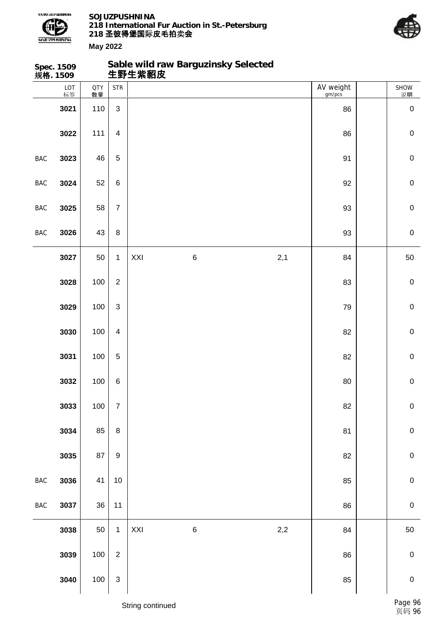

**Sable wild raw Barguzinsky Selected**



|                | Spec. 1509<br>规 <b>格</b> . 1509 |                  |                  |     | Sable wild raw Barguzinsky Selected<br>生野生紫貂皮 |     |                     |             |
|----------------|---------------------------------|------------------|------------------|-----|-----------------------------------------------|-----|---------------------|-------------|
|                | LOT<br>标签                       | <b>QTY</b><br>数量 | <b>STR</b>       |     |                                               |     | AV weight<br>gm/pcs | SHOW<br>说明  |
|                | 3021                            | 110              | $\mathfrak{S}$   |     |                                               |     | 86                  | $\mathbf 0$ |
|                | 3022                            | 111              | $\overline{4}$   |     |                                               |     | 86                  | $\pmb{0}$   |
| <b>BAC</b>     | 3023                            | 46               | $\sqrt{5}$       |     |                                               |     | 91                  | $\pmb{0}$   |
| <b>BAC</b>     | 3024                            | 52               | $\,6\,$          |     |                                               |     | 92                  | $\pmb{0}$   |
| BAC            | 3025                            | 58               | $\overline{7}$   |     |                                               |     | 93                  | $\pmb{0}$   |
| <b>BAC</b>     | 3026                            | 43               | $\bf 8$          |     |                                               |     | 93                  | $\pmb{0}$   |
|                | 3027                            | 50               | $\mathbf{1}$     | XXI | $\,6\,$                                       | 2,1 | 84                  | 50          |
|                | 3028                            | 100              | $\overline{2}$   |     |                                               |     | 83                  | $\pmb{0}$   |
|                | 3029                            | 100              | $\mathfrak{S}$   |     |                                               |     | 79                  | $\pmb{0}$   |
|                | 3030                            | 100              | $\overline{4}$   |     |                                               |     | 82                  | $\mathbf 0$ |
|                | 3031                            | 100              | $\sqrt{5}$       |     |                                               |     | 82                  | $\pmb{0}$   |
|                | 3032                            | 100              | $\,6\,$          |     |                                               |     | 80                  | $\mathbf 0$ |
|                | 3033                            | 100              | $\boldsymbol{7}$ |     |                                               |     | 82                  | $\pmb{0}$   |
|                | 3034                            | 85               | $\bf 8$          |     |                                               |     | 81                  | $\mathbf 0$ |
|                | 3035                            | 87               | $\boldsymbol{9}$ |     |                                               |     | 82                  | ${\bf 0}$   |
| $_{\rm BAC}$   | 3036                            | 41               | $10$             |     |                                               |     | 85                  | ${\bf 0}$   |
| $\mathsf{BAC}$ | 3037                            | 36               | 11               |     |                                               |     | 86                  | $\mathbf 0$ |
|                | 3038                            | 50               | $\mathbf{1}$     | XXI | $\,$ 6 $\,$                                   | 2,2 | 84                  | 50          |
|                | 3039                            | 100              | $\overline{2}$   |     |                                               |     | 86                  | $\pmb{0}$   |
|                | 3040                            | 100              | $\mathsf 3$      |     |                                               |     | 85                  | $\pmb{0}$   |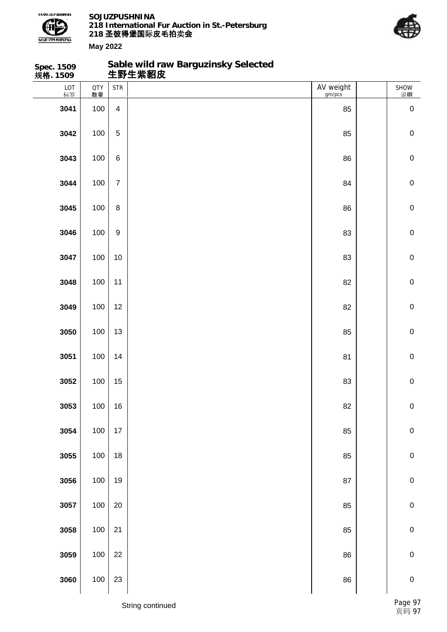

**Sable wild raw Barguzinsky Selected**



| Spec. 1509<br>规 <b>格</b> . 1509 |                  |                  | Sable wild raw Barguzinsky Selected<br>生野生紫貂皮 |                     |             |
|---------------------------------|------------------|------------------|-----------------------------------------------|---------------------|-------------|
| LOT<br>标签                       | <b>QTY</b><br>数量 | <b>STR</b>       |                                               | AV weight<br>gm/pcs | SHOW<br>说明  |
| 3041                            | 100              | $\overline{4}$   |                                               | 85                  | $\mathbf 0$ |
| 3042                            | 100              | 5                |                                               | 85                  | $\mathbf 0$ |
| 3043                            | 100              | $\,6\,$          |                                               | 86                  | $\mathbf 0$ |
| 3044                            | 100              | $\overline{7}$   |                                               | 84                  | $\mathbf 0$ |
| 3045                            | 100              | $\bf 8$          |                                               | 86                  | $\mathbf 0$ |
| 3046                            | 100              | $\boldsymbol{9}$ |                                               | 83                  | $\mathbf 0$ |
| 3047                            | 100              | 10               |                                               | 83                  | $\mathbf 0$ |
| 3048                            | 100              | 11               |                                               | 82                  | $\mathbf 0$ |
| 3049                            | 100              | 12               |                                               | 82                  | $\mathbf 0$ |
| 3050                            | 100              | 13               |                                               | 85                  | $\mathbf 0$ |
| 3051                            | 100              | 14               |                                               | 81                  | $\mathbf 0$ |
| 3052                            | 100              | 15               |                                               | 83                  | $\mathbf 0$ |
| 3053                            | 100              | 16               |                                               | 82                  | ${\bf 0}$   |
| 3054                            | 100              | $17\,$           |                                               | 85                  | $\pmb{0}$   |
| 3055                            | 100              | 18               |                                               | 85                  | $\pmb{0}$   |
| 3056                            | 100              | 19               |                                               | 87                  | $\mathbf 0$ |
| 3057                            | 100              | $20\,$           |                                               | 85                  | $\pmb{0}$   |
| 3058                            | 100              | $21$             |                                               | 85                  | $\mathbf 0$ |
| 3059                            | 100              | 22               |                                               | 86                  | $\pmb{0}$   |
| 3060                            | 100              | 23               |                                               | 86                  | $\pmb{0}$   |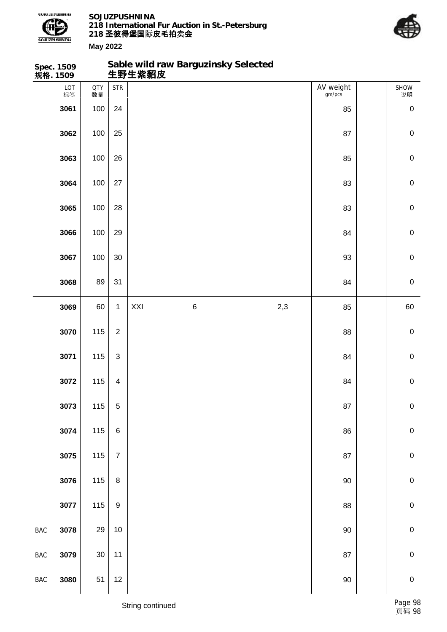

**Sable wild raw Barguzinsky Selected**



|                | Spec. 1509<br>规 <b>格</b> . 1509 |           |                         |     | Sable wild raw Barguzinsky Selected<br>生野生紫貂皮 |     |                     |             |
|----------------|---------------------------------|-----------|-------------------------|-----|-----------------------------------------------|-----|---------------------|-------------|
|                | LOT<br>标签                       | QTY<br>数量 | <b>STR</b>              |     |                                               |     | AV weight<br>gm/pcs | SHOW<br>说明  |
|                | 3061                            | 100       | 24                      |     |                                               |     | 85                  | $\mathbf 0$ |
|                | 3062                            | 100       | 25                      |     |                                               |     | 87                  | $\mathbf 0$ |
|                | 3063                            | 100       | 26                      |     |                                               |     | 85                  | $\mathbf 0$ |
|                | 3064                            | 100       | 27                      |     |                                               |     | 83                  | $\mathbf 0$ |
|                | 3065                            | 100       | 28                      |     |                                               |     | 83                  | $\mathbf 0$ |
|                | 3066                            | 100       | 29                      |     |                                               |     | 84                  | $\mathbf 0$ |
|                | 3067                            | 100       | 30                      |     |                                               |     | 93                  | $\mathbf 0$ |
|                | 3068                            | 89        | 31                      |     |                                               |     | 84                  | $\mathbf 0$ |
|                | 3069                            | 60        | $\mathbf{1}$            | XXI | $\,6\,$                                       | 2,3 | 85                  | 60          |
|                | 3070                            | 115       | $\overline{2}$          |     |                                               |     | 88                  | $\mathbf 0$ |
|                | 3071                            | 115       | $\mathfrak{S}$          |     |                                               |     | 84                  | $\mathbf 0$ |
|                | 3072                            | 115       | $\overline{\mathbf{4}}$ |     |                                               |     | 84                  | $\mathbf 0$ |
|                | 3073                            | 115       | 5                       |     |                                               |     | 87                  | $\pmb{0}$   |
|                | 3074                            | 115       | $\,6\,$                 |     |                                               |     | 86                  | $\mathbf 0$ |
|                | 3075                            | 115       | $\boldsymbol{7}$        |     |                                               |     | 87                  | $\pmb{0}$   |
|                | 3076                            | 115       | $\bf 8$                 |     |                                               |     | $90\,$              | $\mathbf 0$ |
|                | 3077                            | 115       | $\boldsymbol{9}$        |     |                                               |     | 88                  | $\pmb{0}$   |
| $\mathsf{BAC}$ | 3078                            | 29        | 10                      |     |                                               |     | $90\,$              | $\mathbf 0$ |
| $_{\rm BAC}$   | 3079                            | $30\,$    | 11                      |     |                                               |     | 87                  | $\pmb{0}$   |
| $_{\rm BAC}$   | 3080                            | 51        | 12                      |     |                                               |     | $90\,$              | $\pmb{0}$   |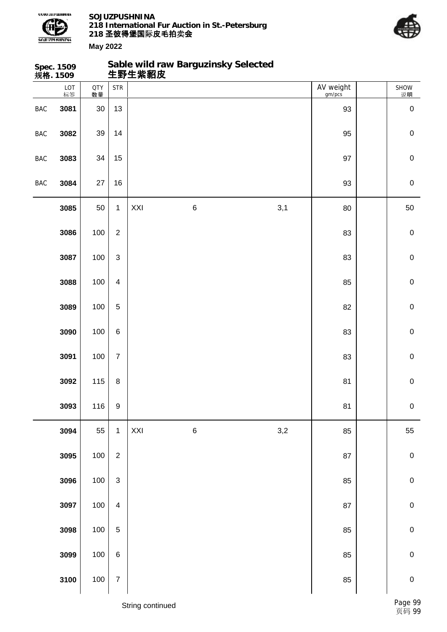



|            | Spec. 1509<br>规格. 1509 |                  |                           | 生野生紫貂皮 | Sable wild raw Barguzinsky Selected |     |                     |             |
|------------|------------------------|------------------|---------------------------|--------|-------------------------------------|-----|---------------------|-------------|
|            | LOT<br>标签              | <b>QTY</b><br>数量 | <b>STR</b>                |        |                                     |     | AV weight<br>gm/pcs | SHOW<br>说明  |
| BAC        | 3081                   | $30\,$           | 13                        |        |                                     |     | 93                  | $\pmb{0}$   |
| <b>BAC</b> | 3082                   | 39               | 14                        |        |                                     |     | 95                  | $\mathbf 0$ |
| <b>BAC</b> | 3083                   | 34               | 15                        |        |                                     |     | 97                  | $\mathbf 0$ |
| <b>BAC</b> | 3084                   | 27               | 16                        |        |                                     |     | 93                  | $\mathbf 0$ |
|            | 3085                   | 50               | $\mathbf{1}$              | XXI    | $\,6\,$                             | 3,1 | 80                  | 50          |
|            | 3086                   | 100              | $\overline{2}$            |        |                                     |     | 83                  | $\mathbf 0$ |
|            | 3087                   | 100              | $\mathfrak{S}$            |        |                                     |     | 83                  | $\mathbf 0$ |
|            | 3088                   | 100              | $\overline{4}$            |        |                                     |     | 85                  | $\mathbf 0$ |
|            | 3089                   | 100              | 5                         |        |                                     |     | 82                  | $\mathbf 0$ |
|            | 3090                   | 100              | $\,6\,$                   |        |                                     |     | 83                  | $\mathbf 0$ |
|            | 3091                   | 100              | $\boldsymbol{7}$          |        |                                     |     | 83                  | $\mathbf 0$ |
|            | 3092                   | 115              | $\bf 8$                   |        |                                     |     | 81                  | $\mathbf 0$ |
|            | 3093                   | 116              | $\boldsymbol{9}$          |        |                                     |     | 81                  | $\pmb{0}$   |
|            | 3094                   | 55               | $\mathbf{1}$              | XXI    | $\,6$                               | 3,2 | 85                  | 55          |
|            | 3095                   | 100              | $\overline{2}$            |        |                                     |     | 87                  | $\pmb{0}$   |
|            | 3096                   | 100              | $\ensuremath{\mathsf{3}}$ |        |                                     |     | 85                  | $\pmb{0}$   |
|            | 3097                   | 100              | $\overline{4}$            |        |                                     |     | 87                  | $\mathbf 0$ |
|            | 3098                   | 100              | $\sqrt{5}$                |        |                                     |     | 85                  | $\mathbf 0$ |
|            | 3099                   | 100              | $\,6\,$                   |        |                                     |     | 85                  | $\mathbf 0$ |
|            | 3100                   | 100              | $\boldsymbol{7}$          |        |                                     |     | 85                  | $\pmb{0}$   |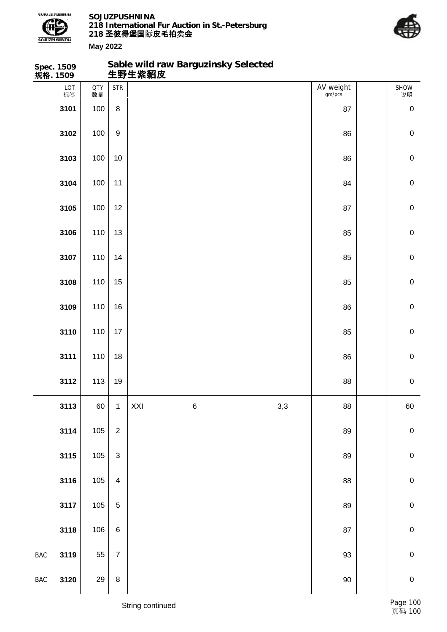

**Sable wild raw Barguzinsky Selected**



|            | Spec. 1509<br>规 <b>格</b> . 1509 |           |                           |     | Sable wild raw Barguzinsky Selected<br>生野生紫貂皮 |     |                     |             |
|------------|---------------------------------|-----------|---------------------------|-----|-----------------------------------------------|-----|---------------------|-------------|
|            | LOT<br>标签                       | QTY<br>数量 | <b>STR</b>                |     |                                               |     | AV weight<br>gm/pcs | SHOW<br>说明  |
|            | 3101                            | 100       | $\,8\,$                   |     |                                               |     | 87                  | $\mathbf 0$ |
|            | 3102                            | 100       | $\boldsymbol{9}$          |     |                                               |     | 86                  | $\mathbf 0$ |
|            | 3103                            | 100       | $10$                      |     |                                               |     | 86                  | $\mathbf 0$ |
|            | 3104                            | 100       | 11                        |     |                                               |     | 84                  | $\mathbf 0$ |
|            | 3105                            | 100       | 12                        |     |                                               |     | 87                  | $\mathbf 0$ |
|            | 3106                            | 110       | 13                        |     |                                               |     | 85                  | $\mathbf 0$ |
|            | 3107                            | 110       | 14                        |     |                                               |     | 85                  | $\mathbf 0$ |
|            | 3108                            | 110       | 15                        |     |                                               |     | 85                  | $\mathbf 0$ |
|            | 3109                            | 110       | 16                        |     |                                               |     | 86                  | $\mathbf 0$ |
|            | 3110                            | 110       | 17                        |     |                                               |     | 85                  | $\mathbf 0$ |
|            | 3111                            | 110       | 18                        |     |                                               |     | 86                  | $\mathbf 0$ |
|            | 3112                            | 113       | 19                        |     |                                               |     | 88                  | $\mathbf 0$ |
|            | 3113                            | 60        | $\mathbf 1$               | XXI | $\, 6$                                        | 3,3 | 88                  | 60          |
|            | 3114                            | 105       | $\mathbf 2$               |     |                                               |     | 89                  | $\pmb{0}$   |
|            | 3115                            | 105       | $\ensuremath{\mathsf{3}}$ |     |                                               |     | 89                  | $\pmb{0}$   |
|            | 3116                            | 105       | $\overline{\mathbf{4}}$   |     |                                               |     | 88                  | $\mathbf 0$ |
|            | 3117                            | 105       | $\mathbf 5$               |     |                                               |     | 89                  | $\pmb{0}$   |
|            | 3118                            | 106       | $\,6\,$                   |     |                                               |     | 87                  | $\mathbf 0$ |
| <b>BAC</b> | 3119                            | 55        | $\boldsymbol{7}$          |     |                                               |     | 93                  | $\pmb{0}$   |
| <b>BAC</b> | 3120                            | 29        | $\bf 8$                   |     |                                               |     | $90\,$              | $\pmb{0}$   |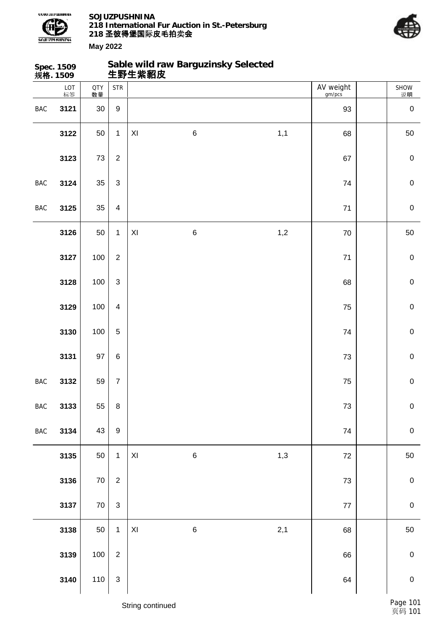

**Sable wild raw Barguzinsky Selected**



|                | Spec. 1509<br>规 <b>格</b> . 1509 |                  |                  |                         | Sable wild raw Barguzinsky Selected<br>生野生紫貂皮 |     |                     |             |
|----------------|---------------------------------|------------------|------------------|-------------------------|-----------------------------------------------|-----|---------------------|-------------|
|                | LOT<br>标签                       | <b>QTY</b><br>数量 | <b>STR</b>       |                         |                                               |     | AV weight<br>gm/pcs | SHOW<br>逆明  |
| <b>BAC</b>     | 3121                            | 30               | $\boldsymbol{9}$ |                         |                                               |     | 93                  | $\pmb{0}$   |
|                | 3122                            | 50               | $\mathbf{1}$     | $\pmb{\mathsf{XI}}$     | $\,6\,$                                       | 1,1 | 68                  | 50          |
|                | 3123                            | 73               | $\overline{2}$   |                         |                                               |     | 67                  | $\pmb{0}$   |
| <b>BAC</b>     | 3124                            | 35               | $\mathfrak{S}$   |                         |                                               |     | 74                  | $\mathbf 0$ |
| <b>BAC</b>     | 3125                            | 35               | $\overline{4}$   |                         |                                               |     | $71$                | $\mathbf 0$ |
|                | 3126                            | 50               | $\mathbf{1}$     | $\pmb{\mathsf{XI}}$     | $\,6$                                         | 1,2 | $70\,$              | 50          |
|                | 3127                            | 100              | $\overline{2}$   |                         |                                               |     | $71$                | $\mathbf 0$ |
|                | 3128                            | 100              | $\mathfrak{S}$   |                         |                                               |     | 68                  | $\mathbf 0$ |
|                | 3129                            | 100              | $\overline{4}$   |                         |                                               |     | 75                  | $\mathbf 0$ |
|                | 3130                            | 100              | $\overline{5}$   |                         |                                               |     | 74                  | $\mathbf 0$ |
|                | 3131                            | 97               | $\,6$            |                         |                                               |     | 73                  | $\mathbf 0$ |
| <b>BAC</b>     | 3132                            | 59               | $\overline{7}$   |                         |                                               |     | 75                  | $\mathbf 0$ |
| <b>BAC</b>     | 3133                            | 55               | $\bf 8$          |                         |                                               |     | $73\,$              | $\mathbf 0$ |
| $\mathsf{BAC}$ | 3134                            | 43               | $\boldsymbol{9}$ |                         |                                               |     | 74                  | $\mathbf 0$ |
|                | 3135                            | 50               | $\mathbf{1}$     | $\mathsf{X} \mathsf{I}$ | $\,6$                                         | 1,3 | $72\,$              | 50          |
|                | 3136                            | $70\,$           | $\boldsymbol{2}$ |                         |                                               |     | $73\,$              | $\pmb{0}$   |
|                | 3137                            | $70\,$           | $\mathsf 3$      |                         |                                               |     | $77\,$              | $\pmb{0}$   |
|                | 3138                            | 50               | $\mathbf{1}$     | $\mathsf{XI}$           | $\,6\,$                                       | 2,1 | 68                  | 50          |
|                | 3139                            | 100              | $\boldsymbol{2}$ |                         |                                               |     | 66                  | $\pmb{0}$   |
|                | 3140                            | 110              | $\mathsf 3$      |                         |                                               |     | 64                  | $\pmb{0}$   |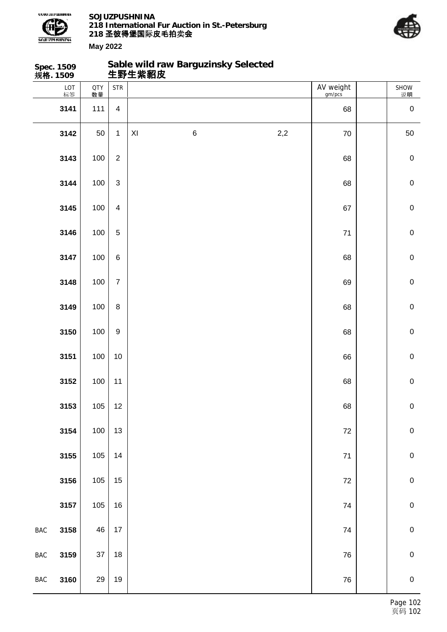

**Spec. 1509**

**SOJUZPUSHNINA 218 International Fur Auction in St.-Petersburg 218 圣彼得堡国际 卖 皮毛拍 会**

**Sable wild raw Barguzinsky Selected**



|                | 规格. 1509  |                  |                         | 生野生紫貂皮                                 |     |                     |                |
|----------------|-----------|------------------|-------------------------|----------------------------------------|-----|---------------------|----------------|
|                | LOT<br>标签 | <b>QTY</b><br>数量 | <b>STR</b>              |                                        |     | AV weight<br>gm/pcs | SHOW<br>说明     |
|                | 3141      | 111              | $\overline{\mathbf{4}}$ |                                        |     | 68                  | $\pmb{0}$      |
|                | 3142      | 50               | $\mathbf{1}$            | $\,$ 6 $\,$<br>$\mathsf{X} \mathsf{I}$ | 2,2 | 70                  | 50             |
|                | 3143      | 100              | $\boldsymbol{2}$        |                                        |     | 68                  | $\pmb{0}$      |
|                | 3144      | 100              | $\mathfrak{S}$          |                                        |     | 68                  | $\pmb{0}$      |
|                | 3145      | 100              | $\overline{4}$          |                                        |     | 67                  | $\pmb{0}$      |
|                | 3146      | 100              | $\sqrt{5}$              |                                        |     | 71                  | $\pmb{0}$      |
|                | 3147      | 100              | $\,6\,$                 |                                        |     | 68                  | $\pmb{0}$      |
|                | 3148      | 100              | $\overline{7}$          |                                        |     | 69                  | $\pmb{0}$      |
|                | 3149      | 100              | $\bf 8$                 |                                        |     | 68                  | $\pmb{0}$      |
|                | 3150      | 100              | $\boldsymbol{9}$        |                                        |     | 68                  | $\pmb{0}$      |
|                | 3151      | 100              | $10$                    |                                        |     | 66                  | $\pmb{0}$      |
|                | 3152      | 100              | 11                      |                                        |     | 68                  | $\pmb{0}$      |
|                | 3153      | 105              | $12$                    |                                        |     | 68                  | $\overline{0}$ |
|                | 3154      | 100              | 13                      |                                        |     | $72\,$              | $\mathbf 0$    |
|                | 3155      | 105              | 14                      |                                        |     | $\bf 71$            | ${\bf 0}$      |
|                | 3156      | 105              | 15                      |                                        |     | $72\,$              | $\pmb{0}$      |
|                | 3157      | 105              | 16                      |                                        |     | 74                  | $\pmb{0}$      |
| $_{\rm BAC}$   | 3158      | 46               | 17                      |                                        |     | 74                  | $\pmb{0}$      |
| $_{\rm BAC}$   | 3159      | 37               | 18                      |                                        |     | ${\bf 76}$          | ${\bf 0}$      |
| $\mathsf{BAC}$ | 3160      | 29               | 19                      |                                        |     | ${\bf 76}$          | $\pmb{0}$      |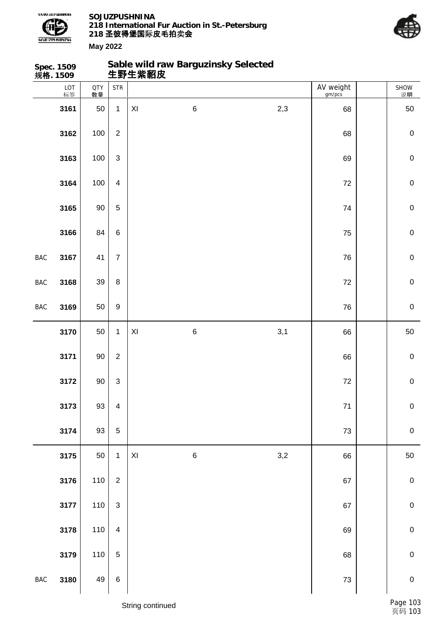



**May 2022 Spec. 1509 规格. 1509 生野生紫貂皮** LOT 标签 QTY 数量

## **Sable wild raw Barguzinsky Selected**

|              | LOT<br>标签 | <b>QTY</b><br>数量 | $\ensuremath{\mathsf{STR}}\xspace$ |                         |         |     | AV weight<br>gm/pcs | SHOW<br>说明  |
|--------------|-----------|------------------|------------------------------------|-------------------------|---------|-----|---------------------|-------------|
|              | 3161      | $50\,$           | $\mathbf 1$                        | $\pmb{\mathsf{XI}}$     | $\,6$   | 2,3 | 68                  | 50          |
|              | 3162      | 100              | $\boldsymbol{2}$                   |                         |         |     | 68                  | $\pmb{0}$   |
|              | 3163      | 100              | $\ensuremath{\mathsf{3}}$          |                         |         |     | 69                  | $\pmb{0}$   |
|              | 3164      | 100              | $\overline{\mathbf{4}}$            |                         |         |     | $72\,$              | $\mathbf 0$ |
|              | 3165      | 90               | $\sqrt{5}$                         |                         |         |     | 74                  | $\pmb{0}$   |
|              | 3166      | 84               | $\,6$                              |                         |         |     | 75                  | $\pmb{0}$   |
| <b>BAC</b>   | 3167      | 41               | $\overline{7}$                     |                         |         |     | ${\bf 76}$          | $\pmb{0}$   |
| <b>BAC</b>   | 3168      | 39               | $\bf 8$                            |                         |         |     | $72\,$              | $\mathbf 0$ |
| <b>BAC</b>   | 3169      | 50               | $\boldsymbol{9}$                   |                         |         |     | ${\bf 76}$          | $\pmb{0}$   |
|              | 3170      | 50               | $\mathbf{1}$                       | $\mathsf{X} \mathsf{I}$ | $\,6$   | 3,1 | 66                  | 50          |
|              | 3171      | $90\,$           | $\overline{c}$                     |                         |         |     | 66                  | $\pmb{0}$   |
|              | 3172      | $90\,$           | $\mathbf{3}$                       |                         |         |     | $72\,$              | $\mathbf 0$ |
|              | 3173      | 93               | $\overline{\mathbf{4}}$            |                         |         |     | $71$                | $\mathbf 0$ |
|              | 3174      | 93               | $\sqrt{5}$                         |                         |         |     | $73\,$              | $\pmb{0}$   |
|              | 3175      | 50               | $\mathbf{1}$                       | $\mathsf{X} \mathsf{I}$ | $\,6\,$ | 3,2 | 66                  | 50          |
|              | 3176      | 110              | $\boldsymbol{2}$                   |                         |         |     | 67                  | ${\bf 0}$   |
|              | 3177      | 110              | 3                                  |                         |         |     | 67                  | ${\bf 0}$   |
|              | 3178      | 110              | $\overline{\mathbf{4}}$            |                         |         |     | 69                  | $\mathbf 0$ |
|              | 3179      | 110              | $\sqrt{5}$                         |                         |         |     | 68                  | $\mathbf 0$ |
| $_{\rm BAC}$ | 3180      | 49               | $\, 6$                             |                         |         |     | $73\,$              | $\pmb{0}$   |

String continued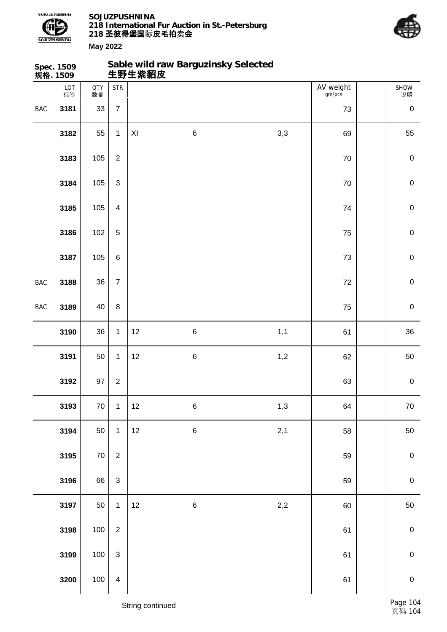

**Sable wild raw Barguzinsky Selected**



|     | Spec. 1509<br>规 <b>格</b> . 1509 |                  |                         |                     | Sable wild raw Barguzinsky Selected<br>生野生紫貂皮 |         |                     |             |
|-----|---------------------------------|------------------|-------------------------|---------------------|-----------------------------------------------|---------|---------------------|-------------|
|     | LOT<br>标签                       | <b>QTY</b><br>数量 | <b>STR</b>              |                     |                                               |         | AV weight<br>gm/pcs | SHOW<br>说明  |
| BAC | 3181                            | 33               | $\overline{7}$          |                     |                                               |         | 73                  | $\pmb{0}$   |
|     | 3182                            | 55               | $\mathbf{1}$            | $\pmb{\mathsf{XI}}$ | $\,6$                                         | 3,3     | 69                  | 55          |
|     | 3183                            | 105              | $\overline{2}$          |                     |                                               |         | 70                  | $\pmb{0}$   |
|     | 3184                            | 105              | $\mathbf{3}$            |                     |                                               |         | $70\,$              | $\pmb{0}$   |
|     | 3185                            | 105              | $\overline{4}$          |                     |                                               |         | 74                  | $\pmb{0}$   |
|     | 3186                            | 102              | $\overline{5}$          |                     |                                               |         | 75                  | $\pmb{0}$   |
|     | 3187                            | 105              | $\,6\,$                 |                     |                                               |         | 73                  | $\pmb{0}$   |
| BAC | 3188                            | 36               | $\overline{7}$          |                     |                                               |         | 72                  | $\mathbf 0$ |
| BAC | 3189                            | 40               | $\bf 8$                 |                     |                                               |         | 75                  | $\pmb{0}$   |
|     | 3190                            | 36               | $\mathbf{1}$            | 12                  | $\,6$                                         | 1,1     | 61                  | 36          |
|     | 3191                            | 50               | $\mathbf{1}$            | 12                  | $\,6$                                         | 1,2     | 62                  | 50          |
|     | 3192                            | 97               | $\overline{2}$          |                     |                                               |         | 63                  | $\pmb{0}$   |
|     | 3193                            | 70               | $\mathbf 1$             | 12                  | $\,6$                                         | 1,3     | 64                  | 70          |
|     | 3194                            | 50               | $\mathbf{1}$            | 12                  | $\,6\,$                                       | 2,1     | 58                  | 50          |
|     | 3195                            | $70\,$           | $\boldsymbol{2}$        |                     |                                               |         | 59                  | $\pmb{0}$   |
|     | 3196                            | 66               | $\mathfrak{S}$          |                     |                                               |         | 59                  | $\mathbf 0$ |
|     | 3197                            | 50               | $\mathbf{1}$            | 12                  | $\,6$                                         | $2,\!2$ | 60                  | 50          |
|     | 3198                            | 100              | $\boldsymbol{2}$        |                     |                                               |         | 61                  | $\pmb{0}$   |
|     | 3199                            | 100              | $\mathbf{3}$            |                     |                                               |         | 61                  | $\mathbf 0$ |
|     | 3200                            | 100              | $\overline{\mathbf{4}}$ |                     |                                               |         | 61                  | $\pmb{0}$   |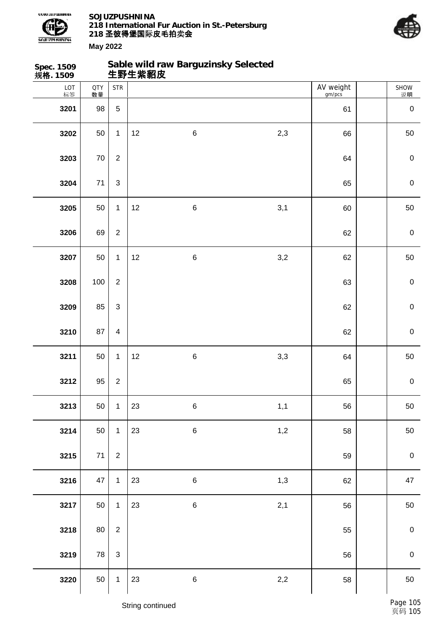



| Spec. 1509<br>规格. 1509 |                  |                         |    | Sable wild raw Barguzinsky Selected<br>生野生紫貂皮 |     |                     |                  |
|------------------------|------------------|-------------------------|----|-----------------------------------------------|-----|---------------------|------------------|
| LOT<br>标签              | <b>QTY</b><br>数量 | <b>STR</b>              |    |                                               |     | AV weight<br>gm/pcs | SHOW<br>说明       |
| 3201                   | 98               | 5                       |    |                                               |     | 61                  | $\mathbf 0$      |
| 3202                   | 50               | $\mathbf{1}$            | 12 | $\,6\,$                                       | 2,3 | 66                  | 50               |
| 3203                   | 70               | $\boldsymbol{2}$        |    |                                               |     | 64                  | $\boldsymbol{0}$ |
| 3204                   | $71$             | $\mathfrak{S}$          |    |                                               |     | 65                  | $\mathbf 0$      |
| 3205                   | 50               | $\mathbf{1}$            | 12 | $\,6\,$                                       | 3,1 | 60                  | 50               |
| 3206                   | 69               | $\overline{2}$          |    |                                               |     | 62                  | $\mathbf 0$      |
| 3207                   | 50               | $\mathbf{1}$            | 12 | $\,6\,$                                       | 3,2 | 62                  | 50               |
| 3208                   | 100              | $\overline{2}$          |    |                                               |     | 63                  | $\mathbf 0$      |
| 3209                   | 85               | 3                       |    |                                               |     | 62                  | $\mathbf 0$      |
| 3210                   | 87               | $\overline{\mathbf{4}}$ |    |                                               |     | 62                  | $\mathbf 0$      |
| 3211                   | 50               | $\mathbf{1}$            | 12 | $\,6\,$                                       | 3,3 | 64                  | 50               |
| 3212                   | 95               | $\overline{c}$          |    |                                               |     | 65                  | $\mathbf 0$      |
| 3213                   | 50               | $\mathbf{1}$            | 23 | $\,6$                                         | 1,1 | 56                  | 50               |
| 3214                   | 50               | $\mathbf{1}$            | 23 | $\,6\,$                                       | 1,2 | 58                  | 50               |
| 3215                   | 71               | $\overline{2}$          |    |                                               |     | 59                  | $\boldsymbol{0}$ |
| 3216                   | 47               | $\mathbf{1}$            | 23 | $\,6\,$                                       | 1,3 | 62                  | 47               |
| 3217                   | 50               | $\mathbf{1}$            | 23 | $\,6\,$                                       | 2,1 | 56                  | 50               |
| 3218                   | 80               | $\overline{2}$          |    |                                               |     | 55                  | $\pmb{0}$        |
| 3219                   | 78               | $\mathbf{3}$            |    |                                               |     | 56                  | $\mathbf 0$      |
| 3220                   | 50               | $\mathbf{1}$            | 23 | $\,6\,$                                       | 2,2 | 58                  | 50               |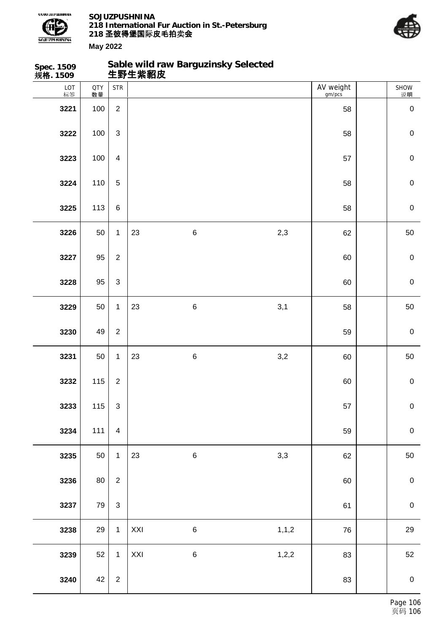



| Spec. 1509<br>规格. 1509 |                  |                  |     | Sable wild raw Barguzinsky Selected<br>生野生紫貂皮 |         |                     |                  |
|------------------------|------------------|------------------|-----|-----------------------------------------------|---------|---------------------|------------------|
| LOT<br>标签              | <b>QTY</b><br>数量 | <b>STR</b>       |     |                                               |         | AV weight<br>gm/pcs | SHOW<br>说明       |
| 3221                   | 100              | $\overline{2}$   |     |                                               |         | 58                  | $\pmb{0}$        |
| 3222                   | 100              | $\mathfrak{S}$   |     |                                               |         | 58                  | $\mathbf 0$      |
| 3223                   | 100              | $\overline{4}$   |     |                                               |         | 57                  | $\mathbf 0$      |
| 3224                   | 110              | 5                |     |                                               |         | 58                  | $\mathbf 0$      |
| 3225                   | 113              | $\,6\,$          |     |                                               |         | 58                  | $\boldsymbol{0}$ |
| 3226                   | 50               | $\mathbf{1}$     | 23  | $\,6\,$                                       | 2,3     | 62                  | 50               |
| 3227                   | 95               | $\overline{2}$   |     |                                               |         | 60                  | $\boldsymbol{0}$ |
| 3228                   | 95               | $\mathfrak{S}$   |     |                                               |         | 60                  | $\mathbf 0$      |
| 3229                   | 50               | $\mathbf{1}$     | 23  | $\,6\,$                                       | 3,1     | 58                  | 50               |
| 3230                   | 49               | $\overline{2}$   |     |                                               |         | 59                  | $\mathbf 0$      |
| 3231                   | 50               | $\mathbf{1}$     | 23  | $\,6\,$                                       | 3,2     | 60                  | 50               |
| 3232                   | 115              | $\boldsymbol{2}$ |     |                                               |         | 60                  | $\boldsymbol{0}$ |
| 3233                   | 115              | $\mathbf{3}$     |     |                                               |         | 57                  | $\mathbf 0$      |
| 3234                   | 111              | $\overline{4}$   |     |                                               |         | 59                  | $\mathbf 0$      |
| 3235                   | 50               | $\mathbf{1}$     | 23  | $\,6\,$                                       | 3,3     | 62                  | 50               |
| 3236                   | 80               | $\overline{2}$   |     |                                               |         | 60                  | $\pmb{0}$        |
| 3237                   | 79               | $\mathbf{3}$     |     |                                               |         | 61                  | $\boldsymbol{0}$ |
| 3238                   | 29               | $\mathbf{1}$     | XXI | $\,6$                                         | 1, 1, 2 | 76                  | 29               |
| 3239                   | 52               | $\mathbf{1}$     | XXI | $\,6$                                         | 1,2,2   | 83                  | 52               |
| 3240                   | 42               | $\overline{2}$   |     |                                               |         | 83                  | $\pmb{0}$        |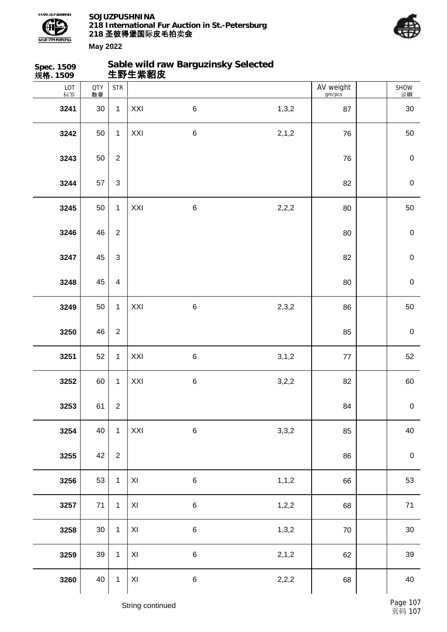



| Spec. 1509<br>规格. 1509 |                  |                | 生野生紫貂皮                  | Sable wild raw Barguzinsky Selected |         |                     |                  |
|------------------------|------------------|----------------|-------------------------|-------------------------------------|---------|---------------------|------------------|
| LOT<br>标签              | <b>QTY</b><br>数量 | <b>STR</b>     |                         |                                     |         | AV weight<br>gm/pcs | SHOW<br>说明       |
| 3241                   | 30               | $\mathbf{1}$   | XXI                     | $\,6\,$                             | 1,3,2   | 87                  | 30               |
| 3242                   | 50               | $\mathbf{1}$   | XXI                     | $\,6$                               | 2,1,2   | 76                  | 50               |
| 3243                   | 50               | $\sqrt{2}$     |                         |                                     |         | 76                  | $\boldsymbol{0}$ |
| 3244                   | 57               | $\mathfrak{S}$ |                         |                                     |         | 82                  | $\mathbf 0$      |
| 3245                   | 50               | $\mathbf{1}$   | XXI                     | $\,6$                               | 2,2,2   | 80                  | 50               |
| 3246                   | 46               | $\overline{2}$ |                         |                                     |         | 80                  | $\mathbf 0$      |
| 3247                   | 45               | $\mathfrak{S}$ |                         |                                     |         | 82                  | $\mathbf 0$      |
| 3248                   | 45               | $\overline{4}$ |                         |                                     |         | 80                  | $\mathbf 0$      |
| 3249                   | 50               | $\mathbf{1}$   | XXI                     | $\,6$                               | 2,3,2   | 86                  | 50               |
| 3250                   | 46               | $\overline{2}$ |                         |                                     |         | 85                  | $\mathbf 0$      |
| 3251                   | 52               | $\mathbf{1}$   | XXI                     | $\,6\,$                             | 3, 1, 2 | 77                  | 52               |
| 3252                   | 60               | $\mathbf{1}$   | XXI                     | $\,6$                               | 3,2,2   | 82                  | 60               |
| 3253                   | 61               | $\mathbf 2$    |                         |                                     |         | 84                  | $\mathbf 0$      |
| 3254                   | 40               | $\mathbf 1$    | XXI                     | $\,6\,$                             | 3,3,2   | 85                  | 40               |
| 3255                   | 42               | $\mathbf 2$    |                         |                                     |         | 86                  | $\mathbf 0$      |
| 3256                   | 53               | $\mathbf{1}$   | $\mathsf{XI}$           | $\,6\,$                             | 1, 1, 2 | 66                  | 53               |
| 3257                   | 71               | $\mathbf{1}$   | XI                      | $\,6$                               | 1,2,2   | 68                  | $71$             |
| 3258                   | 30               | $\mathbf{1}$   | $\pmb{\mathsf{XI}}$     | 6                                   | 1,3,2   | ${\bf 70}$          | $30\,$           |
| 3259                   | 39               | $\mathbf{1}$   | XI                      | $\,6$                               | 2, 1, 2 | 62                  | 39               |
| 3260                   | 40               | $\mathbf{1}$   | $\mathsf{X} \mathsf{I}$ | $\,6\,$                             | 2,2,2   | 68                  | 40               |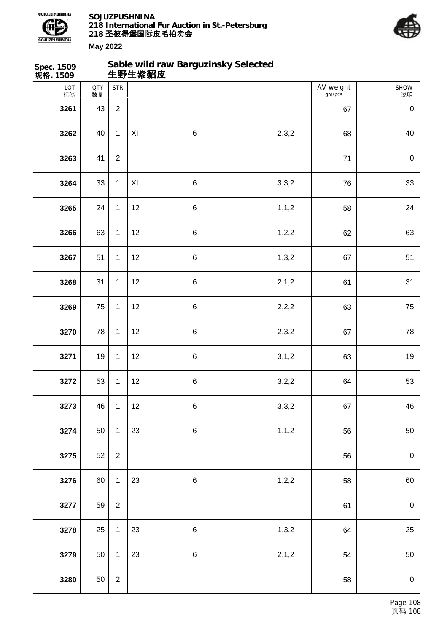



| AV weight<br><b>STR</b><br>LOT<br>标签<br><b>QTY</b><br>数量<br>gm/pcs<br>$\overline{2}$<br>3261<br>43<br>67<br>$\,6\,$<br>2,3,2<br>3262<br>40<br>$\mathbf{1}$<br>XI<br>68<br>$\boldsymbol{2}$<br>3263<br>41<br>71 | SHOW<br>说明<br>$\mathbf 0$<br>40<br>$\boldsymbol{0}$<br>33 |
|----------------------------------------------------------------------------------------------------------------------------------------------------------------------------------------------------------------|-----------------------------------------------------------|
|                                                                                                                                                                                                                |                                                           |
|                                                                                                                                                                                                                |                                                           |
|                                                                                                                                                                                                                |                                                           |
|                                                                                                                                                                                                                |                                                           |
| 33<br>$\,6\,$<br>3,3,2<br>3264<br>$\mathbf{1}$<br>XI<br>76                                                                                                                                                     |                                                           |
| $\,6$<br>24<br>$\mathbf{1}$<br>12<br>1, 1, 2<br>3265<br>58                                                                                                                                                     | 24                                                        |
| 63<br>$\,6$<br>1,2,2<br>3266<br>$\mathbf{1}$<br>12<br>62                                                                                                                                                       | 63                                                        |
| $\,6$<br>51<br>$\mathbf{1}$<br>12<br>1,3,2<br>3267<br>67                                                                                                                                                       | 51                                                        |
| 2,1,2<br>31<br>12<br>$\,6\,$<br>3268<br>$\mathbf{1}$<br>61                                                                                                                                                     | 31                                                        |
| 75<br>$\mathbf{1}$<br>$\,6\,$<br>3269<br>12<br>2,2,2<br>63                                                                                                                                                     | 75                                                        |
| 78<br>$\,6$<br>2,3,2<br>$\mathbf{1}$<br>12<br>3270<br>67                                                                                                                                                       | 78                                                        |
| 19<br>$\mathbf{1}$<br>12<br>$\,6\,$<br>3, 1, 2<br>3271<br>63                                                                                                                                                   | 19                                                        |
| $\,6$<br>3272<br>53<br>12<br>3,2,2<br>$\mathbf{1}$<br>64                                                                                                                                                       | 53                                                        |
| 3273<br>46<br>$\,6$<br>3,3,2<br>$\mathbf{1}$<br>12<br>67                                                                                                                                                       | 46                                                        |
| 3274<br>6<br>1, 1, 2<br>50<br>23<br>$\mathbf{1}$<br>56                                                                                                                                                         | 50                                                        |
| 52<br>3275<br>$\overline{2}$<br>56                                                                                                                                                                             | $\boldsymbol{0}$                                          |
| $\,6\,$<br>3276<br>60<br>23<br>1,2,2<br>$\mathbf{1}$<br>58                                                                                                                                                     | 60                                                        |
| 59<br>3277<br>$\overline{2}$<br>61                                                                                                                                                                             | $\boldsymbol{0}$                                          |
| 1,3,2<br>3278<br>25<br>$\,6\,$<br>$\mathbf{1}$<br>23<br>64                                                                                                                                                     | 25                                                        |
| 50<br>$\,6\,$<br>2,1,2<br>3279<br>$\mathbf{1}$<br>23<br>54                                                                                                                                                     | 50                                                        |
| 50<br>$\overline{2}$<br>3280<br>58                                                                                                                                                                             | $\mathbf 0$                                               |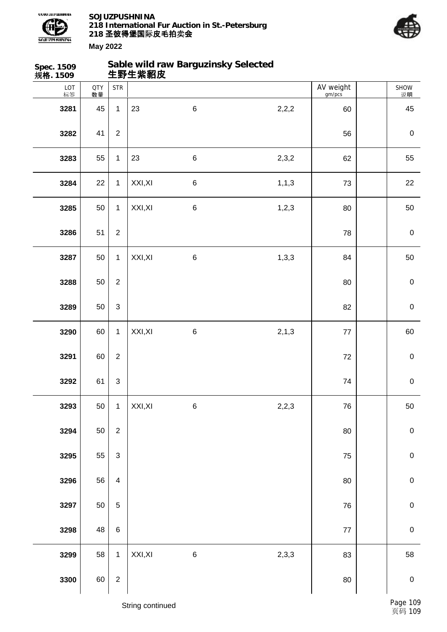



**May 2022**

| Spec. 1509<br>规格. 1509 |                  |                                    | 生野生紫貂皮  | Sable wild raw Barguzinsky Selected |         |                     |             |
|------------------------|------------------|------------------------------------|---------|-------------------------------------|---------|---------------------|-------------|
| LOT<br>标签              | <b>QTY</b><br>数量 | $\ensuremath{\mathsf{STR}}\xspace$ |         |                                     |         | AV weight<br>gm/pcs | SHOW<br>说明  |
| 3281                   | 45               | $\mathbf{1}$                       | 23      | $\,6\,$                             | 2,2,2   | 60                  | 45          |
| 3282                   | 41               | $\overline{2}$                     |         |                                     |         | 56                  | $\pmb{0}$   |
| 3283                   | 55               | $\mathbf{1}$                       | 23      | $\,6\,$                             | 2,3,2   | 62                  | 55          |
| 3284                   | 22               | $\mathbf{1}$                       | XXI, XI | $\,6\,$                             | 1, 1, 3 | 73                  | 22          |
| 3285                   | 50               | $\mathbf{1}$                       | XXI, XI | $\,6$                               | 1,2,3   | 80                  | 50          |
| 3286                   | 51               | $\overline{2}$                     |         |                                     |         | 78                  | $\pmb{0}$   |
| 3287                   | 50               | $\mathbf{1}$                       | XXI, XI | $\,6\,$                             | 1,3,3   | 84                  | 50          |
| 3288                   | 50               | $\overline{2}$                     |         |                                     |         | 80                  | $\pmb{0}$   |
| 3289                   | 50               | 3                                  |         |                                     |         | 82                  | $\mathbf 0$ |
| 3290                   | 60               | $\mathbf{1}$                       | XXI, XI | $\,6\,$                             | 2, 1, 3 | $77\,$              | 60          |
| 3291                   | 60               | $\overline{2}$                     |         |                                     |         | 72                  | $\mathbf 0$ |
| 3292                   | 61               | $\ensuremath{\mathsf{3}}$          |         |                                     |         | 74                  | $\pmb{0}$   |
| 3293                   | 50               | $\mathbf{1}$                       | XXI, XI | $\,6$                               | 2,2,3   | 76                  | $50\,$      |
| 3294                   | 50               | $\mathbf 2$                        |         |                                     |         | $80\,$              | $\pmb{0}$   |
| 3295                   | 55               | $\mathsf 3$                        |         |                                     |         | 75                  | $\mathbf 0$ |
| 3296                   | 56               | $\overline{\mathbf{4}}$            |         |                                     |         | 80                  | $\pmb{0}$   |
| 3297                   | 50               | $\sqrt{5}$                         |         |                                     |         | 76                  | $\pmb{0}$   |
| 3298                   | 48               | $\,6$                              |         |                                     |         | $77$                | $\pmb{0}$   |
| 3299                   | 58               | $\mathbf{1}$                       | XXI, XI | $\,6$                               | 2,3,3   | 83                  | 58          |
| 3300                   | 60               | $\sqrt{2}$                         |         |                                     |         | $80\,$              | $\pmb{0}$   |

String continued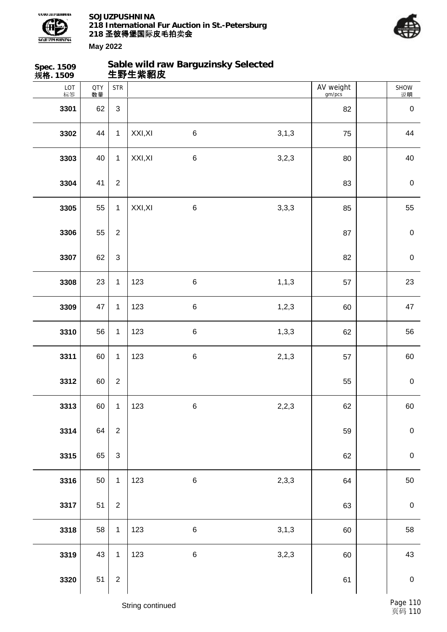

**Sable wild raw Barguzinsky Selected**



| Spec. 1509<br>规 <b>格</b> . 1509 |                  |                  | 生野生紫貂皮  | Sable wild raw Barguzinsky Selected |         |                     |                  |
|---------------------------------|------------------|------------------|---------|-------------------------------------|---------|---------------------|------------------|
| LOT<br>标签                       | <b>QTY</b><br>数量 | <b>STR</b>       |         |                                     |         | AV weight<br>gm/pcs | SHOW<br>说明       |
| 3301                            | 62               | $\mathfrak{S}$   |         |                                     |         | 82                  | $\pmb{0}$        |
| 3302                            | 44               | $\mathbf{1}$     | XXI, XI | $\,6$                               | 3, 1, 3 | 75                  | 44               |
| 3303                            | 40               | $\mathbf{1}$     | XXI, XI | $\,6$                               | 3,2,3   | 80                  | 40               |
| 3304                            | 41               | $\overline{2}$   |         |                                     |         | 83                  | $\pmb{0}$        |
| 3305                            | 55               | $\mathbf{1}$     | XXI, XI | $\,6$                               | 3,3,3   | 85                  | 55               |
| 3306                            | 55               | $\overline{2}$   |         |                                     |         | 87                  | $\pmb{0}$        |
| 3307                            | 62               | $\mathfrak{S}$   |         |                                     |         | 82                  | $\pmb{0}$        |
| 3308                            | 23               | $\mathbf{1}$     | 123     | $\,6$                               | 1, 1, 3 | 57                  | 23               |
| 3309                            | 47               | $\mathbf{1}$     | 123     | $\,6$                               | 1,2,3   | 60                  | 47               |
| 3310                            | 56               | $\mathbf{1}$     | 123     | $\,6$                               | 1,3,3   | 62                  | 56               |
| 3311                            | 60               | $\mathbf{1}$     | 123     | $\,6$                               | 2, 1, 3 | 57                  | 60               |
| 3312                            | 60               | $\overline{2}$   |         |                                     |         | 55                  | $\pmb{0}$        |
| 3313                            | 60               | $\mathbf 1$      | 123     | $\,6$                               | 2,2,3   | 62                  | 60               |
| 3314                            | 64               | $\overline{2}$   |         |                                     |         | 59                  | $\mathbf 0$      |
| 3315                            | 65               | $\mathsf 3$      |         |                                     |         | 62                  | $\mathbf 0$      |
| 3316                            | 50               | $\mathbf{1}$     | 123     | $\,6\,$                             | 2,3,3   | 64                  | 50               |
| 3317                            | 51               | $\boldsymbol{2}$ |         |                                     |         | 63                  | $\boldsymbol{0}$ |
| 3318                            | 58               | $\mathbf{1}$     | 123     | $\,6\,$                             | 3,1,3   | 60                  | 58               |
| 3319                            | 43               | $\mathbf{1}$     | 123     | $\,6\,$                             | 3,2,3   | 60                  | 43               |
| 3320                            | 51               | $\sqrt{2}$       |         |                                     |         | 61                  | $\pmb{0}$        |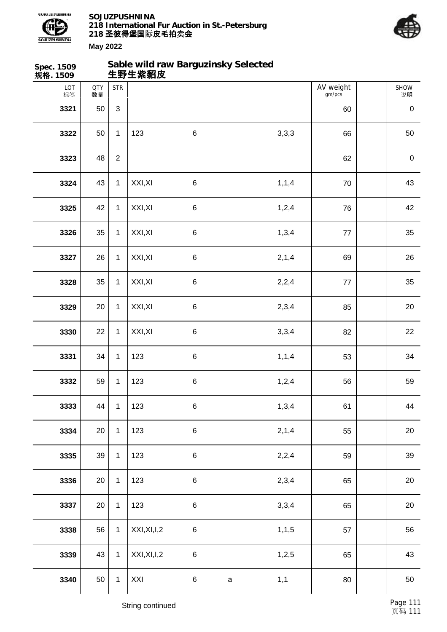



| Spec. 1509<br>规格. 1509 |                  |              | Sable wild raw Barguzinsky Selected<br>生野生紫貂皮 |         |             |         |                     |                   |
|------------------------|------------------|--------------|-----------------------------------------------|---------|-------------|---------|---------------------|-------------------|
| LOT<br>标签              | <b>QTY</b><br>数量 | <b>STR</b>   |                                               |         |             |         | AV weight<br>gm/pcs | <b>SHOW</b><br>说明 |
| 3321                   | 50               | 3            |                                               |         |             |         | 60                  | $\pmb{0}$         |
| 3322                   | 50               | 1            | 123                                           | $\,6\,$ |             | 3,3,3   | 66                  | 50                |
| 3323                   | 48               | $\mathbf{2}$ |                                               |         |             |         | 62                  | $\pmb{0}$         |
| 3324                   | 43               | 1            | XXI, XI                                       | $\,6$   |             | 1, 1, 4 | 70                  | 43                |
| 3325                   | 42               | $\mathbf{1}$ | XXI, XI                                       | $\,6$   |             | 1,2,4   | 76                  | 42                |
| 3326                   | 35               | 1            | XXI, XI                                       | $\,6\,$ |             | 1,3,4   | $77$                | 35                |
| 3327                   | 26               | $\mathbf{1}$ | XXI, XI                                       | $\,6\,$ |             | 2, 1, 4 | 69                  | 26                |
| 3328                   | 35               | 1            | XXI, XI                                       | $\,6$   |             | 2,2,4   | $77$                | 35                |
| 3329                   | 20               | $\mathbf{1}$ | XXI, XI                                       | $\,6$   |             | 2,3,4   | 85                  | 20                |
| 3330                   | 22               | 1            | XXI, XI                                       | $\,6\,$ |             | 3,3,4   | 82                  | 22                |
| 3331                   | 34               | $\mathbf{1}$ | 123                                           | $\,6\,$ |             | 1, 1, 4 | 53                  | 34                |
| 3332                   | 59               | 1            | 123                                           | $\,6\,$ |             | 1,2,4   | 56                  | 59                |
| 3333                   | 44               | $\mathbf{1}$ | 123                                           | $\,6\,$ |             | 1,3,4   | 61                  | 44                |
| 3334                   | 20               | $\mathbf{1}$ | 123                                           | $\,6\,$ |             | 2,1,4   | 55                  | 20                |
| 3335                   | 39               | $\mathbf{1}$ | 123                                           | $\,6\,$ |             | 2,2,4   | 59                  | 39                |
| 3336                   | 20               | $\mathbf{1}$ | 123                                           | $\,6\,$ |             | 2,3,4   | 65                  | 20                |
| 3337                   | 20               | $\mathbf{1}$ | 123                                           | $\,6\,$ |             | 3,3,4   | 65                  | 20                |
| 3338                   | 56               | $\mathbf{1}$ | XXI, XI, I, 2                                 | $\,6\,$ |             | 1, 1, 5 | 57                  | 56                |
| 3339                   | 43               | $\mathbf{1}$ | XXI, XI, I, 2                                 | $\,6\,$ |             | 1,2,5   | 65                  | 43                |
| 3340                   | 50               | $\mathbf{1}$ | XXI                                           | $\,6\,$ | $\mathsf a$ | 1,1     | 80                  | 50                |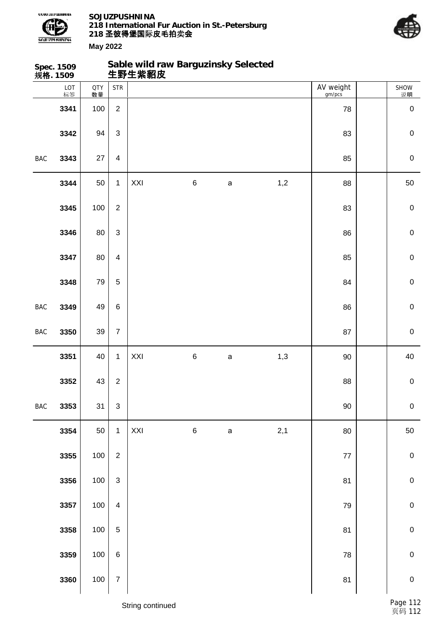



|            | Spec. 1509<br>规格. 1509 |           |                                    | Sable wild raw Barguzinsky Selected<br>生野生紫貂皮 |   |             |     |                     |             |
|------------|------------------------|-----------|------------------------------------|-----------------------------------------------|---|-------------|-----|---------------------|-------------|
|            | LOT<br>标签              | QTY<br>数量 | $\ensuremath{\mathsf{STR}}\xspace$ |                                               |   |             |     | AV weight<br>gm/pcs | SHOW<br>说明  |
|            | 3341                   | 100       | $\overline{2}$                     |                                               |   |             |     | 78                  | $\pmb{0}$   |
|            | 3342                   | 94        | $\mathfrak{S}$                     |                                               |   |             |     | 83                  | $\pmb{0}$   |
| <b>BAC</b> | 3343                   | 27        | $\overline{\mathbf{4}}$            |                                               |   |             |     | 85                  | $\pmb{0}$   |
|            | 3344                   | 50        | $\mathbf{1}$                       | XXI                                           | 6 | $\mathsf a$ | 1,2 | 88                  | 50          |
|            | 3345                   | 100       | $\overline{2}$                     |                                               |   |             |     | 83                  | $\mathbf 0$ |
|            | 3346                   | 80        | $\mathfrak{S}$                     |                                               |   |             |     | 86                  | $\pmb{0}$   |
|            | 3347                   | 80        | $\overline{\mathbf{4}}$            |                                               |   |             |     | 85                  | $\mathbf 0$ |
|            | 3348                   | 79        | $\mathbf 5$                        |                                               |   |             |     | 84                  | $\mathbf 0$ |
| <b>BAC</b> | 3349                   | 49        | $\,6\,$                            |                                               |   |             |     | 86                  | $\mathbf 0$ |
| <b>BAC</b> | 3350                   | 39        | $\overline{7}$                     |                                               |   |             |     | 87                  | $\pmb{0}$   |
|            | 3351                   | 40        | $\mathbf 1$                        | XXI                                           | 6 | $\mathsf a$ | 1,3 | $90\,$              | 40          |
|            | 3352                   | 43        | $\overline{2}$                     |                                               |   |             |     | 88                  | $\pmb{0}$   |
| <b>BAC</b> | 3353                   | 31        | 3                                  |                                               |   |             |     | 90                  | $\pmb{0}$   |
|            | 3354                   | 50        | $\mathbf 1$                        | XXI                                           | 6 | $\mathsf a$ | 2,1 | 80                  | 50          |
|            | 3355                   | 100       | $\overline{2}$                     |                                               |   |             |     | $77$                | $\mathbf 0$ |
|            | 3356                   | 100       | $\ensuremath{\mathsf{3}}$          |                                               |   |             |     | 81                  | $\mathbf 0$ |
|            | 3357                   | 100       | $\overline{\mathbf{4}}$            |                                               |   |             |     | 79                  | $\pmb{0}$   |
|            | 3358                   | 100       | 5                                  |                                               |   |             |     | 81                  | $\mathbf 0$ |
|            | 3359                   | 100       | $\,6\,$                            |                                               |   |             |     | ${\bf 78}$          | $\mathbf 0$ |
|            | 3360                   | 100       | $\boldsymbol{7}$                   |                                               |   |             |     | 81                  | $\mathbf 0$ |
|            |                        |           |                                    | String continued                              |   |             |     |                     | Page 112    |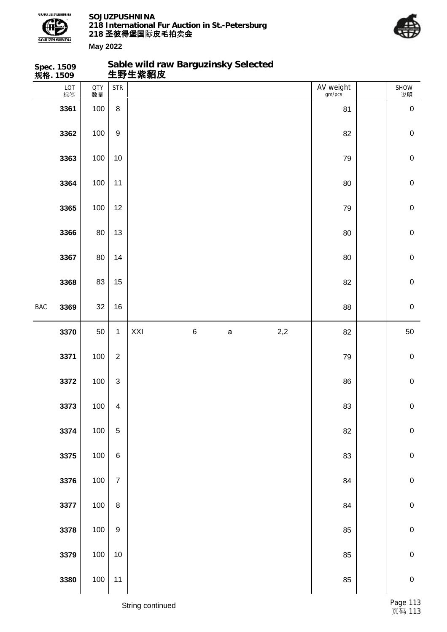

**Sable wild raw Barguzinsky Selected**



|            | Spec. 1509<br>规 <b>格</b> . 1509 |                  |                         | Sable wild raw Barguzinsky Selected<br>生野生紫貂皮 |   |             |     |                     |             |
|------------|---------------------------------|------------------|-------------------------|-----------------------------------------------|---|-------------|-----|---------------------|-------------|
|            | LOT<br>标签                       | <b>QTY</b><br>数量 | <b>STR</b>              |                                               |   |             |     | AV weight<br>gm/pcs | SHOW<br>说明  |
|            | 3361                            | 100              | $\bf 8$                 |                                               |   |             |     | 81                  | $\pmb{0}$   |
|            | 3362                            | 100              | $\boldsymbol{9}$        |                                               |   |             |     | 82                  | $\mathbf 0$ |
|            | 3363                            | 100              | 10                      |                                               |   |             |     | 79                  | $\mathbf 0$ |
|            | 3364                            | 100              | 11                      |                                               |   |             |     | 80                  | $\mathbf 0$ |
|            | 3365                            | 100              | 12                      |                                               |   |             |     | 79                  | $\mathbf 0$ |
|            | 3366                            | 80               | 13                      |                                               |   |             |     | 80                  | $\mathbf 0$ |
|            | 3367                            | 80               | 14                      |                                               |   |             |     | 80                  | $\mathbf 0$ |
|            | 3368                            | 83               | 15                      |                                               |   |             |     | 82                  | $\pmb{0}$   |
| <b>BAC</b> | 3369                            | 32               | 16                      |                                               |   |             |     | 88                  | $\mathbf 0$ |
|            | 3370                            | 50               | $\mathbf{1}$            | XXI                                           | 6 | $\mathsf a$ | 2,2 | 82                  | 50          |
|            | 3371                            | 100              | $\overline{2}$          |                                               |   |             |     | 79                  | $\mathbf 0$ |
|            | 3372                            | 100              | 3                       |                                               |   |             |     | 86                  | $\pmb{0}$   |
|            | 3373                            | 100              | $\overline{\mathbf{4}}$ |                                               |   |             |     | 83                  | $\pmb{0}$   |
|            | 3374                            | 100              | $\,$ 5 $\,$             |                                               |   |             |     | 82                  | $\pmb{0}$   |
|            | 3375                            | 100              | $\,6\,$                 |                                               |   |             |     | 83                  | $\pmb{0}$   |
|            | 3376                            | 100              | $\overline{7}$          |                                               |   |             |     | 84                  | $\pmb{0}$   |
|            | 3377                            | 100              | $\bf 8$                 |                                               |   |             |     | 84                  | $\pmb{0}$   |
|            | 3378                            | 100              | $\boldsymbol{9}$        |                                               |   |             |     | 85                  | $\pmb{0}$   |
|            | 3379                            | 100              | $10$                    |                                               |   |             |     | 85                  | $\pmb{0}$   |
|            | 3380                            | 100              | 11                      |                                               |   |             |     | 85                  | $\pmb{0}$   |
|            |                                 |                  |                         |                                               |   |             |     |                     |             |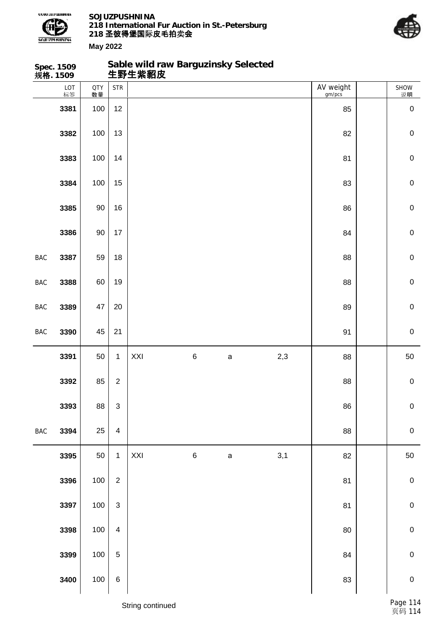

**Sable wild raw Barguzinsky Selected**



|            | Spec. 1509<br>规 <b>格</b> . 1509 |                  |                         | Sable wild raw Barguzinsky Selected<br>生野生紫貂皮 |         |              |     |                     |             |
|------------|---------------------------------|------------------|-------------------------|-----------------------------------------------|---------|--------------|-----|---------------------|-------------|
|            | LOT<br>标签                       | <b>QTY</b><br>数量 | <b>STR</b>              |                                               |         |              |     | AV weight<br>gm/pcs | SHOW<br>说明  |
|            | 3381                            | 100              | 12                      |                                               |         |              |     | 85                  | $\pmb{0}$   |
|            | 3382                            | 100              | 13                      |                                               |         |              |     | 82                  | $\mathbf 0$ |
|            | 3383                            | 100              | 14                      |                                               |         |              |     | 81                  | $\mathbf 0$ |
|            | 3384                            | 100              | 15                      |                                               |         |              |     | 83                  | $\mathbf 0$ |
|            | 3385                            | $90\,$           | 16                      |                                               |         |              |     | 86                  | $\mathbf 0$ |
|            | 3386                            | $90\,$           | 17                      |                                               |         |              |     | 84                  | $\mathbf 0$ |
| <b>BAC</b> | 3387                            | 59               | 18                      |                                               |         |              |     | 88                  | $\mathbf 0$ |
| BAC        | 3388                            | 60               | 19                      |                                               |         |              |     | 88                  | $\mathbf 0$ |
| BAC        | 3389                            | 47               | 20                      |                                               |         |              |     | 89                  | $\mathbf 0$ |
| BAC        | 3390                            | 45               | 21                      |                                               |         |              |     | 91                  | $\mathbf 0$ |
|            |                                 |                  |                         |                                               |         |              |     |                     |             |
|            | 3391                            | 50               | $\mathbf{1}$            | XXI                                           | $\,6$   | $\mathsf a$  | 2,3 | 88                  | 50          |
|            | 3392                            | 85               | $\overline{2}$          |                                               |         |              |     | 88                  | $\pmb{0}$   |
|            | 3393                            | 88               | $\mathsf 3$             |                                               |         |              |     | 86                  | $\pmb{0}$   |
| BAC        | 3394                            | 25               | $\overline{\mathbf{4}}$ |                                               |         |              |     | 88                  | $\mathbf 0$ |
|            | 3395                            | 50               | $\mathbf{1}$            | XXI                                           | $\,6\,$ | $\mathsf{a}$ | 3,1 | 82                  | 50          |
|            | 3396                            | 100              | $\overline{2}$          |                                               |         |              |     | 81                  | $\pmb{0}$   |
|            | 3397                            | 100              | $\sqrt{3}$              |                                               |         |              |     | 81                  | $\mathbf 0$ |
|            | 3398                            | 100              | $\overline{\mathbf{4}}$ |                                               |         |              |     | 80                  | $\pmb{0}$   |
|            | 3399                            | 100              | $\mathbf 5$             |                                               |         |              |     | 84                  | $\mathbf 0$ |
|            | 3400                            | 100              | $\,6$                   |                                               |         |              |     | 83                  | $\mathbf 0$ |
|            |                                 |                  |                         | String continued                              |         |              |     |                     | Page 11     |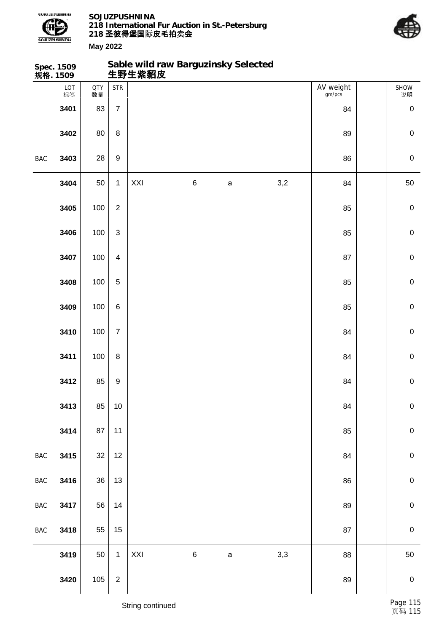



|                | Spec. 1509<br>规格. 1509 |                  |                         | 生野生紫貂皮 |         | Sable wild raw Barguzinsky Selected |     |                     |             |
|----------------|------------------------|------------------|-------------------------|--------|---------|-------------------------------------|-----|---------------------|-------------|
|                | LOT<br>标签              | <b>QTY</b><br>数量 | <b>STR</b>              |        |         |                                     |     | AV weight<br>gm/pcs | SHOW<br>说明  |
|                | 3401                   | 83               | $\overline{7}$          |        |         |                                     |     | 84                  | $\pmb{0}$   |
|                | 3402                   | 80               | $\, 8$                  |        |         |                                     |     | 89                  | $\pmb{0}$   |
| BAC            | 3403                   | 28               | $\boldsymbol{9}$        |        |         |                                     |     | 86                  | $\mathbf 0$ |
|                | 3404                   | 50               | $\mathbf{1}$            | XXI    | $\,6$   | $\mathsf a$                         | 3,2 | 84                  | 50          |
|                | 3405                   | 100              | $\sqrt{2}$              |        |         |                                     |     | 85                  | $\pmb{0}$   |
|                | 3406                   | 100              | $\mathfrak{S}$          |        |         |                                     |     | 85                  | $\mathbf 0$ |
|                | 3407                   | 100              | $\overline{\mathbf{4}}$ |        |         |                                     |     | 87                  | $\mathbf 0$ |
|                | 3408                   | 100              | $\overline{5}$          |        |         |                                     |     | 85                  | $\pmb{0}$   |
|                | 3409                   | 100              | $\,6\,$                 |        |         |                                     |     | 85                  | $\mathbf 0$ |
|                | 3410                   | 100              | $\overline{7}$          |        |         |                                     |     | 84                  | $\mathbf 0$ |
|                | 3411                   | 100              | $\, 8$                  |        |         |                                     |     | 84                  | $\mathbf 0$ |
|                | 3412                   | 85               | $\boldsymbol{9}$        |        |         |                                     |     | 84                  | $\pmb{0}$   |
|                | 3413                   | 85               | 10                      |        |         |                                     |     | 84                  | $\pmb{0}$   |
|                | 3414                   | 87               | 11                      |        |         |                                     |     | 85                  | $\mathbf 0$ |
| $\mathsf{BAC}$ | 3415                   | 32               | 12                      |        |         |                                     |     | 84                  | $\pmb{0}$   |
| $\mathsf{BAC}$ | 3416                   | 36               | 13                      |        |         |                                     |     | 86                  | $\pmb{0}$   |
| $_{\rm BAC}$   | 3417                   | 56               | 14                      |        |         |                                     |     | 89                  | $\pmb{0}$   |
| $_{\rm BAC}$   | 3418                   | 55               | 15                      |        |         |                                     |     | 87                  | $\mathbf 0$ |
|                | 3419                   | 50               | $\mathbf{1}$            | XXI    | $\,6\,$ | $\mathsf a$                         | 3,3 | 88                  | 50          |
|                | 3420                   | 105              | $\overline{2}$          |        |         |                                     |     | 89                  | $\pmb{0}$   |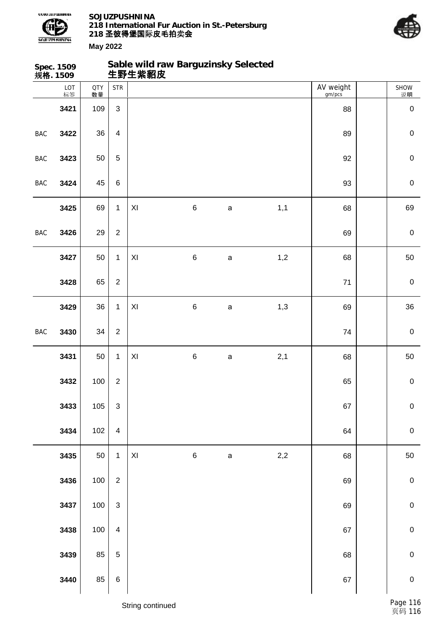



|            | Spec. 1509<br>规格. 1509 |                  |                           | Sable wild raw Barguzinsky Selected<br>生野生紫貂皮 |         |              |       |                     |             |
|------------|------------------------|------------------|---------------------------|-----------------------------------------------|---------|--------------|-------|---------------------|-------------|
|            | LOT<br>标签              | <b>QTY</b><br>数量 | <b>STR</b>                |                                               |         |              |       | AV weight<br>gm/pcs | SHOW<br>说明  |
|            | 3421                   | 109              | $\mathbf{3}$              |                                               |         |              |       | 88                  | $\mathbf 0$ |
| <b>BAC</b> | 3422                   | 36               | $\overline{\mathbf{4}}$   |                                               |         |              |       | 89                  | $\mathbf 0$ |
| <b>BAC</b> | 3423                   | 50               | $\mathbf 5$               |                                               |         |              |       | 92                  | $\mathbf 0$ |
| <b>BAC</b> | 3424                   | 45               | $\,6\,$                   |                                               |         |              |       | 93                  | $\mathbf 0$ |
|            | 3425                   | 69               | $\mathbf{1}$              | XI                                            | $\,6$   | $\mathsf a$  | 1,1   | 68                  | 69          |
| <b>BAC</b> | 3426                   | 29               | $\overline{2}$            |                                               |         |              |       | 69                  | $\mathbf 0$ |
|            | 3427                   | 50               | $\mathbf{1}$              | $\pmb{\mathsf{XI}}$                           | $\,6\,$ | $\mathsf{a}$ | 1,2   | 68                  | 50          |
|            | 3428                   | 65               | $\overline{2}$            |                                               |         |              |       | $71$                | $\mathbf 0$ |
|            | 3429                   | 36               | $\mathbf{1}$              | XI                                            | $\,6$   | $\mathsf{a}$ | 1,3   | 69                  | 36          |
| <b>BAC</b> | 3430                   | 34               | $\overline{2}$            |                                               |         |              |       | 74                  | $\mathbf 0$ |
|            | 3431                   | 50               | $\mathbf{1}$              | $\pmb{\mathsf{X}}$                            | $\,6\,$ | $\mathsf{a}$ | 2,1   | 68                  | 50          |
|            | 3432                   | 100              | $\overline{2}$            |                                               |         |              |       | 65                  | $\mathbf 0$ |
|            | 3433                   | 105              | $\ensuremath{\mathsf{3}}$ |                                               |         |              |       | 67                  | $\mathbf 0$ |
|            | 3434                   | 102              | $\overline{\mathbf{4}}$   |                                               |         |              |       | 64                  | $\pmb{0}$   |
|            | 3435                   | 50               | $\mathbf 1$               | $\mathsf{XI}$                                 | $\,6$   | $\mathsf a$  | $2,2$ | 68                  | 50          |
|            | 3436                   | 100              | $\overline{2}$            |                                               |         |              |       | 69                  | $\mathbf 0$ |
|            | 3437                   | 100              | $\mathsf 3$               |                                               |         |              |       | 69                  | $\pmb{0}$   |
|            | 3438                   | 100              | $\overline{\mathbf{4}}$   |                                               |         |              |       | 67                  | $\pmb{0}$   |
|            | 3439                   | 85               | $\overline{5}$            |                                               |         |              |       | 68                  | $\pmb{0}$   |
|            | 3440                   | 85               | $\,6$                     |                                               |         |              |       | 67                  | $\mathbf 0$ |
|            |                        |                  |                           |                                               |         |              |       |                     |             |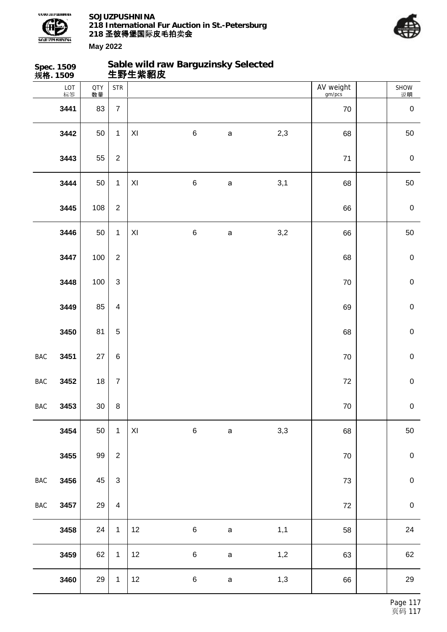



|            | Spec. 1509<br>规格. 1509 |                  |                           | 生野生紫貂皮              | Sable wild raw Barguzinsky Selected |              |     |                     |             |
|------------|------------------------|------------------|---------------------------|---------------------|-------------------------------------|--------------|-----|---------------------|-------------|
|            | LOT<br>标签              | <b>QTY</b><br>数量 | <b>STR</b>                |                     |                                     |              |     | AV weight<br>gm/pcs | SHOW<br>说明  |
|            | 3441                   | 83               | $\overline{7}$            |                     |                                     |              |     | $70\,$              | $\pmb{0}$   |
|            | 3442                   | 50               | $\mathbf{1}$              | $\pmb{\mathsf{XI}}$ | $\,6$                               | $\mathsf a$  | 2,3 | 68                  | 50          |
|            | 3443                   | 55               | $\boldsymbol{2}$          |                     |                                     |              |     | $71$                | $\pmb{0}$   |
|            | 3444                   | 50               | $\mathbf{1}$              | XI                  | $\,6$                               | $\mathsf{a}$ | 3,1 | 68                  | 50          |
|            | 3445                   | 108              | $\overline{2}$            |                     |                                     |              |     | 66                  | $\pmb{0}$   |
|            | 3446                   | 50               | $\mathbf{1}$              | XI                  | $\,6$                               | $\mathsf a$  | 3,2 | 66                  | 50          |
|            | 3447                   | 100              | $\overline{2}$            |                     |                                     |              |     | 68                  | $\mathbf 0$ |
|            | 3448                   | 100              | $\ensuremath{\mathsf{3}}$ |                     |                                     |              |     | 70                  | $\pmb{0}$   |
|            | 3449                   | 85               | $\overline{\mathbf{4}}$   |                     |                                     |              |     | 69                  | $\mathbf 0$ |
|            | 3450                   | 81               | 5                         |                     |                                     |              |     | 68                  | $\mathbf 0$ |
| BAC        | 3451                   | 27               | $\,6$                     |                     |                                     |              |     | $70\,$              | $\mathbf 0$ |
| BAC        | 3452                   | 18               | $\boldsymbol{7}$          |                     |                                     |              |     | $72\,$              | $\pmb{0}$   |
| BAC        | 3453                   | $30\,$           | $\, 8$                    |                     |                                     |              |     | $70\,$              | $\pmb{0}$   |
|            | 3454                   | 50               | $\mathbf{1}$              | $\mathsf{XI}$       | $\,6$                               | $\mathsf{a}$ | 3,3 | 68                  | 50          |
|            | 3455                   | 99               | $\overline{2}$            |                     |                                     |              |     | 70                  | $\,0\,$     |
| <b>BAC</b> | 3456                   | 45               | $\mathsf 3$               |                     |                                     |              |     | $73\,$              | $\mathbf 0$ |
| <b>BAC</b> | 3457                   | 29               | $\overline{\mathbf{4}}$   |                     |                                     |              |     | $72\,$              | $\pmb{0}$   |
|            | 3458                   | 24               | $\mathbf{1}$              | 12                  | $\,6\,$                             | $\mathsf a$  | 1,1 | 58                  | 24          |
|            | 3459                   | 62               | $\mathbf 1$               | 12                  | $\,6$                               | $\mathsf a$  | 1,2 | 63                  | 62          |
|            | 3460                   | 29               | $\mathbf{1}$              | 12                  | $\,6$                               | $\mathsf a$  | 1,3 | 66                  | 29          |
|            |                        |                  |                           |                     |                                     |              |     |                     |             |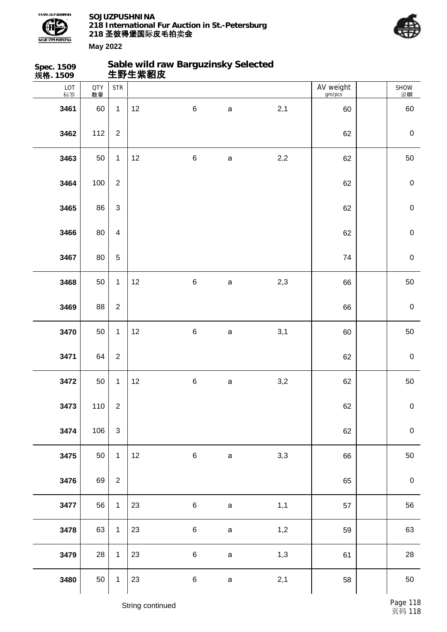



| <b>Spec. 1509</b><br>规格. 1509 |                  |                | Sable wild raw Barguzinsky Selected<br>生野生紫貂皮 |         |              |     |                     |                  |
|-------------------------------|------------------|----------------|-----------------------------------------------|---------|--------------|-----|---------------------|------------------|
| LOT<br>标签                     | <b>QTY</b><br>数量 | <b>STR</b>     |                                               |         |              |     | AV weight<br>gm/pcs | SHOW<br>说明       |
| 3461                          | 60               | $\mathbf{1}$   | 12                                            | $\,6$   | $\mathsf a$  | 2,1 | 60                  | 60               |
| 3462                          | 112              | $\overline{2}$ |                                               |         |              |     | 62                  | $\pmb{0}$        |
| 3463                          | 50               | $\mathbf{1}$   | 12                                            | $\,6\,$ | $\mathsf{a}$ | 2,2 | 62                  | 50               |
| 3464                          | 100              | $\overline{2}$ |                                               |         |              |     | 62                  | $\mathbf 0$      |
| 3465                          | 86               | 3              |                                               |         |              |     | 62                  | $\mathbf 0$      |
| 3466                          | 80               | $\overline{4}$ |                                               |         |              |     | 62                  | $\mathbf 0$      |
| 3467                          | 80               | 5              |                                               |         |              |     | 74                  | $\mathbf 0$      |
| 3468                          | 50               | $\mathbf{1}$   | 12                                            | $\,6\,$ | $\mathsf a$  | 2,3 | 66                  | 50               |
| 3469                          | 88               | $\overline{c}$ |                                               |         |              |     | 66                  | $\mathbf 0$      |
| 3470                          | 50               | $\mathbf{1}$   | 12                                            | $\,6$   | a            | 3,1 | 60                  | 50               |
| 3471                          | 64               | $\overline{c}$ |                                               |         |              |     | 62                  | $\mathbf 0$      |
| 3472                          | 50               | $\mathbf{1}$   | 12                                            | $\,6\,$ | $\mathsf{a}$ | 3,2 | 62                  | $50\,$           |
| 3473                          | 110              | $\overline{2}$ |                                               |         |              |     | 62                  | $\pmb{0}$        |
| 3474                          | 106              | $\mathbf{3}$   |                                               |         |              |     | 62                  | $\pmb{0}$        |
| 3475                          | 50               | $\overline{1}$ | 12                                            | $\,6\,$ | $\mathsf a$  | 3,3 | 66                  | 50               |
| 3476                          | 69               | $\overline{2}$ |                                               |         |              |     | 65                  | $\boldsymbol{0}$ |
| 3477                          | 56               | $\mathbf{1}$   | 23                                            | $\,6\,$ | $\mathsf a$  | 1,1 | 57                  | 56               |
| 3478                          | 63               | $\mathbf{1}$   | 23                                            | $\,6\,$ | $\mathsf a$  | 1,2 | 59                  | 63               |
| 3479                          | 28               | $\mathbf{1}$   | 23                                            | $\,6\,$ | $\mathsf a$  | 1,3 | 61                  | 28               |
| 3480                          | 50               | $\mathbf{1}$   | 23                                            | $\,6\,$ | $\mathsf a$  | 2,1 | 58                  | 50               |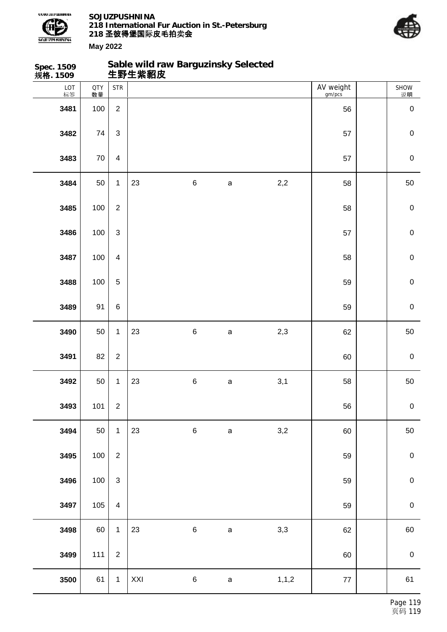



| Spec. 1509<br>规格. 1509 |                  |                         | Sable wild raw Barguzinsky Selected<br>生野生紫貂皮 |         |              |         |                     |                  |
|------------------------|------------------|-------------------------|-----------------------------------------------|---------|--------------|---------|---------------------|------------------|
| LOT<br>标签              | <b>QTY</b><br>数量 | <b>STR</b>              |                                               |         |              |         | AV weight<br>gm/pcs | SHOW<br>说明       |
| 3481                   | 100              | $\overline{2}$          |                                               |         |              |         | 56                  | $\pmb{0}$        |
| 3482                   | 74               | $\mathfrak{S}$          |                                               |         |              |         | 57                  | $\mathbf 0$      |
| 3483                   | $70\,$           | $\overline{\mathbf{4}}$ |                                               |         |              |         | 57                  | $\pmb{0}$        |
| 3484                   | 50               | $\mathbf{1}$            | 23                                            | $\,6$   | $\mathsf a$  | 2,2     | 58                  | 50               |
| 3485                   | 100              | $\overline{2}$          |                                               |         |              |         | 58                  | $\mathbf 0$      |
| 3486                   | 100              | $\mathfrak{S}$          |                                               |         |              |         | 57                  | $\mathbf 0$      |
| 3487                   | 100              | $\overline{4}$          |                                               |         |              |         | 58                  | $\mathbf 0$      |
| 3488                   | 100              | $\overline{5}$          |                                               |         |              |         | 59                  | $\mathbf 0$      |
| 3489                   | 91               | $\,6\,$                 |                                               |         |              |         | 59                  | $\mathbf 0$      |
| 3490                   | 50               | $\mathbf{1}$            | 23                                            | $\,6$   | a            | 2,3     | 62                  | 50               |
| 3491                   | 82               | $\boldsymbol{2}$        |                                               |         |              |         | 60                  | $\boldsymbol{0}$ |
| 3492                   | 50               | $\mathbf{1}$            | 23                                            | $\,6\,$ | $\mathsf{a}$ | 3,1     | 58                  | 50               |
| 3493                   | 101              | $\overline{2}$          |                                               |         |              |         | 56                  | $\pmb{0}$        |
| 3494                   | 50               | $\mathbf{1}$            | 23                                            | $\,6\,$ | $\mathsf a$  | 3,2     | 60                  | 50               |
| 3495                   | 100              | $\overline{2}$          |                                               |         |              |         | 59                  | $\boldsymbol{0}$ |
| 3496                   | 100              | 3                       |                                               |         |              |         | 59                  | $\pmb{0}$        |
| 3497                   | 105              | $\overline{4}$          |                                               |         |              |         | 59                  | $\boldsymbol{0}$ |
| 3498                   | 60               | $\mathbf{1}$            | 23                                            | $\,6$   | $\mathbf a$  | 3,3     | 62                  | 60               |
| 3499                   | 111              | $\overline{2}$          |                                               |         |              |         | 60                  | $\,0\,$          |
| 3500                   | 61               | $\mathbf{1}$            | XXI                                           | $\,6\,$ | $\mathsf a$  | 1, 1, 2 | $77\,$              | 61               |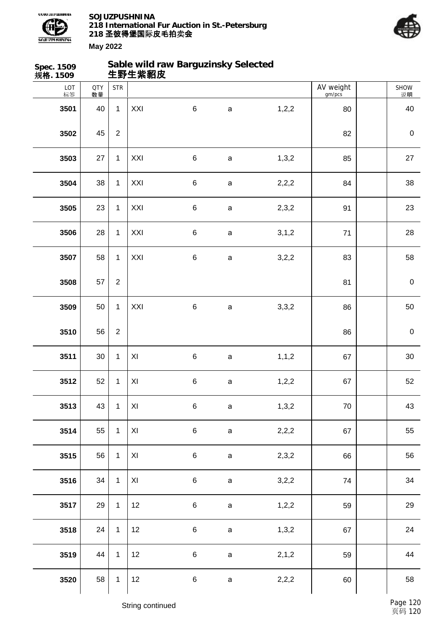



| Spec. 1509<br>规格. 1509 |                  |                | 生野生紫貂皮         | Sable wild raw Barguzinsky Selected |              |         |                     |                   |
|------------------------|------------------|----------------|----------------|-------------------------------------|--------------|---------|---------------------|-------------------|
| LOT<br>标签              | <b>QTY</b><br>数量 | <b>STR</b>     |                |                                     |              |         | AV weight<br>gm/pcs | <b>SHOW</b><br>说明 |
| 3501                   | 40               | $\mathbf{1}$   | XXI            | $\,6\,$                             | $\mathsf a$  | 1,2,2   | 80                  | 40                |
| 3502                   | 45               | $\overline{2}$ |                |                                     |              |         | 82                  | $\pmb{0}$         |
| 3503                   | 27               | $\mathbf{1}$   | XXI            | $\,6$                               | $\mathsf a$  | 1,3,2   | 85                  | 27                |
| 3504                   | 38               | $\mathbf{1}$   | XXI            | $\,6$                               | $\mathsf a$  | 2,2,2   | 84                  | 38                |
| 3505                   | 23               | $\mathbf{1}$   | XXI            | $\,6$                               | $\mathsf a$  | 2,3,2   | 91                  | 23                |
| 3506                   | 28               | $\mathbf{1}$   | XXI            | $\,6$                               | $\mathsf{a}$ | 3, 1, 2 | 71                  | 28                |
| 3507                   | 58               | $\mathbf{1}$   | XXI            | $\,6$                               | $\mathsf{a}$ | 3,2,2   | 83                  | 58                |
| 3508                   | 57               | $\overline{2}$ |                |                                     |              |         | 81                  | $\pmb{0}$         |
| 3509                   | 50               | $\mathbf{1}$   | XXI            | $\,6$                               | $\mathsf{a}$ | 3,3,2   | 86                  | 50                |
| 3510                   | 56               | $\overline{2}$ |                |                                     |              |         | 86                  | $\pmb{0}$         |
| 3511                   | $30\,$           | $\mathbf{1}$   | $\pmb{\times}$ | $\,6$                               | a            | 1, 1, 2 | 67                  | $30\,$            |
| 3512                   | 52               | $\mathbf{1}$   | $\pmb{\times}$ | $\,6$                               | $\mathsf a$  | 1,2,2   | 67                  | 52                |
| 3513                   | 43               | $\mathbf{1}$   | XI             | $\,6$                               | $\mathsf a$  | 1,3,2   | $70\,$              | 43                |
| 3514                   | 55               | $\mathbf{1}$   | $\pmb{\times}$ | $\,6$                               | $\mathsf a$  | 2,2,2   | 67                  | 55                |
| 3515                   | 56               | $\mathbf{1}$   | $\pmb{\times}$ | $\,6$                               | $\mathsf a$  | 2,3,2   | 66                  | 56                |
| 3516                   | 34               | $\mathbf{1}$   | $\pmb{\times}$ | $\,6$                               | $\mathsf a$  | 3,2,2   | 74                  | 34                |
| 3517                   | 29               | $\mathbf{1}$   | 12             | $\,6$                               | $\mathsf a$  | 1,2,2   | 59                  | 29                |
| 3518                   | 24               | $\mathbf{1}$   | 12             | $\,6$                               | $\mathsf a$  | 1,3,2   | 67                  | 24                |
| 3519                   | 44               | $\mathbf{1}$   | 12             | $\,6$                               | $\mathsf a$  | 2, 1, 2 | 59                  | 44                |
| 3520                   | 58               | $\mathbf{1}$   | 12             | $\,6$                               | $\mathsf a$  | 2,2,2   | 60                  | 58                |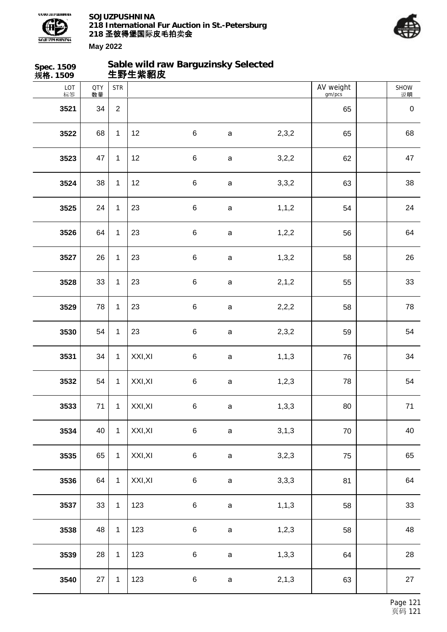



| Spec. 1509<br>规格. 1509 |                  |                | 生野生紫貂皮  | Sable wild raw Barguzinsky Selected |             |         |                     |            |
|------------------------|------------------|----------------|---------|-------------------------------------|-------------|---------|---------------------|------------|
| LOT<br>标签              | <b>QTY</b><br>数量 | <b>STR</b>     |         |                                     |             |         | AV weight<br>gm/pcs | SHOW<br>说明 |
| 3521                   | 34               | $\overline{2}$ |         |                                     |             |         | 65                  | $\pmb{0}$  |
| 3522                   | 68               | $\mathbf{1}$   | 12      | $\,6\,$                             | $\mathsf a$ | 2,3,2   | 65                  | 68         |
| 3523                   | 47               | $\mathbf{1}$   | 12      | $\,6$                               | $\mathsf a$ | 3,2,2   | 62                  | 47         |
| 3524                   | 38               | $\mathbf{1}$   | 12      | $\,6$                               | $\mathsf a$ | 3,3,2   | 63                  | 38         |
| 3525                   | 24               | $\mathbf{1}$   | 23      | $\,6\,$                             | $\mathsf a$ | 1, 1, 2 | 54                  | 24         |
| 3526                   | 64               | $\mathbf{1}$   | 23      | $\,6$                               | $\mathsf a$ | 1,2,2   | 56                  | 64         |
| 3527                   | 26               | $\mathbf{1}$   | 23      | $\,6$                               | $\mathsf a$ | 1,3,2   | 58                  | 26         |
| 3528                   | 33               | $\mathbf{1}$   | 23      | $\,6$                               | $\mathsf a$ | 2, 1, 2 | 55                  | 33         |
| 3529                   | 78               | $\mathbf{1}$   | 23      | $\,6$                               | $\mathsf a$ | 2,2,2   | 58                  | 78         |
| 3530                   | 54               | $\mathbf{1}$   | 23      | $\,6$                               | $\mathsf a$ | 2,3,2   | 59                  | 54         |
| 3531                   | 34               | $\mathbf{1}$   | XXI, XI | $\,6$                               | $\mathsf a$ | 1, 1, 3 | 76                  | 34         |
| 3532                   | 54               | $\mathbf{1}$   | XXI, XI | $\,6$                               | $\mathsf a$ | 1,2,3   | 78                  | 54         |
| 3533                   | 71               | $\mathbf{1}$   | XXI, XI | $\,6\,$                             | $\mathsf a$ | 1,3,3   | 80                  | $71$       |
| 3534                   | 40               | $\mathbf{1}$   | XXI, XI | $\,6\,$                             | $\mathsf a$ | 3,1,3   | 70                  | 40         |
| 3535                   | 65               | $\mathbf{1}$   | XXI, XI | $\,6\,$                             | $\mathsf a$ | 3,2,3   | 75                  | 65         |
| 3536                   | 64               | $\mathbf{1}$   | XXI, XI | $\,6\,$                             | $\mathsf a$ | 3,3,3   | 81                  | 64         |
| 3537                   | 33               | $\mathbf{1}$   | 123     | $\,6\,$                             | $\mathsf a$ | 1, 1, 3 | 58                  | 33         |
| 3538                   | 48               | $\mathbf{1}$   | 123     | $\,6\,$                             | $\mathsf a$ | 1,2,3   | 58                  | 48         |
| 3539                   | 28               | $\mathbf{1}$   | 123     | $\,6\,$                             | $\mathsf a$ | 1,3,3   | 64                  | 28         |
| 3540                   | 27               | $\mathbf{1}$   | 123     | $\,6\,$                             | $\mathsf a$ | 2, 1, 3 | 63                  | 27         |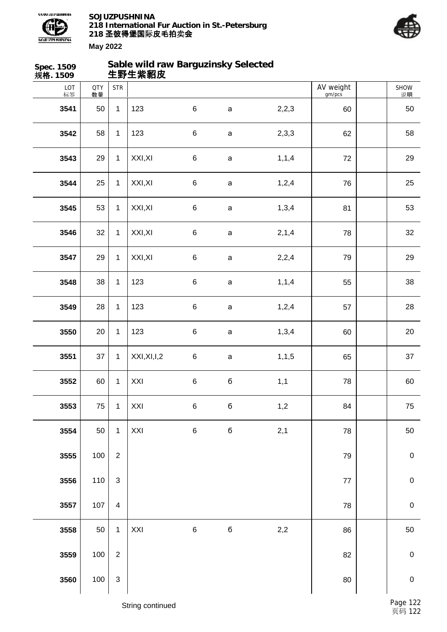



| Spec. 1509<br>规格. 1509 |                  |                         | Sable wild raw Barguzinsky Selected<br>生野生紫貂皮 |         |              |         |                     |                  |
|------------------------|------------------|-------------------------|-----------------------------------------------|---------|--------------|---------|---------------------|------------------|
| LOT<br>标签              | <b>QTY</b><br>数量 | <b>STR</b>              |                                               |         |              |         | AV weight<br>gm/pcs | SHOW<br>说明       |
| 3541                   | 50               | $\mathbf{1}$            | 123                                           | $\,6\,$ | $\mathsf a$  | 2,2,3   | 60                  | 50               |
| 3542                   | 58               | $\mathbf{1}$            | 123                                           | $\,6\,$ | $\mathsf{a}$ | 2,3,3   | 62                  | 58               |
| 3543                   | 29               | $\mathbf{1}$            | XXI, XI                                       | $\,6\,$ | $\mathsf a$  | 1, 1, 4 | 72                  | 29               |
| 3544                   | 25               | $\mathbf{1}$            | XXI, XI                                       | $\,6\,$ | $\mathsf a$  | 1,2,4   | 76                  | 25               |
| 3545                   | 53               | $\mathbf{1}$            | XXI, XI                                       | $\,6\,$ | $\mathsf a$  | 1,3,4   | 81                  | 53               |
| 3546                   | 32               | $\mathbf{1}$            | XXI, XI                                       | $\,6\,$ | $\mathsf{a}$ | 2,1,4   | 78                  | 32               |
| 3547                   | 29               | $\mathbf{1}$            | XXI, XI                                       | $\,6\,$ | $\mathsf a$  | 2,2,4   | 79                  | 29               |
| 3548                   | 38               | $\mathbf{1}$            | 123                                           | $\,6$   | $\mathsf{a}$ | 1, 1, 4 | 55                  | 38               |
| 3549                   | 28               | $\mathbf{1}$            | 123                                           | $\,6$   | $\mathsf a$  | 1,2,4   | 57                  | 28               |
| 3550                   | 20               | $\mathbf{1}$            | 123                                           | $\,6$   | $\mathsf a$  | 1,3,4   | 60                  | 20               |
| 3551                   | 37               | $\mathbf{1}$            | XXI, XI, I, 2                                 | $\,6\,$ | $\mathsf a$  | 1, 1, 5 | 65                  | 37               |
| 3552                   | 60               | $\mathbf{1}$            | XXI                                           | $\,6$   | б            | 1,1     | 78                  | 60               |
| 3553                   | 75               | $\mathbf{1}$            | XXI                                           | $\,6$   | б            | 1,2     | 84                  | ${\bf 75}$       |
| 3554                   | 50               | $\mathbf{1}$            | XXI                                           | $\,6\,$ | б            | 2,1     | 78                  | 50               |
| 3555                   | 100              | $\overline{2}$          |                                               |         |              |         | 79                  | $\boldsymbol{0}$ |
| 3556                   | 110              | 3                       |                                               |         |              |         | $77\,$              | $\mathbf 0$      |
| 3557                   | 107              | $\overline{\mathbf{4}}$ |                                               |         |              |         | 78                  | $\pmb{0}$        |
| 3558                   | 50               | $\mathbf{1}$            | XXI                                           | $\,6\,$ | б            | 2,2     | 86                  | 50               |
| 3559                   | 100              | $\overline{2}$          |                                               |         |              |         | 82                  | $\boldsymbol{0}$ |
| 3560                   | 100              | $\mathsf 3$             |                                               |         |              |         | 80                  | $\mathbf 0$      |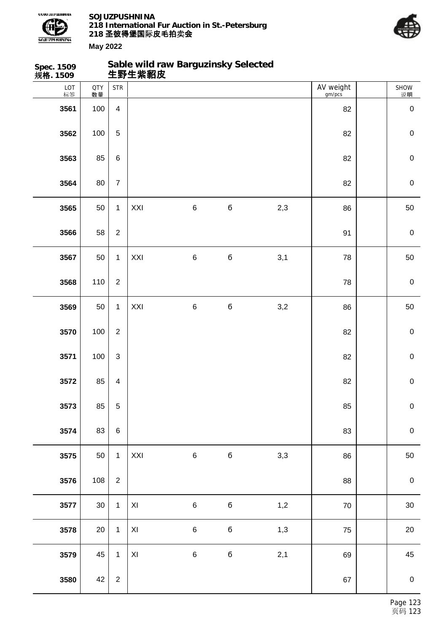



| Spec. 1509<br>规格. 1509 |                  |                         | Sable wild raw Barguzinsky Selected<br>生野生紫貂皮 |         |             |     |                     |                  |
|------------------------|------------------|-------------------------|-----------------------------------------------|---------|-------------|-----|---------------------|------------------|
| LOT<br>标签              | <b>QTY</b><br>数量 | <b>STR</b>              |                                               |         |             |     | AV weight<br>gm/pcs | SHOW<br>说明       |
| 3561                   | 100              | $\overline{4}$          |                                               |         |             |     | 82                  | $\pmb{0}$        |
| 3562                   | 100              | $\,$ 5 $\,$             |                                               |         |             |     | 82                  | $\mathbf 0$      |
| 3563                   | 85               | $\,6\,$                 |                                               |         |             |     | 82                  | $\mathbf 0$      |
| 3564                   | 80               | $\boldsymbol{7}$        |                                               |         |             |     | 82                  | $\mathbf 0$      |
| 3565                   | 50               | $\mathbf{1}$            | XXI                                           | 6       | $\mathbf 6$ | 2,3 | 86                  | 50               |
| 3566                   | 58               | $\overline{2}$          |                                               |         |             |     | 91                  | $\mathbf 0$      |
| 3567                   | 50               | $\mathbf{1}$            | XXI                                           | $\,6\,$ | $\mathbf 6$ | 3,1 | 78                  | 50               |
| 3568                   | 110              | $\overline{2}$          |                                               |         |             |     | 78                  | $\mathbf 0$      |
| 3569                   | 50               | $\mathbf{1}$            | XXI                                           | 6       | $\mathbf 6$ | 3,2 | 86                  | 50               |
| 3570                   | 100              | $\overline{2}$          |                                               |         |             |     | 82                  | $\mathbf 0$      |
| 3571                   | 100              | $\mathfrak{S}$          |                                               |         |             |     | 82                  | $\mathbf 0$      |
| 3572                   | 85               | $\overline{\mathbf{4}}$ |                                               |         |             |     | 82                  | $\mathbf 0$      |
| 3573                   | 85               | $\sqrt{5}$              |                                               |         |             |     | 85                  | $\mathbf 0$      |
| 3574                   | 83               | $\,6\,$                 |                                               |         |             |     | 83                  | $\boldsymbol{0}$ |
| 3575                   | 50               | $\mathbf{1}$            | XXI                                           | $\,6\,$ | $\mathbf 6$ | 3,3 | 86                  | 50               |
| 3576                   | 108              | $\overline{2}$          |                                               |         |             |     | 88                  | $\pmb{0}$        |
| 3577                   | 30               | $\mathbf{1}$            | $\pmb{\mathsf{XI}}$                           | $\,6\,$ | $\mathbf 6$ | 1,2 | $70\,$              | 30               |
| 3578                   | 20               | $\mathbf{1}$            | $\pmb{\mathsf{XI}}$                           | $\,6\,$ | $\mathbf 6$ | 1,3 | 75                  | 20               |
| 3579                   | 45               | $\mathbf{1}$            | XI                                            | $\,6\,$ | $\mathbf 6$ | 2,1 | 69                  | 45               |
| 3580                   | 42               | $\sqrt{2}$              |                                               |         |             |     | 67                  | $\mathbf 0$      |
|                        |                  |                         |                                               |         |             |     |                     |                  |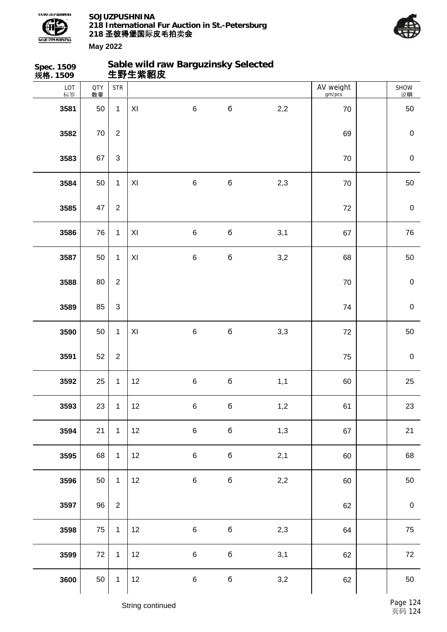



| Spec. 1509<br>规格. 1509 |                  |                           | 生野生紫貂皮 | Sable wild raw Barguzinsky Selected |             |     |                     |             |
|------------------------|------------------|---------------------------|--------|-------------------------------------|-------------|-----|---------------------|-------------|
| LOT<br>标签              | <b>QTY</b><br>数量 | <b>STR</b>                |        |                                     |             |     | AV weight<br>gm/pcs | SHOW<br>说明  |
| 3581                   | 50               | $\mathbf{1}$              | XI     | $\,6\,$                             | $\mathbf 6$ | 2,2 | 70                  | 50          |
| 3582                   | $70\,$           | $\overline{2}$            |        |                                     |             |     | 69                  | $\pmb{0}$   |
| 3583                   | 67               | $\ensuremath{\mathsf{3}}$ |        |                                     |             |     | 70                  | $\mathbf 0$ |
| 3584                   | 50               | $\mathbf{1}$              | XI     | $\,6\,$                             | б           | 2,3 | 70                  | 50          |
| 3585                   | 47               | $\overline{2}$            |        |                                     |             |     | $72\,$              | $\pmb{0}$   |
| 3586                   | 76               | $\mathbf{1}$              | XI     | $\,6\,$                             | б           | 3,1 | 67                  | 76          |
| 3587                   | 50               | $\mathbf{1}$              | XI     | $\,6\,$                             | б           | 3,2 | 68                  | 50          |
| 3588                   | 80               | $\overline{2}$            |        |                                     |             |     | $70\,$              | $\pmb{0}$   |
| 3589                   | 85               | $\mathfrak{S}$            |        |                                     |             |     | 74                  | $\mathbf 0$ |
| 3590                   | 50               | $\mathbf{1}$              | XI     | $\,6\,$                             | б           | 3,3 | 72                  | 50          |
| 3591                   | 52               | $\boldsymbol{2}$          |        |                                     |             |     | 75                  | $\pmb{0}$   |
| 3592                   | 25               | $\mathbf{1}$              | 12     | $\,6$                               | б           | 1,1 | 60                  | 25          |
| 3593                   | 23               | $\mathbf{1}$              | 12     | $\,6\,$                             | б           | 1,2 | 61                  | 23          |
| 3594                   | 21               | $\mathbf{1}$              | 12     | $\,6\,$                             | б           | 1,3 | 67                  | 21          |
| 3595                   | 68               | $\mathbf{1}$              | 12     | $\,6\,$                             | б           | 2,1 | 60                  | 68          |
| 3596                   | 50               | $\mathbf{1}$              | 12     | $\,6$                               | б           | 2,2 | 60                  | 50          |
| 3597                   | 96               | $\overline{2}$            |        |                                     |             |     | 62                  | $\pmb{0}$   |
| 3598                   | 75               | $\mathbf{1}$              | 12     | $\,6\,$                             | б           | 2,3 | 64                  | 75          |
| 3599                   | 72               | $\mathbf{1}$              | 12     | $\,6\,$                             | б           | 3,1 | 62                  | 72          |
| 3600                   | 50               | $\mathbf{1}$              | 12     | $\,6$                               | б           | 3,2 | 62                  | 50          |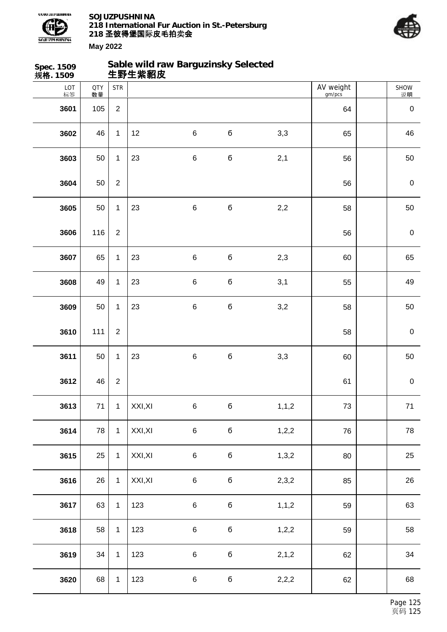



| Spec. 1509<br>规格. 1509 |                  |                | 生野生紫貂皮  | Sable wild raw Barguzinsky Selected |             |         |                     |            |
|------------------------|------------------|----------------|---------|-------------------------------------|-------------|---------|---------------------|------------|
| LOT<br>标签              | <b>QTY</b><br>数量 | <b>STR</b>     |         |                                     |             |         | AV weight<br>gm/pcs | SHOW<br>说明 |
| 3601                   | 105              | $\overline{2}$ |         |                                     |             |         | 64                  | $\pmb{0}$  |
| 3602                   | 46               | $\mathbf{1}$   | 12      | $\,6\,$                             | б           | 3,3     | 65                  | 46         |
| 3603                   | 50               | $\mathbf{1}$   | 23      | $\,6\,$                             | б           | 2,1     | 56                  | 50         |
| 3604                   | 50               | $\mathbf{2}$   |         |                                     |             |         | 56                  | $\pmb{0}$  |
| 3605                   | 50               | $\mathbf{1}$   | 23      | $\,6$                               | б           | 2,2     | 58                  | 50         |
| 3606                   | 116              | $\overline{2}$ |         |                                     |             |         | 56                  | $\pmb{0}$  |
| 3607                   | 65               | $\mathbf{1}$   | 23      | $\,6$                               | б           | 2,3     | 60                  | 65         |
| 3608                   | 49               | $\mathbf{1}$   | 23      | $\,6$                               | б           | 3,1     | 55                  | 49         |
| 3609                   | 50               | $\mathbf{1}$   | 23      | $\,6$                               | б           | 3,2     | 58                  | 50         |
| 3610                   | 111              | $\overline{2}$ |         |                                     |             |         | 58                  | $\pmb{0}$  |
| 3611                   | 50               | $\mathbf{1}$   | 23      | $\,6$                               | б           | 3,3     | 60                  | 50         |
| 3612                   | 46               | $\mathbf{2}$   |         |                                     |             |         | 61                  | $\pmb{0}$  |
| 3613                   | 71               | $\mathbf{1}$   | XXI, XI | $\,6\,$                             | $\mathbf 6$ | 1, 1, 2 | $73\,$              | $71$       |
| 3614                   | 78               | $\mathbf{1}$   | XXI, XI | $\,6\,$                             | б           | 1,2,2   | 76                  | 78         |
| 3615                   | 25               | $\mathbf{1}$   | XXI, XI | $\,6\,$                             | б           | 1,3,2   | 80                  | 25         |
| 3616                   | 26               | $\mathbf{1}$   | XXI, XI | $\,6\,$                             | $\mathbf 6$ | 2,3,2   | 85                  | 26         |
| 3617                   | 63               | $\mathbf 1$    | 123     | $\,6\,$                             | б           | 1, 1, 2 | 59                  | 63         |
| 3618                   | 58               | $\mathbf 1$    | 123     | $\,6$                               | б           | 1,2,2   | 59                  | 58         |
| 3619                   | 34               | $\mathbf{1}$   | 123     | $\,6\,$                             | б           | 2, 1, 2 | 62                  | 34         |
| 3620                   | 68               | $\mathbf{1}$   | 123     | $\,6$                               | б           | 2,2,2   | 62                  | 68         |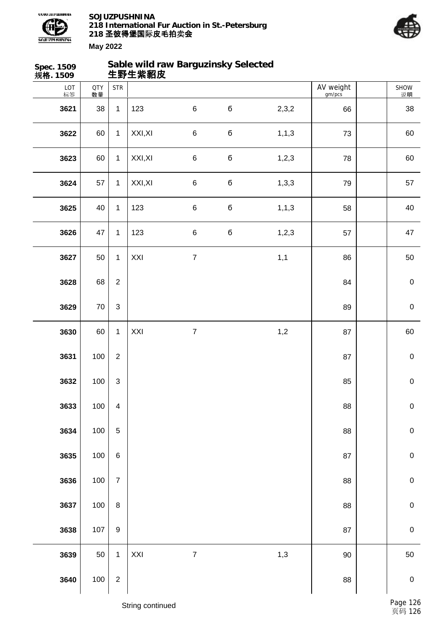



| Spec. 1509<br>规格. 1509 |                  |                           | Sable wild raw Barguzinsky Selected<br>生野生紫貂皮 |                  |             |         |                     |                  |
|------------------------|------------------|---------------------------|-----------------------------------------------|------------------|-------------|---------|---------------------|------------------|
| LOT<br>标签              | <b>QTY</b><br>数量 | <b>STR</b>                |                                               |                  |             |         | AV weight<br>gm/pcs | SHOW<br>说明       |
| 3621                   | 38               | $\mathbf{1}$              | 123                                           | $\,6$            | $\mathbf 6$ | 2,3,2   | 66                  | 38               |
| 3622                   | 60               | $\mathbf{1}$              | XXI, XI                                       | $\,6$            | $\mathbf 6$ | 1, 1, 3 | 73                  | 60               |
| 3623                   | 60               | $\mathbf{1}$              | XXI, XI                                       | $\,6$            | $\bf 6$     | 1,2,3   | 78                  | 60               |
| 3624                   | 57               | $\mathbf{1}$              | XXI, XI                                       | $\,6$            | $\mathbf 6$ | 1,3,3   | 79                  | 57               |
| 3625                   | 40               | $\mathbf{1}$              | 123                                           | $\,6$            | $\mathbf 6$ | 1, 1, 3 | 58                  | 40               |
| 3626                   | 47               | $\mathbf{1}$              | 123                                           | $\,6$            | $\mathbf 6$ | 1,2,3   | 57                  | 47               |
| 3627                   | 50               | $\mathbf{1}$              | XXI                                           | $\boldsymbol{7}$ |             | 1,1     | 86                  | 50               |
| 3628                   | 68               | $\overline{c}$            |                                               |                  |             |         | 84                  | $\pmb{0}$        |
| 3629                   | $70\,$           | $\mathsf 3$               |                                               |                  |             |         | 89                  | $\pmb{0}$        |
| 3630                   | 60               | $\mathbf{1}$              | XXI                                           | $\boldsymbol{7}$ |             | 1,2     | 87                  | 60               |
| 3631                   | 100              | $\overline{c}$            |                                               |                  |             |         | 87                  | $\pmb{0}$        |
| 3632                   | 100              | $\ensuremath{\mathsf{3}}$ |                                               |                  |             |         | 85                  | $\pmb{0}$        |
| 3633                   | 100              | $\overline{\mathbf{4}}$   |                                               |                  |             |         | 88                  | $\pmb{0}$        |
| 3634                   | 100              | $\mathbf 5$               |                                               |                  |             |         | 88                  | $\pmb{0}$        |
| 3635                   | 100              | $\,6$                     |                                               |                  |             |         | 87                  | $\pmb{0}$        |
| 3636                   | 100              | $\overline{7}$            |                                               |                  |             |         | 88                  | $\mathbf 0$      |
| 3637                   | 100              | $\bf 8$                   |                                               |                  |             |         | 88                  | $\pmb{0}$        |
| 3638                   | 107              | $\boldsymbol{9}$          |                                               |                  |             |         | 87                  | $\pmb{0}$        |
| 3639                   | $50\,$           | $\mathbf{1}$              | XXI                                           | $\overline{7}$   |             | 1,3     | 90                  | 50               |
| 3640                   | 100              | $\mathbf 2$               |                                               |                  |             |         | 88                  | $\boldsymbol{0}$ |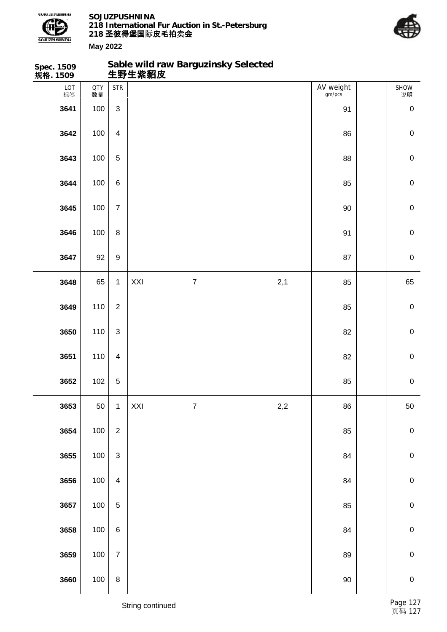

**Sable wild raw Barguzinsky Selected**



| Spec. 1509<br>规 <b>格</b> . 1509 |                  |                         |     | Sable wild raw Barguzinsky Selected<br>生野生紫貂皮 |     |                     |             |
|---------------------------------|------------------|-------------------------|-----|-----------------------------------------------|-----|---------------------|-------------|
| LOT<br>标签                       | <b>QTY</b><br>数量 | <b>STR</b>              |     |                                               |     | AV weight<br>gm/pcs | SHOW<br>说明  |
| 3641                            | 100              | $\mathfrak{S}$          |     |                                               |     | 91                  | $\pmb{0}$   |
| 3642                            | 100              | $\overline{4}$          |     |                                               |     | 86                  | $\mathbf 0$ |
| 3643                            | 100              | 5                       |     |                                               |     | 88                  | $\pmb{0}$   |
| 3644                            | 100              | 6                       |     |                                               |     | 85                  | $\mathbf 0$ |
| 3645                            | 100              | $\overline{7}$          |     |                                               |     | 90                  | $\mathbf 0$ |
| 3646                            | 100              | $\bf 8$                 |     |                                               |     | 91                  | $\mathbf 0$ |
| 3647                            | 92               | $\boldsymbol{9}$        |     |                                               |     | 87                  | $\pmb{0}$   |
| 3648                            | 65               | $\mathbf{1}$            | XXI | $\overline{7}$                                | 2,1 | 85                  | 65          |
| 3649                            | 110              | $\overline{2}$          |     |                                               |     | 85                  | $\mathbf 0$ |
| 3650                            | 110              | 3                       |     |                                               |     | 82                  | $\mathbf 0$ |
| 3651                            | 110              | $\overline{4}$          |     |                                               |     | 82                  | $\mathbf 0$ |
| 3652                            | 102              | 5                       |     |                                               |     | 85                  | $\mathbf 0$ |
| 3653                            | 50               | 1                       | XXI | $\boldsymbol{7}$                              | 2,2 | 86                  | $50\,$      |
| 3654                            | 100              | $\overline{2}$          |     |                                               |     | 85                  | $\pmb{0}$   |
| 3655                            | 100              | $\mathfrak{S}$          |     |                                               |     | 84                  | $\pmb{0}$   |
| 3656                            | 100              | $\overline{\mathbf{4}}$ |     |                                               |     | 84                  | $\pmb{0}$   |
| 3657                            | 100              | 5                       |     |                                               |     | 85                  | $\pmb{0}$   |
| 3658                            | 100              | $\,6\,$                 |     |                                               |     | 84                  | $\pmb{0}$   |
| 3659                            | 100              | $\overline{7}$          |     |                                               |     | 89                  | $\pmb{0}$   |
| 3660                            | 100              | $\bf 8$                 |     |                                               |     | $90\,$              | $\pmb{0}$   |
|                                 |                  |                         |     |                                               |     |                     |             |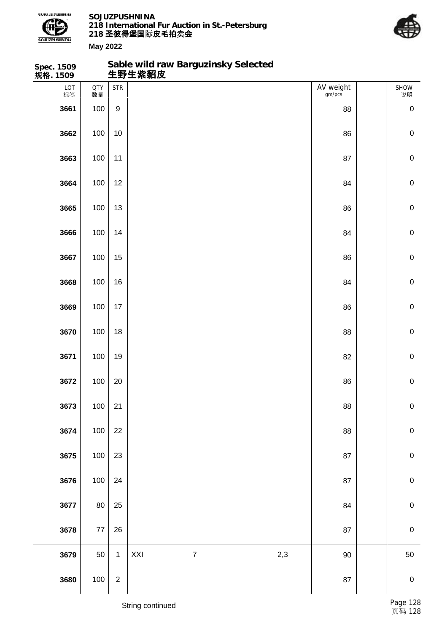

**Spec. 1509**

**SOJUZPUSHNINA 218 International Fur Auction in St.-Petersburg 218 圣彼得堡国际 卖 皮毛拍 会**

**Sable wild raw Barguzinsky Selected**



| 规格. 1509  |                  |                  | 生野生紫貂皮                         |                     |                |
|-----------|------------------|------------------|--------------------------------|---------------------|----------------|
| LOT<br>标签 | <b>QTY</b><br>数量 | <b>STR</b>       |                                | AV weight<br>gm/pcs | SHOW<br>说明     |
| 3661      | 100              | $\boldsymbol{9}$ |                                | 88                  | $\pmb{0}$      |
| 3662      | 100              | $10$             |                                | 86                  | $\pmb{0}$      |
| 3663      | 100              | 11               |                                | 87                  | $\pmb{0}$      |
| 3664      | 100              | 12               |                                | 84                  | $\pmb{0}$      |
| 3665      | 100              | 13               |                                | 86                  | $\pmb{0}$      |
| 3666      | 100              | 14               |                                | 84                  | $\pmb{0}$      |
| 3667      | 100              | 15               |                                | 86                  | $\pmb{0}$      |
| 3668      | 100              | 16               |                                | 84                  | $\pmb{0}$      |
| 3669      | 100              | $17$             |                                | 86                  | $\pmb{0}$      |
| 3670      | 100              | 18               |                                | 88                  | $\pmb{0}$      |
| 3671      | 100              | 19               |                                | 82                  | $\pmb{0}$      |
| 3672      | 100              | 20               |                                | 86                  | $\pmb{0}$      |
| 3673      | 100              | $21$             |                                | ${\bf 88}$          | $\overline{0}$ |
| 3674      | 100              | 22               |                                | 88                  | ${\bf 0}$      |
| 3675      | 100              | $23\,$           |                                | 87                  | $\pmb{0}$      |
| 3676      | 100              | 24               |                                | 87                  | $\pmb{0}$      |
| 3677      | 80               | 25               |                                | 84                  | $\pmb{0}$      |
| 3678      | $77\,$           | 26               |                                | 87                  | $\pmb{0}$      |
| 3679      | 50               | $\mathbf{1}$     | XXI<br>2,3<br>$\boldsymbol{7}$ | $90\,$              | 50             |
| 3680      | 100              | $\sqrt{2}$       |                                | ${\bf 87}$          | $\pmb{0}$      |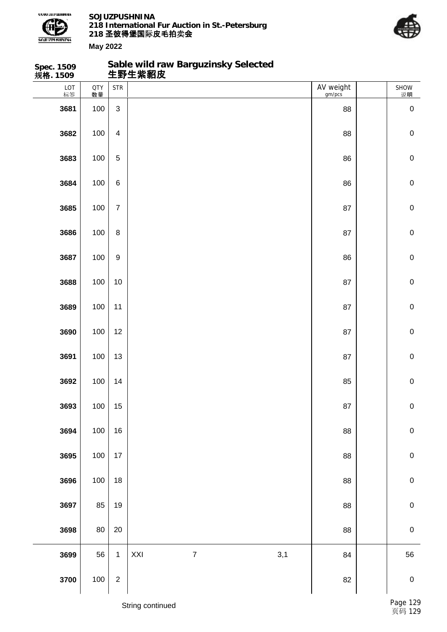

**Spec. 1509**

**SOJUZPUSHNINA 218 International Fur Auction in St.-Petersburg 218 圣彼得堡国际 卖 皮毛拍 会**

**Sable wild raw Barguzinsky Selected**



| 规格. 1509  |                  |                         | 生野生紫貂皮                         |                     |                |
|-----------|------------------|-------------------------|--------------------------------|---------------------|----------------|
| LOT<br>标签 | <b>QTY</b><br>数量 | <b>STR</b>              |                                | AV weight<br>gm/pcs | SHOW<br>说明     |
| 3681      | 100              | $\mathfrak{S}$          |                                | 88                  | $\pmb{0}$      |
| 3682      | 100              | $\overline{\mathbf{4}}$ |                                | 88                  | $\pmb{0}$      |
| 3683      | 100              | $\mathbf 5$             |                                | 86                  | $\mathbf 0$    |
| 3684      | 100              | $\,6$                   |                                | 86                  | $\pmb{0}$      |
| 3685      | 100              | $\overline{7}$          |                                | 87                  | $\pmb{0}$      |
| 3686      | 100              | $\bf 8$                 |                                | 87                  | $\pmb{0}$      |
| 3687      | 100              | $\boldsymbol{9}$        |                                | 86                  | $\pmb{0}$      |
| 3688      | 100              | $10$                    |                                | 87                  | $\pmb{0}$      |
| 3689      | 100              | 11                      |                                | 87                  | $\pmb{0}$      |
| 3690      | 100              | 12                      |                                | 87                  | $\pmb{0}$      |
| 3691      | 100              | 13                      |                                | 87                  | $\pmb{0}$      |
| 3692      | 100              | 14                      |                                | 85                  | $\pmb{0}$      |
| 3693      | 100              | $15\,$                  |                                | $87\,$              | $\overline{0}$ |
| 3694      | 100              | 16                      |                                | 88                  | $\mathbf 0$    |
| 3695      | 100              | 17                      |                                | 88                  | $\mathbf 0$    |
| 3696      | 100              | 18                      |                                | 88                  | ${\bf 0}$      |
| 3697      | 85               | 19                      |                                | 88                  | $\pmb{0}$      |
| 3698      | 80               | $20\,$                  |                                | 88                  | $\pmb{0}$      |
| 3699      | 56               | $\mathbf{1}$            | XXI<br>$\boldsymbol{7}$<br>3,1 | 84                  | 56             |
| 3700      | 100              | $\boldsymbol{2}$        |                                | 82                  | $\pmb{0}$      |
|           |                  |                         |                                |                     |                |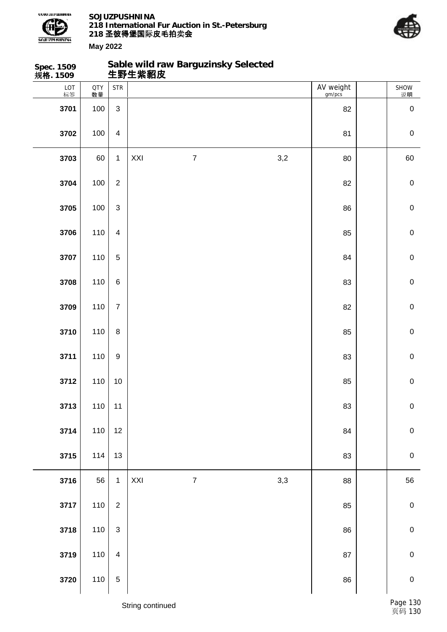



| Spec. 1509<br>规格. 1509 |                  |                         |     | Sable wild raw Barguzinsky Selected<br>生野生紫貂皮 |     |                     |                  |
|------------------------|------------------|-------------------------|-----|-----------------------------------------------|-----|---------------------|------------------|
| $LOT$ 标签               | <b>QTY</b><br>数量 | <b>STR</b>              |     |                                               |     | AV weight<br>gm/pcs | SHOW<br>说明       |
| 3701                   | 100              | 3                       |     |                                               |     | 82                  | $\boldsymbol{0}$ |
| 3702                   | 100              | $\overline{\mathbf{4}}$ |     |                                               |     | 81                  | $\mathbf 0$      |
| 3703                   | 60               | $\mathbf{1}$            | XXI | $\overline{7}$                                | 3,2 | 80                  | 60               |
| 3704                   | 100              | $\overline{2}$          |     |                                               |     | 82                  | $\mathbf 0$      |
| 3705                   | 100              | 3                       |     |                                               |     | 86                  | $\mathbf 0$      |
| 3706                   | 110              | $\overline{\mathbf{4}}$ |     |                                               |     | 85                  | $\mathbf 0$      |
| 3707                   | 110              | 5                       |     |                                               |     | 84                  | $\mathbf 0$      |
| 3708                   | 110              | $\,6\,$                 |     |                                               |     | 83                  | $\mathbf 0$      |
| 3709                   | 110              | $\overline{7}$          |     |                                               |     | 82                  | $\mathbf 0$      |
| 3710                   | 110              | $\,8\,$                 |     |                                               |     | 85                  | $\mathbf 0$      |
| 3711                   | 110              | $\boldsymbol{9}$        |     |                                               |     | 83                  | $\mathbf 0$      |
| 3712                   | 110              | $10$                    |     |                                               |     | 85                  | $\mathbf 0$      |
| 3713                   | 110              | 11                      |     |                                               |     | 83                  | $\pmb{0}$        |
| 3714                   | 110              | 12                      |     |                                               |     | 84                  | $\pmb{0}$        |
| 3715                   | 114              | 13                      |     |                                               |     | 83                  | $\mathbf 0$      |
| 3716                   | 56               | $\mathbf{1}$            | XXI | $\boldsymbol{7}$                              | 3,3 | 88                  | 56               |
| 3717                   | 110              | $\overline{2}$          |     |                                               |     | 85                  | $\pmb{0}$        |
| 3718                   | 110              | $\mathfrak{S}$          |     |                                               |     | 86                  | $\pmb{0}$        |
| 3719                   | 110              | $\overline{4}$          |     |                                               |     | 87                  | $\pmb{0}$        |
| 3720                   | 110              | $\,$ 5 $\,$             |     |                                               |     | 86                  | $\mathbf 0$      |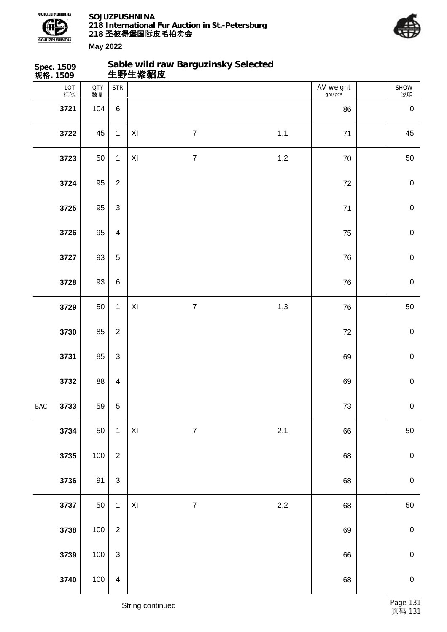

**Spec. 1509**

**SOJUZPUSHNINA 218 International Fur Auction in St.-Petersburg 218 圣彼得堡国际 卖 皮毛拍 会**

**Sable wild raw Barguzinsky Selected**



|            | 规格. 1509  |                  |                         | 生野生紫貂皮              |                         |     |                     |                |
|------------|-----------|------------------|-------------------------|---------------------|-------------------------|-----|---------------------|----------------|
|            | LOT<br>标签 | <b>QTY</b><br>数量 | <b>STR</b>              |                     |                         |     | AV weight<br>gm/pcs | SHOW<br>说明     |
|            | 3721      | 104              | $\,6\,$                 |                     |                         |     | 86                  | $\pmb{0}$      |
|            | 3722      | 45               | $\mathbf 1$             | $\pmb{\mathsf{XI}}$ | $\boldsymbol{7}$        | 1,1 | $71$                | 45             |
|            | 3723      | $50\,$           | $\mathbf{1}$            | $\pmb{\times}$      | $\overline{7}$          | 1,2 | 70                  | 50             |
|            | 3724      | 95               | $\overline{2}$          |                     |                         |     | $72\,$              | $\pmb{0}$      |
|            | 3725      | 95               | $\mathfrak{Z}$          |                     |                         |     | $71$                | $\pmb{0}$      |
|            | 3726      | 95               | $\overline{4}$          |                     |                         |     | 75                  | $\pmb{0}$      |
|            | 3727      | 93               | $\sqrt{5}$              |                     |                         |     | 76                  | $\pmb{0}$      |
|            | 3728      | 93               | $\,6\,$                 |                     |                         |     | 76                  | $\pmb{0}$      |
|            | 3729      | 50               | $\mathbf{1}$            | $\pmb{\times}$      | $\overline{7}$          | 1,3 | 76                  | 50             |
|            | 3730      | 85               | $\mathbf{2}$            |                     |                         |     | 72                  | $\pmb{0}$      |
|            | 3731      | 85               | $\sqrt{3}$              |                     |                         |     | 69                  | $\pmb{0}$      |
|            | 3732      | 88               | $\overline{\mathbf{4}}$ |                     |                         |     | 69                  | $\pmb{0}$      |
| <b>BAC</b> | 3733      | 59               | 5                       |                     |                         |     | $73\,$              | $\overline{0}$ |
|            | 3734      | 50               | $\mathbf{1}$            | $\mathsf{XI}$       | $\overline{7}$          | 2,1 | 66                  | 50             |
|            | 3735      | 100              | $\overline{2}$          |                     |                         |     | 68                  | $\pmb{0}$      |
|            | 3736      | 91               | $\mathsf 3$             |                     |                         |     | 68                  | $\pmb{0}$      |
|            | 3737      | 50               | $\mathbf{1}$            | $\pmb{\times}$      | $\overline{\mathbf{7}}$ | 2,2 | 68                  | 50             |
|            | 3738      | 100              | $\sqrt{2}$              |                     |                         |     | 69                  | $\pmb{0}$      |
|            | 3739      | 100              | $\mathsf 3$             |                     |                         |     | 66                  | $\pmb{0}$      |
|            | 3740      | 100              | $\overline{\mathbf{4}}$ |                     |                         |     | 68                  | $\mathbf 0$    |
|            |           |                  |                         | String continued    |                         |     |                     | Page 131       |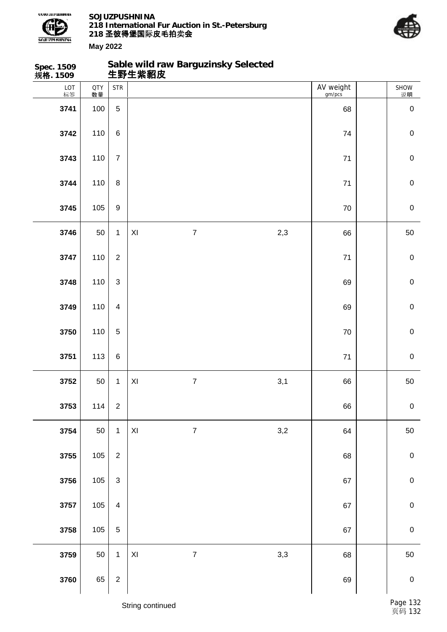

**Sable wild raw Barguzinsky Selected**



| Spec. 1509<br>规 <b>格</b> . 1509 |                  |                         |                         | Sable wild raw Barguzinsky Selected<br>生野生紫貂皮 |     |                     |                  |
|---------------------------------|------------------|-------------------------|-------------------------|-----------------------------------------------|-----|---------------------|------------------|
| LOT<br>标签                       | <b>QTY</b><br>数量 | <b>STR</b>              |                         |                                               |     | AV weight<br>gm/pcs | SHOW<br>说明       |
| 3741                            | 100              | $\overline{5}$          |                         |                                               |     | 68                  | $\pmb{0}$        |
| 3742                            | 110              | $\,6$                   |                         |                                               |     | 74                  | $\pmb{0}$        |
| 3743                            | 110              | $\overline{7}$          |                         |                                               |     | 71                  | $\pmb{0}$        |
| 3744                            | 110              | $\,8\,$                 |                         |                                               |     | $71$                | $\,0\,$          |
| 3745                            | 105              | $\boldsymbol{9}$        |                         |                                               |     | 70                  | $\boldsymbol{0}$ |
| 3746                            | 50               | $\mathbf{1}$            | XI                      | $\overline{7}$                                | 2,3 | 66                  | 50               |
| 3747                            | 110              | $\overline{2}$          |                         |                                               |     | 71                  | $\pmb{0}$        |
| 3748                            | 110              | $\mathbf{3}$            |                         |                                               |     | 69                  | $\mathbf 0$      |
| 3749                            | 110              | $\overline{4}$          |                         |                                               |     | 69                  | $\boldsymbol{0}$ |
| 3750                            | 110              | $\sqrt{5}$              |                         |                                               |     | $70\,$              | $\pmb{0}$        |
| 3751                            | 113              | $\,6\,$                 |                         |                                               |     | $71$                | $\pmb{0}$        |
| 3752                            | 50               | $\mathbf{1}$            | XI                      | $\overline{7}$                                | 3,1 | 66                  | 50               |
| 3753                            | 114              | $\mathbf 2$             |                         |                                               |     | 66                  | $\pmb{0}$        |
| 3754                            | 50               | $\mathbf{1}$            | $\mathsf{X} \mathsf{I}$ | $\boldsymbol{7}$                              | 3,2 | 64                  | 50               |
| 3755                            | 105              | $\sqrt{2}$              |                         |                                               |     | 68                  | $\pmb{0}$        |
| 3756                            | $105\,$          | $\mathbf{3}$            |                         |                                               |     | 67                  | $\pmb{0}$        |
| 3757                            | $105\,$          | $\overline{\mathbf{4}}$ |                         |                                               |     | 67                  | $\mathbf 0$      |
| 3758                            | $105\,$          | $\sqrt{5}$              |                         |                                               |     | 67                  | $\pmb{0}$        |
| 3759                            | 50               | $\mathbf{1}$            | $\pmb{\mathsf{XI}}$     | $\boldsymbol{7}$                              | 3,3 | 68                  | 50               |
| 3760                            | 65               | $\sqrt{2}$              |                         |                                               |     | 69                  | $\mathbf 0$      |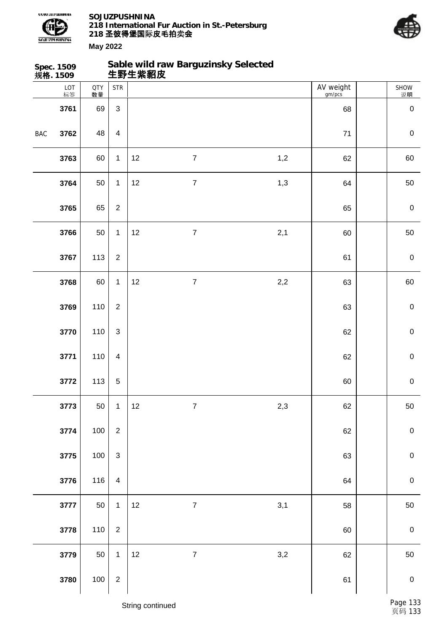



|            | Spec. 1509<br>规 <b>格</b> . 1509 |                  |                         | 生野生紫貂皮 | Sable wild raw Barguzinsky Selected |     |                     |                  |
|------------|---------------------------------|------------------|-------------------------|--------|-------------------------------------|-----|---------------------|------------------|
|            | LOT<br>标签                       | <b>QTY</b><br>数量 | <b>STR</b>              |        |                                     |     | AV weight<br>gm/pcs | SHOW<br>说明       |
|            | 3761                            | 69               | $\mathfrak{S}$          |        |                                     |     | 68                  | $\pmb{0}$        |
| <b>BAC</b> | 3762                            | 48               | $\overline{\mathbf{4}}$ |        |                                     |     | 71                  | $\boldsymbol{0}$ |
|            | 3763                            | 60               | $\mathbf{1}$            | 12     | $\boldsymbol{7}$                    | 1,2 | 62                  | 60               |
|            | 3764                            | 50               | $\mathbf{1}$            | 12     | $\boldsymbol{7}$                    | 1,3 | 64                  | 50               |
|            | 3765                            | 65               | $\overline{2}$          |        |                                     |     | 65                  | $\pmb{0}$        |
|            | 3766                            | 50               | $\mathbf{1}$            | 12     | $\overline{7}$                      | 2,1 | 60                  | 50               |
|            | 3767                            | 113              | $\overline{2}$          |        |                                     |     | 61                  | $\boldsymbol{0}$ |
|            | 3768                            | 60               | $\mathbf{1}$            | 12     | $\boldsymbol{7}$                    | 2,2 | 63                  | 60               |
|            | 3769                            | 110              | $\overline{2}$          |        |                                     |     | 63                  | $\pmb{0}$        |
|            | 3770                            | 110              | $\mathfrak{S}$          |        |                                     |     | 62                  | $\,0\,$          |
|            | 3771                            | 110              | $\overline{\mathbf{4}}$ |        |                                     |     | 62                  | $\,0\,$          |
|            | 3772                            | 113              | $\mathbf 5$             |        |                                     |     | 60                  | $\boldsymbol{0}$ |
|            | 3773                            | 50               | $\mathbf{1}$            | 12     | $\boldsymbol{7}$                    | 2,3 | 62                  | 50               |
|            | 3774                            | 100              | $\boldsymbol{2}$        |        |                                     |     | 62                  | $\pmb{0}$        |
|            | 3775                            | 100              | $\mathbf{3}$            |        |                                     |     | 63                  | $\mathbf 0$      |
|            | 3776                            | 116              | $\overline{\mathbf{4}}$ |        |                                     |     | 64                  | $\pmb{0}$        |
|            | 3777                            | 50               | $\mathbf{1}$            | 12     | $\boldsymbol{7}$                    | 3,1 | 58                  | 50               |
|            | 3778                            | 110              | $\boldsymbol{2}$        |        |                                     |     | 60                  | $\pmb{0}$        |
|            | 3779                            | 50               | $\mathbf{1}$            | 12     | $\overline{7}$                      | 3,2 | 62                  | 50               |
|            | 3780                            | 100              | $\sqrt{2}$              |        |                                     |     | 61                  | $\mathbf 0$      |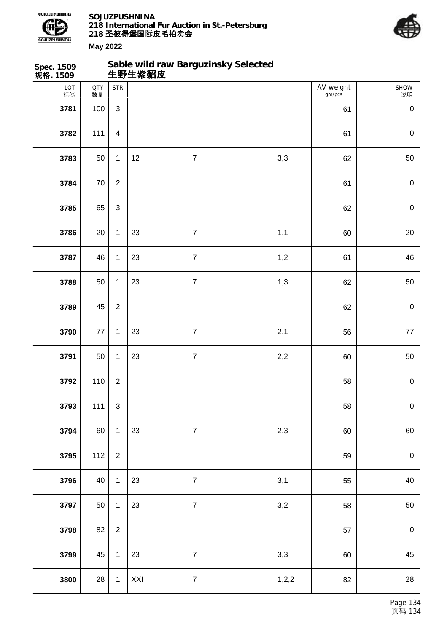



| Spec. 1509<br>规格. 1509 |                  |                         | Sable wild raw Barguzinsky Selected<br>生野生紫貂皮 |                  |       |                     |                  |
|------------------------|------------------|-------------------------|-----------------------------------------------|------------------|-------|---------------------|------------------|
| LOT<br>标签              | <b>QTY</b><br>数量 | <b>STR</b>              |                                               |                  |       | AV weight<br>gm/pcs | SHOW<br>说明       |
| 3781                   | 100              | $\sqrt{3}$              |                                               |                  |       | 61                  | $\mathbf 0$      |
| 3782                   | 111              | $\overline{\mathbf{4}}$ |                                               |                  |       | 61                  | $\mathbf 0$      |
| 3783                   | 50               | $\mathbf{1}$            | 12                                            | $\overline{7}$   | 3,3   | 62                  | 50               |
| 3784                   | $70\,$           | $\sqrt{2}$              |                                               |                  |       | 61                  | $\mathbf 0$      |
| 3785                   | 65               | $\mathsf 3$             |                                               |                  |       | 62                  | $\mathbf 0$      |
| 3786                   | 20               | $\mathbf{1}$            | 23                                            | $\overline{7}$   | 1,1   | 60                  | 20               |
| 3787                   | 46               | $\mathbf{1}$            | 23                                            | $\boldsymbol{7}$ | 1,2   | 61                  | 46               |
| 3788                   | 50               | $\mathbf{1}$            | 23                                            | $\overline{7}$   | 1,3   | 62                  | 50               |
| 3789                   | 45               | $\boldsymbol{2}$        |                                               |                  |       | 62                  | $\mathbf 0$      |
| 3790                   | $77\,$           | $\mathbf{1}$            | 23                                            | $\overline{7}$   | 2,1   | 56                  | 77               |
| 3791                   | 50               | $\mathbf{1}$            | 23                                            | $\overline{7}$   | 2,2   | 60                  | 50               |
| 3792                   | 110              | $\sqrt{2}$              |                                               |                  |       | 58                  | $\mathbf 0$      |
| 3793                   | 111              | $\mathfrak{S}$          |                                               |                  |       | 58                  | $\boldsymbol{0}$ |
| 3794                   | 60               | $\mathbf{1}$            | 23                                            | $\overline{7}$   | 2,3   | 60                  | 60               |
| 3795                   | 112              | $\overline{2}$          |                                               |                  |       | 59                  | $\boldsymbol{0}$ |
| 3796                   | 40               | $\mathbf{1}$            | 23                                            | $\overline{7}$   | 3,1   | 55                  | 40               |
| 3797                   | 50               | $\mathbf{1}$            | 23                                            | $\boldsymbol{7}$ | 3,2   | 58                  | 50               |
| 3798                   | 82               | $\overline{2}$          |                                               |                  |       | 57                  | $\boldsymbol{0}$ |
| 3799                   | 45               | $\mathbf{1}$            | 23                                            | $\overline{7}$   | 3,3   | 60                  | 45               |
| 3800                   | 28               | $\mathbf{1}$            | $\mathsf{XXI}$                                | $\overline{7}$   | 1,2,2 | 82                  | 28               |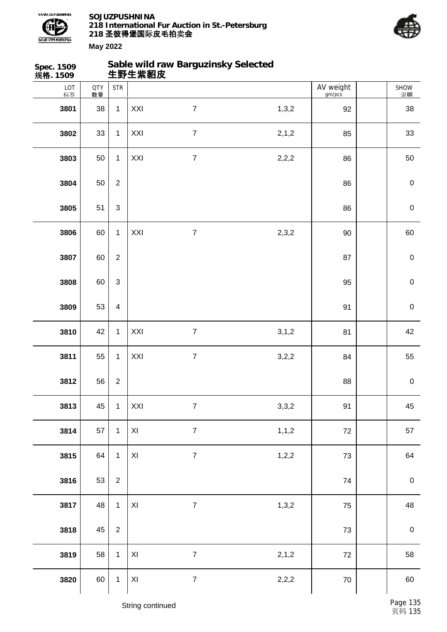



SHOW 说明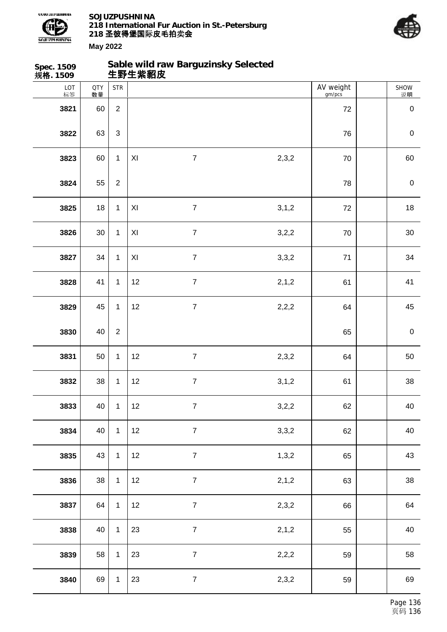



| Spec. 1509<br>规格. 1509 |                  |                | 生野生紫貂皮 | Sable wild raw Barguzinsky Selected |         |                     |                  |
|------------------------|------------------|----------------|--------|-------------------------------------|---------|---------------------|------------------|
| LOT<br>标签              | <b>QTY</b><br>数量 | <b>STR</b>     |        |                                     |         | AV weight<br>gm/pcs | SHOW<br>说明       |
| 3821                   | 60               | $\overline{2}$ |        |                                     |         | 72                  | $\mathbf 0$      |
| 3822                   | 63               | $\mathfrak{S}$ |        |                                     |         | 76                  | $\mathbf 0$      |
| 3823                   | 60               | $\mathbf{1}$   | XI     | $\overline{7}$                      | 2,3,2   | 70                  | 60               |
| 3824                   | 55               | $\overline{2}$ |        |                                     |         | 78                  | $\boldsymbol{0}$ |
| 3825                   | 18               | $\mathbf{1}$   | XI     | $\overline{7}$                      | 3, 1, 2 | 72                  | 18               |
| 3826                   | 30               | $\mathbf{1}$   | XI     | $\overline{7}$                      | 3,2,2   | 70                  | 30               |
| 3827                   | 34               | $\mathbf{1}$   | XI     | $\overline{7}$                      | 3,3,2   | 71                  | 34               |
| 3828                   | 41               | $\mathbf{1}$   | 12     | $\overline{7}$                      | 2,1,2   | 61                  | 41               |
| 3829                   | 45               | $\mathbf{1}$   | 12     | $\overline{7}$                      | 2,2,2   | 64                  | 45               |
| 3830                   | 40               | $\overline{2}$ |        |                                     |         | 65                  | $\mathbf 0$      |
| 3831                   | 50               | $\mathbf{1}$   | 12     | $\overline{7}$                      | 2,3,2   | 64                  | 50               |
| 3832                   | 38               | $\mathbf{1}$   | 12     | $\boldsymbol{7}$                    | 3, 1, 2 | 61                  | 38               |
| 3833                   | 40               | $\mathbf{1}$   | 12     | $\boldsymbol{7}$                    | 3,2,2   | 62                  | 40               |
| 3834                   | 40               | $\mathbf{1}$   | 12     | $\overline{7}$                      | 3,3,2   | 62                  | 40               |
| 3835                   | 43               | $\mathbf{1}$   | 12     | $\overline{7}$                      | 1,3,2   | 65                  | 43               |
| 3836                   | 38               | $\mathbf 1$    | 12     | $\overline{7}$                      | 2,1,2   | 63                  | 38               |
| 3837                   | 64               | $\mathbf{1}$   | 12     | $\overline{7}$                      | 2,3,2   | 66                  | 64               |
| 3838                   | 40               | $\mathbf{1}$   | 23     | $\overline{7}$                      | 2,1,2   | 55                  | 40               |
| 3839                   | 58               | $\mathbf{1}$   | 23     | $\overline{7}$                      | 2,2,2   | 59                  | 58               |
| 3840                   | 69               | $\mathbf{1}$   | 23     | $\overline{7}$                      | 2,3,2   | 59                  | 69               |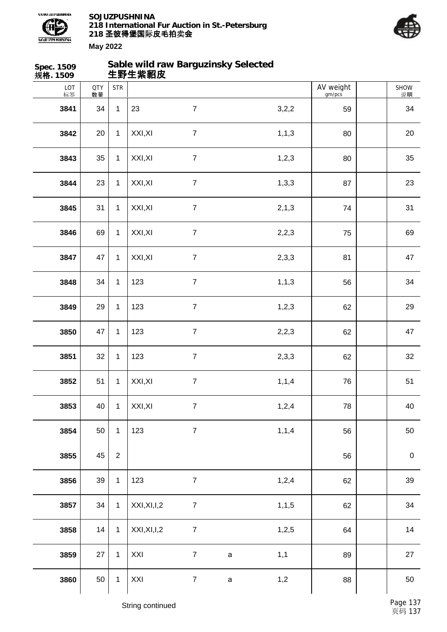

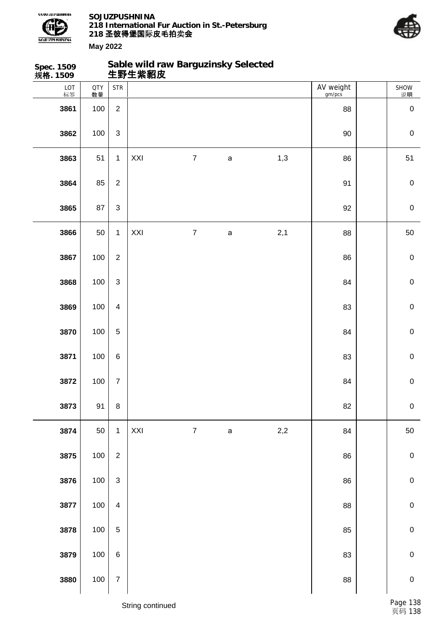



| Spec. 1509<br>规格. 1509 |                  |                           | Sable wild raw Barguzinsky Selected<br>生野生紫貂皮 |                  |              |     |                     |             |
|------------------------|------------------|---------------------------|-----------------------------------------------|------------------|--------------|-----|---------------------|-------------|
| LOT<br>标签              | <b>QTY</b><br>数量 | <b>STR</b>                |                                               |                  |              |     | AV weight<br>gm/pcs | SHOW<br>说明  |
| 3861                   | 100              | $\overline{2}$            |                                               |                  |              |     | 88                  | $\pmb{0}$   |
| 3862                   | 100              | $\ensuremath{\mathsf{3}}$ |                                               |                  |              |     | 90                  | $\pmb{0}$   |
| 3863                   | 51               | $\mathbf{1}$              | XXI                                           | $\overline{7}$   | $\mathsf a$  | 1,3 | 86                  | 51          |
| 3864                   | 85               | $\overline{2}$            |                                               |                  |              |     | 91                  | $\pmb{0}$   |
| 3865                   | 87               | $\sqrt{3}$                |                                               |                  |              |     | 92                  | $\pmb{0}$   |
| 3866                   | 50               | $\mathbf{1}$              | XXI                                           | $\boldsymbol{7}$ | $\mathsf{a}$ | 2,1 | 88                  | 50          |
| 3867                   | 100              | $\boldsymbol{2}$          |                                               |                  |              |     | 86                  | $\pmb{0}$   |
| 3868                   | 100              | $\ensuremath{\mathsf{3}}$ |                                               |                  |              |     | 84                  | $\pmb{0}$   |
| 3869                   | 100              | $\overline{\mathbf{4}}$   |                                               |                  |              |     | 83                  | $\mathbf 0$ |
| 3870                   | 100              | $\mathbf 5$               |                                               |                  |              |     | 84                  | $\mathbf 0$ |
| 3871                   | 100              | $\,6$                     |                                               |                  |              |     | 83                  | $\mathbf 0$ |
| 3872                   | 100              | $\boldsymbol{7}$          |                                               |                  |              |     | 84                  | $\pmb{0}$   |
| 3873                   | 91               | $\bf8$                    |                                               |                  |              |     | 82                  | $\pmb{0}$   |
| 3874                   | 50               | $\mathbf{1}$              | XXI                                           | $\boldsymbol{7}$ | $\mathsf a$  | 2,2 | 84                  | 50          |
| 3875                   | 100              | $\overline{2}$            |                                               |                  |              |     | 86                  | $\pmb{0}$   |
| 3876                   | 100              | $\ensuremath{\mathsf{3}}$ |                                               |                  |              |     | 86                  | $\pmb{0}$   |
| 3877                   | 100              | $\overline{\mathbf{4}}$   |                                               |                  |              |     | 88                  | $\pmb{0}$   |
| 3878                   | 100              | $\sqrt{5}$                |                                               |                  |              |     | 85                  | $\pmb{0}$   |
| 3879                   | 100              | $\,6$                     |                                               |                  |              |     | 83                  | $\mathbf 0$ |
| 3880                   | 100              | $\boldsymbol{7}$          |                                               |                  |              |     | 88                  | $\mathbf 0$ |
|                        |                  |                           | String continued                              |                  |              |     |                     | Page 138    |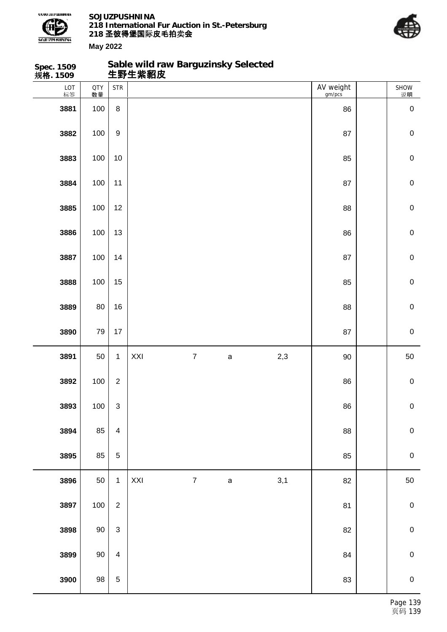

**Sable wild raw Barguzinsky Selected**



| Spec. 1509<br>规 <b>格</b> . 1509 |           |                          | Sable wild raw Barguzinsky Selected<br>生野生紫貂皮 |                  |             |     |                     |             |
|---------------------------------|-----------|--------------------------|-----------------------------------------------|------------------|-------------|-----|---------------------|-------------|
| LOT<br>标签                       | QTY<br>数量 | <b>STR</b>               |                                               |                  |             |     | AV weight<br>gm/pcs | SHOW<br>说明  |
| 3881                            | 100       | $\,8\,$                  |                                               |                  |             |     | 86                  | $\mathbf 0$ |
| 3882                            | 100       | $\boldsymbol{9}$         |                                               |                  |             |     | 87                  | $\mathbf 0$ |
| 3883                            | 100       | 10                       |                                               |                  |             |     | 85                  | $\pmb{0}$   |
| 3884                            | 100       | 11                       |                                               |                  |             |     | 87                  | $\mathbf 0$ |
| 3885                            | 100       | 12                       |                                               |                  |             |     | 88                  | $\pmb{0}$   |
| 3886                            | 100       | 13                       |                                               |                  |             |     | 86                  | $\mathsf 0$ |
| 3887                            | 100       | 14                       |                                               |                  |             |     | 87                  | $\pmb{0}$   |
| 3888                            | 100       | 15                       |                                               |                  |             |     | 85                  | $\mathbf 0$ |
| 3889                            | 80        | 16                       |                                               |                  |             |     | 88                  | $\pmb{0}$   |
| 3890                            | 79        | 17                       |                                               |                  |             |     | 87                  | $\mathsf 0$ |
| 3891                            | 50        | $\mathbf{1}$             | XXI                                           | $\boldsymbol{7}$ | $\mathsf a$ | 2,3 | $90\,$              | 50          |
| 3892                            | 100       | $\overline{2}$           |                                               |                  |             |     | 86                  | $\pmb{0}$   |
| 3893                            | 100       | $\mathsf 3$              |                                               |                  |             |     | 86                  | $\pmb{0}$   |
| 3894                            | 85        | $\overline{\mathbf{4}}$  |                                               |                  |             |     | 88                  | $\mathbf 0$ |
| 3895                            | 85        | $\mathbf 5$              |                                               |                  |             |     | 85                  | $\pmb{0}$   |
| 3896                            | 50        | $\mathbf{1}$             | XXI                                           | $\boldsymbol{7}$ | $\mathsf a$ | 3,1 | 82                  | 50          |
| 3897                            | 100       | $\overline{2}$           |                                               |                  |             |     | 81                  | $\pmb{0}$   |
| 3898                            | $90\,$    | $\sqrt{3}$               |                                               |                  |             |     | 82                  | $\mathbf 0$ |
| 3899                            | $90\,$    | $\overline{\mathcal{A}}$ |                                               |                  |             |     | 84                  | $\pmb{0}$   |
| 3900                            | $98\,$    | $\sqrt{5}$               |                                               |                  |             |     | 83                  | $\mathbf 0$ |
|                                 |           |                          |                                               |                  |             |     |                     |             |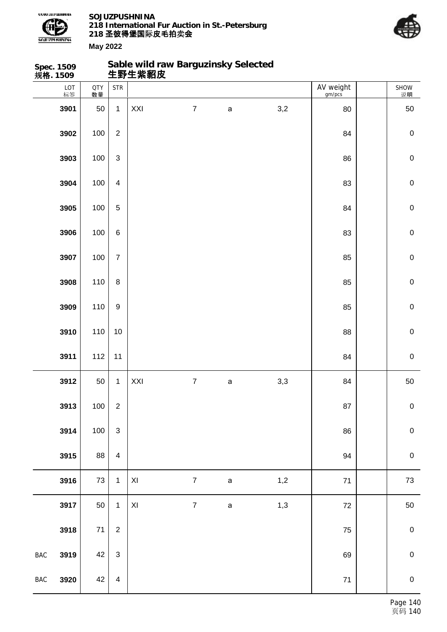



SHOW

 $\sqrt{ }$  AV weight

**Spec. 1509 规格. 1509 Sable wild raw Barguzinsky Selected 生野生紫貂皮** LOT | 标签  $QTY$   $STR$ 数量

|                | 标签   | 数量     |                         |                         |                  |              |  |     | gm/pcs   | 说明               |
|----------------|------|--------|-------------------------|-------------------------|------------------|--------------|--|-----|----------|------------------|
|                | 3901 | 50     | $\mathbf{1}$            | $\mathsf{XXI}$          | $\boldsymbol{7}$ | $\mathsf a$  |  | 3,2 | 80       | 50               |
|                | 3902 | 100    | $\sqrt{2}$              |                         |                  |              |  |     | 84       | $\boldsymbol{0}$ |
|                | 3903 | 100    | $\mathsf 3$             |                         |                  |              |  |     | 86       | $\mathbf 0$      |
|                | 3904 | 100    | $\overline{\mathbf{4}}$ |                         |                  |              |  |     | 83       | $\pmb{0}$        |
|                | 3905 | 100    | 5                       |                         |                  |              |  |     | 84       | $\mathbf 0$      |
|                | 3906 | 100    | $\,6\,$                 |                         |                  |              |  |     | 83       | $\mathbf 0$      |
|                | 3907 | 100    | $\overline{7}$          |                         |                  |              |  |     | 85       | $\mathbf 0$      |
|                | 3908 | 110    | $\bf 8$                 |                         |                  |              |  |     | 85       | $\mathbf 0$      |
|                | 3909 | 110    | $\boldsymbol{9}$        |                         |                  |              |  |     | 85       | $\mathbf 0$      |
|                | 3910 | 110    | 10                      |                         |                  |              |  |     | 88       | $\pmb{0}$        |
|                | 3911 | 112    | 11                      |                         |                  |              |  |     | 84       | $\mathbf 0$      |
|                | 3912 | 50     | $\mathbf{1}$            | XXI                     | $\boldsymbol{7}$ | $\mathsf{a}$ |  | 3,3 | 84       | 50               |
|                | 3913 | 100    | $\sqrt{2}$              |                         |                  |              |  |     | 87       | $\mathbf 0$      |
|                | 3914 | 100    | 3                       |                         |                  |              |  |     | 86       | 0                |
|                | 3915 | 88     | $\overline{\mathbf{4}}$ |                         |                  |              |  |     | 94       | $\mathbf 0$      |
|                | 3916 | $73\,$ | $\mathbf 1$             | $\mathsf{XI}$           | $\boldsymbol{7}$ | $\mathsf a$  |  | 1,2 | $71$     | $73\,$           |
|                | 3917 | 50     | $\mathbf{1}$            | $\mathsf{X} \mathsf{I}$ | $\overline{7}$   | $\mathsf{a}$ |  | 1,3 | 72       | $50\,$           |
|                | 3918 | $71\,$ | $\sqrt{2}$              |                         |                  |              |  |     | 75       | $\pmb{0}$        |
| $\mathsf{BAC}$ | 3919 | 42     | $\sqrt{3}$              |                         |                  |              |  |     | 69       | $\pmb{0}$        |
| $\mathsf{BAC}$ | 3920 | 42     | $\overline{\mathbf{4}}$ |                         |                  |              |  |     | $\bf 71$ | ${\bf 0}$        |
|                |      |        |                         |                         |                  |              |  |     |          |                  |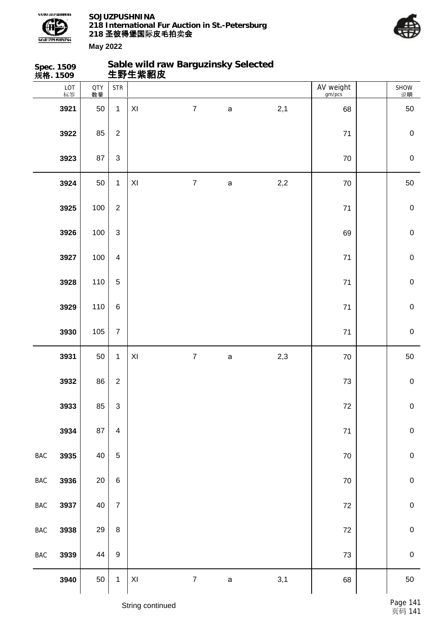



**May 2022**

|                | Spec. 1509<br>规格. 1509 |                  |                           | 生野生紫貂皮              | Sable wild raw Barguzinsky Selected |             |       |                     |                  |
|----------------|------------------------|------------------|---------------------------|---------------------|-------------------------------------|-------------|-------|---------------------|------------------|
|                | LOT<br>标签              | <b>QTY</b><br>数量 | <b>STR</b>                |                     |                                     |             |       | AV weight<br>gm/pcs | SHOW<br>说明       |
|                | 3921                   | 50               | $\mathbf 1$               | XI                  | $\overline{7}$                      | $\mathsf a$ | 2,1   | 68                  | 50               |
|                | 3922                   | 85               | $\overline{2}$            |                     |                                     |             |       | $71$                | $\pmb{0}$        |
|                | 3923                   | 87               | $\ensuremath{\mathsf{3}}$ |                     |                                     |             |       | 70                  | $\pmb{0}$        |
|                | 3924                   | 50               | $\mathbf{1}$              | $\mathsf{XI}$       | $\boldsymbol{7}$                    | $\mathsf a$ | $2,2$ | $70\,$              | 50               |
|                | 3925                   | 100              | $\overline{2}$            |                     |                                     |             |       | 71                  | $\pmb{0}$        |
|                | 3926                   | 100              | $\mathfrak{S}$            |                     |                                     |             |       | 69                  | $\boldsymbol{0}$ |
|                | 3927                   | 100              | $\overline{4}$            |                     |                                     |             |       | 71                  | $\pmb{0}$        |
|                | 3928                   | 110              | $\sqrt{5}$                |                     |                                     |             |       | 71                  | $\pmb{0}$        |
|                | 3929                   | 110              | $\,6$                     |                     |                                     |             |       | 71                  | $\mathbf 0$      |
|                | 3930                   | 105              | $\overline{7}$            |                     |                                     |             |       | $71$                | $\,0\,$          |
|                | 3931                   | 50               | $\mathbf{1}$              | $\mathsf{XI}$       | $\overline{7}$                      | a           | 2,3   | $70\,$              | 50               |
|                | 3932                   | 86               | $\overline{2}$            |                     |                                     |             |       | 73                  | $\pmb{0}$        |
|                | 3933                   | 85               | $\ensuremath{\mathsf{3}}$ |                     |                                     |             |       | $72\,$              | $\pmb{0}$        |
|                | 3934                   | 87               | $\overline{\mathbf{4}}$   |                     |                                     |             |       | $71$                | $\mathbf 0$      |
| $\mathsf{BAC}$ | 3935                   | 40               | $\overline{5}$            |                     |                                     |             |       | 70                  | $\pmb{0}$        |
| $\mathsf{BAC}$ | 3936                   | $20\,$           | $\,6\,$                   |                     |                                     |             |       | $70\,$              | ${\bf 0}$        |
| $_{\rm BAC}$   | 3937                   | 40               | $\overline{7}$            |                     |                                     |             |       | $72\,$              | ${\bf 0}$        |
| $_{\rm BAC}$   | 3938                   | 29               | $\bf 8$                   |                     |                                     |             |       | $72\,$              | $\mathbf 0$      |
| $_{\rm BAC}$   | 3939                   | 44               | $\boldsymbol{9}$          |                     |                                     |             |       | 73                  | ${\bf 0}$        |
|                | 3940                   | 50               | $\mathbf{1}$              | $\pmb{\mathsf{XI}}$ | $\overline{7}$                      | $\mathsf a$ | 3,1   | 68                  | 50               |

String continued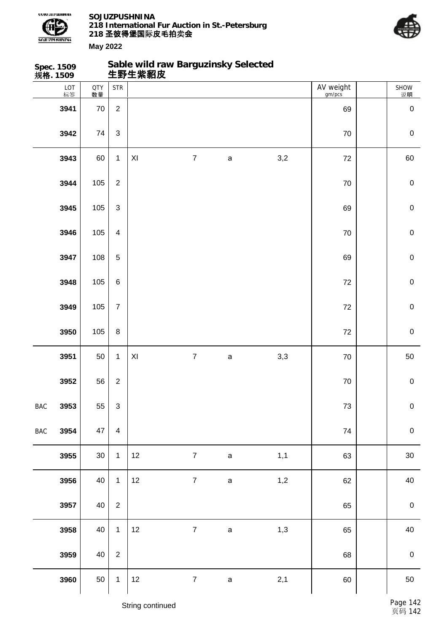



|            | Spec. 1509<br>规格. 1509 |                  |                             | Sable wild raw Barguzinsky Selected<br>生野生紫貂皮 |                  |              |     |                     |                  |
|------------|------------------------|------------------|-----------------------------|-----------------------------------------------|------------------|--------------|-----|---------------------|------------------|
|            | LOT<br>标签              | <b>QTY</b><br>数量 | $\ensuremath{\mathsf{STR}}$ |                                               |                  |              |     | AV weight<br>gm/pcs | SHOW<br>说明       |
|            | 3941                   | 70               | $\overline{2}$              |                                               |                  |              |     | 69                  | $\boldsymbol{0}$ |
|            | 3942                   | 74               | $\mathfrak{S}$              |                                               |                  |              |     | 70                  | $\mathbf 0$      |
|            | 3943                   | 60               | $\mathbf{1}$                | $\mathsf{XI}$                                 | $\boldsymbol{7}$ | $\mathsf a$  | 3,2 | 72                  | 60               |
|            | 3944                   | 105              | $\overline{2}$              |                                               |                  |              |     | $70\,$              | $\mathbf 0$      |
|            | 3945                   | 105              | $\mathfrak{S}$              |                                               |                  |              |     | 69                  | $\mathbf 0$      |
|            | 3946                   | 105              | $\overline{4}$              |                                               |                  |              |     | $70\,$              | $\mathbf 0$      |
|            | 3947                   | 108              | $\sqrt{5}$                  |                                               |                  |              |     | 69                  | $\mathbf 0$      |
|            | 3948                   | 105              | $\,6\,$                     |                                               |                  |              |     | 72                  | $\mathbf 0$      |
|            | 3949                   | 105              | $\overline{7}$              |                                               |                  |              |     | 72                  | $\mathbf 0$      |
|            | 3950                   | 105              | $\bf 8$                     |                                               |                  |              |     | 72                  | $\mathbf 0$      |
|            | 3951                   | 50               | $\mathbf{1}$                | $\mathsf{X} \mathsf{I}$                       | $\overline{7}$   | $\mathsf{a}$ | 3,3 | 70                  | 50               |
|            | 3952                   | 56               | $\overline{2}$              |                                               |                  |              |     | $70\,$              | $\mathbf 0$      |
| <b>BAC</b> | 3953                   | 55               | $\mathfrak{S}$              |                                               |                  |              |     | 73                  | $\pmb{0}$        |
| <b>BAC</b> | 3954                   | 47               | $\overline{4}$              |                                               |                  |              |     | 74                  | $\pmb{0}$        |
|            | 3955                   | $30\,$           | $\mathbf{1}$                | 12                                            | $\overline{7}$   | $\mathsf a$  | 1,1 | 63                  | 30               |
|            | 3956                   | 40               | $\mathbf{1}$                | 12                                            | $\overline{7}$   | $\mathsf a$  | 1,2 | 62                  | 40               |
|            | 3957                   | 40               | $\overline{2}$              |                                               |                  |              |     | 65                  | $\pmb{0}$        |
|            | 3958                   | 40               | $\mathbf 1$                 | 12                                            | $\overline{7}$   | $\mathsf a$  | 1,3 | 65                  | 40               |
|            | 3959                   | 40               | $\overline{2}$              |                                               |                  |              |     | 68                  | $\boldsymbol{0}$ |
|            | 3960                   | 50               | $\mathbf{1}$                | 12                                            | $\overline{7}$   | $\mathsf a$  | 2,1 | 60                  | 50               |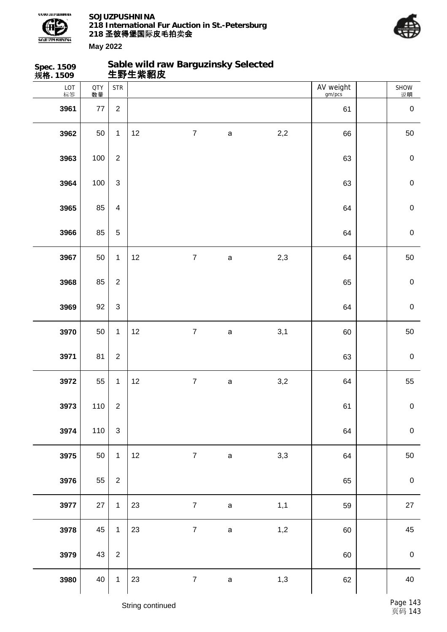

**Sable wild raw Barguzinsky Selected**



| Spec. 1509<br>规 <b>格</b> . 1509 |                  |                | Sable wild raw Barguzinsky Selected<br>生野生紫貂皮 |                |             |     |                     |                  |
|---------------------------------|------------------|----------------|-----------------------------------------------|----------------|-------------|-----|---------------------|------------------|
| LOT<br>标签                       | <b>QTY</b><br>数量 | <b>STR</b>     |                                               |                |             |     | AV weight<br>gm/pcs | SHOW<br>说明       |
| 3961                            | $77$             | $\overline{2}$ |                                               |                |             |     | 61                  | $\pmb{0}$        |
| 3962                            | 50               | $\mathbf{1}$   | 12                                            | $\overline{7}$ | $\mathsf a$ | 2,2 | 66                  | 50               |
| 3963                            | 100              | $\overline{2}$ |                                               |                |             |     | 63                  | $\pmb{0}$        |
| 3964                            | 100              | $\mathbf{3}$   |                                               |                |             |     | 63                  | $\mathbf 0$      |
| 3965                            | 85               | $\overline{4}$ |                                               |                |             |     | 64                  | $\mathbf 0$      |
| 3966                            | 85               | $\sqrt{5}$     |                                               |                |             |     | 64                  | $\mathbf 0$      |
| 3967                            | 50               | $\mathbf{1}$   | 12                                            | $\overline{7}$ | $\mathsf a$ | 2,3 | 64                  | 50               |
| 3968                            | 85               | $\overline{2}$ |                                               |                |             |     | 65                  | $\mathbf 0$      |
| 3969                            | 92               | $\mathfrak{S}$ |                                               |                |             |     | 64                  | $\mathbf 0$      |
| 3970                            | 50               | $\mathbf{1}$   | 12                                            | $\overline{7}$ | $\mathsf a$ | 3,1 | 60                  | 50               |
| 3971                            | 81               | $\mathbf{2}$   |                                               |                |             |     | 63                  | $\pmb{0}$        |
| 3972                            | 55               | $\mathbf 1$    | 12                                            | $\overline{7}$ | $\mathsf a$ | 3,2 | 64                  | 55               |
| 3973                            | 110              | $\sqrt{2}$     |                                               |                |             |     | 61                  | $\mathbf 0$      |
| 3974                            | 110              | $\sqrt{3}$     |                                               |                |             |     | 64                  | $\mathbf 0$      |
| 3975                            | 50               | $\mathbf{1}$   | 12                                            | $\overline{7}$ | $\mathbf a$ | 3,3 | 64                  | 50               |
| 3976                            | 55               | $\overline{2}$ |                                               |                |             |     | 65                  | $\pmb{0}$        |
| 3977                            | 27               | $\mathbf{1}$   | 23                                            | $\overline{7}$ | $\mathsf a$ | 1,1 | 59                  | 27               |
| 3978                            | 45               | $\mathbf{1}$   | 23                                            | $\overline{7}$ | $\mathsf a$ | 1,2 | 60                  | 45               |
| 3979                            | 43               | $\overline{2}$ |                                               |                |             |     | 60                  | $\boldsymbol{0}$ |
| 3980                            | 40               | $\mathbf{1}$   | 23                                            | $\overline{7}$ | $\mathsf a$ | 1,3 | 62                  | $40\,$           |
|                                 |                  |                |                                               |                |             |     |                     |                  |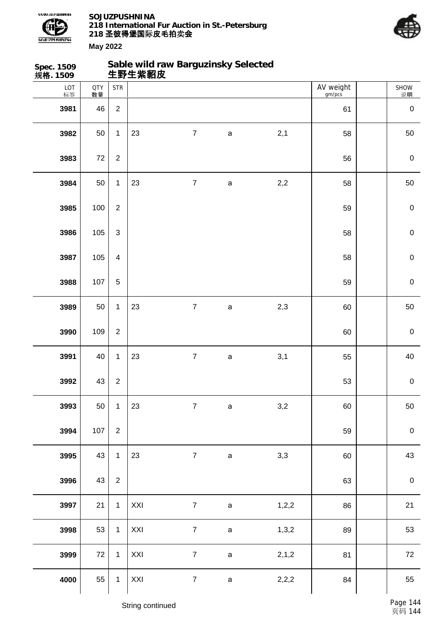



| Spec. 1509<br>规格. 1509 |                  |                | 生野生紫貂皮 | Sable wild raw Barguzinsky Selected |              |       |                     |                  |
|------------------------|------------------|----------------|--------|-------------------------------------|--------------|-------|---------------------|------------------|
| LOT<br>标签              | <b>QTY</b><br>数量 | <b>STR</b>     |        |                                     |              |       | AV weight<br>gm/pcs | SHOW<br>说明       |
| 3981                   | 46               | $\overline{2}$ |        |                                     |              |       | 61                  | $\pmb{0}$        |
| 3982                   | 50               | $\mathbf{1}$   | 23     | $\boldsymbol{7}$                    | $\mathsf{a}$ | 2,1   | 58                  | 50               |
| 3983                   | 72               | $\overline{2}$ |        |                                     |              |       | 56                  | $\boldsymbol{0}$ |
| 3984                   | 50               | $\mathbf{1}$   | 23     | $\boldsymbol{7}$                    | $\mathsf a$  | $2,2$ | 58                  | 50               |
| 3985                   | 100              | $\overline{2}$ |        |                                     |              |       | 59                  | $\mathbf 0$      |
| 3986                   | 105              | 3              |        |                                     |              |       | 58                  | $\mathbf 0$      |
| 3987                   | 105              | $\overline{4}$ |        |                                     |              |       | 58                  | $\mathbf 0$      |
| 3988                   | 107              | 5              |        |                                     |              |       | 59                  | $\mathbf 0$      |
| 3989                   | 50               | $\mathbf{1}$   | 23     | $\overline{7}$                      | $\mathsf a$  | 2,3   | 60                  | 50               |
| 3990                   | 109              | $\overline{2}$ |        |                                     |              |       | 60                  | $\mathbf 0$      |
| 3991                   | 40               | $\mathbf{1}$   | 23     | $\overline{7}$                      | $\mathsf{a}$ | 3,1   | 55                  | 40               |
| 3992                   | 43               | $\overline{c}$ |        |                                     |              |       | 53                  | $\mathbf 0$      |
| 3993                   | 50               | $\mathbf{1}$   | 23     | $\overline{7}$                      | $\mathbf a$  | $3,2$ | 60                  | 50               |
| 3994                   | 107              | $\overline{2}$ |        |                                     |              |       | 59                  | $\mathbf 0$      |
| 3995                   | 43               | $\mathbf{1}$   | 23     | $\overline{7}$                      | $\mathsf a$  | 3,3   | 60                  | 43               |
| 3996                   | 43               | $\overline{2}$ |        |                                     |              |       | 63                  | $\mathbf 0$      |
| 3997                   | 21               | $\mathbf{1}$   | XXI    | $\overline{7}$                      | $\mathsf a$  | 1,2,2 | 86                  | 21               |
| 3998                   | 53               | $\mathbf{1}$   | XXI    | $\overline{7}$                      | $\mathsf a$  | 1,3,2 | 89                  | 53               |
| 3999                   | $72\,$           | $\mathbf{1}$   | XXI    | $\overline{7}$                      | $\mathsf a$  | 2,1,2 | 81                  | 72               |
| 4000                   | 55               | $\mathbf{1}$   | XXI    | $\overline{7}$                      | $\mathsf a$  | 2,2,2 | 84                  | 55               |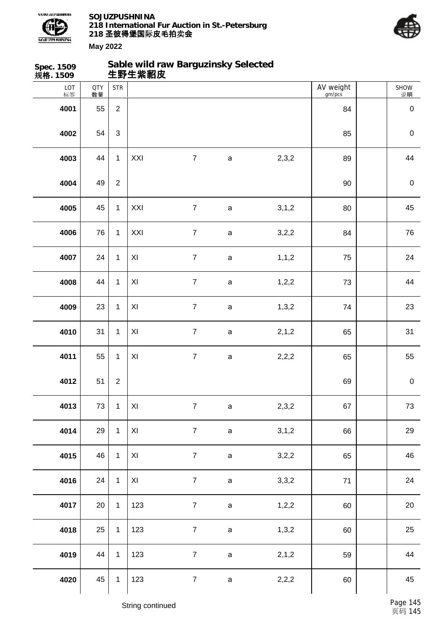



| Spec. 1509<br>规格. 1509 |                  |                  | Sable wild raw Barguzinsky Selected<br>生野生紫貂皮 |                  |              |         |                     |             |
|------------------------|------------------|------------------|-----------------------------------------------|------------------|--------------|---------|---------------------|-------------|
| LOT<br>标签              | <b>QTY</b><br>数量 | <b>STR</b>       |                                               |                  |              |         | AV weight<br>gm/pcs | SHOW<br>说明  |
| 4001                   | 55               | $\overline{2}$   |                                               |                  |              |         | 84                  | $\mathbf 0$ |
| 4002                   | 54               | $\mathfrak{S}$   |                                               |                  |              |         | 85                  | $\pmb{0}$   |
| 4003                   | 44               | $\mathbf{1}$     | XXI                                           | $\boldsymbol{7}$ | $\mathsf a$  | 2,3,2   | 89                  | 44          |
| 4004                   | 49               | $\overline{c}$   |                                               |                  |              |         | 90                  | $\pmb{0}$   |
| 4005                   | 45               | $\mathbf{1}$     | XXI                                           | $\boldsymbol{7}$ | $\mathsf a$  | 3,1,2   | 80                  | 45          |
| 4006                   | 76               | $\mathbf{1}$     | XXI                                           | $\boldsymbol{7}$ | $\mathsf{a}$ | 3,2,2   | 84                  | 76          |
| 4007                   | 24               | $\mathbf{1}$     | XI                                            | $\boldsymbol{7}$ | $\mathsf{a}$ | 1, 1, 2 | 75                  | 24          |
| 4008                   | 44               | $\mathbf{1}$     | XI                                            | $\boldsymbol{7}$ | $\mathsf a$  | 1, 2, 2 | 73                  | 44          |
| 4009                   | 23               | $\mathbf{1}$     | XI                                            | $\boldsymbol{7}$ | a            | 1,3,2   | 74                  | 23          |
| 4010                   | 31               | $\mathbf{1}$     | $\pmb{\times}$                                | $\boldsymbol{7}$ | $\mathsf{a}$ | 2, 1, 2 | 65                  | 31          |
| 4011                   | 55               | $\mathbf{1}$     | XI                                            | $\overline{7}$   | $\mathsf a$  | 2,2,2   | 65                  | 55          |
| 4012                   | 51               | $\boldsymbol{2}$ |                                               |                  |              |         | 69                  | $\pmb{0}$   |
| 4013                   | 73               | $\mathbf{1}$     | $\pmb{\times}$                                | $\overline{7}$   | $\mathsf a$  | 2,3,2   | 67                  | 73          |
| 4014                   | 29               | $\mathbf{1}$     | $\pmb{\times}$                                | $\overline{7}$   | $\mathsf a$  | 3,1,2   | 66                  | 29          |
| 4015                   | 46               | $\mathbf{1}$     | XI                                            | $\overline{7}$   | $\mathsf a$  | 3,2,2   | 65                  | 46          |
| 4016                   | 24               | $\mathbf{1}$     | $\pmb{\times}$                                | $\overline{7}$   | $\mathsf a$  | 3,3,2   | 71                  | 24          |
| 4017                   | 20               | $\mathbf{1}$     | 123                                           | $\overline{7}$   | $\mathsf a$  | 1,2,2   | 60                  | 20          |
| 4018                   | 25               | $\mathbf{1}$     | 123                                           | $\overline{7}$   | $\mathsf a$  | 1,3,2   | 60                  | 25          |
| 4019                   | 44               | $\mathbf{1}$     | 123                                           | $\overline{7}$   | $\mathsf a$  | 2, 1, 2 | 59                  | 44          |
| 4020                   | 45               | $\mathbf{1}$     | 123                                           | $\boldsymbol{7}$ | $\mathsf a$  | 2,2,2   | 60                  | 45          |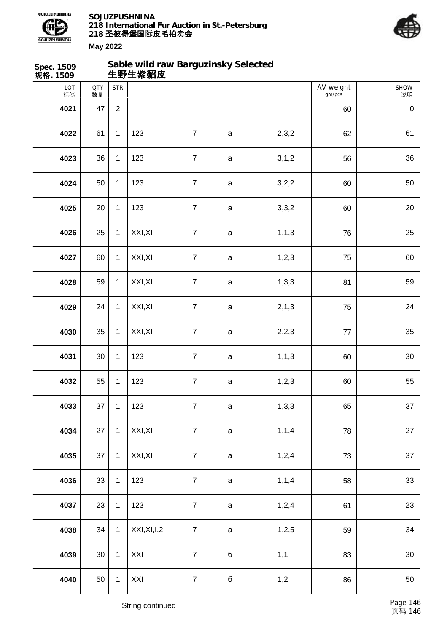



| Spec. 1509<br>规格. 1509 |                  |                | Sable wild raw Barguzinsky Selected<br>生野生紫貂皮 |                  |              |         |                     |            |
|------------------------|------------------|----------------|-----------------------------------------------|------------------|--------------|---------|---------------------|------------|
| LOT<br>标签              | <b>QTY</b><br>数量 | <b>STR</b>     |                                               |                  |              |         | AV weight<br>gm/pcs | SHOW<br>说明 |
| 4021                   | 47               | $\overline{2}$ |                                               |                  |              |         | 60                  | $\pmb{0}$  |
| 4022                   | 61               | $\mathbf{1}$   | 123                                           | $\overline{7}$   | $\mathsf{a}$ | 2,3,2   | 62                  | 61         |
| 4023                   | 36               | $\mathbf{1}$   | 123                                           | $\overline{7}$   | $\mathsf a$  | 3,1,2   | 56                  | 36         |
| 4024                   | 50               | $\mathbf{1}$   | 123                                           | $\overline{7}$   | $\mathsf a$  | 3,2,2   | 60                  | 50         |
| 4025                   | 20               | $\mathbf{1}$   | 123                                           | $\overline{7}$   | $\mathsf a$  | 3,3,2   | 60                  | 20         |
| 4026                   | 25               | $\mathbf{1}$   | XXI, XI                                       | $\boldsymbol{7}$ | $\mathsf{a}$ | 1, 1, 3 | 76                  | 25         |
| 4027                   | 60               | $\mathbf{1}$   | XXI, XI                                       | $\overline{7}$   | $\mathsf a$  | 1,2,3   | 75                  | 60         |
| 4028                   | 59               | $\mathbf{1}$   | XXI, XI                                       | $\overline{7}$   | $\mathsf{a}$ | 1,3,3   | 81                  | 59         |
| 4029                   | 24               | $\mathbf{1}$   | XXI, XI                                       | $\overline{7}$   | a            | 2, 1, 3 | 75                  | 24         |
| 4030                   | 35               | $\mathbf{1}$   | XXI, XI                                       | $\overline{7}$   | $\mathsf{a}$ | 2,2,3   | $77$                | 35         |
| 4031                   | 30               | $\mathbf{1}$   | 123                                           | $\boldsymbol{7}$ | $\mathsf{a}$ | 1, 1, 3 | 60                  | $30\,$     |
| 4032                   | 55               | $\mathbf{1}$   | 123                                           | $\boldsymbol{7}$ | a            | 1,2,3   | 60                  | 55         |
| 4033                   | 37               | $\mathbf{1}$   | 123                                           | $\overline{7}$   | $\mathsf a$  | 1,3,3   | 65                  | 37         |
| 4034                   | 27               | $\mathbf{1}$   | XXI, XI                                       | $\overline{7}$   | $\mathsf a$  | 1, 1, 4 | 78                  | 27         |
| 4035                   | 37               | $\mathbf{1}$   | XXI, XI                                       | $\overline{7}$   | $\mathsf a$  | 1,2,4   | 73                  | 37         |
| 4036                   | 33               | $\mathbf{1}$   | 123                                           | $\overline{7}$   | $\mathsf a$  | 1, 1, 4 | 58                  | 33         |
| 4037                   | 23               | $\mathbf{1}$   | 123                                           | $\overline{7}$   | $\mathsf a$  | 1,2,4   | 61                  | 23         |
| 4038                   | 34               | $\mathbf{1}$   | XXI, XI, I, 2                                 | $\overline{7}$   | $\mathsf a$  | 1,2,5   | 59                  | 34         |
| 4039                   | $30\,$           | $\mathbf{1}$   | XXI                                           | $\overline{7}$   | б            | 1,1     | 83                  | $30\,$     |
| 4040                   | 50               | $\mathbf{1}$   | XXI                                           | $\overline{7}$   | б            | 1,2     | 86                  | 50         |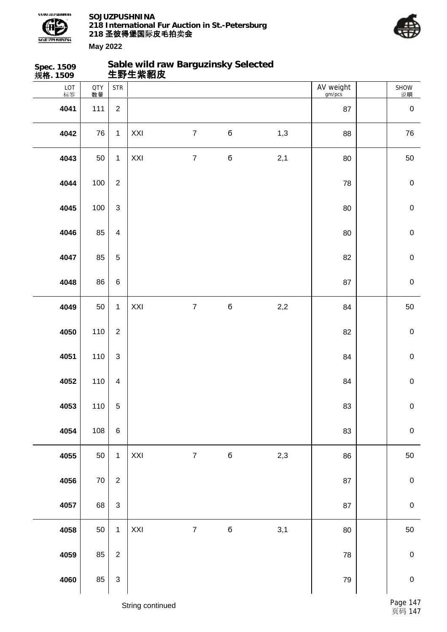



**Spec. 1509 规格. 1509 Sable wild raw Barguzinsky Selected 生野生紫貂皮** LOT 标签 QTY 数量 SHOW 说明 STR | AV weight gm/pcs 111 2 87 0 76 1 XXI 7 б 1,3 88 76 50 1 XXI 7 б 2,1 80 50 100 2 78 0 | 100 | 3 | 30 | 200 | 200 | 200 | 200 | 200 | 200 | 200 | 200 | 200 | 200 | 200 | 200 | 200 | 200 | 200 | 200 | 200 | 200 | 200 | 200 | 200 | 200 | 200 | 200 | 200 | 200 | 200 | 200 | 200 | 200 | 200 | 200 | 200 | 85 4 80 0 85 5 82 0 | 86 | 6 | 87 | 87 | 87 | 90 50 1 XXI 7 6 2,2 84 50 | 110 | 2 | 2000 | 2000 | 2000 | 2000 | 2000 | 2000 | 2000 | 2000 | 2000 | 2000 | 2000 | 2000 | 2000 | 20 110 3 84 0 | 110 | 4 | 2009 | 2009 | 2009 | 2009 | 2009 | 2009 | 2009 | 2009 | 2009 | 2009 | 2009 | 2009 | 2009 | 20 110 5 83 0 108 6 83 0 50 1 XXI 7 б 2,3 86 50 70 | 2 | 2 | 68 | 3 | 3 | 2002 | 2003 | 2004 | 2005 | 2007 | 2008 | 2009 | 2008 | 2009 | 2009 | 2009 | 2009 | 2009 | 50 1 XXI 7 б 3,1 80 50 85 2 78 0 85 3 79 0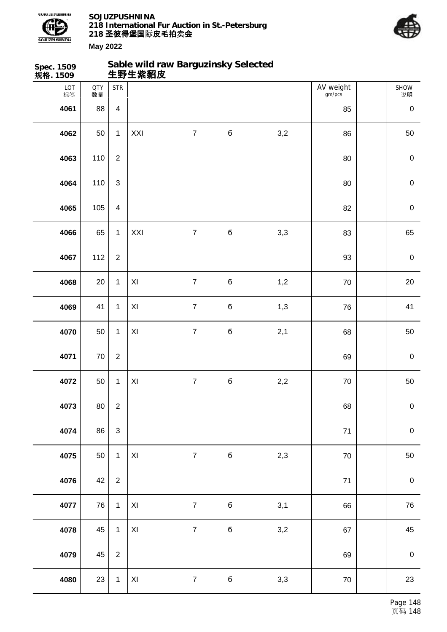



| Spec. 1509<br>规格. 1509 |                  |                         | Sable wild raw Barguzinsky Selected<br>生野生紫貂皮 |                  |             |     |                     |                  |
|------------------------|------------------|-------------------------|-----------------------------------------------|------------------|-------------|-----|---------------------|------------------|
| LOT<br>标签              | <b>QTY</b><br>数量 | <b>STR</b>              |                                               |                  |             |     | AV weight<br>gm/pcs | SHOW<br>说明       |
| 4061                   | 88               | $\overline{4}$          |                                               |                  |             |     | 85                  | $\pmb{0}$        |
| 4062                   | 50               | $\mathbf{1}$            | XXI                                           | $\overline{7}$   | $\mathbf 6$ | 3,2 | 86                  | 50               |
| 4063                   | 110              | $\overline{2}$          |                                               |                  |             |     | 80                  | $\mathbf 0$      |
| 4064                   | 110              | $\mathfrak{S}$          |                                               |                  |             |     | 80                  | $\mathbf 0$      |
| 4065                   | 105              | $\overline{\mathbf{4}}$ |                                               |                  |             |     | 82                  | $\mathbf 0$      |
| 4066                   | 65               | $\mathbf{1}$            | XXI                                           | $\overline{7}$   | $\sqrt{6}$  | 3,3 | 83                  | 65               |
| 4067                   | 112              | $\overline{2}$          |                                               |                  |             |     | 93                  | $\pmb{0}$        |
| 4068                   | 20               | $\mathbf{1}$            | $\pmb{\mathsf{XI}}$                           | $\overline{7}$   | $\mathbf 6$ | 1,2 | 70                  | 20               |
| 4069                   | 41               | $\mathbf{1}$            | XI                                            | $\overline{7}$   | $\mathbf 6$ | 1,3 | 76                  | 41               |
| 4070                   | 50               | $\mathbf{1}$            | XI                                            | $\overline{7}$   | $\mathbf 6$ | 2,1 | 68                  | 50               |
| 4071                   | $70\,$           | $\overline{2}$          |                                               |                  |             |     | 69                  | $\pmb{0}$        |
| 4072                   | 50               | $\mathbf{1}$            | XI                                            | $\boldsymbol{7}$ | б           | 2,2 | $70\,$              | 50               |
| 4073                   | 80               | $\overline{2}$          |                                               |                  |             |     | 68                  | $\mathbf 0$      |
| 4074                   | 86               | $\mathbf{3}$            |                                               |                  |             |     | $71$                | $\boldsymbol{0}$ |
| 4075                   | 50               | $\mathbf{1}$            | $\mathsf{X} \mathsf{I}$                       | $\overline{7}$   | $\bf 6$     | 2,3 | 70                  | 50               |
| 4076                   | 42               | $\overline{2}$          |                                               |                  |             |     | $71$                | $\boldsymbol{0}$ |
| 4077                   | 76               | $\mathbf{1}$            | XI                                            | $\overline{7}$   | $\mathbf 6$ | 3,1 | 66                  | 76               |
| 4078                   | 45               | $\mathbf{1}$            | $\mathsf{X} \mathsf{I}$                       | $\overline{7}$   | $\mathbf 6$ | 3,2 | 67                  | 45               |
| 4079                   | 45               | 2                       |                                               |                  |             |     | 69                  | $\,0\,$          |
| 4080                   | 23               | $\mathbf{1}$            | $\mathsf{X} \mathsf{I}$                       | $\overline{7}$   | $\mathbf 6$ | 3,3 | $70\,$              | 23               |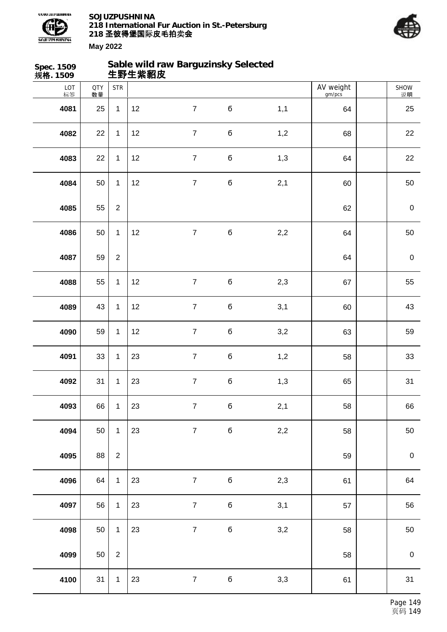



| Spec. 1509<br>规格. 1509 |                  |                | 生野生紫貂皮 | Sable wild raw Barguzinsky Selected |             |     |                     |                  |
|------------------------|------------------|----------------|--------|-------------------------------------|-------------|-----|---------------------|------------------|
| LOT<br>标签              | <b>QTY</b><br>数量 | <b>STR</b>     |        |                                     |             |     | AV weight<br>gm/pcs | SHOW<br>说明       |
| 4081                   | 25               | $\mathbf{1}$   | 12     | $\overline{7}$                      | б           | 1,1 | 64                  | 25               |
| 4082                   | 22               | $\mathbf 1$    | 12     | $\boldsymbol{7}$                    | $\mathbf 6$ | 1,2 | 68                  | 22               |
| 4083                   | 22               | $\mathbf{1}$   | 12     | $\boldsymbol{7}$                    | $\mathbf 6$ | 1,3 | 64                  | 22               |
| 4084                   | 50               | $\mathbf{1}$   | 12     | $\boldsymbol{7}$                    | б           | 2,1 | 60                  | 50               |
| 4085                   | 55               | $\overline{2}$ |        |                                     |             |     | 62                  | $\pmb{0}$        |
| 4086                   | 50               | $\mathbf 1$    | 12     | $\boldsymbol{7}$                    | $\mathbf 6$ | 2,2 | 64                  | 50               |
| 4087                   | 59               | $\overline{2}$ |        |                                     |             |     | 64                  | $\pmb{0}$        |
| 4088                   | 55               | $\mathbf{1}$   | 12     | $\overline{7}$                      | $\mathbf 6$ | 2,3 | 67                  | 55               |
| 4089                   | 43               | $\mathbf 1$    | 12     | $\overline{7}$                      | $\mathbf 6$ | 3,1 | 60                  | 43               |
| 4090                   | 59               | $\mathbf 1$    | 12     | $\boldsymbol{7}$                    | $\mathbf 6$ | 3,2 | 63                  | 59               |
| 4091                   | 33               | $\mathbf{1}$   | 23     | $\boldsymbol{7}$                    | $\mathbf 6$ | 1,2 | 58                  | 33               |
| 4092                   | 31               | 1              | 23     | $\overline{7}$                      | б           | 1,3 | 65                  | 31               |
| 4093                   | 66               | $\mathbf 1$    | 23     | $\overline{7}$                      | $\mathbf 6$ | 2,1 | 58                  | 66               |
| 4094                   | 50               | $\mathbf{1}$   | 23     | $\overline{7}$                      | б           | 2,2 | 58                  | 50               |
| 4095                   | 88               | $\overline{c}$ |        |                                     |             |     | 59                  | $\boldsymbol{0}$ |
| 4096                   | 64               | $\mathbf{1}$   | 23     | $\overline{7}$                      | $\mathbf 6$ | 2,3 | 61                  | 64               |
| 4097                   | 56               | $\mathbf{1}$   | 23     | $\boldsymbol{7}$                    | $\mathbf 6$ | 3,1 | 57                  | 56               |
| 4098                   | 50               | $\mathbf{1}$   | 23     | $\overline{7}$                      | $\mathbf 6$ | 3,2 | 58                  | 50               |
| 4099                   | 50               | $\overline{c}$ |        |                                     |             |     | 58                  | $\boldsymbol{0}$ |
| 4100                   | 31               | $\mathbf{1}$   | 23     | $\overline{7}$                      | $\mathbf 6$ | 3,3 | 61                  | 31               |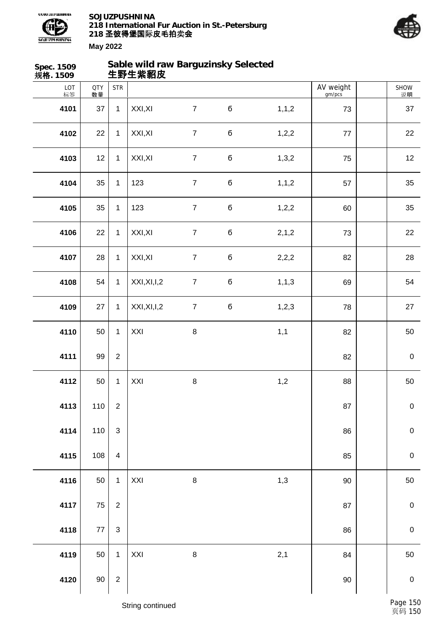



| Spec. 1509<br>规格. 1509 |                  |                         | Sable wild raw Barguzinsky Selected<br>生野生紫貂皮 |                  |         |         |                     |             |
|------------------------|------------------|-------------------------|-----------------------------------------------|------------------|---------|---------|---------------------|-------------|
| LOT<br>标签              | <b>QTY</b><br>数量 | <b>STR</b>              |                                               |                  |         |         | AV weight<br>gm/pcs | SHOW<br>说明  |
| 4101                   | 37               | $\mathbf{1}$            | XXI, XI                                       | $\overline{7}$   | $\bf 6$ | 1, 1, 2 | 73                  | 37          |
| 4102                   | 22               | $\mathbf{1}$            | XXI, XI                                       | $\overline{7}$   | б       | 1,2,2   | $77\,$              | 22          |
| 4103                   | 12               | $\mathbf{1}$            | XXI, XI                                       | $\overline{7}$   | б       | 1,3,2   | 75                  | 12          |
| 4104                   | 35               | $\mathbf{1}$            | 123                                           | $\boldsymbol{7}$ | б       | 1, 1, 2 | 57                  | 35          |
| 4105                   | 35               | $\mathbf{1}$            | 123                                           | $\overline{7}$   | б       | 1, 2, 2 | 60                  | 35          |
| 4106                   | 22               | $\mathbf{1}$            | XXI, XI                                       | $\boldsymbol{7}$ | б       | 2, 1, 2 | 73                  | 22          |
| 4107                   | 28               | $\mathbf{1}$            | XXI, XI                                       | $\overline{7}$   | б       | 2,2,2   | 82                  | 28          |
| 4108                   | 54               | $\mathbf{1}$            | XXI, XI, I, 2                                 | $\boldsymbol{7}$ | б       | 1, 1, 3 | 69                  | 54          |
| 4109                   | 27               | $\mathbf{1}$            | XXI, XI, I, 2                                 | $\boldsymbol{7}$ | б       | 1, 2, 3 | 78                  | 27          |
| 4110                   | 50               | $\mathbf{1}$            | XXI                                           | $\, 8$           |         | 1,1     | 82                  | 50          |
| 4111                   | 99               | $\boldsymbol{2}$        |                                               |                  |         |         | 82                  | $\pmb{0}$   |
| 4112                   | 50               | $\mathbf{1}$            | XXI                                           | $\,8\,$          |         | 1,2     | 88                  | $50\,$      |
| 4113                   | 110              | $\boldsymbol{2}$        |                                               |                  |         |         | 87                  | $\mathbf 0$ |
| 4114                   | 110              | $\sqrt{3}$              |                                               |                  |         |         | 86                  | $\pmb{0}$   |
| 4115                   | 108              | $\overline{\mathbf{4}}$ |                                               |                  |         |         | 85                  | $\mathbf 0$ |
| 4116                   | 50               | $\mathbf{1}$            | XXI                                           | $\bf 8$          |         | 1,3     | $90\,$              | 50          |
| 4117                   | 75               | $\overline{2}$          |                                               |                  |         |         | 87                  | $\mathbf 0$ |
| 4118                   | $77 \,$          | $\mathsf 3$             |                                               |                  |         |         | 86                  | $\pmb{0}$   |
| 4119                   | 50               | $\mathbf{1}$            | XXI                                           | $\,8\,$          |         | 2,1     | 84                  | 50          |
| 4120                   | $90\,$           | $\sqrt{2}$              |                                               |                  |         |         | 90                  | $\mathbf 0$ |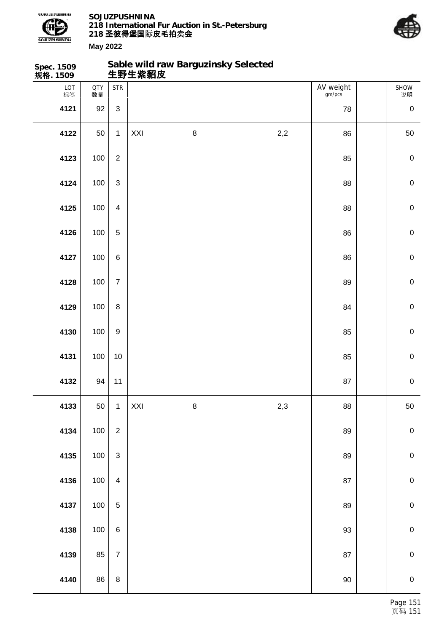

**Spec. 1509**

**SOJUZPUSHNINA 218 International Fur Auction in St.-Petersburg 218 圣彼得堡国际 卖 皮毛拍 会**

**Sable wild raw Barguzinsky Selected**



| 规格. 1509  |                  |                           | 生野生紫貂皮 |         |       |                     |             |
|-----------|------------------|---------------------------|--------|---------|-------|---------------------|-------------|
| LOT<br>标签 | <b>QTY</b><br>数量 | <b>STR</b>                |        |         |       | AV weight<br>gm/pcs | SHOW<br>说明  |
| 4121      | 92               | $\ensuremath{\mathsf{3}}$ |        |         |       | 78                  | $\pmb{0}$   |
| 4122      | 50               | $\mathbf{1}$              | XXI    | $\bf 8$ | $2,2$ | 86                  | 50          |
| 4123      | 100              | $\boldsymbol{2}$          |        |         |       | 85                  | $\pmb{0}$   |
| 4124      | 100              | $\sqrt{3}$                |        |         |       | 88                  | $\pmb{0}$   |
| 4125      | 100              | $\overline{\mathbf{4}}$   |        |         |       | 88                  | $\pmb{0}$   |
| 4126      | 100              | $\sqrt{5}$                |        |         |       | 86                  | $\pmb{0}$   |
| 4127      | 100              | $\,6\,$                   |        |         |       | 86                  | $\pmb{0}$   |
| 4128      | 100              | $\overline{7}$            |        |         |       | 89                  | $\pmb{0}$   |
| 4129      | 100              | $\bf 8$                   |        |         |       | 84                  | $\pmb{0}$   |
| 4130      | 100              | $\boldsymbol{9}$          |        |         |       | 85                  | $\pmb{0}$   |
| 4131      | 100              | $10$                      |        |         |       | 85                  | $\pmb{0}$   |
| 4132      | 94               | 11                        |        |         |       | 87                  | $\mathbf 0$ |
| 4133      | 50               | $\mathbf{1}$              | XXI    | $\bf 8$ | 2,3   | ${\bf 88}$          | 50          |
| 4134      | 100              | $\sqrt{2}$                |        |         |       | 89                  | $\pmb{0}$   |
| 4135      | 100              | $\mathsf 3$               |        |         |       | 89                  | ${\bf 0}$   |
| 4136      | 100              | $\overline{\mathbf{4}}$   |        |         |       | 87                  | ${\bf 0}$   |
| 4137      | 100              | $\mathbf 5$               |        |         |       | 89                  | ${\bf 0}$   |
| 4138      | 100              | $\,6\,$                   |        |         |       | 93                  | $\mathbf 0$ |
| 4139      | 85               | $\overline{7}$            |        |         |       | $87\,$              | ${\bf 0}$   |
| 4140      | 86               | $\,8\,$                   |        |         |       | $90\,$              | $\pmb{0}$   |
|           |                  |                           |        |         |       |                     |             |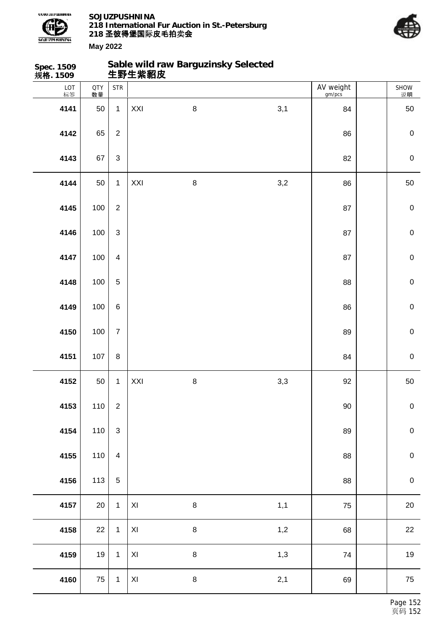



SHOW 说明

**Spec. 1509 规格. 1509 Sable wild raw Barguzinsky Selected 生野生紫貂皮** LOT 标签 QTY 数量 STR | AV weight gm/pcs 50 1 XXI 8 3,1 84 50 | 65 | 2 | 2 | 2009 | 86 | 2009 | 2009 | 2009 | 2009 | 2009 | 2009 | 2009 | 2009 | 2009 | 2009 | 2009 | 20 | 67 | 3 | 0 50 1 XXI 8 3,2 86 50 100 2 87 0 100 3 87 0 100 4 87 0 100 5 88 0 100 6 86 0 100 7 89 0 | 107 | 8 | New York | 2009 | 2009 | 2009 | 2010 | 2020 | 2020 | 2020 | 2020 | 2020 | 2020 | 2020 | 2020 50 1 XXI 8 3,3 92 50 | 110 | 2 | 200 | 200 | 200 | 200 | 200 | 200 | 200 | 200 | 200 | 200 | 200 | 200 | 200 | 200 | 200 | 20 110 3 89 0 110 4 88 0 | 113 | 5 | 38 | 2010 | 2021 | 2021 | 2021 | 2022 | 2022 | 2022 | 2022 | 2022 | 2022 | 2022 | 2022 | 20 20 1 XI 8 1,1 75 20

**4158** 22 1 XI 8 3 3 3 4 4 5 8 22

**4159** 19 1 XI 8 1,3 74 19 19

**4160** 75 1 XI 8 2,1 69 75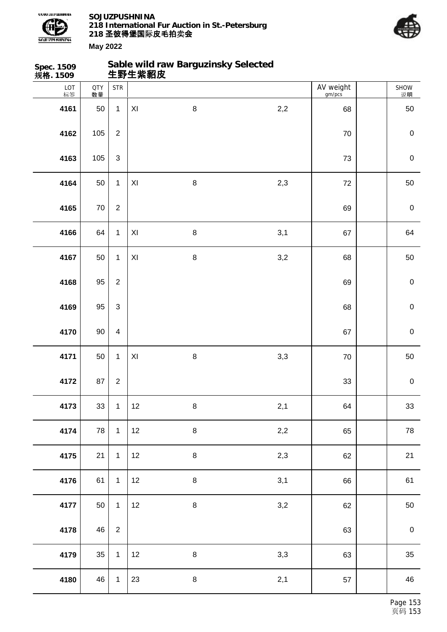



SHOW 说明

## **Sable wild raw Barguzinsky Selected**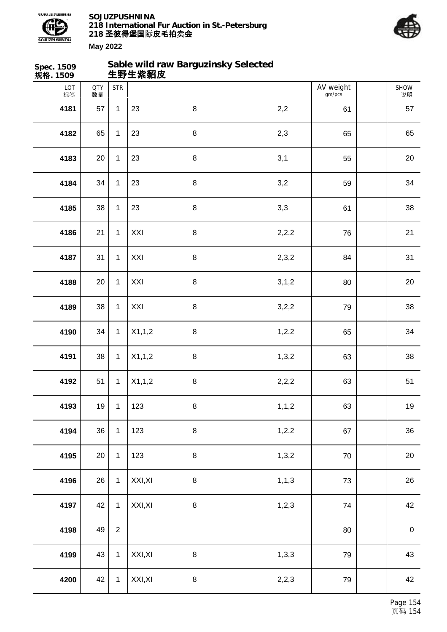



| Spec. 1509<br>规格. 1509 |                  |                | 生野生紫貂皮  | Sable wild raw Barguzinsky Selected |         |                     |                  |
|------------------------|------------------|----------------|---------|-------------------------------------|---------|---------------------|------------------|
| LOT<br>标签              | <b>QTY</b><br>数量 | <b>STR</b>     |         |                                     |         | AV weight<br>gm/pcs | SHOW<br>说明       |
| 4181                   | 57               | $\mathbf{1}$   | 23      | 8                                   | 2,2     | 61                  | 57               |
| 4182                   | 65               | $\mathbf{1}$   | 23      | $\bf 8$                             | 2,3     | 65                  | 65               |
| 4183                   | 20               | $\mathbf{1}$   | 23      | $\bf 8$                             | 3,1     | 55                  | 20               |
| 4184                   | 34               | $\mathbf{1}$   | 23      | $\bf 8$                             | 3,2     | 59                  | 34               |
| 4185                   | 38               | $\mathbf{1}$   | 23      | 8                                   | 3,3     | 61                  | 38               |
| 4186                   | 21               | $\mathbf{1}$   | XXI     | 8                                   | 2,2,2   | 76                  | 21               |
| 4187                   | 31               | $\mathbf{1}$   | XXI     | $\bf 8$                             | 2,3,2   | 84                  | 31               |
| 4188                   | 20               | $\mathbf{1}$   | XXI     | $\bf 8$                             | 3, 1, 2 | 80                  | $20\,$           |
| 4189                   | 38               | $\mathbf{1}$   | XXI     | $\bf 8$                             | 3,2,2   | 79                  | 38               |
| 4190                   | 34               | $\mathbf{1}$   | X1,1,2  | $\bf 8$                             | 1, 2, 2 | 65                  | 34               |
| 4191                   | 38               | $\mathbf{1}$   | X1,1,2  | $\,8\,$                             | 1,3,2   | 63                  | 38               |
| 4192                   | 51               | $\mathbf{1}$   | X1,1,2  | $\,8\,$                             | 2,2,2   | 63                  | 51               |
| 4193                   | 19               | $\mathbf{1}$   | 123     | $\bf 8$                             | 1, 1, 2 | 63                  | 19               |
| 4194                   | 36               | $\mathbf{1}$   | 123     | 8                                   | 1, 2, 2 | 67                  | 36               |
| 4195                   | 20               | $\mathbf{1}$   | 123     | $\bf 8$                             | 1,3,2   | 70                  | 20               |
| 4196                   | 26               | $\mathbf{1}$   | XXI, XI | $\bf 8$                             | 1, 1, 3 | 73                  | 26               |
| 4197                   | 42               | $\mathbf 1$    | XXI, XI | $\bf 8$                             | 1,2,3   | 74                  | 42               |
| 4198                   | 49               | $\overline{2}$ |         |                                     |         | 80                  | $\boldsymbol{0}$ |
| 4199                   | 43               | $\mathbf{1}$   | XXI, XI | $\bf 8$                             | 1,3,3   | 79                  | 43               |
| 4200                   | 42               | $\mathbf{1}$   | XXI, XI | $\bf 8$                             | 2,2,3   | 79                  | 42               |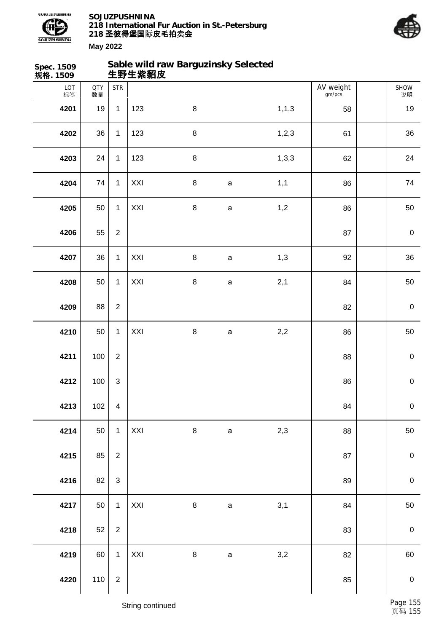



| Spec. 1509<br>规格. 1509 |                  |                           | 生野生紫貂皮 | Sable wild raw Barguzinsky Selected |              |         |                     |             |
|------------------------|------------------|---------------------------|--------|-------------------------------------|--------------|---------|---------------------|-------------|
| LOT<br>标签              | <b>QTY</b><br>数量 | <b>STR</b>                |        |                                     |              |         | AV weight<br>gm/pcs | SHOW<br>说明  |
| 4201                   | 19               | $\mathbf{1}$              | 123    | $\, 8$                              |              | 1, 1, 3 | 58                  | 19          |
| 4202                   | 36               | $\mathbf{1}$              | 123    | $\, 8$                              |              | 1,2,3   | 61                  | 36          |
| 4203                   | 24               | $\mathbf{1}$              | 123    | $\bf 8$                             |              | 1, 3, 3 | 62                  | 24          |
| 4204                   | 74               | $\mathbf{1}$              | XXI    | $\bf 8$                             | $\mathsf a$  | 1,1     | 86                  | 74          |
| 4205                   | 50               | $\mathbf{1}$              | XXI    | $\,8\,$                             | $\mathsf a$  | 1,2     | 86                  | 50          |
| 4206                   | 55               | $\overline{2}$            |        |                                     |              |         | 87                  | $\pmb{0}$   |
| 4207                   | 36               | $\mathbf{1}$              | XXI    | $\bf 8$                             | $\mathsf a$  | 1,3     | 92                  | 36          |
| 4208                   | 50               | $\mathbf{1}$              | XXI    | $\bf 8$                             | $\mathsf a$  | 2,1     | 84                  | 50          |
| 4209                   | 88               | $\overline{2}$            |        |                                     |              |         | 82                  | $\pmb{0}$   |
| 4210                   | 50               | $\mathbf{1}$              | XXI    | $\,8\,$                             | $\mathsf{a}$ | 2,2     | 86                  | 50          |
| 4211                   | 100              | $\sqrt{2}$                |        |                                     |              |         | 88                  | $\pmb{0}$   |
| 4212                   | 100              | $\ensuremath{\mathsf{3}}$ |        |                                     |              |         | 86                  | $\pmb{0}$   |
| 4213                   | 102              | $\overline{\mathbf{4}}$   |        |                                     |              |         | 84                  | $\mathbf 0$ |
| 4214                   | 50               | $\mathbf{1}$              | XXI    | $\bf 8$                             | $\mathsf a$  | 2,3     | 88                  | 50          |
| 4215                   | 85               | $\overline{2}$            |        |                                     |              |         | 87                  | $\pmb{0}$   |
| 4216                   | 82               | $\mathsf 3$               |        |                                     |              |         | 89                  | $\mathbf 0$ |
| 4217                   | 50               | $\mathbf{1}$              | XXI    | $\bf 8$                             | $\mathsf a$  | 3,1     | 84                  | 50          |
| 4218                   | 52               | $\overline{2}$            |        |                                     |              |         | 83                  | $\pmb{0}$   |
| 4219                   | 60               | $\mathbf{1}$              | XXI    | $\bf 8$                             | $\mathsf a$  | 3,2     | 82                  | 60          |
| 4220                   | 110              | $\boldsymbol{2}$          |        |                                     |              |         | 85                  | $\mathbf 0$ |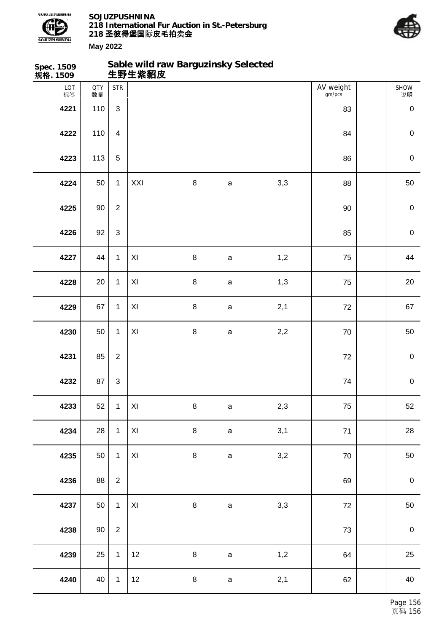



| Spec. 1509<br>规格. 1509 |                  |                           | Sable wild raw Barguzinsky Selected<br>生野生紫貂皮 |         |              |     |                     |                  |
|------------------------|------------------|---------------------------|-----------------------------------------------|---------|--------------|-----|---------------------|------------------|
| LOT<br>标签              | <b>QTY</b><br>数量 | <b>STR</b>                |                                               |         |              |     | AV weight<br>gm/pcs | SHOW<br>说明       |
| 4221                   | 110              | $\mathbf{3}$              |                                               |         |              |     | 83                  | $\mathbf 0$      |
| 4222                   | 110              | $\overline{\mathbf{4}}$   |                                               |         |              |     | 84                  | $\mathbf 0$      |
| 4223                   | 113              | $\sqrt{5}$                |                                               |         |              |     | 86                  | $\mathbf 0$      |
| 4224                   | 50               | $\mathbf{1}$              | XXI                                           | 8       | $\mathsf a$  | 3,3 | 88                  | 50               |
| 4225                   | 90               | $\overline{2}$            |                                               |         |              |     | 90                  | $\mathbf 0$      |
| 4226                   | 92               | $\mathsf 3$               |                                               |         |              |     | 85                  | $\mathbf 0$      |
| 4227                   | 44               | $\mathbf{1}$              | XI                                            | $\bf 8$ | $\mathsf a$  | 1,2 | 75                  | 44               |
| 4228                   | 20               | $\mathbf{1}$              | $\mathsf{X} \mathsf{I}$                       | $\bf 8$ | $\mathsf a$  | 1,3 | 75                  | $20\,$           |
| 4229                   | 67               | $\mathbf{1}$              | $\pmb{\times}$                                | $\bf 8$ | $\mathsf a$  | 2,1 | 72                  | 67               |
| 4230                   | 50               | $\mathbf{1}$              | XI                                            | $\bf 8$ | $\mathsf{a}$ | 2,2 | $70\,$              | 50               |
| 4231                   | 85               | $\boldsymbol{2}$          |                                               |         |              |     | 72                  | $\boldsymbol{0}$ |
| 4232                   | 87               | $\ensuremath{\mathsf{3}}$ |                                               |         |              |     | 74                  | $\mathbf 0$      |
| 4233                   | 52               | $\mathbf{1}$              | $\mathsf{X} \mathsf{I}$                       | $\bf 8$ | $\mathsf a$  | 2,3 | 75                  | 52               |
| 4234                   | 28               | $\mathbf 1$               | $\mathsf{X} \mathsf{I}$                       | 8       | $\mathsf a$  | 3,1 | $71$                | 28               |
| 4235                   | 50               | $\mathbf{1}$              | $\mathsf{X} \mathsf{I}$                       | 8       | $\mathsf a$  | 3,2 | 70                  | 50               |
| 4236                   | 88               | $\overline{2}$            |                                               |         |              |     | 69                  | $\boldsymbol{0}$ |
| 4237                   | 50               | $\mathbf{1}$              | XI                                            | 8       | $\mathsf{a}$ | 3,3 | $72\,$              | 50               |
| 4238                   | $90\,$           | $\overline{2}$            |                                               |         |              |     | 73                  | $\pmb{0}$        |
| 4239                   | 25               | $\mathbf{1}$              | 12                                            | 8       | $\mathsf a$  | 1,2 | 64                  | 25               |
| 4240                   | 40               | $\mathbf{1}$              | 12                                            | 8       | $\mathsf a$  | 2,1 | 62                  | 40               |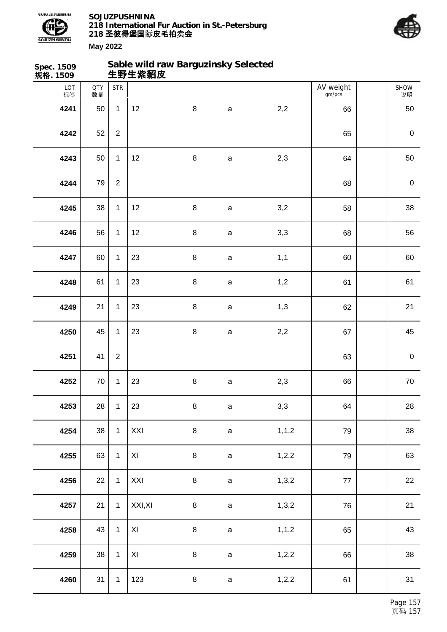



| Spec. 1509<br>规格. 1509 |                  |                | Sable wild raw Barguzinsky Selected<br>生野生紫貂皮 |         |              |         |                     |             |
|------------------------|------------------|----------------|-----------------------------------------------|---------|--------------|---------|---------------------|-------------|
| LOT<br>标签              | <b>QTY</b><br>数量 | <b>STR</b>     |                                               |         |              |         | AV weight<br>gm/pcs | SHOW<br>说明  |
| 4241                   | 50               | $\mathbf{1}$   | 12                                            | $\bf 8$ | $\mathsf a$  | 2,2     | 66                  | 50          |
| 4242                   | 52               | $\overline{2}$ |                                               |         |              |         | 65                  | $\mathbf 0$ |
| 4243                   | 50               | $\mathbf{1}$   | 12                                            | $\,8\,$ | $\mathsf{a}$ | 2,3     | 64                  | 50          |
| 4244                   | 79               | $\mathbf{2}$   |                                               |         |              |         | 68                  | $\mathbf 0$ |
| 4245                   | 38               | $\mathbf{1}$   | 12                                            | $\, 8$  | $\mathsf{a}$ | 3,2     | 58                  | 38          |
| 4246                   | 56               | $\mathbf{1}$   | 12                                            | $\, 8$  | $\mathsf a$  | 3,3     | 68                  | 56          |
| 4247                   | 60               | $\mathbf{1}$   | 23                                            | 8       | $\mathsf a$  | 1,1     | 60                  | 60          |
| 4248                   | 61               | $\mathbf{1}$   | 23                                            | $\,8\,$ | $\mathsf a$  | 1,2     | 61                  | 61          |
| 4249                   | 21               | $\mathbf{1}$   | 23                                            | $\, 8$  | $\mathsf a$  | 1,3     | 62                  | 21          |
| 4250                   | 45               | $\mathbf{1}$   | 23                                            | $\, 8$  | $\mathsf{a}$ | 2,2     | 67                  | 45          |
| 4251                   | 41               | $\overline{2}$ |                                               |         |              |         | 63                  | $\mathbf 0$ |
| 4252                   | $70\,$           | 1              | 23                                            | $\,8\,$ | $\mathsf a$  | 2,3     | 66                  | $70\,$      |
| 4253                   | 28               | $\mathbf{1}$   | 23                                            | $\bf 8$ | $\mathsf a$  | 3,3     | 64                  | 28          |
| 4254                   | 38               | $\mathbf{1}$   | XXI                                           | $\bf 8$ | $\mathsf{a}$ | 1, 1, 2 | 79                  | 38          |
| 4255                   | 63               | $\mathbf{1}$   | XI                                            | $\bf 8$ | $\mathsf{a}$ | 1,2,2   | 79                  | 63          |
| 4256                   | 22               | $\mathbf{1}$   | XXI                                           | $\bf 8$ | $\mathsf{a}$ | 1,3,2   | $77$                | 22          |
| 4257                   | 21               | $\mathbf{1}$   | XXI, XI                                       | $\bf 8$ | $\mathsf a$  | 1,3,2   | 76                  | 21          |
| 4258                   | 43               | $\mathbf{1}$   | XI                                            | $\bf 8$ | $\mathsf{a}$ | 1, 1, 2 | 65                  | 43          |
| 4259                   | 38               | $\mathbf{1}$   | XI                                            | $\bf 8$ | $\mathsf a$  | 1,2,2   | 66                  | 38          |
| 4260                   | 31               | $\mathbf{1}$   | 123                                           | $\bf 8$ | $\mathsf a$  | 1, 2, 2 | 61                  | 31          |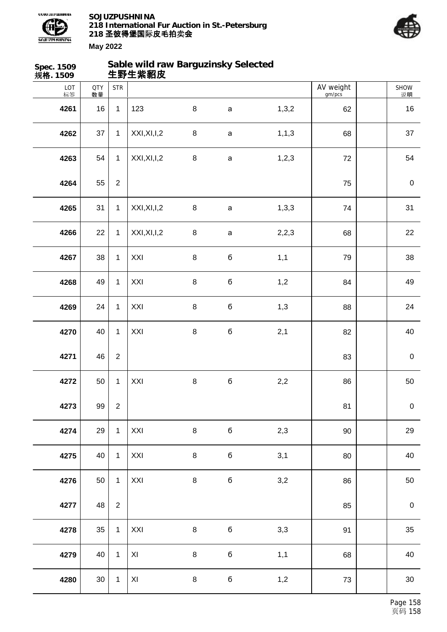

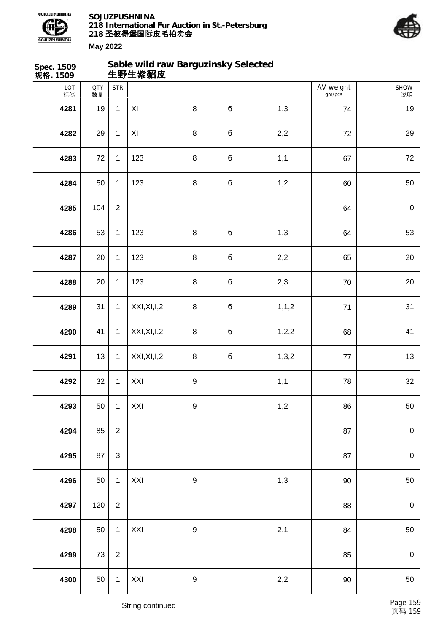



| Spec. 1509<br>规格. 1509 |                  |                | Sable wild raw Barguzinsky Selected<br>生野生紫貂皮 |                  |             |         |                     |                   |
|------------------------|------------------|----------------|-----------------------------------------------|------------------|-------------|---------|---------------------|-------------------|
| LOT<br>标签              | <b>QTY</b><br>数量 | <b>STR</b>     |                                               |                  |             |         | AV weight<br>gm/pcs | <b>SHOW</b><br>说明 |
| 4281                   | 19               | $\mathbf{1}$   | XI                                            | $\bf 8$          | б           | 1,3     | 74                  | 19                |
| 4282                   | 29               | $\mathbf{1}$   | XI                                            | $\, 8$           | б           | 2,2     | 72                  | 29                |
| 4283                   | 72               | $\mathbf{1}$   | 123                                           | $\, 8$           | $\mathbf 6$ | 1,1     | 67                  | 72                |
| 4284                   | 50               | $\mathbf{1}$   | 123                                           | $\,8\,$          | б           | 1,2     | 60                  | $50\,$            |
| 4285                   | 104              | $\overline{2}$ |                                               |                  |             |         | 64                  | $\pmb{0}$         |
| 4286                   | 53               | $\mathbf{1}$   | 123                                           | $\, 8$           | $\mathbf 6$ | 1,3     | 64                  | 53                |
| 4287                   | 20               | $\mathbf{1}$   | 123                                           | $\, 8$           | $\mathbf 6$ | 2,2     | 65                  | 20                |
| 4288                   | 20               | $\mathbf{1}$   | 123                                           | $\,8\,$          | б           | 2,3     | 70                  | $20\,$            |
| 4289                   | 31               | $\mathbf{1}$   | XXI, XI, I, 2                                 | $\, 8$           | $\mathbf 6$ | 1, 1, 2 | 71                  | 31                |
| 4290                   | 41               | $\mathbf{1}$   | XXI, XI, I, 2                                 | $\, 8$           | $\mathbf 6$ | 1, 2, 2 | 68                  | 41                |
| 4291                   | 13               | $\mathbf{1}$   | XXI, XI, I, 2                                 | $\, 8$           | $\mathbf 6$ | 1,3,2   | 77                  | 13                |
| 4292                   | 32               | $\mathbf{1}$   | XXI                                           | $\boldsymbol{9}$ |             | 1,1     | 78                  | 32                |
| 4293                   | 50               | $\mathbf{1}$   | XXI                                           | $\boldsymbol{9}$ |             | 1,2     | 86                  | 50                |
| 4294                   | 85               | $\mathbf 2$    |                                               |                  |             |         | 87                  | $\mathbf 0$       |
| 4295                   | 87               | $\mathsf 3$    |                                               |                  |             |         | 87                  | $\mathbf 0$       |
| 4296                   | 50               | $\mathbf{1}$   | XXI                                           | $\boldsymbol{9}$ |             | 1,3     | 90                  | 50                |
| 4297                   | 120              | $\overline{2}$ |                                               |                  |             |         | 88                  | $\mathbf 0$       |
| 4298                   | 50               | $\mathbf{1}$   | XXI                                           | $\boldsymbol{9}$ |             | 2,1     | 84                  | 50                |
| 4299                   | $73\,$           | $\sqrt{2}$     |                                               |                  |             |         | 85                  | $\mathbf 0$       |
| 4300                   | 50               | $\mathbf{1}$   | XXI                                           | $\boldsymbol{9}$ |             | 2,2     | 90                  | 50                |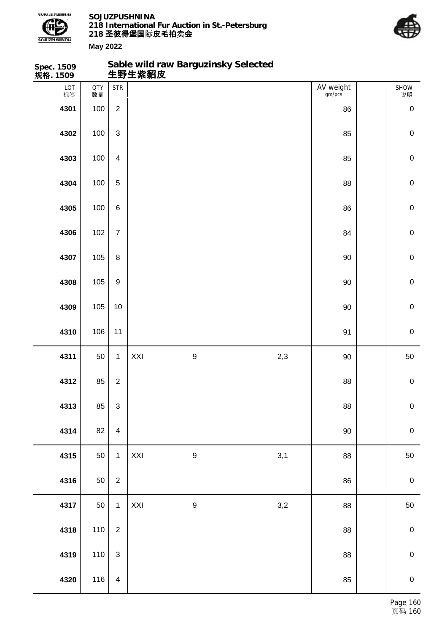

**Spec. 1509**

**SOJUZPUSHNINA 218 International Fur Auction in St.-Petersburg 218 圣彼得堡国际 卖 皮毛拍 会**

**Sable wild raw Barguzinsky Selected**



| 规格. 1509  |                  |                                    | 生野生紫貂皮 |                  |              |                     |             |
|-----------|------------------|------------------------------------|--------|------------------|--------------|---------------------|-------------|
| LOT<br>标签 | <b>QTY</b><br>数量 | $\ensuremath{\mathsf{STR}}\xspace$ |        |                  |              | AV weight<br>gm/pcs | SHOW<br>说明  |
| 4301      | 100              | $\overline{c}$                     |        |                  |              | 86                  | $\pmb{0}$   |
| 4302      | 100              | $\mathfrak{S}$                     |        |                  |              | 85                  | $\mathbf 0$ |
| 4303      | 100              | $\overline{\mathbf{4}}$            |        |                  |              | 85                  | $\mathbf 0$ |
| 4304      | 100              | $\mathbf 5$                        |        |                  |              | 88                  | $\mathbf 0$ |
| 4305      | 100              | $\,6\,$                            |        |                  |              | 86                  | $\mathbf 0$ |
| 4306      | 102              | $\overline{7}$                     |        |                  |              | 84                  | $\mathbf 0$ |
| 4307      | 105              | $\bf 8$                            |        |                  |              | 90                  | $\mathbf 0$ |
| 4308      | 105              | $\boldsymbol{9}$                   |        |                  |              | 90                  | $\mathbf 0$ |
| 4309      | 105              | 10                                 |        |                  |              | 90                  | $\mathbf 0$ |
| 4310      | 106              | 11                                 |        |                  |              | 91                  | $\mathbf 0$ |
| 4311      | 50               | $\mathbf 1$                        | XXI    | $\boldsymbol{9}$ | 2,3          | 90                  | 50          |
| 4312      | 85               | $\overline{c}$                     |        |                  |              | 88                  | $\mathbf 0$ |
| 4313      | 85               | $\ensuremath{\mathsf{3}}$          |        |                  |              | ${\bf 88}$          | $\mathbf 0$ |
| 4314      | 82               | $\overline{4}$                     |        |                  |              | $90\,$              | $\mathbf 0$ |
| 4315      | 50               | $\mathbf{1}$                       | XXI    | $\boldsymbol{9}$ | 3,1          | 88                  | 50          |
| 4316      | 50               | $\overline{2}$                     |        |                  |              | 86                  | $\pmb{0}$   |
| 4317      | 50               | $\mathbf{1}$                       | XXI    | $\boldsymbol{9}$ | $_{\rm 3,2}$ | 88                  | 50          |
| 4318      | 110              | $\sqrt{2}$                         |        |                  |              | 88                  | $\mathbf 0$ |
| 4319      | 110              | $\mathsf 3$                        |        |                  |              | 88                  | $\mathbf 0$ |
| 4320      | 116              | $\overline{4}$                     |        |                  |              | 85                  | $\mathbf 0$ |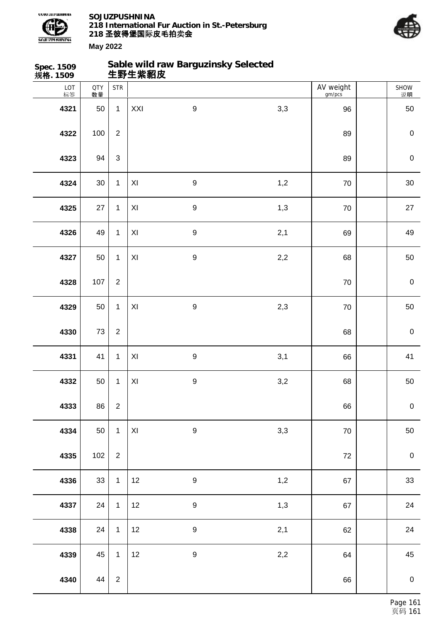



| Spec. 1509<br>规格. 1509 |                  |                                    | 生野生紫貂皮                  | Sable wild raw Barguzinsky Selected |       |                     |             |
|------------------------|------------------|------------------------------------|-------------------------|-------------------------------------|-------|---------------------|-------------|
| LOT<br>标签              | <b>QTY</b><br>数量 | $\ensuremath{\mathsf{STR}}\xspace$ |                         |                                     |       | AV weight<br>gm/pcs | SHOW<br>说明  |
| 4321                   | 50               | $\mathbf{1}$                       | XXI                     | $\boldsymbol{9}$                    | 3,3   | 96                  | 50          |
| 4322                   | 100              | $\boldsymbol{2}$                   |                         |                                     |       | 89                  | $\pmb{0}$   |
| 4323                   | 94               | $\mathfrak{S}$                     |                         |                                     |       | 89                  | $\pmb{0}$   |
| 4324                   | $30\,$           | $\mathbf{1}$                       | $\pmb{\mathsf{XI}}$     | $\boldsymbol{9}$                    | 1,2   | 70                  | $30\,$      |
| 4325                   | 27               | $\mathbf{1}$                       | $\pmb{\mathsf{XI}}$     | $\boldsymbol{9}$                    | 1,3   | $70\,$              | 27          |
| 4326                   | 49               | $\mathbf 1$                        | $\pmb{\mathsf{XI}}$     | $\boldsymbol{9}$                    | 2,1   | 69                  | 49          |
| 4327                   | 50               | $\mathbf{1}$                       | $\mathsf{X} \mathsf{I}$ | $\boldsymbol{9}$                    | $2,2$ | 68                  | $50\,$      |
| 4328                   | 107              | $\overline{2}$                     |                         |                                     |       | 70                  | $\pmb{0}$   |
| 4329                   | 50               | $\mathbf{1}$                       | $\mathsf{X} \mathsf{I}$ | $\boldsymbol{9}$                    | 2,3   | $70\,$              | 50          |
| 4330                   | 73               | $\overline{2}$                     |                         |                                     |       | 68                  | $\pmb{0}$   |
| 4331                   | 41               | $\mathbf{1}$                       | $\pmb{\mathsf{X}}$      | $\boldsymbol{9}$                    | 3,1   | 66                  | 41          |
| 4332                   | 50               | $\mathbf{1}$                       | $\pmb{\times}$          | $\boldsymbol{9}$                    | 3,2   | 68                  | $50\,$      |
| 4333                   | 86               | $\overline{2}$                     |                         |                                     |       | 66                  | $\mathbf 0$ |
| 4334                   | 50               | $\mathbf{1}$                       | $\mathsf{X} \mathsf{I}$ | $\boldsymbol{9}$                    | 3,3   | 70                  | 50          |
| 4335                   | 102              | $\overline{2}$                     |                         |                                     |       | $72\,$              | $\mathbf 0$ |
| 4336                   | 33               | $\mathbf{1}$                       | 12                      | $\boldsymbol{9}$                    | 1,2   | 67                  | 33          |
| 4337                   | 24               | $\mathbf{1}$                       | 12                      | $\boldsymbol{9}$                    | 1,3   | 67                  | 24          |
| 4338                   | 24               | $\mathbf{1}$                       | 12                      | $\boldsymbol{9}$                    | 2,1   | 62                  | 24          |
| 4339                   | 45               | $\mathbf{1}$                       | 12                      | $\boldsymbol{9}$                    | 2,2   | 64                  | 45          |
| 4340                   | 44               | $\overline{2}$                     |                         |                                     |       | 66                  | $\mathbf 0$ |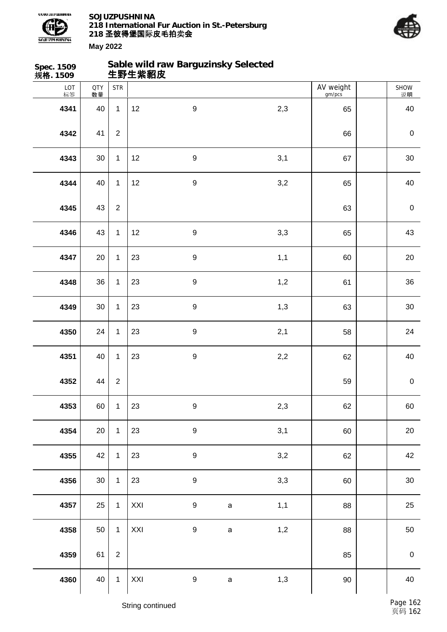

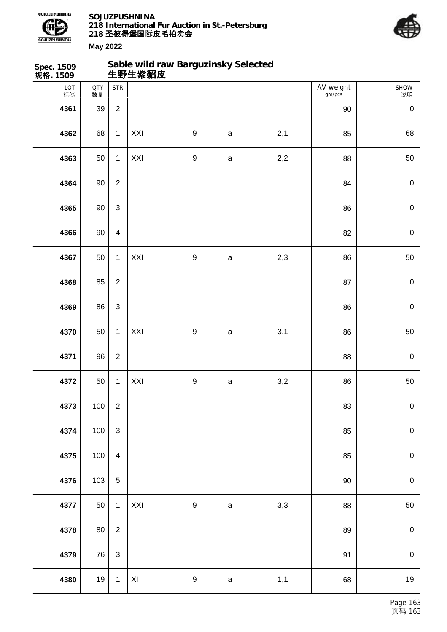

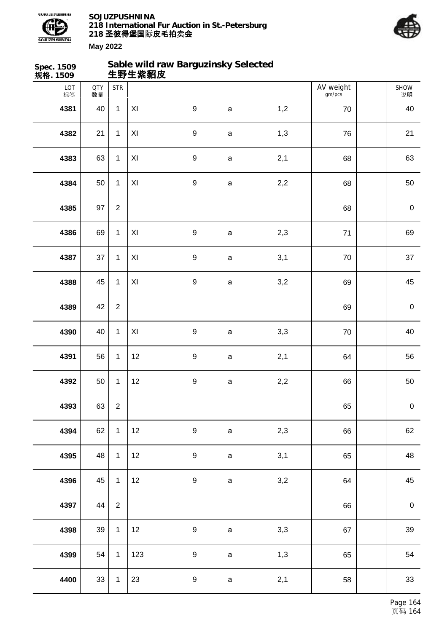



| Spec. 1509<br>规格. 1509 |                  |                | 生野生紫貂皮              | Sable wild raw Barguzinsky Selected |              |     |                     |                  |
|------------------------|------------------|----------------|---------------------|-------------------------------------|--------------|-----|---------------------|------------------|
| LOT<br>标签              | <b>QTY</b><br>数量 | <b>STR</b>     |                     |                                     |              |     | AV weight<br>gm/pcs | SHOW<br>说明       |
| 4381                   | 40               | $\mathbf{1}$   | $\pmb{\mathsf{XI}}$ | $\boldsymbol{9}$                    | $\mathsf a$  | 1,2 | 70                  | 40               |
| 4382                   | 21               | $\mathbf 1$    | XI                  | $\boldsymbol{9}$                    | $\mathsf{a}$ | 1,3 | 76                  | 21               |
| 4383                   | 63               | $\mathbf 1$    | $\pmb{\mathsf{XI}}$ | $\boldsymbol{9}$                    | $\mathsf a$  | 2,1 | 68                  | 63               |
| 4384                   | 50               | $\mathbf 1$    | XI                  | $\boldsymbol{9}$                    | $\mathsf a$  | 2,2 | 68                  | 50               |
| 4385                   | 97               | $\overline{c}$ |                     |                                     |              |     | 68                  | $\pmb{0}$        |
| 4386                   | 69               | $\mathbf 1$    | $\pmb{\times}$      | $\boldsymbol{9}$                    | $\mathsf{a}$ | 2,3 | 71                  | 69               |
| 4387                   | 37               | $\mathbf 1$    | $\pmb{\mathsf{XI}}$ | $\boldsymbol{9}$                    | $\mathsf a$  | 3,1 | 70                  | 37               |
| 4388                   | 45               | $\mathbf 1$    | XI                  | $\boldsymbol{9}$                    | $\mathsf a$  | 3,2 | 69                  | 45               |
| 4389                   | 42               | $\overline{c}$ |                     |                                     |              |     | 69                  | $\mathbf 0$      |
| 4390                   | 40               | $\mathbf 1$    | $\pmb{\times}$      | $\boldsymbol{9}$                    | $\mathsf{a}$ | 3,3 | 70                  | 40               |
| 4391                   | 56               | $\mathbf 1$    | 12                  | $\boldsymbol{9}$                    | $\mathsf a$  | 2,1 | 64                  | 56               |
| 4392                   | 50               | 1              | 12                  | $\boldsymbol{9}$                    | a            | 2,2 | 66                  | $50\,$           |
| 4393                   | 63               | $\overline{2}$ |                     |                                     |              |     | 65                  | $\pmb{0}$        |
| 4394                   | 62               | $\mathbf 1$    | 12                  | $\boldsymbol{9}$                    | $\mathsf a$  | 2,3 | 66                  | 62               |
| 4395                   | 48               | $\mathbf{1}$   | 12                  | $\boldsymbol{9}$                    | $\mathsf a$  | 3,1 | 65                  | 48               |
| 4396                   | 45               | 1              | 12                  | $\boldsymbol{9}$                    | $\mathsf a$  | 3,2 | 64                  | 45               |
| 4397                   | 44               | $\overline{2}$ |                     |                                     |              |     | 66                  | $\boldsymbol{0}$ |
| 4398                   | 39               | $\mathbf 1$    | 12                  | $\boldsymbol{9}$                    | $\mathsf a$  | 3,3 | 67                  | 39               |
| 4399                   | 54               | $\mathbf 1$    | 123                 | $\boldsymbol{9}$                    | $\mathsf a$  | 1,3 | 65                  | 54               |
| 4400                   | 33               | $\mathbf 1$    | 23                  | $\boldsymbol{9}$                    | $\mathsf a$  | 2,1 | 58                  | 33               |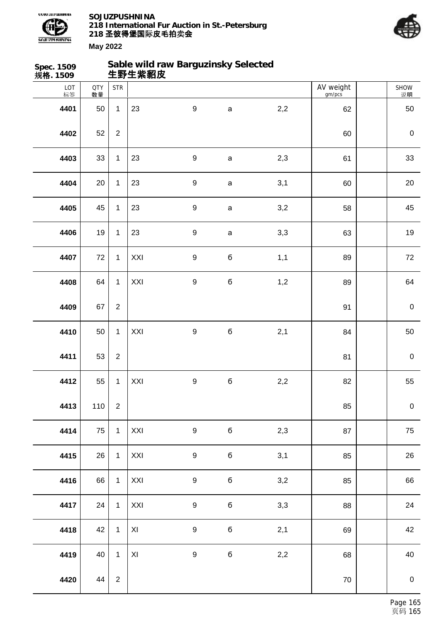



| Spec. 1509<br>规格. 1509 |                  |                | 生野生紫貂皮        | Sable wild raw Barguzinsky Selected |              |     |                     |                  |
|------------------------|------------------|----------------|---------------|-------------------------------------|--------------|-----|---------------------|------------------|
| LOT<br>标签              | <b>QTY</b><br>数量 | <b>STR</b>     |               |                                     |              |     | AV weight<br>gm/pcs | SHOW<br>说明       |
| 4401                   | 50               | $\mathbf{1}$   | 23            | $\boldsymbol{9}$                    | $\mathsf a$  | 2,2 | 62                  | 50               |
| 4402                   | 52               | $\overline{2}$ |               |                                     |              |     | 60                  | $\pmb{0}$        |
| 4403                   | 33               | $\mathbf{1}$   | 23            | $\boldsymbol{9}$                    | $\mathsf a$  | 2,3 | 61                  | 33               |
| 4404                   | 20               | $\mathbf{1}$   | 23            | $\boldsymbol{9}$                    | $\mathsf a$  | 3,1 | 60                  | $20\,$           |
| 4405                   | 45               | $\mathbf{1}$   | 23            | $\boldsymbol{9}$                    | $\mathsf{a}$ | 3,2 | 58                  | 45               |
| 4406                   | 19               | $\mathbf{1}$   | 23            | $\boldsymbol{9}$                    | $\mathsf a$  | 3,3 | 63                  | 19               |
| 4407                   | 72               | $\mathbf{1}$   | XXI           | $\boldsymbol{9}$                    | $\bf 6$      | 1,1 | 89                  | 72               |
| 4408                   | 64               | $\mathbf{1}$   | XXI           | $\boldsymbol{9}$                    | $\mathbf 6$  | 1,2 | 89                  | 64               |
| 4409                   | 67               | $\overline{2}$ |               |                                     |              |     | 91                  | $\mathbf 0$      |
| 4410                   | 50               | $\mathbf{1}$   | XXI           | $\boldsymbol{9}$                    | $\mathbf 6$  | 2,1 | 84                  | 50               |
| 4411                   | 53               | $\overline{2}$ |               |                                     |              |     | 81                  | $\pmb{0}$        |
| 4412                   | 55               | $\mathbf{1}$   | XXI           | $\boldsymbol{9}$                    | $\mathbf 6$  | 2,2 | 82                  | 55               |
| 4413                   | 110              | $\overline{2}$ |               |                                     |              |     | 85                  | $\pmb{0}$        |
| 4414                   | 75               | $\mathbf{1}$   | XXI           | $\boldsymbol{9}$                    | $\mathbf 6$  | 2,3 | 87                  | 75               |
| 4415                   | 26               | $\mathbf{1}$   | XXI           | $\boldsymbol{9}$                    | $\mathbf 6$  | 3,1 | 85                  | 26               |
| 4416                   | 66               | $\mathbf{1}$   | XXI           | $\boldsymbol{9}$                    | $\mathbf 6$  | 3,2 | 85                  | 66               |
| 4417                   | 24               | $\mathbf{1}$   | XXI           | $\boldsymbol{9}$                    | б            | 3,3 | 88                  | 24               |
| 4418                   | 42               | $\mathbf{1}$   | XI            | $\boldsymbol{9}$                    | б            | 2,1 | 69                  | 42               |
| 4419                   | 40               | $\mathbf{1}$   | $\mathsf{XI}$ | $\boldsymbol{9}$                    | $\mathbf 6$  | 2,2 | 68                  | 40               |
| 4420                   | 44               | $\overline{2}$ |               |                                     |              |     | $70\,$              | $\boldsymbol{0}$ |
|                        |                  |                |               |                                     |              |     |                     |                  |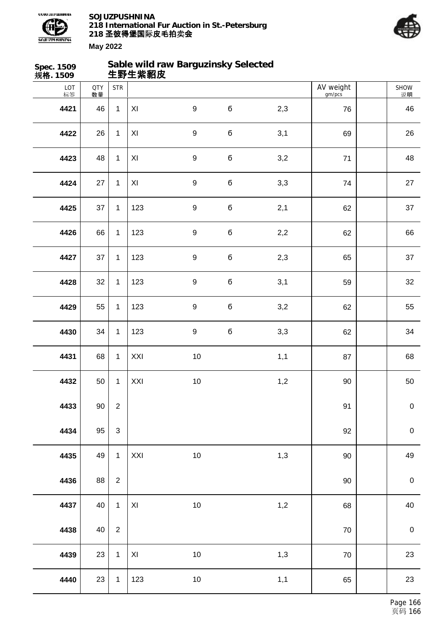



| Spec. 1509<br>规格. 1509 |                  |                | 生野生紫貂皮                  | Sable wild raw Barguzinsky Selected |             |     |                     |             |
|------------------------|------------------|----------------|-------------------------|-------------------------------------|-------------|-----|---------------------|-------------|
| LOT<br>标签              | <b>QTY</b><br>数量 | <b>STR</b>     |                         |                                     |             |     | AV weight<br>gm/pcs | SHOW<br>说明  |
| 4421                   | 46               | $\mathbf{1}$   | XI                      | $\boldsymbol{9}$                    | $\mathbf 6$ | 2,3 | 76                  | 46          |
| 4422                   | 26               | $\mathbf{1}$   | XI                      | $\boldsymbol{9}$                    | $\mathbf 6$ | 3,1 | 69                  | 26          |
| 4423                   | 48               | $\mathbf{1}$   | XI                      | $\boldsymbol{9}$                    | б           | 3,2 | 71                  | 48          |
| 4424                   | 27               | $\mathbf{1}$   | XI                      | $\boldsymbol{9}$                    | б           | 3,3 | 74                  | 27          |
| 4425                   | 37               | $\mathbf{1}$   | 123                     | $\boldsymbol{9}$                    | $\mathbf 6$ | 2,1 | 62                  | 37          |
| 4426                   | 66               | $\mathbf{1}$   | 123                     | $\boldsymbol{9}$                    | б           | 2,2 | 62                  | 66          |
| 4427                   | 37               | $\mathbf{1}$   | 123                     | $\boldsymbol{9}$                    | $\mathbf 6$ | 2,3 | 65                  | 37          |
| 4428                   | 32               | $\mathbf{1}$   | 123                     | $\boldsymbol{9}$                    | б           | 3,1 | 59                  | 32          |
| 4429                   | 55               | $\mathbf{1}$   | 123                     | $\boldsymbol{9}$                    | б           | 3,2 | 62                  | 55          |
| 4430                   | 34               | $\mathbf{1}$   | 123                     | $\boldsymbol{9}$                    | б           | 3,3 | 62                  | 34          |
| 4431                   | 68               | $\mathbf{1}$   | XXI                     | $10$                                |             | 1,1 | 87                  | 68          |
| 4432                   | 50               | $\mathbf{1}$   | XXI                     | $10$                                |             | 1,2 | $90\,$              | $50\,$      |
| 4433                   | $90\,$           | $\overline{2}$ |                         |                                     |             |     | 91                  | $\pmb{0}$   |
| 4434                   | 95               | 3              |                         |                                     |             |     | 92                  | $\mathbf 0$ |
| 4435                   | 49               | $\mathbf{1}$   | XXI                     | $10$                                |             | 1,3 | $90\,$              | 49          |
| 4436                   | 88               | $\overline{2}$ |                         |                                     |             |     | 90                  | $\mathbf 0$ |
| 4437                   | 40               | $\mathbf{1}$   | $\mathsf{X} \mathsf{I}$ | 10                                  |             | 1,2 | 68                  | 40          |
| 4438                   | 40               | $\overline{2}$ |                         |                                     |             |     | $70\,$              | $\mathbf 0$ |
| 4439                   | 23               | $\mathbf{1}$   | XI                      | $10\,$                              |             | 1,3 | $70\,$              | 23          |
| 4440                   | 23               | $\mathbf{1}$   | 123                     | $10\,$                              |             | 1,1 | 65                  | 23          |
|                        |                  |                |                         |                                     |             |     |                     |             |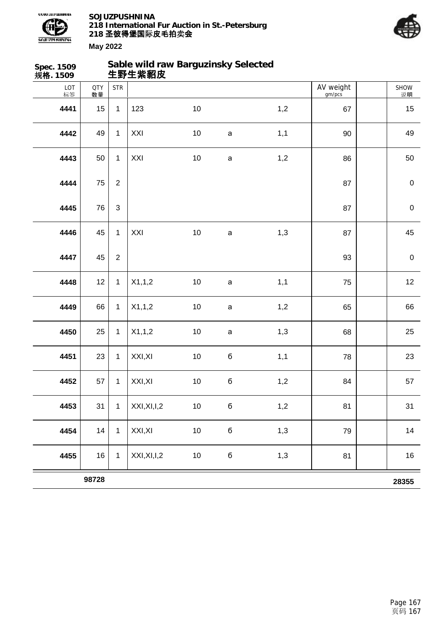



| Spec. 1509<br>规格. 1509 |                  |                | Sable wild raw Barguzinsky Selected<br>生野生紫貂皮 |        |              |     |                     |                  |
|------------------------|------------------|----------------|-----------------------------------------------|--------|--------------|-----|---------------------|------------------|
| LOT<br>标签              | <b>QTY</b><br>数量 | <b>STR</b>     |                                               |        |              |     | AV weight<br>gm/pcs | SHOW<br>说明       |
| 4441                   | 15               | $\mathbf{1}$   | 123                                           | 10     |              | 1,2 | 67                  | 15               |
| 4442                   | 49               | $\mathbf 1$    | XXI                                           | $10$   | $\mathsf a$  | 1,1 | 90                  | 49               |
| 4443                   | 50               | $\mathbf{1}$   | XXI                                           | $10$   | $\mathsf a$  | 1,2 | 86                  | 50               |
| 4444                   | 75               | $\overline{2}$ |                                               |        |              |     | 87                  | $\pmb{0}$        |
| 4445                   | 76               | 3              |                                               |        |              |     | 87                  | $\mathbf 0$      |
| 4446                   | 45               | $\mathbf 1$    | XXI                                           | $10$   | $\mathsf{a}$ | 1,3 | 87                  | 45               |
| 4447                   | 45               | $\overline{c}$ |                                               |        |              |     | 93                  | $\boldsymbol{0}$ |
| 4448                   | 12               | $\mathbf 1$    | X1,1,2                                        | $10$   | $\mathsf a$  | 1,1 | 75                  | 12               |
| 4449                   | 66               | $\mathbf{1}$   | X1,1,2                                        | $10$   | $\mathsf a$  | 1,2 | 65                  | 66               |
| 4450                   | 25               | $\mathbf 1$    | X1,1,2                                        | $10$   | $\mathsf a$  | 1,3 | 68                  | 25               |
| 4451                   | 23               | $\mathbf 1$    | XXI, XI                                       | $10$   | $\mathbf 6$  | 1,1 | 78                  | 23               |
| 4452                   | 57               | $\mathbf 1$    | XXI, XI                                       | $10$   | б            | 1,2 | 84                  | 57               |
| 4453                   | 31               | $\mathbf 1$    | XXI, XI, I, 2                                 | $10\,$ | б            | 1,2 | 81                  | 31               |
| 4454                   | 14               | $\mathbf{1}$   | XXI, XI                                       | $10\,$ | б            | 1,3 | 79                  | 14               |
| 4455                   | 16               | $\mathbf 1$    | XXI, XI, I, 2                                 | $10\,$ | $\bf 6$      | 1,3 | 81                  | 16               |
|                        | 98728            |                |                                               |        |              |     |                     | 28355            |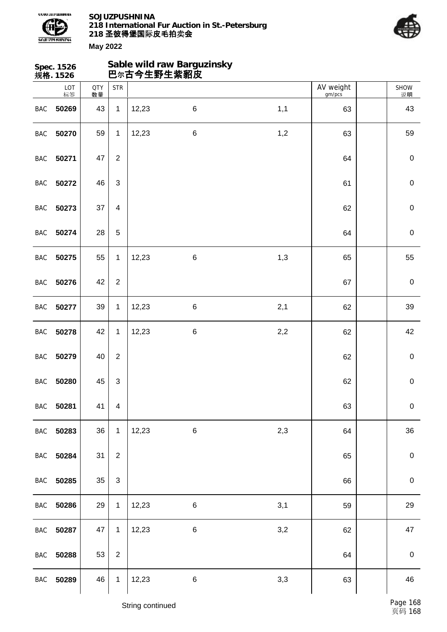



|            | Spec. 1526<br>规格. 1526 |                  |                         |       | Sable wild raw Barguzinsky<br>巴尔古今生野生紫貂皮 |     |                     |                   |
|------------|------------------------|------------------|-------------------------|-------|------------------------------------------|-----|---------------------|-------------------|
|            | LOT<br>标签              | <b>QTY</b><br>数量 | <b>STR</b>              |       |                                          |     | AV weight<br>gm/pcs | <b>SHOW</b><br>说明 |
| <b>BAC</b> | 50269                  | 43               | $\mathbf 1$             | 12,23 | $\,6$                                    | 1,1 | 63                  | 43                |
| <b>BAC</b> | 50270                  | 59               | $\mathbf{1}$            | 12,23 | $\,6$                                    | 1,2 | 63                  | 59                |
| <b>BAC</b> | 50271                  | 47               | $\overline{c}$          |       |                                          |     | 64                  | $\pmb{0}$         |
| <b>BAC</b> | 50272                  | 46               | 3                       |       |                                          |     | 61                  | $\pmb{0}$         |
| <b>BAC</b> | 50273                  | 37               | $\overline{\mathbf{4}}$ |       |                                          |     | 62                  | $\pmb{0}$         |
| <b>BAC</b> | 50274                  | 28               | 5                       |       |                                          |     | 64                  | $\pmb{0}$         |
| <b>BAC</b> | 50275                  | 55               | $\mathbf{1}$            | 12,23 | $\,6$                                    | 1,3 | 65                  | 55                |
| BAC        | 50276                  | 42               | $\overline{c}$          |       |                                          |     | 67                  | $\pmb{0}$         |
| <b>BAC</b> | 50277                  | 39               | 1                       | 12,23 | $\,6$                                    | 2,1 | 62                  | 39                |
| <b>BAC</b> | 50278                  | 42               | 1                       | 12,23 | $\,6$                                    | 2,2 | 62                  | 42                |
| <b>BAC</b> | 50279                  | 40               | $\overline{2}$          |       |                                          |     | 62                  | $\pmb{0}$         |
| <b>BAC</b> | 50280                  | 45               | 3                       |       |                                          |     | 62                  | $\pmb{0}$         |
|            | BAC 50281              | 41               | $\overline{\mathbf{4}}$ |       |                                          |     | 63                  | $\pmb{0}$         |
|            | BAC 50283              | 36               | $\mathbf{1}$            | 12,23 | $\,6\,$                                  | 2,3 | 64                  | 36                |
|            | BAC 50284              | 31               | $\overline{2}$          |       |                                          |     | 65                  | $\,0\,$           |
| BAC        | 50285                  | 35               | 3                       |       |                                          |     | 66                  | $\mathbf 0$       |
|            | BAC 50286              | 29               | $\mathbf{1}$            | 12,23 | $\,6$                                    | 3,1 | 59                  | 29                |
|            | BAC 50287              | 47               | $\mathbf{1}$            | 12,23 | $\,6$                                    | 3,2 | 62                  | 47                |
| <b>BAC</b> | 50288                  | 53               | $\overline{2}$          |       |                                          |     | 64                  | $\,0\,$           |
| BAC        | 50289                  | 46               | $\mathbf{1}$            | 12,23 | $\,6\,$                                  | 3,3 | 63                  | 46                |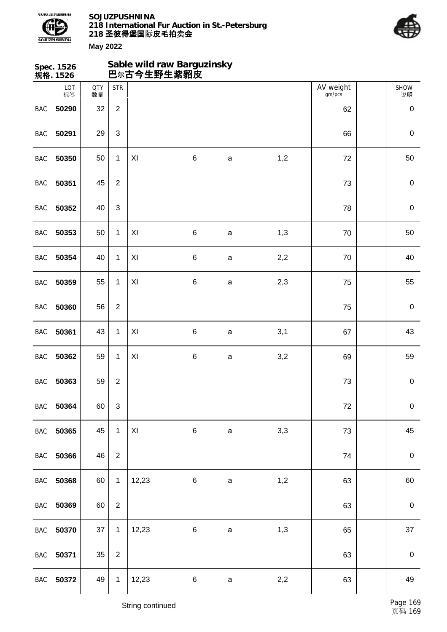



|            | Spec. 1526<br>规格. 1526 |                  |                | 巴尔古今生野生紫貂皮 | Sable wild raw Barguzinsky |              |     |                     |                   |
|------------|------------------------|------------------|----------------|------------|----------------------------|--------------|-----|---------------------|-------------------|
|            | LOT<br>标签              | <b>QTY</b><br>数量 | <b>STR</b>     |            |                            |              |     | AV weight<br>gm/pcs | <b>SHOW</b><br>说明 |
| <b>BAC</b> | 50290                  | 32               | $\overline{2}$ |            |                            |              |     | 62                  | $\pmb{0}$         |
| <b>BAC</b> | 50291                  | 29               | $\sqrt{3}$     |            |                            |              |     | 66                  | $\pmb{0}$         |
| <b>BAC</b> | 50350                  | 50               | $\mathbf{1}$   | XI         | $\,6$                      | $\mathsf{a}$ | 1,2 | 72                  | 50                |
| BAC        | 50351                  | 45               | $\overline{2}$ |            |                            |              |     | 73                  | $\pmb{0}$         |
| <b>BAC</b> | 50352                  | 40               | $\mathfrak{S}$ |            |                            |              |     | 78                  | $\pmb{0}$         |
| BAC        | 50353                  | 50               | $\mathbf{1}$   | XI         | $\,6$                      | $\mathsf{a}$ | 1,3 | 70                  | 50                |
| BAC        | 50354                  | 40               | $\mathbf{1}$   | XI         | $\,6$                      | $\mathsf{a}$ | 2,2 | 70                  | 40                |
| BAC        | 50359                  | 55               | $\mathbf{1}$   | XI         | $\,6$                      | $\mathsf{a}$ | 2,3 | 75                  | 55                |
| <b>BAC</b> | 50360                  | 56               | $\overline{2}$ |            |                            |              |     | 75                  | $\pmb{0}$         |
| <b>BAC</b> | 50361                  | 43               | 1              | XI         | $\,6$                      | $\mathsf{a}$ | 3,1 | 67                  | 43                |
| <b>BAC</b> | 50362                  | 59               | $\mathbf{1}$   | XI         | $\,6$                      | a            | 3,2 | 69                  | 59                |
| <b>BAC</b> | 50363                  | 59               | $\overline{c}$ |            |                            |              |     | 73                  | $\pmb{0}$         |
| <b>BAC</b> | 50364                  | 60               | $\sqrt{3}$     |            |                            |              |     | $72\,$              | $\pmb{0}$         |
| <b>BAC</b> | 50365                  | 45               | $\mathbf{1}$   | XI         | $\,6\,$                    | $\mathbf{a}$ | 3,3 | 73                  | 45                |
| <b>BAC</b> | 50366                  | 46               | $\overline{2}$ |            |                            |              |     | 74                  | $\pmb{0}$         |
| BAC        | 50368                  | 60               | $\mathbf{1}$   | 12,23      | $6\phantom{.}$             | $\mathsf a$  | 1,2 | 63                  | 60                |
| <b>BAC</b> | 50369                  | 60               | $\overline{2}$ |            |                            |              |     | 63                  | $\boldsymbol{0}$  |
| <b>BAC</b> | 50370                  | 37               | $\mathbf{1}$   | 12,23      | 6                          | $\mathbf{a}$ | 1,3 | 65                  | 37                |
| <b>BAC</b> | 50371                  | 35               | $\overline{2}$ |            |                            |              |     | 63                  | $\pmb{0}$         |
| <b>BAC</b> | 50372                  | 49               | $\mathbf{1}$   | 12,23      | $\,6\,$                    | $\mathsf a$  | 2,2 | 63                  | 49                |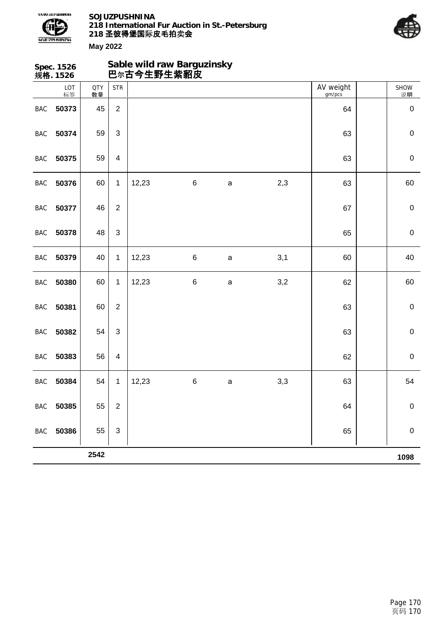



| Sable wild raw Barguzinsky<br>Spec. 1526<br>巴尔古今生野生紫貂皮<br>规格. 1526 |           |                  |                           |       |       |              |     |                     |                   |
|--------------------------------------------------------------------|-----------|------------------|---------------------------|-------|-------|--------------|-----|---------------------|-------------------|
|                                                                    | LOT<br>标签 | <b>QTY</b><br>数量 | <b>STR</b>                |       |       |              |     | AV weight<br>gm/pcs | <b>SHOW</b><br>说明 |
| BAC                                                                | 50373     | 45               | $\overline{2}$            |       |       |              |     | 64                  | $\pmb{0}$         |
| BAC                                                                | 50374     | 59               | $\ensuremath{\mathsf{3}}$ |       |       |              |     | 63                  | $\pmb{0}$         |
| BAC                                                                | 50375     | 59               | $\overline{\mathbf{4}}$   |       |       |              |     | 63                  | $\pmb{0}$         |
| <b>BAC</b>                                                         | 50376     | 60               | $\mathbf{1}$              | 12,23 | $\,6$ | $\mathsf{a}$ | 2,3 | 63                  | 60                |
| BAC                                                                | 50377     | 46               | $\overline{2}$            |       |       |              |     | 67                  | $\pmb{0}$         |
| <b>BAC</b>                                                         | 50378     | 48               | $\mathbf{3}$              |       |       |              |     | 65                  | $\pmb{0}$         |
| BAC                                                                | 50379     | 40               | 1                         | 12,23 | $\,6$ | $\mathsf{a}$ | 3,1 | 60                  | 40                |
| <b>BAC</b>                                                         | 50380     | 60               | $\mathbf{1}$              | 12,23 | $\,6$ | $\mathsf{a}$ | 3,2 | 62                  | 60                |
| BAC                                                                | 50381     | 60               | $\overline{2}$            |       |       |              |     | 63                  | $\pmb{0}$         |
| BAC                                                                | 50382     | 54               | 3                         |       |       |              |     | 63                  | $\pmb{0}$         |
| BAC                                                                | 50383     | 56               | $\overline{\mathbf{4}}$   |       |       |              |     | 62                  | $\pmb{0}$         |
| BAC                                                                | 50384     | 54               | 1                         | 12,23 | $\,6$ | $\mathsf a$  | 3,3 | 63                  | 54                |
| BAC                                                                | 50385     | 55               | $\sqrt{2}$                |       |       |              |     | 64                  | $\pmb{0}$         |
| BAC                                                                | 50386     | 55               | $\ensuremath{\mathsf{3}}$ |       |       |              |     | 65                  | $\pmb{0}$         |
|                                                                    |           | 2542             |                           |       |       |              |     |                     | 1098              |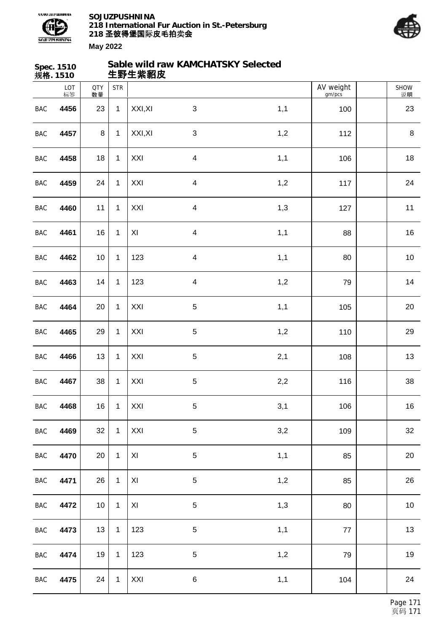

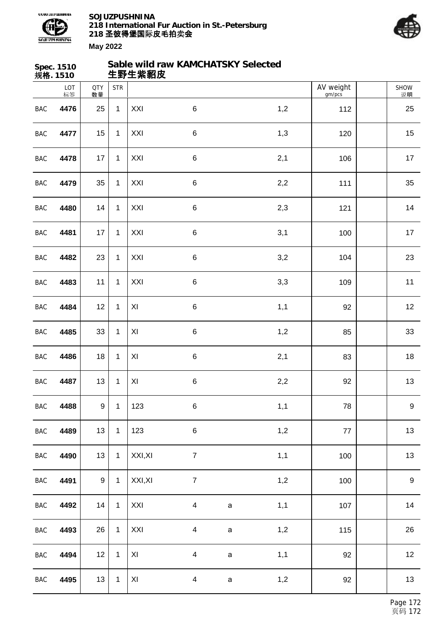



| AV weight<br>LOT<br><b>STR</b><br><b>QTY</b><br><b>SHOW</b><br>标签<br>gm/pcs<br>说明<br>数量<br>$\mathbf{1}$<br>XXI<br>$\,6$<br>1,2<br><b>BAC</b><br>4476<br>112<br>25<br>25<br>$\,6$<br>1,3<br>15<br>XXI<br>15<br>4477<br>$\mathbf{1}$<br>120<br><b>BAC</b><br>XXI<br>2,1<br>$\mathbf{1}$<br>$\,6$<br>17<br>106<br>17<br>BAC<br>4478<br>$\,6\,$<br>2,2<br>35<br>$\mathbf{1}$<br>XXI<br>35<br><b>BAC</b><br>4479<br>111<br>14<br>$\mathbf{1}$<br>XXI<br>$\,6$<br>14<br><b>BAC</b><br>2,3<br>121<br>4480<br>3,1<br>XXI<br>$\,6$<br>17<br>4481<br>17<br>$\mathbf{1}$<br><b>BAC</b><br>100<br>XXI<br>3,2<br>$\mathbf{1}$<br>$\,6$<br>23<br>23<br>104<br>BAC<br>4482<br>XXI<br>$\,6\,$<br>3,3<br>11<br>$\mathbf{1}$<br>11<br><b>BAC</b><br>4483<br>109<br>12<br>$\mathbf{1}$<br>XI<br>$\,6$<br>1,1<br>12<br><b>BAC</b><br>4484<br>92<br>33<br>XI<br>$\,6$<br>1,2<br>33<br>$\mathbf{1}$<br>85<br><b>BAC</b><br>4485<br>XI<br>2,1<br>18<br>$\mathbf{1}$<br>$\,6$<br>18<br>83<br>BAC<br>4486<br>2,2<br>13<br>XI<br>$\,6$<br>13<br>4487<br>1<br>92<br><b>BAC</b><br>4488<br>9<br>1,1<br>$\boldsymbol{9}$<br>$\mathbf{1}$<br>123<br>$\,6$<br>$\mathsf{BAC}$<br>78<br>123<br>$\,6\,$<br>1,2<br>13<br>BAC<br>4489<br>13<br>$\mathbf{1}$<br>77<br>13<br>XXI, XI<br>$\overline{7}$<br>1,1<br>BAC<br>$\overline{1}$<br>13<br>4490<br>100<br>$9\,$<br>XXI, XI<br>$\boldsymbol{7}$<br>1,2<br>$\boldsymbol{9}$<br>BAC<br>4491<br>100<br>$\mathbf{1}$<br>1,1<br>XXI<br>BAC<br>4492<br>14<br>$\mathbf 1$<br>$\overline{4}$<br>14<br>107<br>$\mathsf a$<br>1,2<br>26<br>BAC<br>4493<br>26<br>XXI<br>$\overline{\mathbf{4}}$<br>$\mathbf{1}$<br>115<br>$\mathsf a$<br>BAC<br>12<br>$\mathbf{1}$<br>XI<br>$\overline{\mathbf{4}}$<br>1,1<br>12<br>4494<br>92<br>$\mathsf a$<br>13<br>BAC<br>13<br>XI<br>$\overline{\mathbf{4}}$<br>1,2<br>92<br>4495<br>$\mathbf{1}$<br>$\mathsf a$ | Spec. 1510<br>规格. 1510 |  | 生野生紫貂皮 | Sable wild raw KAMCHATSKY Selected |  |  |  |
|----------------------------------------------------------------------------------------------------------------------------------------------------------------------------------------------------------------------------------------------------------------------------------------------------------------------------------------------------------------------------------------------------------------------------------------------------------------------------------------------------------------------------------------------------------------------------------------------------------------------------------------------------------------------------------------------------------------------------------------------------------------------------------------------------------------------------------------------------------------------------------------------------------------------------------------------------------------------------------------------------------------------------------------------------------------------------------------------------------------------------------------------------------------------------------------------------------------------------------------------------------------------------------------------------------------------------------------------------------------------------------------------------------------------------------------------------------------------------------------------------------------------------------------------------------------------------------------------------------------------------------------------------------------------------------------------------------------------------------------------------------------------------------------------------------------------------------------------------------|------------------------|--|--------|------------------------------------|--|--|--|
|                                                                                                                                                                                                                                                                                                                                                                                                                                                                                                                                                                                                                                                                                                                                                                                                                                                                                                                                                                                                                                                                                                                                                                                                                                                                                                                                                                                                                                                                                                                                                                                                                                                                                                                                                                                                                                                          |                        |  |        |                                    |  |  |  |
|                                                                                                                                                                                                                                                                                                                                                                                                                                                                                                                                                                                                                                                                                                                                                                                                                                                                                                                                                                                                                                                                                                                                                                                                                                                                                                                                                                                                                                                                                                                                                                                                                                                                                                                                                                                                                                                          |                        |  |        |                                    |  |  |  |
|                                                                                                                                                                                                                                                                                                                                                                                                                                                                                                                                                                                                                                                                                                                                                                                                                                                                                                                                                                                                                                                                                                                                                                                                                                                                                                                                                                                                                                                                                                                                                                                                                                                                                                                                                                                                                                                          |                        |  |        |                                    |  |  |  |
|                                                                                                                                                                                                                                                                                                                                                                                                                                                                                                                                                                                                                                                                                                                                                                                                                                                                                                                                                                                                                                                                                                                                                                                                                                                                                                                                                                                                                                                                                                                                                                                                                                                                                                                                                                                                                                                          |                        |  |        |                                    |  |  |  |
|                                                                                                                                                                                                                                                                                                                                                                                                                                                                                                                                                                                                                                                                                                                                                                                                                                                                                                                                                                                                                                                                                                                                                                                                                                                                                                                                                                                                                                                                                                                                                                                                                                                                                                                                                                                                                                                          |                        |  |        |                                    |  |  |  |
|                                                                                                                                                                                                                                                                                                                                                                                                                                                                                                                                                                                                                                                                                                                                                                                                                                                                                                                                                                                                                                                                                                                                                                                                                                                                                                                                                                                                                                                                                                                                                                                                                                                                                                                                                                                                                                                          |                        |  |        |                                    |  |  |  |
|                                                                                                                                                                                                                                                                                                                                                                                                                                                                                                                                                                                                                                                                                                                                                                                                                                                                                                                                                                                                                                                                                                                                                                                                                                                                                                                                                                                                                                                                                                                                                                                                                                                                                                                                                                                                                                                          |                        |  |        |                                    |  |  |  |
|                                                                                                                                                                                                                                                                                                                                                                                                                                                                                                                                                                                                                                                                                                                                                                                                                                                                                                                                                                                                                                                                                                                                                                                                                                                                                                                                                                                                                                                                                                                                                                                                                                                                                                                                                                                                                                                          |                        |  |        |                                    |  |  |  |
|                                                                                                                                                                                                                                                                                                                                                                                                                                                                                                                                                                                                                                                                                                                                                                                                                                                                                                                                                                                                                                                                                                                                                                                                                                                                                                                                                                                                                                                                                                                                                                                                                                                                                                                                                                                                                                                          |                        |  |        |                                    |  |  |  |
|                                                                                                                                                                                                                                                                                                                                                                                                                                                                                                                                                                                                                                                                                                                                                                                                                                                                                                                                                                                                                                                                                                                                                                                                                                                                                                                                                                                                                                                                                                                                                                                                                                                                                                                                                                                                                                                          |                        |  |        |                                    |  |  |  |
|                                                                                                                                                                                                                                                                                                                                                                                                                                                                                                                                                                                                                                                                                                                                                                                                                                                                                                                                                                                                                                                                                                                                                                                                                                                                                                                                                                                                                                                                                                                                                                                                                                                                                                                                                                                                                                                          |                        |  |        |                                    |  |  |  |
|                                                                                                                                                                                                                                                                                                                                                                                                                                                                                                                                                                                                                                                                                                                                                                                                                                                                                                                                                                                                                                                                                                                                                                                                                                                                                                                                                                                                                                                                                                                                                                                                                                                                                                                                                                                                                                                          |                        |  |        |                                    |  |  |  |
|                                                                                                                                                                                                                                                                                                                                                                                                                                                                                                                                                                                                                                                                                                                                                                                                                                                                                                                                                                                                                                                                                                                                                                                                                                                                                                                                                                                                                                                                                                                                                                                                                                                                                                                                                                                                                                                          |                        |  |        |                                    |  |  |  |
|                                                                                                                                                                                                                                                                                                                                                                                                                                                                                                                                                                                                                                                                                                                                                                                                                                                                                                                                                                                                                                                                                                                                                                                                                                                                                                                                                                                                                                                                                                                                                                                                                                                                                                                                                                                                                                                          |                        |  |        |                                    |  |  |  |
|                                                                                                                                                                                                                                                                                                                                                                                                                                                                                                                                                                                                                                                                                                                                                                                                                                                                                                                                                                                                                                                                                                                                                                                                                                                                                                                                                                                                                                                                                                                                                                                                                                                                                                                                                                                                                                                          |                        |  |        |                                    |  |  |  |
|                                                                                                                                                                                                                                                                                                                                                                                                                                                                                                                                                                                                                                                                                                                                                                                                                                                                                                                                                                                                                                                                                                                                                                                                                                                                                                                                                                                                                                                                                                                                                                                                                                                                                                                                                                                                                                                          |                        |  |        |                                    |  |  |  |
|                                                                                                                                                                                                                                                                                                                                                                                                                                                                                                                                                                                                                                                                                                                                                                                                                                                                                                                                                                                                                                                                                                                                                                                                                                                                                                                                                                                                                                                                                                                                                                                                                                                                                                                                                                                                                                                          |                        |  |        |                                    |  |  |  |
|                                                                                                                                                                                                                                                                                                                                                                                                                                                                                                                                                                                                                                                                                                                                                                                                                                                                                                                                                                                                                                                                                                                                                                                                                                                                                                                                                                                                                                                                                                                                                                                                                                                                                                                                                                                                                                                          |                        |  |        |                                    |  |  |  |
|                                                                                                                                                                                                                                                                                                                                                                                                                                                                                                                                                                                                                                                                                                                                                                                                                                                                                                                                                                                                                                                                                                                                                                                                                                                                                                                                                                                                                                                                                                                                                                                                                                                                                                                                                                                                                                                          |                        |  |        |                                    |  |  |  |
|                                                                                                                                                                                                                                                                                                                                                                                                                                                                                                                                                                                                                                                                                                                                                                                                                                                                                                                                                                                                                                                                                                                                                                                                                                                                                                                                                                                                                                                                                                                                                                                                                                                                                                                                                                                                                                                          |                        |  |        |                                    |  |  |  |
|                                                                                                                                                                                                                                                                                                                                                                                                                                                                                                                                                                                                                                                                                                                                                                                                                                                                                                                                                                                                                                                                                                                                                                                                                                                                                                                                                                                                                                                                                                                                                                                                                                                                                                                                                                                                                                                          |                        |  |        |                                    |  |  |  |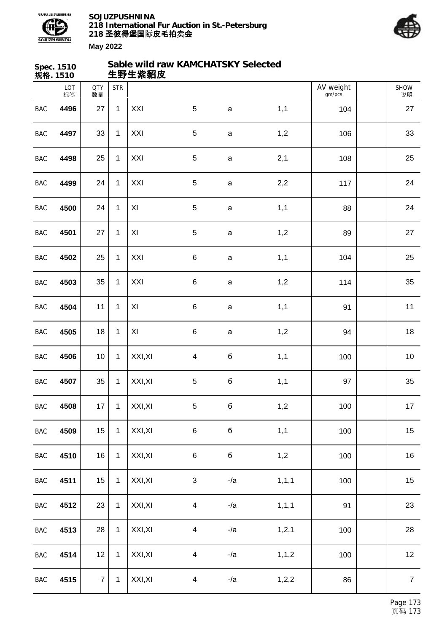



|            | Spec. 1510<br>规格. 1510 |                  |              | 生野生紫貂皮  | Sable wild raw KAMCHATSKY Selected |              |         |                     |                   |
|------------|------------------------|------------------|--------------|---------|------------------------------------|--------------|---------|---------------------|-------------------|
|            | LOT<br>标签              | <b>QTY</b><br>数量 | <b>STR</b>   |         |                                    |              |         | AV weight<br>gm/pcs | <b>SHOW</b><br>说明 |
| <b>BAC</b> | 4496                   | 27               | $\mathbf{1}$ | XXI     | $\sqrt{5}$                         | $\mathbf{a}$ | 1,1     | 104                 | 27                |
| <b>BAC</b> | 4497                   | 33               | $\mathbf{1}$ | XXI     | $\sqrt{5}$                         | $\mathsf a$  | 1,2     | 106                 | 33                |
| BAC        | 4498                   | 25               | $\mathbf{1}$ | XXI     | $\sqrt{5}$                         | $\mathsf a$  | 2,1     | 108                 | 25                |
| BAC        | 4499                   | 24               | $\mathbf{1}$ | XXI     | $\sqrt{5}$                         | a            | 2,2     | 117                 | 24                |
| <b>BAC</b> | 4500                   | 24               | $\mathbf{1}$ | XI      | $\sqrt{5}$                         | $\mathsf a$  | 1,1     | 88                  | 24                |
| <b>BAC</b> | 4501                   | 27               | $\mathbf{1}$ | XI      | $\sqrt{5}$                         | $\mathsf a$  | 1,2     | 89                  | 27                |
| BAC        | 4502                   | 25               | $\mathbf{1}$ | XXI     | $\,6$                              | $\mathsf a$  | 1,1     | 104                 | 25                |
| BAC        | 4503                   | 35               | $\mathbf{1}$ | XXI     | $\,6$                              | $\mathsf a$  | 1,2     | 114                 | 35                |
| <b>BAC</b> | 4504                   | 11               | $\mathbf 1$  | XI      | $\,6$                              | $\mathsf a$  | 1,1     | 91                  | 11                |
| BAC        | 4505                   | 18               | $\mathbf{1}$ | XI      | $\,6$                              | $\mathsf{a}$ | 1,2     | 94                  | 18                |
| <b>BAC</b> | 4506                   | 10 <sup>°</sup>  | $\mathbf{1}$ | XXI, XI | $\overline{\mathbf{4}}$            | б            | 1,1     | 100                 | 10                |
| BAC        | 4507                   | 35               | 1            | XXI, XI | $\sqrt{5}$                         | $\mathbf 6$  | 1,1     | 97                  | 35                |
| BAC        | 4508                   | $17 \mid$        | $\mathbf{1}$ | XXI, XI | $\sqrt{5}$                         | $\mathbf 6$  | 1,2     | 100                 | $17$              |
| BAC        | 4509                   | 15               | $\mathbf{1}$ | XXI, XI | $\,6$                              | б            | 1,1     | 100                 | 15                |
| BAC        | 4510                   | 16               | $\mathbf{1}$ | XXI, XI | $\,6$                              | $\mathbf 6$  | 1,2     | 100                 | 16                |
| BAC        | 4511                   | 15               | $\mathbf{1}$ | XXI, XI | $\ensuremath{\mathsf{3}}$          | $-la$        | 1, 1, 1 | 100                 | 15                |
| BAC        | 4512                   | 23               | $\mathbf{1}$ | XXI, XI | $\overline{\mathbf{4}}$            | $-la$        | 1, 1, 1 | 91                  | 23                |
| BAC        | 4513                   | 28               | $\mathbf{1}$ | XXI, XI | $\overline{\mathbf{4}}$            | $-la$        | 1, 2, 1 | 100                 | 28                |
| BAC        | 4514                   | 12               | $\mathbf{1}$ | XXI, XI | $\overline{\mathbf{4}}$            | $-la$        | 1, 1, 2 | 100                 | 12                |
| BAC        | 4515                   | $\overline{7}$   | $\mathbf{1}$ | XXI, XI | $\overline{\mathbf{4}}$            | $-la$        | 1,2,2   | 86                  | $\overline{7}$    |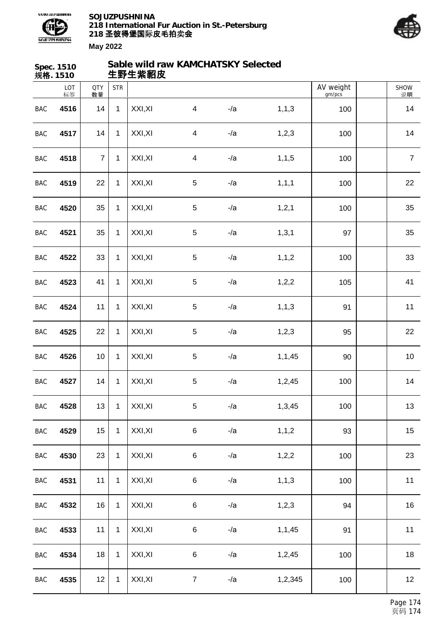



|            | Spec. 1510<br>规格. 1510 |                  |              | 生野生紫貂皮  | Sable wild raw KAMCHATSKY Selected |       |          |                     |                   |
|------------|------------------------|------------------|--------------|---------|------------------------------------|-------|----------|---------------------|-------------------|
|            | LOT<br>标签              | <b>QTY</b><br>数量 | <b>STR</b>   |         |                                    |       |          | AV weight<br>gm/pcs | <b>SHOW</b><br>说明 |
| BAC        | 4516                   | 14               | $\mathbf{1}$ | XXI, XI | $\overline{4}$                     | $-la$ | 1, 1, 3  | 100                 | 14                |
| <b>BAC</b> | 4517                   | 14               | $\mathbf{1}$ | XXI, XI | $\overline{\mathbf{4}}$            | $-la$ | 1,2,3    | 100                 | 14                |
| <b>BAC</b> | 4518                   | $\overline{7}$   | $\mathbf{1}$ | XXI, XI | $\overline{\mathcal{A}}$           | $-la$ | 1, 1, 5  | 100                 | $\overline{7}$    |
| BAC        | 4519                   | 22               | $\mathbf{1}$ | XXI, XI | $\overline{5}$                     | $-la$ | 1, 1, 1  | 100                 | 22                |
| BAC        | 4520                   | 35               | $\mathbf{1}$ | XXI, XI | $\overline{5}$                     | $-la$ | 1,2,1    | 100                 | 35                |
| <b>BAC</b> | 4521                   | 35               | $\mathbf{1}$ | XXI, XI | $\overline{5}$                     | $-la$ | 1, 3, 1  | 97                  | 35                |
| <b>BAC</b> | 4522                   | 33               | $\mathbf{1}$ | XXI, XI | $\sqrt{5}$                         | $-la$ | 1, 1, 2  | 100                 | 33                |
| BAC        | 4523                   | 41               | $\mathbf{1}$ | XXI, XI | $\sqrt{5}$                         | $-la$ | 1,2,2    | 105                 | 41                |
| BAC        | 4524                   | 11               | $\mathbf{1}$ | XXI, XI | $\sqrt{5}$                         | $-la$ | 1, 1, 3  | 91                  | 11                |
| <b>BAC</b> | 4525                   | 22               | $\mathbf{1}$ | XXI, XI | $\overline{5}$                     | $-la$ | 1, 2, 3  | 95                  | 22                |
| <b>BAC</b> | 4526                   | 10               | $\mathbf{1}$ | XXI, XI | $\sqrt{5}$                         | $-la$ | 1,1,45   | 90                  | 10                |
| BAC        | 4527                   | 14               | $\mathbf{1}$ | XXI, XI | $\sqrt{5}$                         | $-la$ | 1,2,45   | 100                 | 14                |
| BAC        | 4528                   | 13               | $\mathbf{1}$ | XXI, XI | $\sqrt{5}$                         | $-la$ | 1,3,45   | 100                 | 13                |
| BAC        | 4529                   | 15               | $\mathbf{1}$ | XXI, XI | $\,6$                              | $-la$ | 1, 1, 2  | 93                  | 15                |
| BAC        | 4530                   | 23               | $\mathbf{1}$ | XXI, XI | $\,6$                              | $-la$ | 1, 2, 2  | 100                 | 23                |
| BAC        | 4531                   | 11               | $\mathbf{1}$ | XXI, XI | $\,6$                              | $-la$ | 1, 1, 3  | 100                 | 11                |
| BAC        | 4532                   | 16               | $\mathbf{1}$ | XXI, XI | $\,6$                              | $-la$ | 1, 2, 3  | 94                  | 16                |
| BAC        | 4533                   | 11               | $\mathbf{1}$ | XXI, XI | $\,6$                              | $-la$ | 1, 1, 45 | 91                  | 11                |
| BAC        | 4534                   | 18               | $\mathbf{1}$ | XXI, XI | $\,6$                              | $-la$ | 1,2,45   | 100                 | 18                |
| BAC        | 4535                   | 12               | $\mathbf{1}$ | XXI, XI | $\overline{7}$                     | $-la$ | 1,2,345  | 100                 | 12                |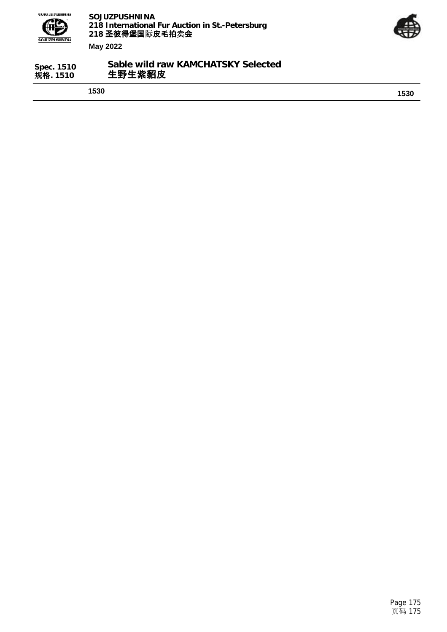



| Spec. 1510 | Sable wild raw KAMCHATSKY Selected |
|------------|------------------------------------|
| 规格. 1510   | 生野生紫貂皮                             |
|            |                                    |

**1530 1530**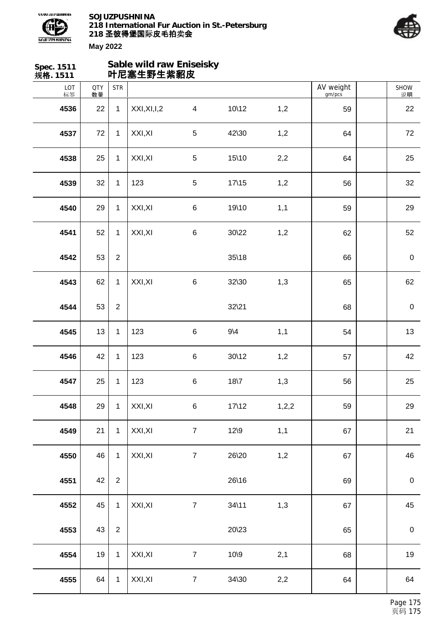



| Spec. 1511<br>规格. 1511 |                  |                | Sable wild raw Eniseisky<br>叶尼塞生野生紫貂皮 |                |                   |       |                     |                  |
|------------------------|------------------|----------------|---------------------------------------|----------------|-------------------|-------|---------------------|------------------|
| LOT<br>标签              | <b>QTY</b><br>数量 | <b>STR</b>     |                                       |                |                   |       | AV weight<br>gm/pcs | SHOW<br>说明       |
| 4536                   | 22               | $\mathbf{1}$   | XXI, XI, I, 2                         | $\overline{4}$ | 10\12             | 1,2   | 59                  | 22               |
| 4537                   | 72               | $\mathbf{1}$   | XXI, XI                               | $\sqrt{5}$     | 42\30             | 1,2   | 64                  | 72               |
| 4538                   | 25               | $\mathbf{1}$   | XXI, XI                               | $\sqrt{5}$     | 15\10             | 2,2   | 64                  | 25               |
| 4539                   | 32               | $\mathbf{1}$   | 123                                   | $\sqrt{5}$     | $17\backslash 15$ | 1,2   | 56                  | 32               |
| 4540                   | 29               | $\mathbf{1}$   | XXI, XI                               | $\,6\,$        | 19\10             | 1,1   | 59                  | 29               |
| 4541                   | 52               | $\mathbf{1}$   | XXI, XI                               | $\,6$          | $30\frac{22}{2}$  | 1,2   | 62                  | 52               |
| 4542                   | 53               | $\overline{2}$ |                                       |                | $35\frac{18}{3}$  |       | 66                  | $\pmb{0}$        |
| 4543                   | 62               | $\mathbf{1}$   | XXI, XI                               | $\,6\,$        | 32\30             | 1,3   | 65                  | 62               |
| 4544                   | 53               | $\overline{2}$ |                                       |                | $32\frac{21}{2}$  |       | 68                  | $\pmb{0}$        |
| 4545                   | 13               | $\mathbf{1}$   | 123                                   | $\,6\,$        | $9\backslash 4$   | 1,1   | 54                  | 13               |
| 4546                   | 42               | $\mathbf 1$    | 123                                   | $\,6\,$        | $30\frac{12}{2}$  | 1,2   | 57                  | 42               |
| 4547                   | 25               | 1              | 123                                   | $\,6$          | $18\sqrt{7}$      | 1,3   | 56                  | 25               |
| 4548                   | 29               | $\mathbf{1}$   | XXI, XI                               | $\,6\,$        | $17\backslash12$  | 1,2,2 | 59                  | 29               |
| 4549                   | 21               | $\mathbf{1}$   | XXI, XI                               | $\overline{7}$ | $12\$             | 1,1   | 67                  | 21               |
| 4550                   | 46               | $\mathbf{1}$   | XXI, XI                               | $\overline{7}$ | 26\20             | 1,2   | 67                  | 46               |
| 4551                   | 42               | $\overline{2}$ |                                       |                | 26\16             |       | 69                  | $\boldsymbol{0}$ |
| 4552                   | 45               | $\mathbf{1}$   | XXI, XI                               | $\overline{7}$ | $34\backslash11$  | 1,3   | 67                  | 45               |
| 4553                   | 43               | $\overline{2}$ |                                       |                | 20\23             |       | 65                  | $\boldsymbol{0}$ |
| 4554                   | 19               | $\mathbf{1}$   | XXI, XI                               | $\overline{7}$ | 10\9              | 2,1   | 68                  | 19               |
| 4555                   | 64               | $\mathbf{1}$   | XXI, XI                               | $\overline{7}$ | 34\30             | 2,2   | 64                  | 64               |
|                        |                  |                |                                       |                |                   |       |                     |                  |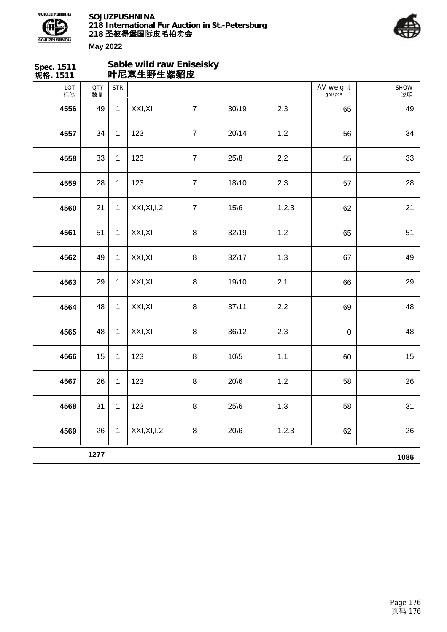



| Spec. 1511<br>规格. 1511 | Sable wild raw Eniseisky<br>叶尼塞生野生紫貂皮 |              |               |                |                  |       |                     |  |                   |
|------------------------|---------------------------------------|--------------|---------------|----------------|------------------|-------|---------------------|--|-------------------|
| LOT<br>标签              | <b>QTY</b><br>数量                      | <b>STR</b>   |               |                |                  |       | AV weight<br>gm/pcs |  | <b>SHOW</b><br>说明 |
| 4556                   | 49                                    | $\mathbf{1}$ | XXI, XI       | $\overline{7}$ | $30\frac{19}{9}$ | 2,3   | 65                  |  | 49                |
| 4557                   | 34                                    | $\mathbf{1}$ | 123           | $\overline{7}$ | 20\14            | 1,2   | 56                  |  | 34                |
| 4558                   | 33                                    | $\mathbf{1}$ | 123           | $\overline{7}$ | $25\,8$          | 2,2   | 55                  |  | 33                |
| 4559                   | 28                                    | $\mathbf{1}$ | 123           | $\overline{7}$ | 18\10            | 2,3   | 57                  |  | 28                |
| 4560                   | 21                                    | $\mathbf{1}$ | XXI, XI, I, 2 | $\overline{7}$ | 15/6             | 1,2,3 | 62                  |  | 21                |
| 4561                   | 51                                    | $\mathbf{1}$ | XXI, XI       | 8              | 32\19            | 1,2   | 65                  |  | 51                |
| 4562                   | 49                                    | $\mathbf{1}$ | XXI, XI       | 8              | 32\17            | 1,3   | 67                  |  | 49                |
| 4563                   | 29                                    | $\mathbf{1}$ | XXI, XI       | $\,8\,$        | 19\10            | 2,1   | 66                  |  | 29                |
| 4564                   | 48                                    | $\mathbf{1}$ | XXI, XI       | $\,8\,$        | $37 \times 11$   | 2,2   | 69                  |  | 48                |
| 4565                   | 48                                    | $\mathbf{1}$ | XXI, XI       | 8              | $36\frac{12}{2}$ | 2,3   | $\pmb{0}$           |  | 48                |
| 4566                   | 15                                    | $\mathbf{1}$ | 123           | 8              | $10\overline{5}$ | 1,1   | 60                  |  | 15                |
| 4567                   | 26                                    | $\mathbf{1}$ | 123           | 8              | $20\,6$          | 1,2   | 58                  |  | 26                |
| 4568                   | 31                                    | $\mathbf{1}$ | 123           | 8              | $25\,6$          | 1,3   | 58                  |  | 31                |
| 4569                   | 26                                    | $\mathbf{1}$ | XXI, XI, I, 2 | $\bf 8$        | $20\,6$          | 1,2,3 | 62                  |  | 26                |
|                        | 1277                                  |              |               |                |                  |       |                     |  | 1086              |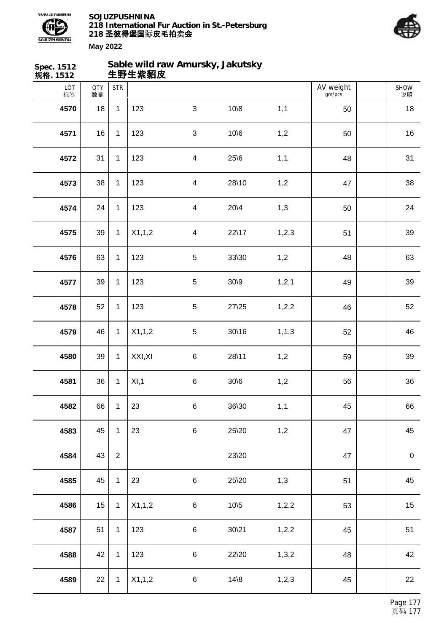



| Spec. 1512<br>规格. 1512 |                  |                | 生野生紫貂皮  | Sable wild raw Amursky, Jakutsky |                  |         |                     |            |
|------------------------|------------------|----------------|---------|----------------------------------|------------------|---------|---------------------|------------|
| LOT<br>标签              | <b>QTY</b><br>数量 | <b>STR</b>     |         |                                  |                  |         | AV weight<br>gm/pcs | SHOW<br>说明 |
| 4570                   | 18               | $\mathbf{1}$   | 123     | $\mathfrak{S}$                   | $10\$            | 1,1     | 50                  | 18         |
| 4571                   | 16               | $\mathbf{1}$   | 123     | $\mathfrak{S}$                   | $10\,6$          | 1,2     | 50                  | 16         |
| 4572                   | 31               | $\mathbf{1}$   | 123     | $\overline{\mathbf{4}}$          | $25\,6$          | 1,1     | 48                  | 31         |
| 4573                   | 38               | $\mathbf{1}$   | 123     | $\overline{\mathbf{4}}$          | 28\10            | 1,2     | 47                  | 38         |
| 4574                   | 24               | $\mathbf{1}$   | 123     | $\overline{\mathbf{4}}$          | $20\sqrt{4}$     | 1,3     | 50                  | 24         |
| 4575                   | 39               | $\mathbf{1}$   | X1,1,2  | $\overline{\mathbf{4}}$          | 22\17            | 1, 2, 3 | 51                  | 39         |
| 4576                   | 63               | $\mathbf{1}$   | 123     | 5                                | 33\30            | 1,2     | 48                  | 63         |
| 4577                   | 39               | $\mathbf{1}$   | 123     | $\sqrt{5}$                       | 30/9             | 1, 2, 1 | 49                  | 39         |
| 4578                   | 52               | $\mathbf{1}$   | 123     | $\sqrt{5}$                       | $27\frac{25}{5}$ | 1,2,2   | 46                  | 52         |
| 4579                   | 46               | $\mathbf{1}$   | X1,1,2  | $\sqrt{5}$                       | 30\16            | 1, 1, 3 | 52                  | 46         |
| 4580                   | 39               | $\mathbf{1}$   | XXI, XI | $\,6$                            | 28\11            | 1,2     | 59                  | 39         |
| 4581                   | 36               | 1              | XI, 1   | $\,6$                            | 30/6             | 1,2     | 56                  | 36         |
| 4582                   | 66               | $\mathbf{1}$   | 23      | $\,6\,$                          | 36\30            | 1,1     | 45                  | 66         |
| 4583                   | 45               | $\mathbf{1}$   | 23      | $\,6\,$                          | 25\20            | 1,2     | 47                  | 45         |
| 4584                   | 43               | $\overline{2}$ |         |                                  | 23\20            |         | 47                  | $\pmb{0}$  |
| 4585                   | 45               | $\mathbf{1}$   | 23      | $\,6\,$                          | 25\20            | 1,3     | 51                  | 45         |
| 4586                   | 15               | $\mathbf{1}$   | X1,1,2  | $\,6\,$                          | $10\frac{5}{5}$  | 1,2,2   | 53                  | 15         |
| 4587                   | 51               | $\mathbf{1}$   | 123     | $\,6\,$                          | $30\frac{21}{2}$ | 1, 2, 2 | 45                  | 51         |
| 4588                   | 42               | $\mathbf{1}$   | 123     | $\,6\,$                          | 22\20            | 1,3,2   | 48                  | 42         |
| 4589                   | 22               | $\mathbf{1}$   | X1,1,2  | $\,6\,$                          | $14 \& 8$        | 1, 2, 3 | 45                  | 22         |
|                        |                  |                |         |                                  |                  |         |                     |            |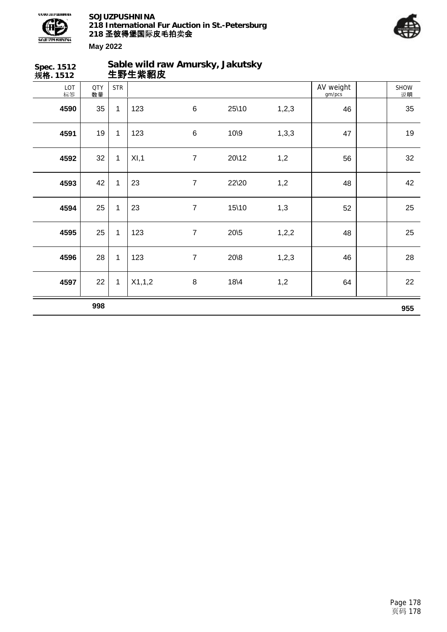



说明

**Spec. 1512 规格. 1512 Sable wild raw Amursky, Jakutsky 生野生紫貂皮** LOT 标签 QTY 数量 SHOW STR | AV weight gm/pcs **4590** 35 1 123 6 25\10 1,2,3 46 1 35 **4591** 19 1 123 6 10\9 1,3,3 47 19 **4592** 32 1 XI,1 7 20\12 1,2 56 32 **4593** 42 1 23 7 22\20 1,2 48 48 42 **4594** 25 1 23 7 15\10 1,3 52 25 **4595** 25 1 123 7 20\5 1,2,2 48 25 25 **4596** 28 1 123 7 20\8 1,2,3 46 28 **4597** 22 1 X1,1,2 8 18\4 1,2 64 22 **998 955**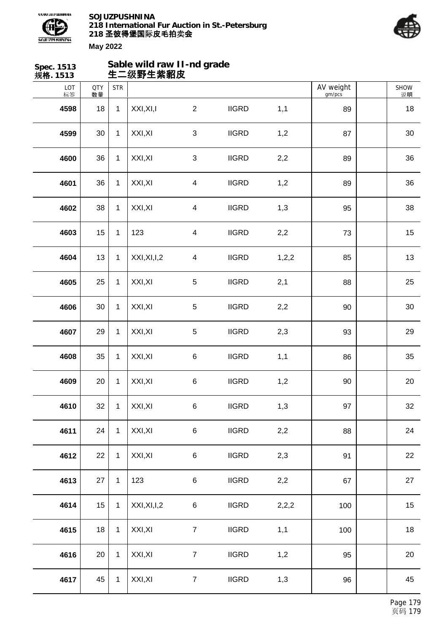



| Spec. 1513<br>规格. 1513 |                  |              | Sable wild raw II-nd grade<br>生二级野生紫貂皮 |                         |              |       |                     |                   |
|------------------------|------------------|--------------|----------------------------------------|-------------------------|--------------|-------|---------------------|-------------------|
| LOT<br>标签              | <b>QTY</b><br>数量 | <b>STR</b>   |                                        |                         |              |       | AV weight<br>gm/pcs | <b>SHOW</b><br>说明 |
| 4598                   | 18               | $\mathbf{1}$ | XXI, XI, I                             | $\overline{2}$          | <b>IIGRD</b> | 1,1   | 89                  | 18                |
| 4599                   | 30               | $\mathbf{1}$ | XXI, XI                                | $\sqrt{3}$              | <b>IIGRD</b> | 1,2   | 87                  | 30                |
| 4600                   | 36               | $\mathbf{1}$ | XXI, XI                                | $\sqrt{3}$              | <b>IIGRD</b> | 2,2   | 89                  | 36                |
| 4601                   | 36               | $\mathbf{1}$ | XXI, XI                                | $\overline{\mathbf{4}}$ | <b>IIGRD</b> | 1,2   | 89                  | 36                |
| 4602                   | 38               | $\mathbf{1}$ | XXI, XI                                | $\overline{\mathbf{4}}$ | <b>IIGRD</b> | 1,3   | 95                  | 38                |
| 4603                   | 15               | $\mathbf{1}$ | 123                                    | $\overline{\mathbf{4}}$ | <b>IIGRD</b> | 2,2   | 73                  | 15                |
| 4604                   | 13               | $\mathbf{1}$ | XXI, XI, I, 2                          | $\overline{\mathbf{4}}$ | <b>IIGRD</b> | 1,2,2 | 85                  | 13                |
| 4605                   | 25               | $\mathbf{1}$ | XXI, XI                                | $\sqrt{5}$              | <b>IIGRD</b> | 2,1   | 88                  | 25                |
| 4606                   | 30               | $\mathbf{1}$ | XXI, XI                                | $\sqrt{5}$              | <b>IIGRD</b> | 2,2   | 90                  | 30                |
| 4607                   | 29               | $\mathbf{1}$ | XXI, XI                                | $\sqrt{5}$              | <b>IIGRD</b> | 2,3   | 93                  | 29                |
| 4608                   | 35               | $\mathbf{1}$ | XXI, XI                                | $\,6$                   | <b>IIGRD</b> | 1,1   | 86                  | 35                |
| 4609                   | 20               | $\mathbf{1}$ | XXI, XI                                | $\,6$                   | <b>IIGRD</b> | 1,2   | 90                  | 20                |
| 4610                   | 32               | $\mathbf{1}$ | XXI, XI                                | $\,6\,$                 | <b>IIGRD</b> | 1,3   | 97                  | 32                |
| 4611                   | 24               | $\mathbf{1}$ | XXI, XI                                | $\,6\,$                 | <b>IIGRD</b> | 2,2   | 88                  | 24                |
| 4612                   | 22               | $\mathbf{1}$ | XXI, XI                                | $\,6\,$                 | <b>IIGRD</b> | 2,3   | 91                  | 22                |
| 4613                   | 27               | $\mathbf{1}$ | 123                                    | $\,6\,$                 | <b>IIGRD</b> | 2,2   | 67                  | 27                |
| 4614                   | 15               | $\mathbf{1}$ | XXI, XI, I, 2                          | 6                       | <b>IIGRD</b> | 2,2,2 | 100                 | 15                |
| 4615                   | 18               | $\mathbf{1}$ | XXI, XI                                | $\overline{7}$          | <b>IIGRD</b> | 1,1   | 100                 | 18                |
| 4616                   | 20               | $\mathbf{1}$ | XXI, XI                                | $\overline{7}$          | <b>IIGRD</b> | 1,2   | 95                  | 20                |
| 4617                   | 45               | $\mathbf{1}$ | XXI, XI                                | $\overline{7}$          | <b>IIGRD</b> | 1,3   | 96                  | 45                |
|                        |                  |              |                                        |                         |              |       |                     |                   |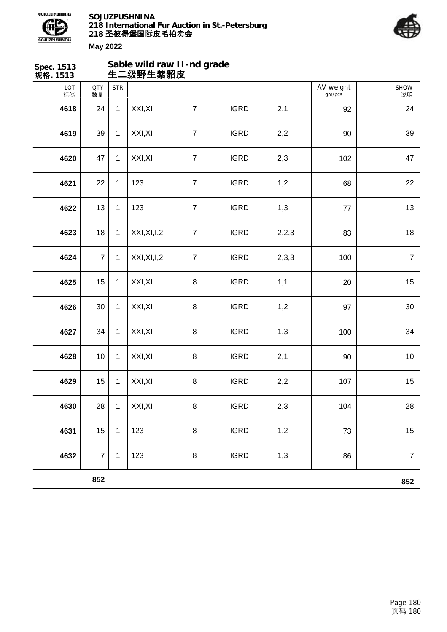



| Spec. 1513<br>规格. 1513 |                  |              | Sable wild raw II-nd grade<br>生二级野生紫貂皮 |                  |              |       |                     |                  |
|------------------------|------------------|--------------|----------------------------------------|------------------|--------------|-------|---------------------|------------------|
| LOT<br>标签              | <b>QTY</b><br>数量 | <b>STR</b>   |                                        |                  |              |       | AV weight<br>gm/pcs | SHOW<br>说明       |
| 4618                   | 24               | $\mathbf{1}$ | XXI, XI                                | $\overline{7}$   | <b>IIGRD</b> | 2,1   | 92                  | 24               |
| 4619                   | 39               | $\mathbf{1}$ | XXI, XI                                | $\overline{7}$   | <b>IIGRD</b> | 2,2   | 90                  | 39               |
| 4620                   | 47               | $\mathbf{1}$ | XXI, XI                                | $\boldsymbol{7}$ | <b>IIGRD</b> | 2,3   | 102                 | 47               |
| 4621                   | 22               | $\mathbf{1}$ | 123                                    | $\overline{7}$   | <b>IIGRD</b> | 1,2   | 68                  | 22               |
| 4622                   | 13               | $\mathbf{1}$ | 123                                    | $\overline{7}$   | <b>IIGRD</b> | 1,3   | 77                  | 13               |
| 4623                   | 18               | $\mathbf{1}$ | XXI, XI, I, 2                          | $\boldsymbol{7}$ | <b>IIGRD</b> | 2,2,3 | 83                  | 18               |
| 4624                   | $\overline{7}$   | $\mathbf 1$  | XXI, XI, I, 2                          | $\boldsymbol{7}$ | <b>IIGRD</b> | 2,3,3 | 100                 | $\overline{7}$   |
| 4625                   | 15               | $\mathbf{1}$ | XXI, XI                                | $\bf 8$          | <b>IIGRD</b> | 1,1   | 20                  | 15               |
| 4626                   | 30               | $\mathbf{1}$ | XXI, XI                                | $\bf 8$          | <b>IIGRD</b> | 1,2   | 97                  | 30               |
| 4627                   | 34               | $\mathbf{1}$ | XXI, XI                                | $\bf 8$          | <b>IIGRD</b> | 1,3   | 100                 | 34               |
| 4628                   | 10               | $\mathbf 1$  | XXI, XI                                | $\bf 8$          | <b>IIGRD</b> | 2,1   | 90                  | 10               |
| 4629                   | 15               | $\mathbf{1}$ | XXI, XI                                | $\bf 8$          | <b>IIGRD</b> | 2,2   | 107                 | 15               |
| 4630                   | 28               | $\mathbf{1}$ | XXI, XI                                | $\bf 8$          | <b>IIGRD</b> | 2,3   | 104                 | 28               |
| 4631                   | 15               | $\mathbf{1}$ | 123                                    | $\bf 8$          | <b>IIGRD</b> | 1,2   | 73                  | 15               |
| 4632                   | $\overline{7}$   | 1            | 123                                    | $\bf 8$          | <b>IIGRD</b> | 1,3   | 86                  | $\boldsymbol{7}$ |
|                        | 852              |              |                                        |                  |              |       |                     | 852              |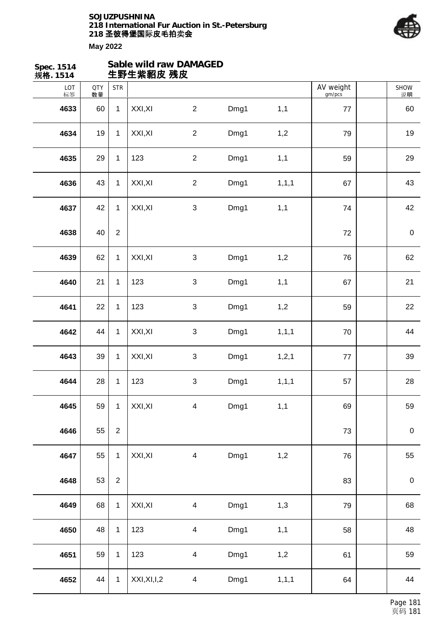

| Spec. 1514<br>规格. 1514 |                  |                | Sable wild raw DAMAGED<br>生野生紫貂皮 残皮 |                         |      |         |                     |                   |
|------------------------|------------------|----------------|-------------------------------------|-------------------------|------|---------|---------------------|-------------------|
| LOT<br>标签              | <b>QTY</b><br>数量 | <b>STR</b>     |                                     |                         |      |         | AV weight<br>gm/pcs | <b>SHOW</b><br>说明 |
| 4633                   | 60               | $\mathbf{1}$   | XXI, XI                             | $\overline{2}$          | Dmg1 | 1,1     | 77                  | 60                |
| 4634                   | 19               | $\mathbf{1}$   | XXI, XI                             | $\overline{2}$          | Dmg1 | 1,2     | 79                  | 19                |
| 4635                   | 29               | $\mathbf{1}$   | 123                                 | $\overline{2}$          | Dmg1 | 1,1     | 59                  | 29                |
| 4636                   | 43               | $\mathbf{1}$   | XXI, XI                             | $\overline{2}$          | Dmg1 | 1, 1, 1 | 67                  | 43                |
| 4637                   | 42               | $\mathbf{1}$   | XXI, XI                             | 3                       | Dmg1 | 1,1     | 74                  | 42                |
| 4638                   | 40               | $\overline{2}$ |                                     |                         |      |         | 72                  | $\boldsymbol{0}$  |
| 4639                   | 62               | $\mathbf{1}$   | XXI, XI                             | $\sqrt{3}$              | Dmg1 | 1,2     | 76                  | 62                |
| 4640                   | 21               | $\mathbf{1}$   | 123                                 | 3                       | Dmg1 | 1,1     | 67                  | 21                |
| 4641                   | 22               | $\mathbf{1}$   | 123                                 | 3                       | Dmg1 | 1,2     | 59                  | 22                |
| 4642                   | 44               | $\mathbf{1}$   | XXI, XI                             | $\mathbf{3}$            | Dmg1 | 1, 1, 1 | 70                  | 44                |
| 4643                   | 39               | $\mathbf{1}$   | XXI, XI                             | $\mathbf{3}$            | Dmg1 | 1, 2, 1 | 77                  | 39                |
| 4644                   | 28               | $\mathbf{1}$   | 123                                 | $\sqrt{3}$              | Dmg1 | 1, 1, 1 | 57                  | 28                |
| 4645                   | 59               | $\mathbf{1}$   | XXI, XI                             | $\overline{4}$          | Dmg1 | 1,1     | 69                  | 59                |
| 4646                   | 55               | $\overline{2}$ |                                     |                         |      |         | 73                  | $\pmb{0}$         |
| 4647                   | 55               | $\mathbf{1}$   | XXI, XI                             | $\overline{\mathbf{4}}$ | Dmg1 | 1,2     | 76                  | 55                |
| 4648                   | 53               | $\overline{2}$ |                                     |                         |      |         | 83                  | $\,0\,$           |
| 4649                   | 68               | $\mathbf{1}$   | XXI, XI                             | $\overline{\mathbf{4}}$ | Dmg1 | 1,3     | 79                  | 68                |
| 4650                   | 48               | $\mathbf{1}$   | 123                                 | $\overline{\mathbf{4}}$ | Dmg1 | 1,1     | 58                  | 48                |
| 4651                   | 59               | $\mathbf{1}$   | 123                                 | $\overline{\mathbf{4}}$ | Dmg1 | 1,2     | 61                  | 59                |
| 4652                   | 44               | $\mathbf{1}$   | XXI, XI, I, 2                       | $\overline{\mathbf{4}}$ | Dmg1 | 1, 1, 1 | 64                  | 44                |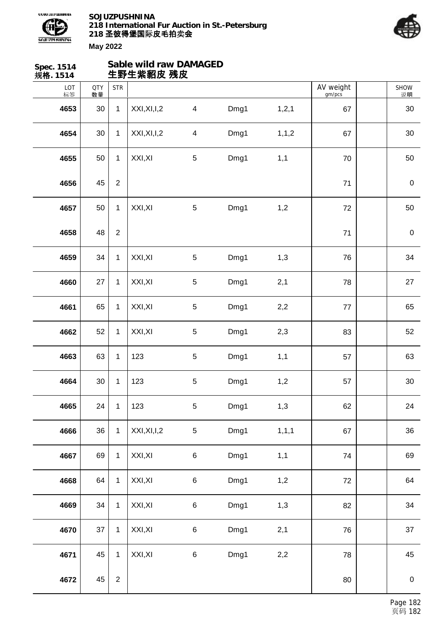



| Spec. 1514<br>规格. 1514 |                  |                | Sable wild raw DAMAGED<br>生野生紫貂皮 残皮 |                          |      |         |                     |                  |  |
|------------------------|------------------|----------------|-------------------------------------|--------------------------|------|---------|---------------------|------------------|--|
| LOT<br>标签              | <b>QTY</b><br>数量 | <b>STR</b>     |                                     |                          |      |         | AV weight<br>gm/pcs | SHOW<br>说明       |  |
| 4653                   | 30               | $\mathbf{1}$   | XXI, XI, I, 2                       | $\overline{4}$           | Dmg1 | 1, 2, 1 | 67                  | 30               |  |
| 4654                   | 30               | $\mathbf{1}$   | XXI, XI, I, 2                       | $\overline{\mathcal{A}}$ | Dmg1 | 1, 1, 2 | 67                  | 30               |  |
| 4655                   | 50               | $\mathbf{1}$   | XXI, XI                             | 5                        | Dmg1 | 1,1     | 70                  | 50               |  |
| 4656                   | 45               | $\overline{2}$ |                                     |                          |      |         | 71                  | $\boldsymbol{0}$ |  |
| 4657                   | 50               | $\mathbf{1}$   | XXI, XI                             | 5                        | Dmg1 | 1,2     | 72                  | 50               |  |
| 4658                   | 48               | $\overline{2}$ |                                     |                          |      |         | 71                  | $\boldsymbol{0}$ |  |
| 4659                   | 34               | $\mathbf{1}$   | XXI, XI                             | $\sqrt{5}$               | Dmg1 | 1,3     | 76                  | 34               |  |
| 4660                   | 27               | $\mathbf{1}$   | XXI, XI                             | 5                        | Dmg1 | 2,1     | 78                  | 27               |  |
| 4661                   | 65               | $\mathbf{1}$   | XXI, XI                             | $\sqrt{5}$               | Dmg1 | 2,2     | 77                  | 65               |  |
| 4662                   | 52               | $\mathbf{1}$   | XXI, XI                             | $\sqrt{5}$               | Dmg1 | 2,3     | 83                  | 52               |  |
| 4663                   | 63               | $\mathbf 1$    | 123                                 | 5                        | Dmg1 | 1,1     | 57                  | 63               |  |
| 4664                   | 30               | $\mathbf{1}$   | 123                                 | 5                        | Dmg1 | 1,2     | 57                  | 30               |  |
| 4665                   | 24               | $\mathbf{1}$   | 123                                 | 5                        | Dmg1 | 1,3     | 62                  | 24               |  |
| 4666                   | 36               | $\mathbf{1}$   | XXI, XI, I, 2                       | 5                        | Dmg1 | 1, 1, 1 | 67                  | 36               |  |
| 4667                   | 69               | $\mathbf{1}$   | XXI, XI                             | 6                        | Dmg1 | 1,1     | 74                  | 69               |  |
| 4668                   | 64               | $\mathbf{1}$   | XXI, XI                             | 6                        | Dmg1 | 1,2     | $72\,$              | 64               |  |
| 4669                   | 34               | $\mathbf{1}$   | XXI, XI                             | 6                        | Dmg1 | 1,3     | 82                  | 34               |  |
| 4670                   | 37               | $\mathbf{1}$   | XXI, XI                             | 6                        | Dmg1 | 2,1     | 76                  | 37               |  |
| 4671                   | 45               | $\mathbf{1}$   | XXI, XI                             | 6                        | Dmg1 | 2,2     | 78                  | 45               |  |
| 4672                   | 45               | $\overline{2}$ |                                     |                          |      |         | 80                  | $\boldsymbol{0}$ |  |
|                        |                  |                |                                     |                          |      |         |                     |                  |  |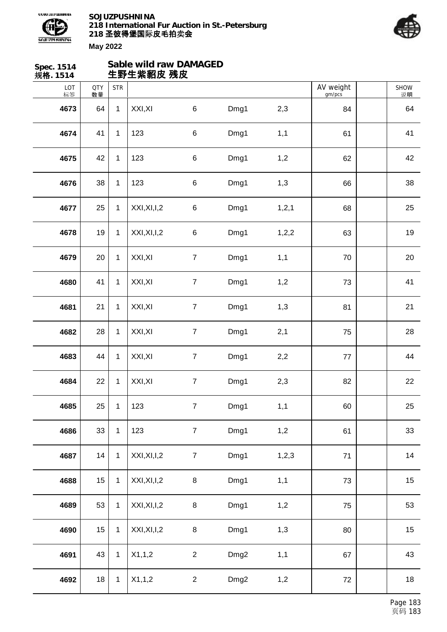



| Spec. 1514<br>规格. 1514 |                  |              | Sable wild raw DAMAGED<br>生野生紫貂皮 残皮 |                  |                  |         |                     |                   |
|------------------------|------------------|--------------|-------------------------------------|------------------|------------------|---------|---------------------|-------------------|
| LOT<br>标签              | <b>QTY</b><br>数量 | <b>STR</b>   |                                     |                  |                  |         | AV weight<br>gm/pcs | <b>SHOW</b><br>说明 |
| 4673                   | 64               | $\mathbf{1}$ | XXI, XI                             | $\,6\,$          | Dmg1             | 2,3     | 84                  | 64                |
| 4674                   | 41               | $\mathbf{1}$ | 123                                 | $\,6$            | Dmg1             | 1,1     | 61                  | 41                |
| 4675                   | 42               | $\mathbf{1}$ | 123                                 | $\,6$            | Dmg1             | 1,2     | 62                  | 42                |
| 4676                   | 38               | $\mathbf{1}$ | 123                                 | $\,6$            | Dmg1             | 1,3     | 66                  | 38                |
| 4677                   | 25               | $\mathbf{1}$ | XXI, XI, I, 2                       | $\,6$            | Dmg1             | 1, 2, 1 | 68                  | 25                |
| 4678                   | 19               | $\mathbf{1}$ | XXI, XI, I, 2                       | $\,6$            | Dmg1             | 1,2,2   | 63                  | 19                |
| 4679                   | 20               | $\mathbf{1}$ | XXI, XI                             | $\boldsymbol{7}$ | Dmg1             | 1,1     | 70                  | 20                |
| 4680                   | 41               | $\mathbf{1}$ | XXI, XI                             | $\boldsymbol{7}$ | Dmg1             | 1,2     | 73                  | 41                |
| 4681                   | 21               | $\mathbf{1}$ | XXI, XI                             | $\overline{7}$   | Dmg1             | 1,3     | 81                  | 21                |
| 4682                   | 28               | $\mathbf{1}$ | XXI, XI                             | $\boldsymbol{7}$ | Dmg1             | 2,1     | 75                  | 28                |
| 4683                   | 44               | $\mathbf{1}$ | XXI, XI                             | $\boldsymbol{7}$ | Dmg1             | 2,2     | 77                  | 44                |
| 4684                   | 22               | $\mathbf{1}$ | XXI, XI                             | $\boldsymbol{7}$ | Dmg1             | 2,3     | 82                  | 22                |
| 4685                   | 25               | $\mathbf{1}$ | 123                                 | $\overline{7}$   | Dmg1             | 1,1     | 60                  | 25                |
| 4686                   | 33               | $\mathbf{1}$ | 123                                 | $\overline{7}$   | Dmg1             | 1,2     | 61                  | 33                |
| 4687                   | 14               | $\mathbf 1$  | XXI, XI, I, 2                       | $\overline{7}$   | Dmg1             | 1,2,3   | 71                  | 14                |
| 4688                   | 15               | $\mathbf{1}$ | XXI, XI, I, 2                       | 8                | Dmg1             | 1,1     | 73                  | 15                |
| 4689                   | 53               | $\mathbf{1}$ | XXI, XI, I, 2                       | $\bf 8$          | Dmg1             | 1,2     | 75                  | 53                |
| 4690                   | 15               | $\mathbf{1}$ | XXI, XI, I, 2                       | $\,8\,$          | Dmg1             | 1,3     | 80                  | 15                |
| 4691                   | 43               | $\mathbf{1}$ | X1,1,2                              | $\overline{2}$   | Dmg <sub>2</sub> | 1,1     | 67                  | 43                |
| 4692                   | 18               | $\mathbf{1}$ | X1,1,2                              | $\overline{2}$   | Dmg <sub>2</sub> | 1,2     | 72                  | 18                |